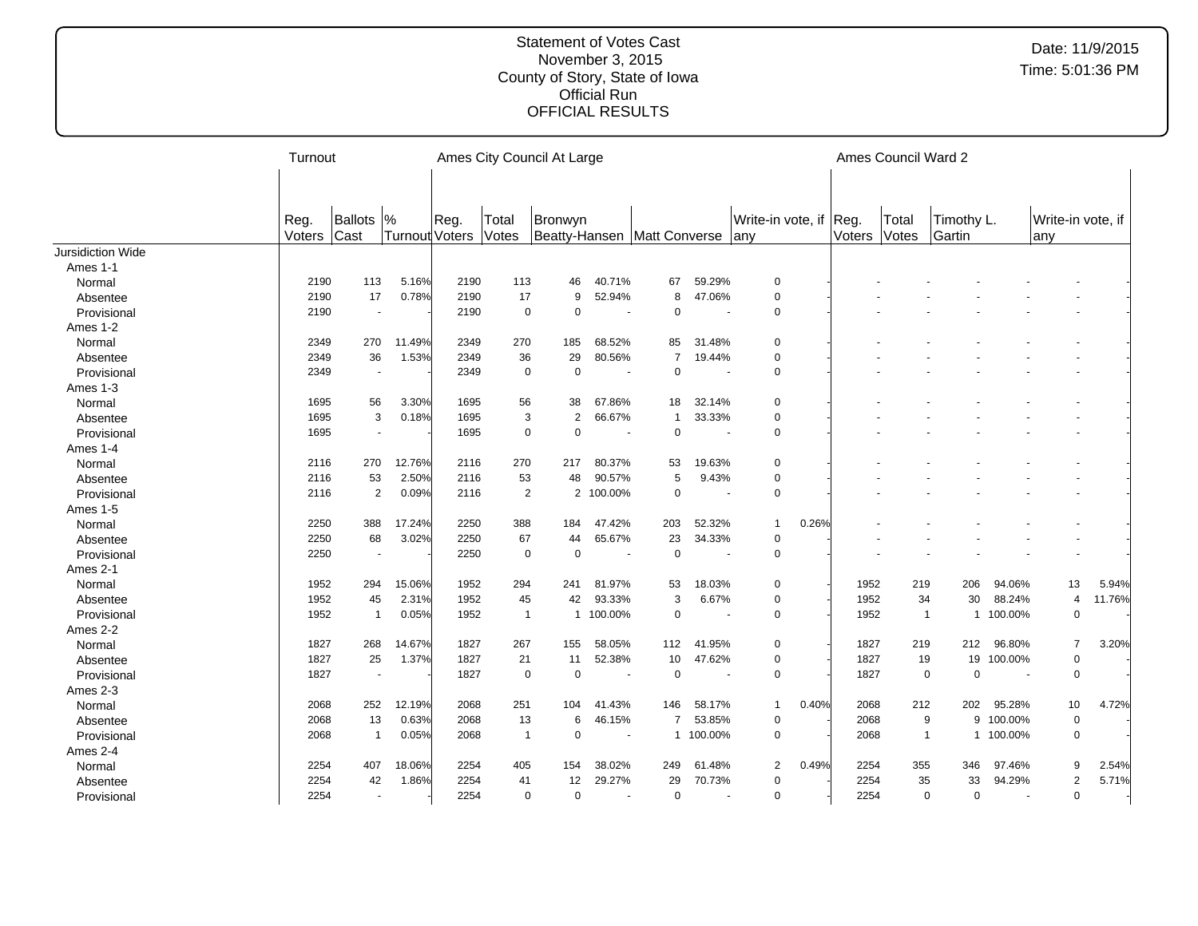|                   | Turnout        |                          |                       |      |                | Ames City Council At Large               |                          |                |                          |                           |       |                | Ames Council Ward 2 |                               |           |                          |        |
|-------------------|----------------|--------------------------|-----------------------|------|----------------|------------------------------------------|--------------------------|----------------|--------------------------|---------------------------|-------|----------------|---------------------|-------------------------------|-----------|--------------------------|--------|
|                   |                |                          |                       |      |                |                                          |                          |                |                          |                           |       |                |                     |                               |           |                          |        |
|                   | Reg.<br>Voters | Ballots  %<br>Cast       | <b>Turnout Voters</b> | Reg. | Total<br>Votes | Bronwyn<br>Beatty-Hansen   Matt Converse |                          |                |                          | Write-in vote, if<br>lany |       | Reg.<br>Voters | Total<br>Votes      | Timothy L.<br>Gartin          |           | Write-in vote, if<br>any |        |
| Jursidiction Wide |                |                          |                       |      |                |                                          |                          |                |                          |                           |       |                |                     |                               |           |                          |        |
| Ames 1-1          |                |                          |                       |      |                |                                          |                          |                |                          |                           |       |                |                     |                               |           |                          |        |
| Normal            | 2190           | 113                      | 5.16%                 | 2190 | 113            | 46                                       | 40.71%                   | 67             | 59.29%                   | $\mathbf 0$               |       |                |                     |                               |           |                          |        |
| Absentee          | 2190           | 17                       | 0.78%                 | 2190 | 17             | 9                                        | 52.94%                   | 8              | 47.06%                   | $\Omega$                  |       |                |                     |                               |           |                          |        |
| Provisional       | 2190           | $\overline{\phantom{a}}$ |                       | 2190 | $\mathbf 0$    | $\Omega$                                 | $\overline{\phantom{a}}$ | $\Omega$       |                          | 0                         |       |                |                     |                               |           |                          |        |
| Ames 1-2          |                |                          |                       |      |                |                                          |                          |                |                          |                           |       |                |                     |                               |           |                          |        |
| Normal            | 2349           | 270                      | 11.49%                | 2349 | 270            | 185                                      | 68.52%                   | 85             | 31.48%                   | 0                         |       |                |                     |                               |           |                          |        |
| Absentee          | 2349           | 36                       | 1.53%                 | 2349 | 36             | 29                                       | 80.56%                   | $\overline{7}$ | 19.44%                   | 0                         |       |                |                     |                               |           |                          |        |
| Provisional       | 2349           | $\overline{\phantom{a}}$ |                       | 2349 | $\mathbf 0$    | $\overline{0}$                           | $\overline{\phantom{a}}$ | $\mathbf 0$    | $\overline{\phantom{a}}$ | 0                         |       |                |                     |                               |           |                          |        |
| Ames 1-3          |                |                          |                       |      |                |                                          |                          |                |                          |                           |       |                |                     |                               |           |                          |        |
| Normal            | 1695           | 56                       | 3.30%                 | 1695 | 56             | 38                                       | 67.86%                   | 18             | 32.14%                   | 0                         |       |                |                     |                               |           |                          |        |
| Absentee          | 1695           | 3                        | 0.18%                 | 1695 | 3              | $\overline{2}$                           | 66.67%                   | $\mathbf{1}$   | 33.33%                   | 0                         |       |                |                     |                               |           |                          |        |
| Provisional       | 1695           | $\blacksquare$           |                       | 1695 | $\mathbf 0$    | $\Omega$                                 | $\sim$                   | $\mathbf 0$    | $\blacksquare$           | 0                         |       |                |                     |                               |           |                          |        |
| Ames 1-4          |                |                          |                       |      |                |                                          |                          |                |                          |                           |       |                |                     |                               |           |                          |        |
| Normal            | 2116           | 270                      | 12.76%                | 2116 | 270            | 217                                      | 80.37%                   | 53             | 19.63%                   | $\mathbf 0$               |       |                |                     |                               |           |                          |        |
| Absentee          | 2116           | 53                       | 2.50%                 | 2116 | 53             | 48                                       | 90.57%                   | 5              | 9.43%                    | $\mathbf 0$               |       |                |                     |                               |           |                          |        |
| Provisional       | 2116           | $\overline{2}$           | 0.09%                 | 2116 | 2              | $\overline{2}$                           | 100.00%                  | $\mathbf 0$    |                          | 0                         |       |                |                     |                               |           |                          |        |
| Ames 1-5          |                |                          |                       |      |                |                                          |                          |                |                          |                           |       |                |                     |                               |           |                          |        |
| Normal            | 2250           | 388                      | 17.24%                | 2250 | 388            | 184                                      | 47.42%                   | 203            | 52.32%                   | -1                        | 0.26% |                |                     |                               |           |                          |        |
| Absentee          | 2250           | 68                       | 3.02%                 | 2250 | 67             | 44                                       | 65.67%                   | 23             | 34.33%                   | $\mathbf 0$               |       |                |                     |                               |           |                          |        |
| Provisional       | 2250           | $\overline{\phantom{a}}$ |                       | 2250 | $\mathbf 0$    | $\overline{0}$                           | $\overline{\phantom{a}}$ | $\mathbf 0$    |                          | $\mathbf 0$               |       |                |                     |                               |           | $\blacksquare$           |        |
| Ames 2-1          |                |                          |                       |      |                |                                          |                          |                |                          |                           |       |                |                     |                               |           |                          |        |
| Normal            | 1952           | 294                      | 15.06%                | 1952 | 294            | 241                                      | 81.97%                   | 53             | 18.03%                   | 0                         |       | 1952           | 219                 | 206                           | 94.06%    | 13                       | 5.94%  |
| Absentee          | 1952           | 45                       | 2.31%                 | 1952 | 45             | 42                                       | 93.33%                   | 3              | 6.67%                    | 0                         |       | 1952           | 34                  | 30                            | 88.24%    | $\overline{4}$           | 11.76% |
| Provisional       | 1952           | $\overline{1}$           | 0.05%                 | 1952 | $\overline{1}$ |                                          | 1 100.00%                | $\mathbf 0$    |                          | 0                         |       | 1952           |                     | $\overline{1}$                | 1 100.00% | $\mathbf 0$              |        |
| Ames 2-2          |                |                          |                       |      |                |                                          |                          |                |                          |                           |       |                |                     |                               |           |                          |        |
| Normal            | 1827           | 268                      | 14.67%                | 1827 | 267            | 155                                      | 58.05%                   | 112            | 41.95%                   | 0                         |       | 1827           | 219                 | 212                           | 96.80%    | $\overline{7}$           | 3.20%  |
| Absentee          | 1827           | 25                       | 1.37%                 | 1827 | 21             | 11                                       | 52.38%                   | 10             | 47.62%                   | 0                         |       | 1827           | 19                  | 19                            | 100.00%   | $\pmb{0}$                |        |
| Provisional       | 1827           | $\overline{\phantom{a}}$ |                       | 1827 | $\mathbf 0$    | $\overline{0}$                           |                          | $\mathbf 0$    |                          | 0                         |       | 1827           |                     | $\mathbf 0$<br>$\overline{0}$ |           | $\mathbf 0$              |        |
| Ames 2-3          |                |                          |                       |      |                |                                          |                          |                |                          |                           |       |                |                     |                               |           |                          |        |
| Normal            | 2068           | 252                      | 12.19%                | 2068 | 251            | 104                                      | 41.43%                   | 146            | 58.17%                   | $\mathbf 1$               | 0.40% | 2068           | 212                 | 202                           | 95.28%    | 10                       | 4.72%  |
| Absentee          | 2068           | 13                       | 0.63%                 | 2068 | 13             | 6                                        | 46.15%                   | $\overline{7}$ | 53.85%                   | $\mathbf 0$               |       | 2068           |                     | 9<br>9                        | 100.00%   | $\mathbf 0$              |        |
| Provisional       | 2068           | $\overline{1}$           | 0.05%                 | 2068 | $\overline{1}$ | $\overline{0}$                           | $\overline{\phantom{a}}$ |                | 1 100.00%                | $\mathbf 0$               |       | 2068           | $\overline{1}$      | $\mathbf{1}$                  | 100.00%   | $\mathsf 0$              |        |
| Ames 2-4          |                |                          |                       |      |                |                                          |                          |                |                          |                           |       |                |                     |                               |           |                          |        |
| Normal            | 2254           | 407                      | 18.06%                | 2254 | 405            | 154                                      | 38.02%                   | 249            | 61.48%                   | 2                         | 0.49% | 2254           | 355                 | 346                           | 97.46%    | 9                        | 2.54%  |
| Absentee          | 2254           | 42                       | 1.86%                 | 2254 | 41             | 12                                       | 29.27%                   | 29             | 70.73%                   | 0                         |       | 2254           | 35                  | 33                            | 94.29%    | $\overline{2}$           | 5.71%  |
| Provisional       | 2254           | $\overline{\phantom{a}}$ |                       | 2254 | $\mathbf 0$    | $\overline{0}$                           | $\sim$                   | $\mathbf 0$    |                          | $\overline{0}$            |       | 2254           |                     | $\overline{0}$<br>0           |           | $\mathbf 0$              |        |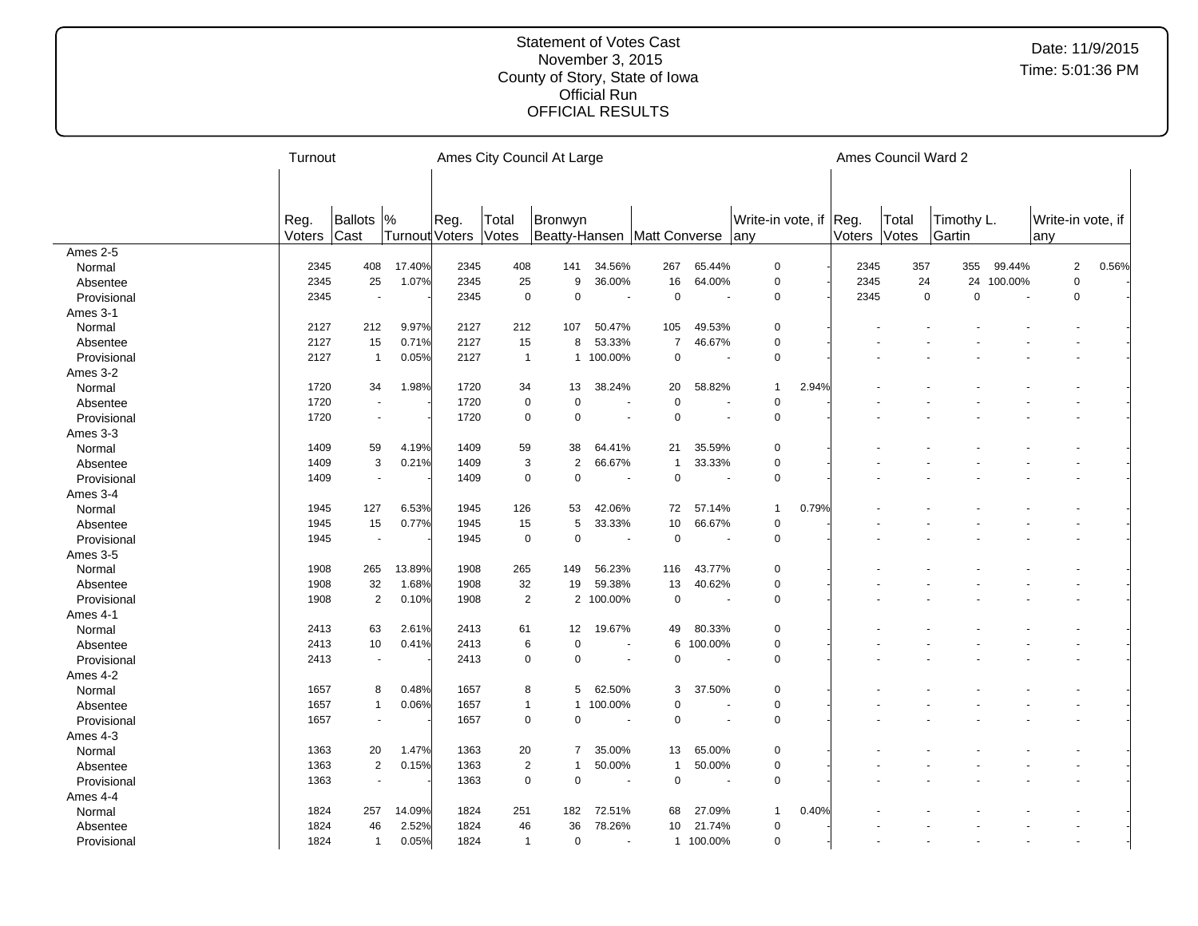|             | Turnout        |                          |                                 |      |                | Ames City Council At Large             |                          |                |                          |                               |       |        | Ames Council Ward 2 |                      |         |                          |       |
|-------------|----------------|--------------------------|---------------------------------|------|----------------|----------------------------------------|--------------------------|----------------|--------------------------|-------------------------------|-------|--------|---------------------|----------------------|---------|--------------------------|-------|
|             |                |                          |                                 |      |                |                                        |                          |                |                          |                               |       |        |                     |                      |         |                          |       |
|             |                |                          |                                 |      |                |                                        |                          |                |                          |                               |       |        |                     |                      |         |                          |       |
|             | Reg.<br>Voters | Ballots<br>Cast          | $\frac{9}{6}$<br>Turnout Voters | Reg. | Total<br>Votes | Bronwyn<br>Beatty-Hansen Matt Converse |                          |                |                          | Write-in vote, if Reg.<br>any |       | Voters | Total<br>Votes      | Timothy L.<br>Gartin |         | Write-in vote, if<br>any |       |
| Ames 2-5    |                |                          |                                 |      |                |                                        |                          |                |                          |                               |       |        |                     |                      |         |                          |       |
| Normal      | 2345           | 408                      | 17.40%                          | 2345 | 408            | 141                                    | 34.56%                   | 267            | 65.44%                   | $\mathbf 0$                   |       | 2345   | 357                 | 355                  | 99.44%  | $\overline{2}$           | 0.56% |
| Absentee    | 2345           | 25                       | 1.07%                           | 2345 | 25             | 9                                      | 36.00%                   | 16             | 64.00%                   | $\mathbf 0$                   |       | 2345   | 24                  | 24                   | 100.00% | $\mathbf 0$              |       |
| Provisional | 2345           | ł,                       |                                 | 2345 | $\mathbf 0$    | $\mathbf 0$                            |                          | $\mathbf 0$    |                          | $\mathbf 0$                   |       | 2345   | $\mathbf 0$         | $\mathbf 0$          |         | $\mathbf 0$              |       |
| Ames 3-1    |                |                          |                                 |      |                |                                        |                          |                |                          |                               |       |        |                     |                      |         |                          |       |
| Normal      | 2127           | 212                      | 9.97%                           | 2127 | 212            | 107                                    | 50.47%                   | 105            | 49.53%                   | $\mathbf 0$                   |       |        |                     |                      |         |                          |       |
| Absentee    | 2127           | 15                       | 0.71%                           | 2127 | 15             | 8                                      | 53.33%                   | $\overline{7}$ | 46.67%                   | $\pmb{0}$                     |       |        |                     |                      |         |                          |       |
| Provisional | 2127           | $\mathbf{1}$             | 0.05%                           | 2127 | $\overline{1}$ |                                        | 1 100.00%                | $\mathsf 0$    | $\sim$                   | $\mathbf 0$                   |       |        |                     |                      |         |                          |       |
| Ames 3-2    |                |                          |                                 |      |                |                                        |                          |                |                          |                               |       |        |                     |                      |         |                          |       |
| Normal      | 1720           | 34                       | 1.98%                           | 1720 | 34             | 13                                     | 38.24%                   | 20             | 58.82%                   | 1                             | 2.94% |        |                     |                      |         |                          |       |
| Absentee    | 1720           | $\overline{\phantom{a}}$ |                                 | 1720 | $\mathbf 0$    | $\mathbf 0$                            |                          | $\mathbf 0$    |                          | $\mathbf 0$                   |       |        |                     |                      |         |                          |       |
| Provisional | 1720           | $\sim$                   |                                 | 1720 | $\mathbf 0$    | $\Omega$                               | $\blacksquare$           | $\Omega$       |                          | $\mathbf 0$                   |       |        |                     |                      |         |                          |       |
| Ames 3-3    |                |                          |                                 |      |                |                                        |                          |                |                          |                               |       |        |                     |                      |         |                          |       |
| Normal      | 1409           | 59                       | 4.19%                           | 1409 | 59             | 38                                     | 64.41%                   | 21             | 35.59%                   | 0                             |       |        |                     |                      |         |                          |       |
| Absentee    | 1409           | 3                        | 0.21%                           | 1409 | $\mathbf{3}$   | $\overline{2}$                         | 66.67%                   | $\mathbf{1}$   | 33.33%                   | $\mathbf 0$                   |       |        |                     |                      |         |                          |       |
| Provisional | 1409           | $\overline{\phantom{a}}$ |                                 | 1409 | $\mathbf 0$    | $\mathbf 0$                            | $\overline{\phantom{a}}$ | $\mathbf 0$    |                          | $\mathbf 0$                   |       |        |                     |                      |         |                          |       |
| Ames 3-4    |                |                          |                                 |      |                |                                        |                          |                |                          |                               |       |        |                     |                      |         |                          |       |
| Normal      | 1945           | 127                      | 6.53%                           | 1945 | 126            | 53                                     | 42.06%                   | 72             | 57.14%                   | 1                             | 0.79% |        |                     |                      |         |                          |       |
| Absentee    | 1945           | 15                       | 0.77%                           | 1945 | 15             | 5                                      | 33.33%                   | 10             | 66.67%                   | $\mathbf 0$                   |       |        |                     |                      |         |                          |       |
| Provisional | 1945           | $\sim$                   |                                 | 1945 | $\mathbf 0$    | $\overline{0}$                         | $\overline{\phantom{a}}$ | $\mathbf 0$    |                          | $\mathbf 0$                   |       |        |                     |                      |         |                          |       |
| Ames 3-5    |                |                          |                                 |      |                |                                        |                          |                |                          |                               |       |        |                     |                      |         |                          |       |
| Normal      | 1908           | 265                      | 13.89%                          | 1908 | 265            | 149                                    | 56.23%                   | 116            | 43.77%                   | 0                             |       |        |                     |                      |         |                          |       |
| Absentee    | 1908           | 32                       | 1.68%                           | 1908 | 32             | 19                                     | 59.38%                   | 13             | 40.62%                   | $\mathbf 0$                   |       |        |                     |                      |         |                          |       |
| Provisional | 1908           | $\overline{2}$           | 0.10%                           | 1908 | $\overline{2}$ | $\overline{2}$                         | 100.00%                  | $\mathbf 0$    |                          | $\mathbf 0$                   |       |        |                     |                      |         |                          |       |
| Ames 4-1    |                |                          |                                 |      |                |                                        |                          |                |                          |                               |       |        |                     |                      |         |                          |       |
| Normal      | 2413           | 63                       | 2.61%                           | 2413 | 61             | 12                                     | 19.67%                   | 49             | 80.33%                   | $\Omega$                      |       |        |                     |                      |         |                          |       |
| Absentee    | 2413           | 10                       | 0.41%                           | 2413 | 6              | $\overline{0}$                         | $\overline{\phantom{a}}$ | 6              | 100.00%                  | 0                             |       |        |                     |                      |         |                          |       |
| Provisional | 2413           | $\overline{\phantom{a}}$ |                                 | 2413 | $\mathbf 0$    | $\mathbf 0$                            | $\overline{\phantom{a}}$ | $\mathbf 0$    | $\overline{\phantom{a}}$ | 0                             |       |        |                     |                      |         |                          |       |
| Ames 4-2    |                |                          |                                 |      |                |                                        |                          |                |                          |                               |       |        |                     |                      |         |                          |       |
| Normal      | 1657           | 8                        | 0.48%                           | 1657 | 8              | 5                                      | 62.50%                   | 3              | 37.50%                   | 0                             |       |        |                     |                      |         |                          |       |
| Absentee    | 1657           | $\mathbf{1}$             | 0.06%                           | 1657 | $\mathbf{1}$   | $\mathbf{1}$                           | 100.00%                  | $\Omega$       |                          | $\pmb{0}$                     |       |        |                     |                      |         |                          |       |
| Provisional | 1657           | $\overline{a}$           |                                 | 1657 | $\mathbf 0$    | $\Omega$                               | $\blacksquare$           | $\Omega$       |                          | 0                             |       |        |                     |                      |         |                          |       |
| Ames 4-3    |                |                          |                                 |      |                |                                        |                          |                |                          |                               |       |        |                     |                      |         |                          |       |
| Normal      | 1363           | 20                       | 1.47%                           | 1363 | 20             | 7                                      | 35.00%                   | 13             | 65.00%                   | 0                             |       |        |                     |                      |         |                          |       |
| Absentee    | 1363           | $\overline{2}$           | 0.15%                           | 1363 | 2              | $\mathbf 1$                            | 50.00%                   | $\mathbf 1$    | 50.00%                   | 0                             |       |        |                     |                      |         |                          |       |
| Provisional | 1363           | $\overline{\phantom{a}}$ |                                 | 1363 | $\mathbf 0$    | $\overline{0}$                         | $\overline{\phantom{a}}$ | $\pmb{0}$      |                          | $\mathbf 0$                   |       |        |                     |                      |         |                          |       |
| Ames 4-4    |                |                          |                                 |      |                |                                        |                          |                |                          |                               |       |        |                     |                      |         |                          |       |
| Normal      | 1824           | 257                      | 14.09%                          | 1824 | 251            | 182                                    | 72.51%                   | 68             | 27.09%                   | 1                             | 0.40% |        |                     |                      |         |                          |       |
| Absentee    | 1824           | 46                       | 2.52%                           | 1824 | 46             | 36                                     | 78.26%                   | 10             | 21.74%                   | 0                             |       |        |                     |                      |         |                          |       |
| Provisional | 1824           | $\mathbf{1}$             | 0.05%                           | 1824 | $\overline{1}$ | $\mathbf 0$                            |                          |                | 1 100.00%                | 0                             |       |        |                     |                      |         |                          |       |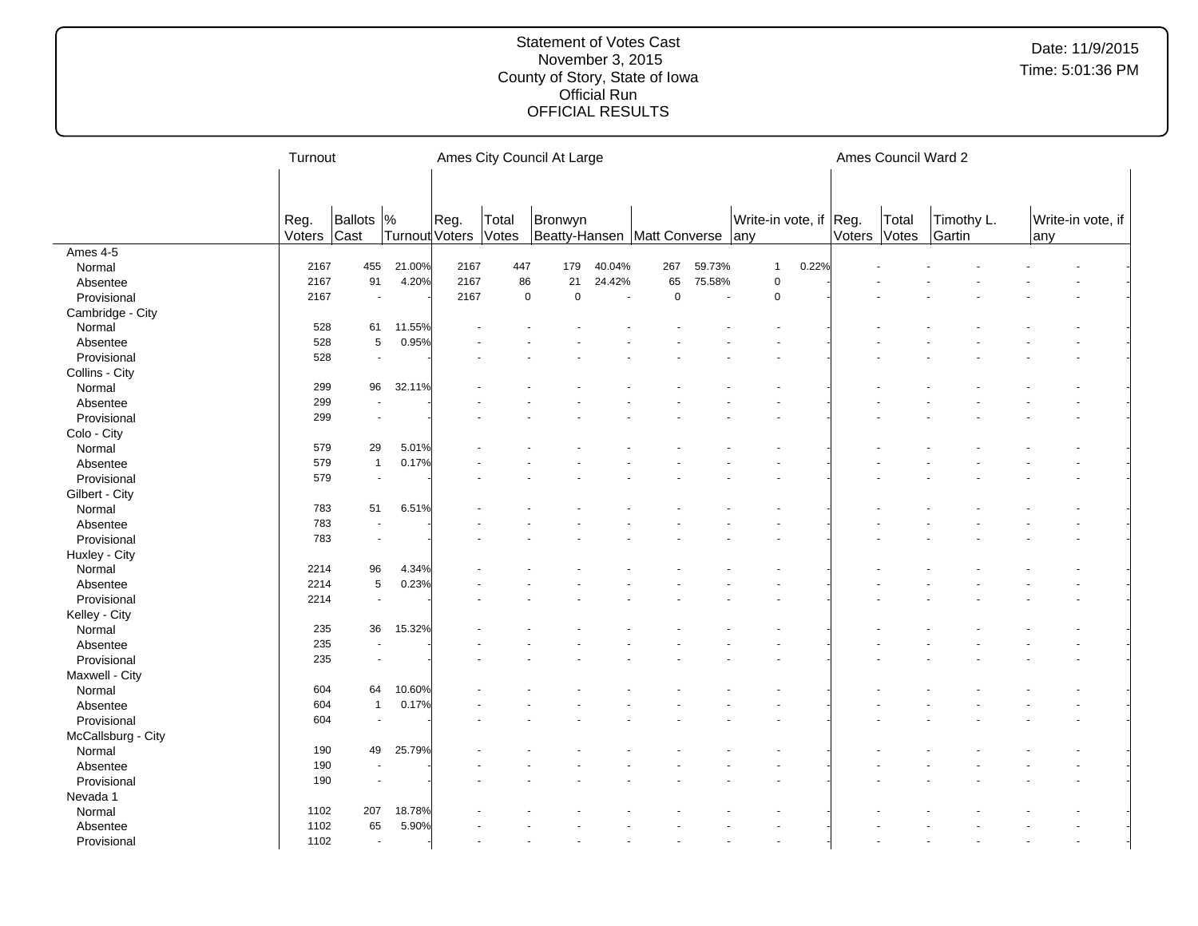|                    | Turnout |                          |                       |      |             | Ames City Council At Large      |        |             |        |                        |              | Ames Council Ward 2 |            |     |                   |
|--------------------|---------|--------------------------|-----------------------|------|-------------|---------------------------------|--------|-------------|--------|------------------------|--------------|---------------------|------------|-----|-------------------|
|                    |         |                          |                       |      |             |                                 |        |             |        |                        |              |                     |            |     |                   |
|                    |         |                          |                       |      |             |                                 |        |             |        |                        |              |                     |            |     |                   |
|                    | Reg.    | Ballots  %               |                       | Reg. | Total       | Bronwyn                         |        |             |        | Write-in vote, if Reg. |              | Total               | Timothy L. |     | Write-in vote, if |
|                    | Voters  | Cast                     | <b>Turnout Voters</b> |      | Votes       | Beatty-Hansen Matt Converse any |        |             |        |                        | Voters Votes |                     | Gartin     | any |                   |
| Ames 4-5           |         |                          |                       |      |             |                                 |        |             |        |                        |              |                     |            |     |                   |
| Normal             | 2167    | 455                      | 21.00%                | 2167 | 447         | 179                             | 40.04% | 267         | 59.73% | $\mathbf{1}$<br>0.22%  |              |                     |            |     |                   |
| Absentee           | 2167    | 91                       | 4.20%                 | 2167 | 86          | 21                              | 24.42% | 65          | 75.58% | 0                      |              |                     |            |     |                   |
| Provisional        | 2167    | $\blacksquare$           |                       | 2167 | $\mathbf 0$ | $\mathbf 0$                     |        | $\mathsf 0$ | $\sim$ | 0                      |              |                     |            |     |                   |
| Cambridge - City   |         |                          |                       |      |             |                                 |        |             |        |                        |              |                     |            |     |                   |
| Normal             | 528     | 61                       | 11.55%                |      |             |                                 |        |             |        |                        |              |                     |            |     |                   |
| Absentee           | 528     | $\mathbf 5$              | 0.95%                 |      |             |                                 |        |             |        |                        |              |                     |            |     |                   |
| Provisional        | 528     | $\tilde{\phantom{a}}$    |                       |      |             |                                 |        |             |        |                        |              |                     |            |     |                   |
| Collins - City     |         |                          |                       |      |             |                                 |        |             |        |                        |              |                     |            |     |                   |
| Normal             | 299     | 96                       | 32.11%                |      |             |                                 |        |             |        |                        |              |                     |            |     |                   |
| Absentee           | 299     | $\overline{\phantom{a}}$ |                       |      |             |                                 |        |             |        |                        |              |                     |            |     |                   |
| Provisional        | 299     | $\blacksquare$           |                       |      |             |                                 |        |             |        |                        |              |                     |            |     |                   |
| Colo - City        |         |                          |                       |      |             |                                 |        |             |        |                        |              |                     |            |     |                   |
| Normal             | 579     | 29                       | 5.01%                 |      |             |                                 |        |             |        |                        |              |                     |            |     |                   |
| Absentee           | 579     | $\mathbf{1}$             | 0.17%                 |      |             |                                 |        |             |        |                        |              |                     |            |     |                   |
| Provisional        | 579     | $\blacksquare$           |                       |      |             |                                 |        |             |        |                        |              |                     |            |     |                   |
| Gilbert - City     |         |                          |                       |      |             |                                 |        |             |        |                        |              |                     |            |     |                   |
| Normal             | 783     | 51                       | 6.51%                 |      |             |                                 |        |             |        |                        |              |                     |            |     |                   |
| Absentee           | 783     | $\ddot{\phantom{a}}$     |                       |      |             |                                 |        |             |        |                        |              |                     |            |     |                   |
| Provisional        | 783     | $\blacksquare$           |                       |      |             |                                 |        |             |        |                        |              |                     |            |     |                   |
| Huxley - City      |         |                          |                       |      |             |                                 |        |             |        |                        |              |                     |            |     |                   |
| Normal             | 2214    | 96                       | 4.34%                 |      |             |                                 |        |             |        |                        |              |                     |            |     |                   |
| Absentee           | 2214    | 5                        | 0.23%                 |      |             |                                 |        |             |        |                        |              |                     |            |     |                   |
| Provisional        | 2214    | $\mathbf{u}$             |                       |      |             |                                 |        |             |        |                        |              |                     |            |     |                   |
| Kelley - City      |         |                          |                       |      |             |                                 |        |             |        |                        |              |                     |            |     |                   |
| Normal             | 235     | 36                       | 15.32%                |      |             |                                 |        |             |        |                        |              |                     |            |     |                   |
|                    | 235     | $\blacksquare$           |                       |      |             |                                 |        |             |        |                        |              |                     |            |     |                   |
| Absentee           |         | $\blacksquare$           |                       |      |             |                                 |        |             |        |                        |              |                     |            |     |                   |
| Provisional        | 235     |                          |                       |      |             |                                 |        |             |        |                        |              |                     |            |     |                   |
| Maxwell - City     |         |                          |                       |      |             |                                 |        |             |        |                        |              |                     |            |     |                   |
| Normal             | 604     | 64                       | 10.60%                |      |             |                                 |        |             |        |                        |              |                     |            |     |                   |
| Absentee           | 604     | $\mathbf{1}$             | 0.17%                 |      |             |                                 |        |             |        |                        |              |                     |            |     |                   |
| Provisional        | 604     | $\overline{\phantom{a}}$ |                       |      |             |                                 |        |             |        |                        |              |                     |            |     |                   |
| McCallsburg - City |         |                          |                       |      |             |                                 |        |             |        |                        |              |                     |            |     |                   |
| Normal             | 190     | 49                       | 25.79%                |      |             |                                 |        |             |        |                        |              |                     |            |     |                   |
| Absentee           | 190     | $\overline{\phantom{a}}$ |                       |      |             |                                 |        |             |        |                        |              |                     |            |     |                   |
| Provisional        | 190     | $\tilde{\phantom{a}}$    |                       |      |             |                                 |        |             |        |                        |              |                     |            |     |                   |
| Nevada 1           |         |                          |                       |      |             |                                 |        |             |        |                        |              |                     |            |     |                   |
| Normal             | 1102    | 207                      | 18.78%                |      |             |                                 |        |             |        |                        |              |                     |            |     |                   |
| Absentee           | 1102    | 65                       | 5.90%                 |      |             |                                 |        |             |        |                        |              |                     |            |     |                   |
| Provisional        | 1102    | $\blacksquare$           |                       |      |             |                                 |        |             |        |                        |              |                     |            |     |                   |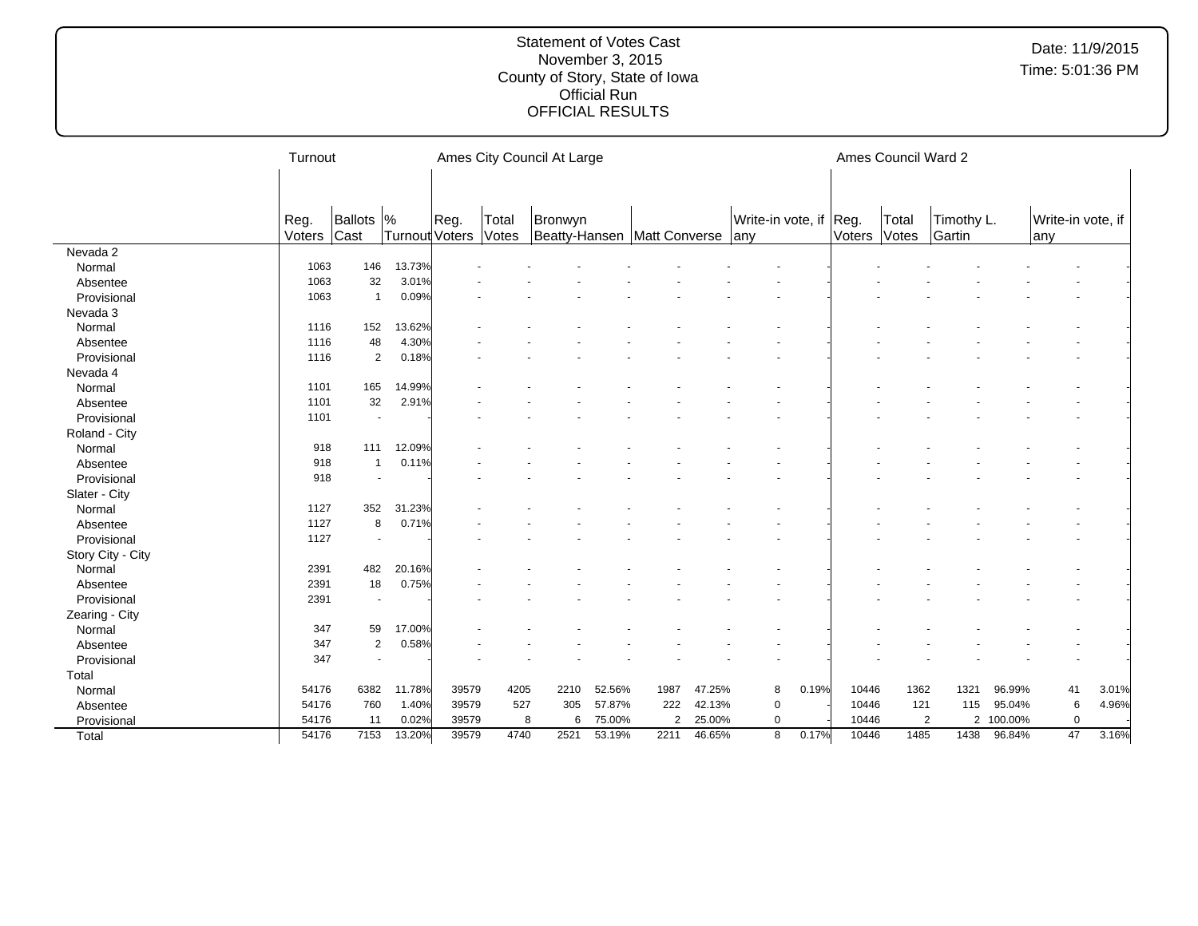|                   | Turnout        |                          |                       |       |                | Ames City Council At Large               |        |                |        |                                   |       |        | Ames Council Ward 2 |                      |         |                           |       |
|-------------------|----------------|--------------------------|-----------------------|-------|----------------|------------------------------------------|--------|----------------|--------|-----------------------------------|-------|--------|---------------------|----------------------|---------|---------------------------|-------|
|                   | Reg.<br>Voters | Ballots  %<br>Cast       | <b>Turnout Voters</b> | Reg.  | Total<br>Votes | Bronwyn<br>Beatty-Hansen   Matt Converse |        |                |        | Write-in vote, if Reg.<br>$ $ any |       | Voters | Total<br>Votes      | Timothy L.<br>Gartin |         | Write-in vote, if<br> any |       |
| Nevada 2          |                |                          |                       |       |                |                                          |        |                |        |                                   |       |        |                     |                      |         |                           |       |
| Normal            | 1063           | 146                      | 13.73%                |       |                |                                          |        |                |        |                                   |       |        |                     |                      |         |                           |       |
| Absentee          | 1063           | 32                       | 3.01%                 |       |                |                                          |        |                |        |                                   |       |        |                     |                      |         |                           |       |
| Provisional       | 1063           | $\mathbf{1}$             | 0.09%                 |       |                |                                          |        |                |        |                                   |       |        |                     |                      |         |                           |       |
| Nevada 3          |                |                          |                       |       |                |                                          |        |                |        |                                   |       |        |                     |                      |         |                           |       |
| Normal            | 1116           | 152                      | 13.62%                |       |                |                                          |        |                |        |                                   |       |        |                     |                      |         |                           |       |
| Absentee          | 1116           | 48                       | 4.30%                 |       |                |                                          |        |                |        |                                   |       |        |                     |                      |         |                           |       |
| Provisional       | 1116           | $\overline{2}$           | 0.18%                 |       |                |                                          |        |                |        |                                   |       |        |                     |                      |         |                           |       |
| Nevada 4          |                |                          |                       |       |                |                                          |        |                |        |                                   |       |        |                     |                      |         |                           |       |
| Normal            | 1101           | 165                      | 14.99%                |       |                |                                          |        |                |        |                                   |       |        |                     |                      |         |                           |       |
| Absentee          | 1101           | 32                       | 2.91%                 |       |                |                                          |        |                |        |                                   |       |        |                     |                      |         |                           |       |
| Provisional       | 1101           | $\blacksquare$           |                       |       |                |                                          |        |                |        |                                   |       |        |                     |                      |         |                           |       |
| Roland - City     |                |                          |                       |       |                |                                          |        |                |        |                                   |       |        |                     |                      |         |                           |       |
| Normal            | 918            | 111                      | 12.09%                |       |                |                                          |        |                |        |                                   |       |        |                     |                      |         |                           |       |
| Absentee          | 918            | $\mathbf{1}$             | 0.11%                 |       |                |                                          |        |                |        |                                   |       |        |                     |                      |         |                           |       |
| Provisional       | 918            | $\overline{\phantom{a}}$ |                       |       |                |                                          |        |                |        |                                   |       |        |                     |                      |         |                           |       |
| Slater - City     |                |                          |                       |       |                |                                          |        |                |        |                                   |       |        |                     |                      |         |                           |       |
| Normal            | 1127           | 352                      | 31.23%                |       |                |                                          |        |                |        |                                   |       |        |                     |                      |         |                           |       |
| Absentee          | 1127           | 8                        | 0.71%                 |       |                |                                          |        |                |        |                                   |       |        |                     |                      |         |                           |       |
| Provisional       | 1127           | $\sim$                   |                       |       |                |                                          |        |                |        |                                   |       |        |                     |                      |         |                           |       |
| Story City - City |                |                          |                       |       |                |                                          |        |                |        |                                   |       |        |                     |                      |         |                           |       |
| Normal            | 2391           | 482                      | 20.16%                |       |                |                                          |        |                |        |                                   |       |        |                     |                      |         |                           |       |
| Absentee          | 2391           | 18                       | 0.75%                 |       |                |                                          |        |                |        |                                   |       |        |                     |                      |         |                           |       |
| Provisional       | 2391           | $\overline{\phantom{a}}$ |                       |       |                |                                          |        |                |        |                                   |       |        |                     |                      |         |                           |       |
| Zearing - City    |                |                          |                       |       |                |                                          |        |                |        |                                   |       |        |                     |                      |         |                           |       |
| Normal            | 347            | 59                       | 17.00%                |       |                |                                          |        |                |        |                                   |       |        |                     |                      |         |                           |       |
| Absentee          | 347            | $\overline{2}$           | 0.58%                 |       |                |                                          |        |                |        |                                   |       |        |                     |                      |         |                           |       |
| Provisional       | 347            | ÷,                       |                       |       |                |                                          |        |                |        |                                   |       |        |                     |                      |         |                           |       |
| Total             |                |                          |                       |       |                |                                          |        |                |        |                                   |       |        |                     |                      |         |                           |       |
| Normal            | 54176          | 6382                     | 11.78%                | 39579 | 4205           | 2210                                     | 52.56% | 1987           | 47.25% | 8                                 | 0.19% | 10446  | 1362                | 1321                 | 96.99%  | 41                        | 3.01% |
| Absentee          | 54176          | 760                      | 1.40%                 | 39579 | 527            | 305                                      | 57.87% | 222            | 42.13% | $\mathbf 0$                       |       | 10446  | 121                 | 115                  | 95.04%  | 6                         | 4.96% |
| Provisional       | 54176          | 11                       | 0.02%                 | 39579 |                | 6<br>8                                   | 75.00% | $\overline{2}$ | 25.00% | 0                                 |       | 10446  |                     | $\overline{2}$<br>2  | 100.00% | $\mathbf 0$               |       |
| Total             | 54176          | 7153                     | 13.20%                | 39579 | 4740           | 2521                                     | 53.19% | 2211           | 46.65% | 8                                 | 0.17% | 10446  | 1485                | 1438                 | 96.84%  | 47                        | 3.16% |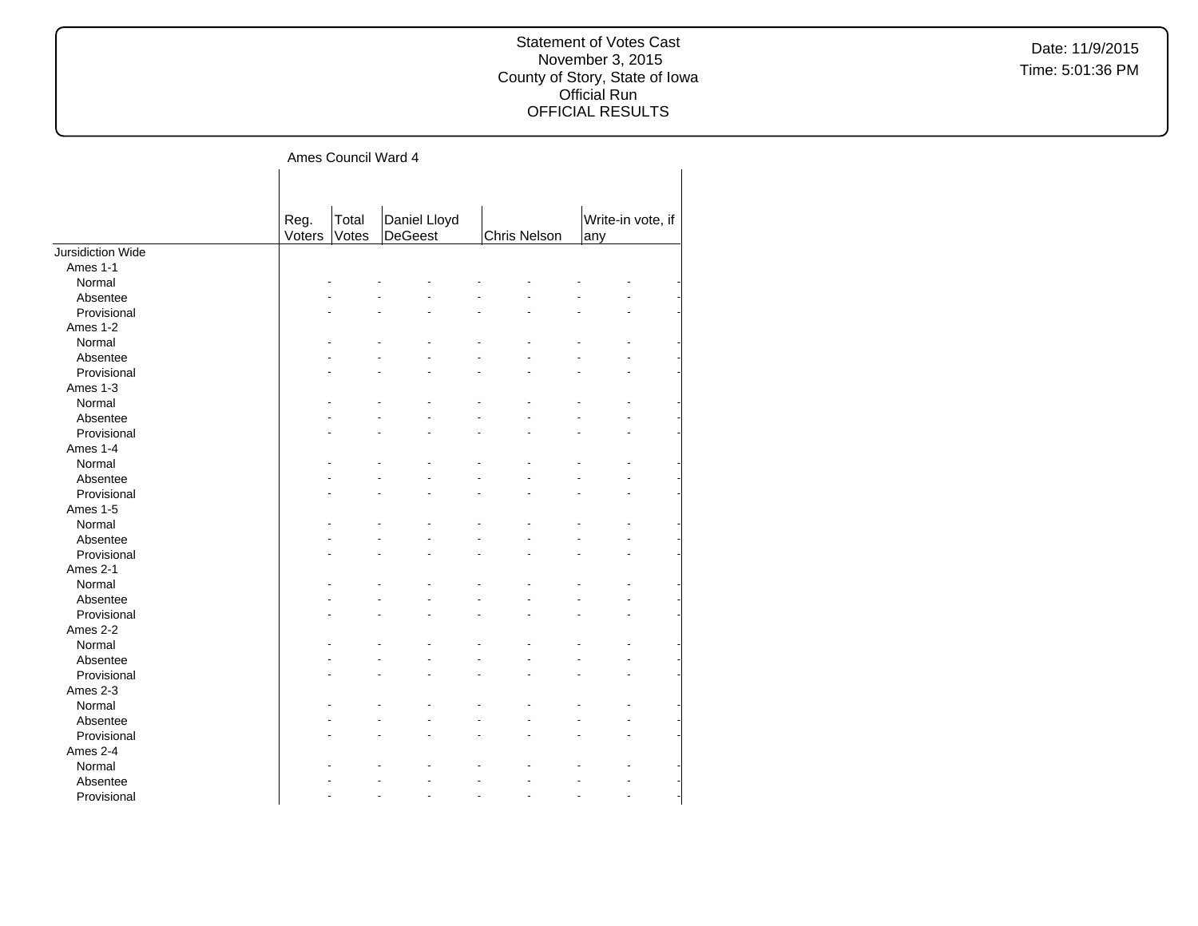Ames Council Ward 4

|                   | Reg.<br>Voters | Total<br>Votes | Daniel Lloyd<br><b>DeGeest</b> | Chris Nelson | Write-in vote, if<br>any |  |
|-------------------|----------------|----------------|--------------------------------|--------------|--------------------------|--|
| Jursidiction Wide |                |                |                                |              |                          |  |
| Ames 1-1          |                |                |                                |              |                          |  |
| Normal            |                |                |                                |              |                          |  |
| Absentee          |                |                |                                |              |                          |  |
| Provisional       |                |                |                                |              |                          |  |
| Ames 1-2          |                |                |                                |              |                          |  |
| Normal            |                |                |                                |              |                          |  |
| Absentee          |                |                |                                |              |                          |  |
| Provisional       |                |                |                                |              |                          |  |
| Ames 1-3          |                |                |                                |              |                          |  |
| Normal            |                |                |                                |              |                          |  |
| Absentee          |                |                |                                |              |                          |  |
| Provisional       |                |                |                                |              |                          |  |
| Ames 1-4          |                |                |                                |              |                          |  |
| Normal            |                |                |                                |              |                          |  |
| Absentee          |                |                |                                |              |                          |  |
| Provisional       |                |                |                                |              |                          |  |
| Ames 1-5          |                |                |                                |              |                          |  |
| Normal            |                |                |                                |              |                          |  |
| Absentee          |                |                |                                |              |                          |  |
| Provisional       |                |                |                                |              |                          |  |
| Ames 2-1          |                |                |                                |              |                          |  |
| Normal            |                |                |                                |              |                          |  |
| Absentee          |                |                |                                |              |                          |  |
| Provisional       |                |                |                                |              |                          |  |
| Ames 2-2          |                |                |                                |              |                          |  |
| Normal            |                |                |                                |              |                          |  |
| Absentee          |                |                |                                |              |                          |  |
| Provisional       |                |                |                                |              |                          |  |
| Ames 2-3          |                |                |                                |              |                          |  |
| Normal            |                |                |                                |              |                          |  |
| Absentee          |                |                |                                |              |                          |  |
| Provisional       |                |                |                                |              |                          |  |
| Ames 2-4          |                |                |                                |              |                          |  |
| Normal            |                |                |                                |              |                          |  |
| Absentee          |                |                |                                |              |                          |  |
| Provisional       |                |                |                                |              |                          |  |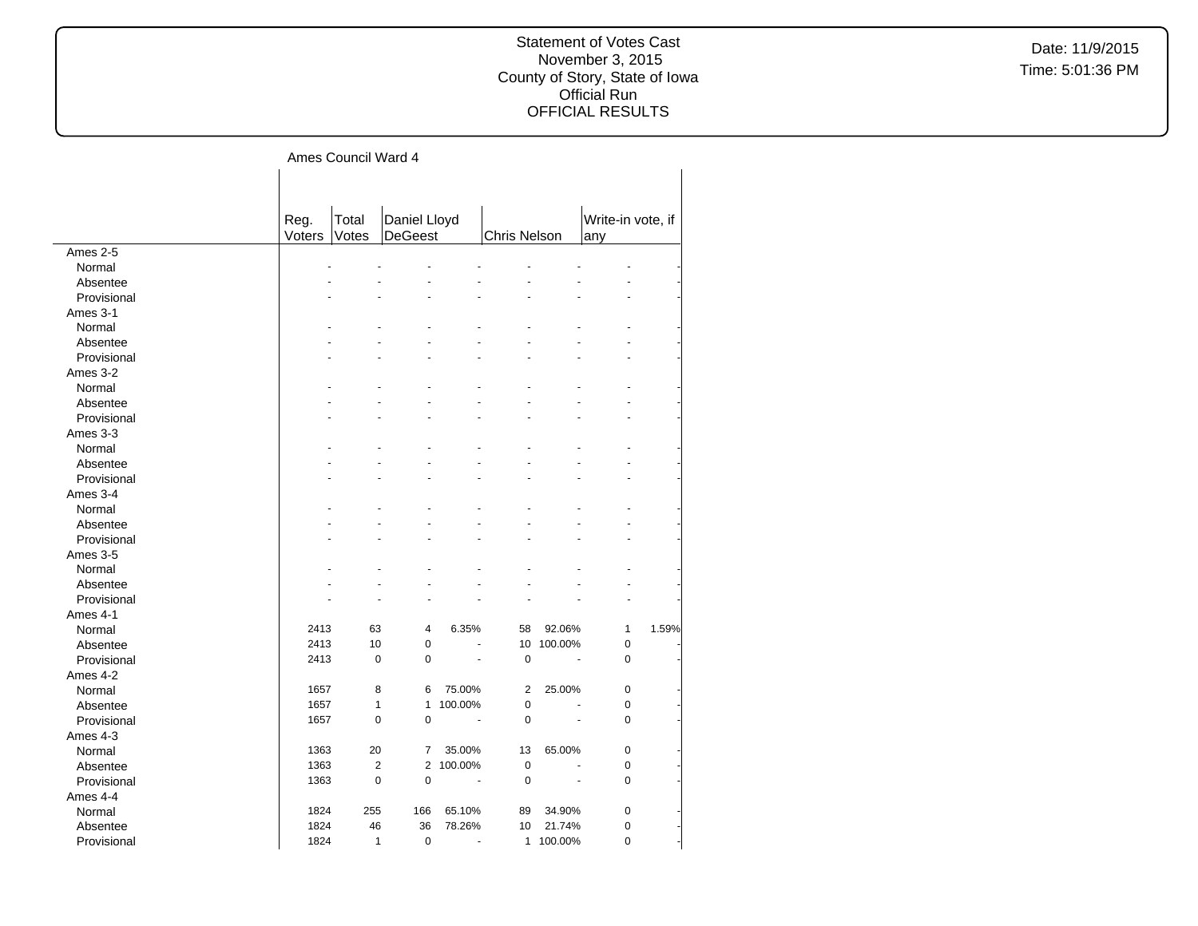#### Statement of Votes Cast November 3, 2015 County of Story, State of Iowa Official Run OFFICIAL RESULTS

## Ames Council Ward 4

|             | Reg.   | Total | Daniel Lloyd                     |                          |              |         | Write-in vote, if |       |
|-------------|--------|-------|----------------------------------|--------------------------|--------------|---------|-------------------|-------|
|             | Voters | Votes | <b>DeGeest</b>                   |                          | Chris Nelson |         | any               |       |
| Ames 2-5    |        |       |                                  |                          |              |         |                   |       |
| Normal      |        |       |                                  |                          |              |         |                   |       |
| Absentee    |        |       |                                  |                          |              |         |                   |       |
| Provisional |        |       |                                  |                          |              |         |                   |       |
| Ames 3-1    |        |       |                                  |                          |              |         |                   |       |
| Normal      |        |       |                                  |                          |              |         |                   |       |
| Absentee    |        |       |                                  |                          |              |         |                   |       |
| Provisional |        |       |                                  |                          |              |         |                   |       |
| Ames 3-2    |        |       |                                  |                          |              |         |                   |       |
| Normal      |        |       |                                  |                          |              |         |                   |       |
| Absentee    |        |       |                                  |                          |              |         |                   |       |
| Provisional |        |       |                                  |                          |              |         |                   |       |
| Ames 3-3    |        |       |                                  |                          |              |         |                   |       |
| Normal      |        |       |                                  |                          |              |         |                   |       |
| Absentee    |        |       |                                  |                          |              |         |                   |       |
| Provisional |        |       |                                  |                          |              |         |                   |       |
| Ames 3-4    |        |       |                                  |                          |              |         |                   |       |
| Normal      |        |       |                                  |                          |              |         |                   |       |
| Absentee    |        |       |                                  |                          |              |         |                   |       |
| Provisional |        |       |                                  |                          |              |         |                   |       |
| Ames 3-5    |        |       |                                  |                          |              |         |                   |       |
| Normal      |        |       |                                  |                          |              |         |                   |       |
| Absentee    |        |       |                                  |                          |              |         |                   |       |
| Provisional |        |       |                                  |                          |              |         |                   |       |
| Ames 4-1    |        |       |                                  |                          |              |         |                   |       |
| Normal      | 2413   | 63    | 4                                | 6.35%                    | 58           | 92.06%  | 1                 | 1.59% |
| Absentee    | 2413   | 10    | $\pmb{0}$                        | L.                       | 10           | 100.00% | 0                 |       |
| Provisional | 2413   |       | $\pmb{0}$<br>$\pmb{0}$           |                          | $\pmb{0}$    | ÷.      | 0                 |       |
| Ames 4-2    |        |       |                                  |                          |              |         |                   |       |
| Normal      | 1657   |       | 8<br>6                           | 75.00%                   | 2            | 25.00%  | 0                 |       |
| Absentee    | 1657   |       | $\mathbf{1}$<br>$\mathbf{1}$     | 100.00%                  | 0            |         | 0                 |       |
| Provisional | 1657   |       | $\mathbf 0$<br>$\mathbf 0$       | $\overline{\phantom{a}}$ | 0            | ÷.      | 0                 |       |
| Ames 4-3    |        |       |                                  |                          |              |         |                   |       |
| Normal      | 1363   | 20    | $\overline{7}$                   | 35.00%                   | 13           | 65.00%  | 0                 |       |
| Absentee    | 1363   |       | $\overline{2}$<br>$\overline{2}$ | 100.00%                  | $\pmb{0}$    | ä,      | 0                 |       |
| Provisional | 1363   |       | $\mathbf 0$<br>$\mathbf 0$       | ÷,                       | 0            |         | 0                 |       |
| Ames 4-4    |        |       |                                  |                          |              |         |                   |       |
| Normal      | 1824   | 255   | 166                              | 65.10%                   | 89           | 34.90%  | 0                 |       |
| Absentee    | 1824   | 46    | 36                               | 78.26%                   | 10           | 21.74%  | 0                 |       |
| Provisional | 1824   |       | $\mathbf{1}$<br>$\mathbf 0$      | ÷.                       | $\mathbf{1}$ | 100.00% | $\overline{0}$    |       |
|             |        |       |                                  |                          |              |         |                   |       |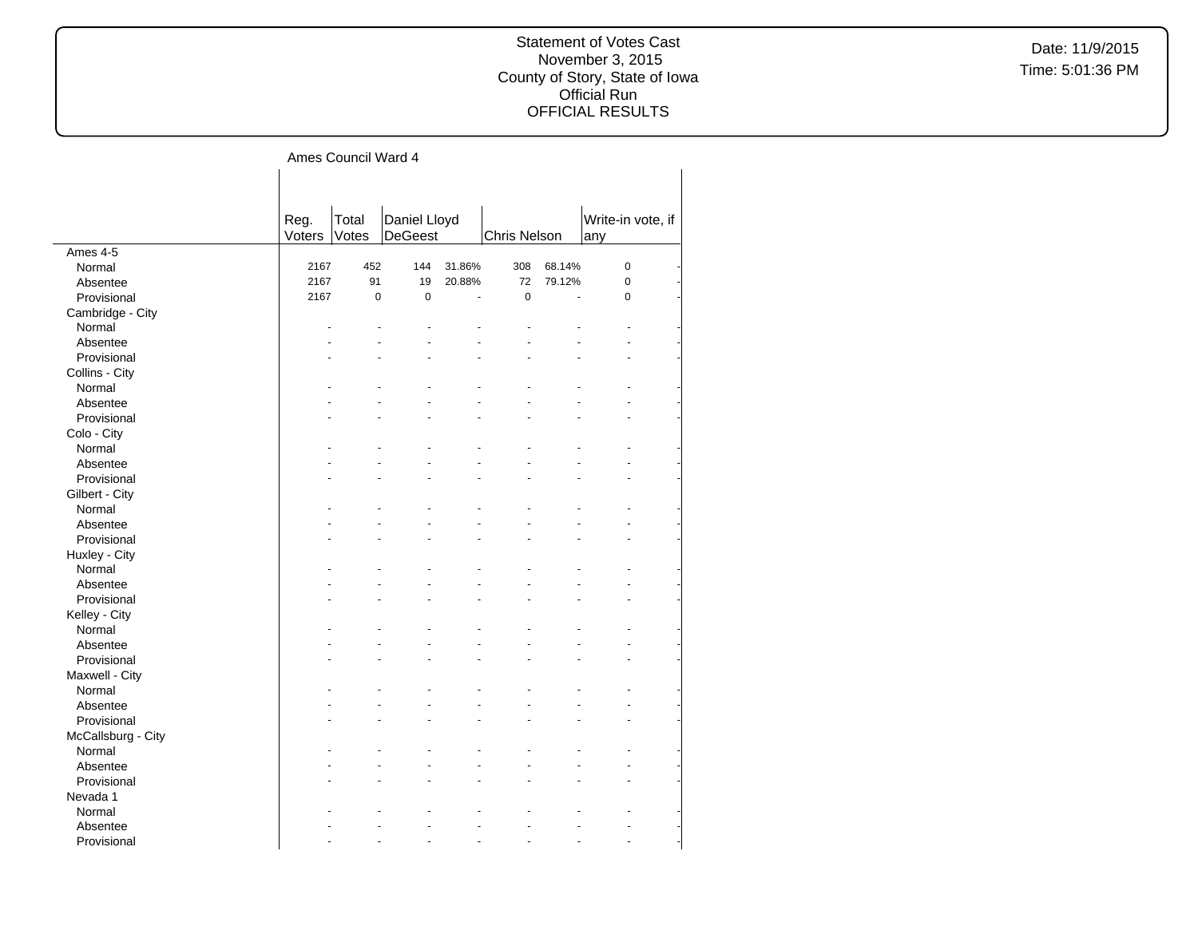#### Statement of Votes Cast November 3, 2015 County of Story, State of Iowa Official Run OFFICIAL RESULTS

## Ames Council Ward 4

|                          | Reg.<br>Voters | Total<br>Votes | Daniel Lloyd<br><b>DeGeest</b> |        | Chris Nelson |                | Write-in vote, if |  |
|--------------------------|----------------|----------------|--------------------------------|--------|--------------|----------------|-------------------|--|
| Ames 4-5                 |                |                |                                |        |              |                | any               |  |
| Normal                   | 2167           | 452            | 144                            | 31.86% | 308          | 68.14%         | $\mathbf 0$       |  |
| Absentee                 | 2167           | 91             | 19                             | 20.88% | 72           | 79.12%         | $\pmb{0}$         |  |
| Provisional              | 2167           | $\mathbf 0$    | $\mathbf 0$                    |        | $\mathbf 0$  | $\overline{a}$ | $\mathbf 0$       |  |
| Cambridge - City         |                |                |                                |        |              |                |                   |  |
| Normal                   |                |                |                                |        |              |                |                   |  |
| Absentee                 |                |                |                                |        |              |                |                   |  |
| Provisional              |                |                |                                |        |              |                |                   |  |
| Collins - City           |                |                |                                |        |              |                |                   |  |
| Normal                   |                |                |                                |        |              |                |                   |  |
| Absentee                 |                |                |                                |        |              |                |                   |  |
| Provisional              |                |                |                                |        |              |                |                   |  |
| Colo - City              |                |                |                                |        |              |                |                   |  |
| Normal                   |                |                |                                |        |              |                |                   |  |
| Absentee                 |                |                |                                |        |              |                |                   |  |
| Provisional              |                |                |                                |        |              |                |                   |  |
|                          |                |                |                                |        |              |                |                   |  |
| Gilbert - City<br>Normal |                |                |                                |        |              |                |                   |  |
| Absentee                 |                |                |                                |        |              |                |                   |  |
|                          |                |                |                                |        |              |                |                   |  |
| Provisional              |                |                |                                |        |              |                |                   |  |
| Huxley - City            |                |                |                                |        |              |                |                   |  |
| Normal                   |                |                |                                |        |              |                |                   |  |
| Absentee                 |                |                |                                |        |              |                |                   |  |
| Provisional              |                |                |                                |        |              |                |                   |  |
| Kelley - City            |                |                |                                |        |              |                |                   |  |
| Normal                   |                |                |                                |        |              |                |                   |  |
| Absentee                 |                |                |                                |        |              |                |                   |  |
| Provisional              |                |                |                                |        |              |                |                   |  |
| Maxwell - City           |                |                |                                |        |              |                |                   |  |
| Normal                   |                |                |                                |        |              |                |                   |  |
| Absentee                 |                |                |                                |        |              |                |                   |  |
| Provisional              |                |                |                                |        |              |                |                   |  |
| McCallsburg - City       |                |                |                                |        |              |                |                   |  |
| Normal                   |                |                |                                |        |              |                |                   |  |
| Absentee                 |                |                |                                |        |              |                |                   |  |
| Provisional              |                |                |                                |        |              |                |                   |  |
| Nevada 1                 |                |                |                                |        |              |                |                   |  |
| Normal                   |                |                |                                |        |              |                |                   |  |
| Absentee                 |                |                |                                |        |              |                |                   |  |
| Provisional              |                |                |                                |        |              |                |                   |  |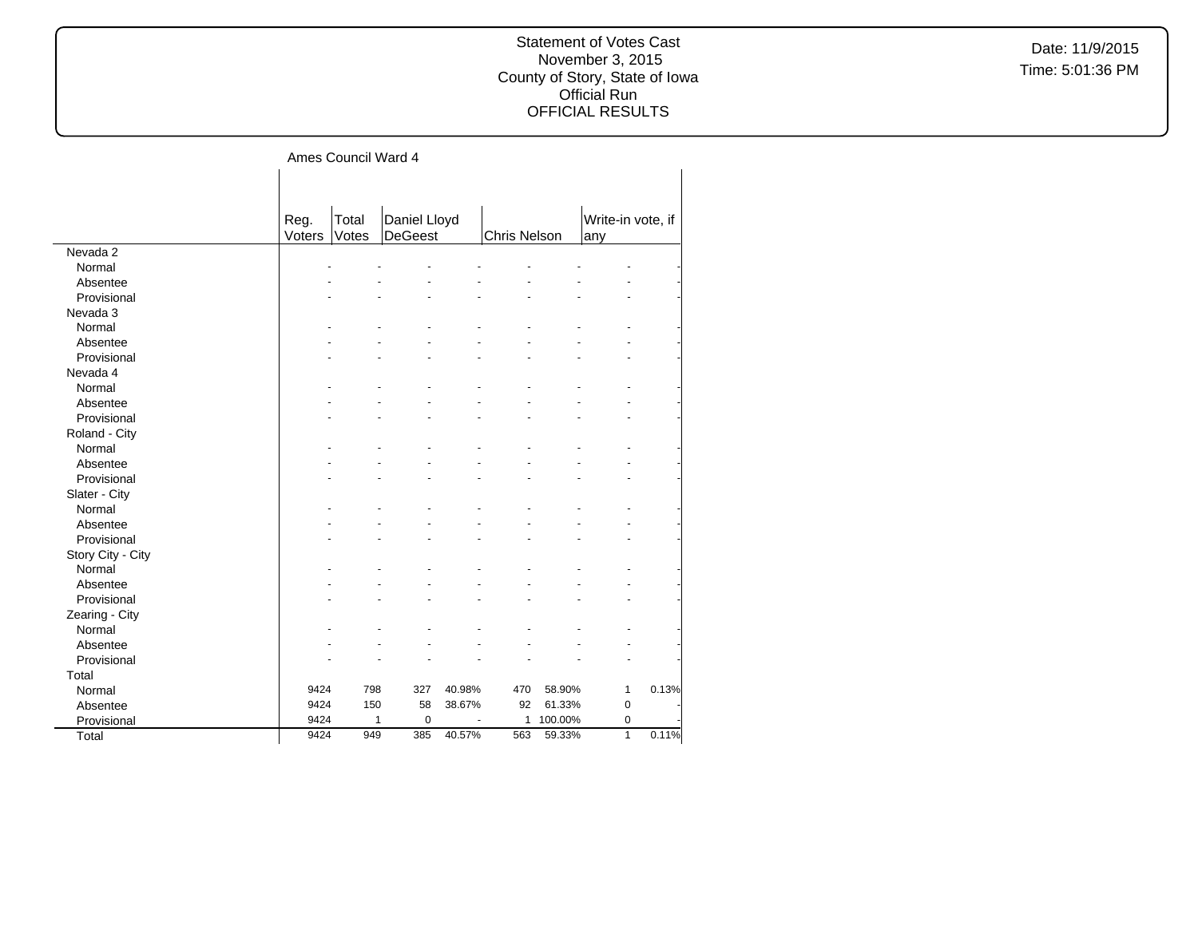#### Statement of Votes Cast November 3, 2015 County of Story, State of Iowa Official Run OFFICIAL RESULTS

# Ames Council Ward 4

|                   | Reg.<br>Voters | Total<br>Votes | Daniel Lloyd<br><b>DeGeest</b> |        | <b>Chris Nelson</b> |         | Write-in vote, if<br>any |       |
|-------------------|----------------|----------------|--------------------------------|--------|---------------------|---------|--------------------------|-------|
| Nevada 2          |                |                |                                |        |                     |         |                          |       |
| Normal            |                |                |                                |        |                     |         |                          |       |
| Absentee          |                |                |                                |        |                     |         |                          |       |
| Provisional       |                |                |                                |        |                     |         |                          |       |
| Nevada 3          |                |                |                                |        |                     |         |                          |       |
| Normal            |                |                |                                |        |                     |         |                          |       |
| Absentee          |                |                |                                |        |                     |         |                          |       |
| Provisional       |                |                |                                |        |                     |         |                          |       |
| Nevada 4          |                |                |                                |        |                     |         |                          |       |
| Normal            |                |                |                                |        |                     |         |                          |       |
| Absentee          |                |                |                                |        |                     |         |                          |       |
| Provisional       |                |                |                                |        |                     |         |                          |       |
| Roland - City     |                |                |                                |        |                     |         |                          |       |
| Normal            |                |                |                                |        |                     |         |                          |       |
| Absentee          |                |                |                                |        |                     |         |                          |       |
| Provisional       |                |                |                                |        |                     |         |                          |       |
| Slater - City     |                |                |                                |        |                     |         |                          |       |
| Normal            |                |                |                                |        |                     |         |                          |       |
| Absentee          |                |                |                                |        |                     |         |                          |       |
| Provisional       |                |                |                                |        |                     |         |                          |       |
| Story City - City |                |                |                                |        |                     |         |                          |       |
| Normal            |                |                |                                |        |                     |         |                          |       |
| Absentee          |                |                |                                |        |                     |         |                          |       |
| Provisional       |                |                |                                |        |                     |         |                          |       |
| Zearing - City    |                |                |                                |        |                     |         |                          |       |
| Normal            |                |                |                                |        |                     |         |                          |       |
| Absentee          |                |                |                                |        |                     |         |                          |       |
| Provisional       |                |                |                                |        |                     |         |                          |       |
| Total             |                |                |                                |        |                     |         |                          |       |
| Normal            | 9424           | 798            | 327                            | 40.98% | 470                 | 58.90%  | 1                        | 0.13% |
| Absentee          | 9424           | 150            | 58                             | 38.67% | 92                  | 61.33%  | $\pmb{0}$                |       |
| Provisional       | 9424           | 1              | $\mathbf 0$                    |        | $\mathbf{1}$        | 100.00% | $\mathbf 0$              |       |
| Total             | 9424           | 949            | 385                            | 40.57% | 563                 | 59.33%  | $\overline{1}$           | 0.11% |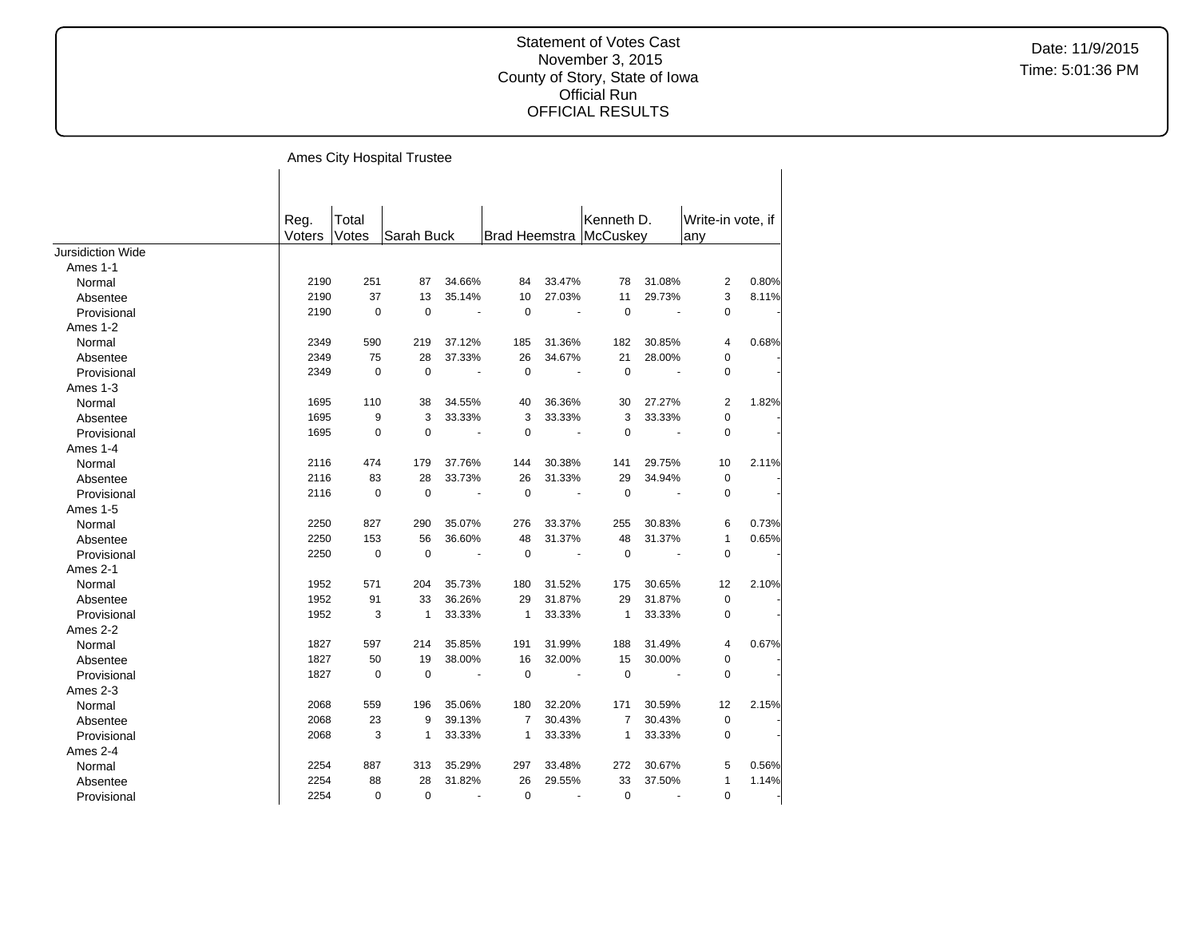|                          |        |             | Ames City Hospital Trustee |                |                |                |                        |                       |                   |       |
|--------------------------|--------|-------------|----------------------------|----------------|----------------|----------------|------------------------|-----------------------|-------------------|-------|
|                          |        |             |                            |                |                |                |                        |                       |                   |       |
|                          | Reg.   | Total       |                            |                |                |                | Kenneth D.             |                       | Write-in vote, if |       |
|                          | Voters | Votes       | Sarah Buck                 |                |                |                | Brad Heemstra McCuskey |                       | any               |       |
| <b>Jursidiction Wide</b> |        |             |                            |                |                |                |                        |                       |                   |       |
| Ames 1-1                 |        |             |                            |                |                |                |                        |                       |                   |       |
| Normal                   | 2190   | 251         | 87                         | 34.66%         | 84             | 33.47%         | 78                     | 31.08%                | 2                 | 0.80% |
| Absentee                 | 2190   | 37          | 13                         | 35.14%         | 10             | 27.03%         | 11                     | 29.73%                | 3                 | 8.11% |
| Provisional              | 2190   | $\mathbf 0$ | $\mathbf 0$                | $\blacksquare$ | $\mathbf 0$    | $\blacksquare$ | $\pmb{0}$              | $\blacksquare$        | $\mathbf 0$       |       |
| Ames 1-2                 |        |             |                            |                |                |                |                        |                       |                   |       |
| Normal                   | 2349   | 590         | 219                        | 37.12%         | 185            | 31.36%         | 182                    | 30.85%                | 4                 | 0.68% |
| Absentee                 | 2349   | 75          | 28                         | 37.33%         | 26             | 34.67%         | 21                     | 28.00%                | 0                 |       |
| Provisional              | 2349   | $\mathbf 0$ | $\mathbf 0$                | $\sim$         | $\mathbf 0$    | $\sim$         | $\mathbf 0$            | $\tilde{\phantom{a}}$ | $\mathbf 0$       |       |
| Ames 1-3                 |        |             |                            |                |                |                |                        |                       |                   |       |
| Normal                   | 1695   | 110         | 38                         | 34.55%         | 40             | 36.36%         | 30                     | 27.27%                | 2                 | 1.82% |
| Absentee                 | 1695   | 9           | 3                          | 33.33%         | 3              | 33.33%         | 3                      | 33.33%                | 0                 |       |
| Provisional              | 1695   | $\mathbf 0$ | $\mathbf 0$                | $\blacksquare$ | $\mathbf 0$    | $\blacksquare$ | $\mathbf 0$            | $\blacksquare$        | $\mathbf 0$       |       |
| Ames 1-4                 |        |             |                            |                |                |                |                        |                       |                   |       |
| Normal                   | 2116   | 474         | 179                        | 37.76%         | 144            | 30.38%         | 141                    | 29.75%                | 10                | 2.11% |
| Absentee                 | 2116   | 83          | 28                         | 33.73%         | 26             | 31.33%         | 29                     | 34.94%                | $\mathbf 0$       |       |
| Provisional              | 2116   | $\mathbf 0$ | $\mathbf 0$                |                | $\mathbf 0$    | ÷,             | $\Omega$               |                       | $\mathbf 0$       |       |
| Ames 1-5                 |        |             |                            |                |                |                |                        |                       |                   |       |
| Normal                   | 2250   | 827         | 290                        | 35.07%         | 276            | 33.37%         | 255                    | 30.83%                | 6                 | 0.73% |
| Absentee                 | 2250   | 153         | 56                         | 36.60%         | 48             | 31.37%         | 48                     | 31.37%                | 1                 | 0.65% |
| Provisional              | 2250   | $\mathbf 0$ | $\mathbf 0$                | $\sim$         | $\mathbf 0$    | $\blacksquare$ | $\mathbf 0$            | $\tilde{\phantom{a}}$ | 0                 |       |
| Ames 2-1                 |        |             |                            |                |                |                |                        |                       |                   |       |
| Normal                   | 1952   | 571         | 204                        | 35.73%         | 180            | 31.52%         | 175                    | 30.65%                | 12                | 2.10% |
| Absentee                 | 1952   | 91          | 33                         | 36.26%         | 29             | 31.87%         | 29                     | 31.87%                | 0                 |       |
| Provisional              | 1952   | 3           | $\mathbf{1}$               | 33.33%         | $\overline{1}$ | 33.33%         | $\mathbf{1}$           | 33.33%                | 0                 |       |
| Ames 2-2                 |        |             |                            |                |                |                |                        |                       |                   |       |
| Normal                   | 1827   | 597         | 214                        | 35.85%         | 191            | 31.99%         | 188                    | 31.49%                | 4                 | 0.67% |
| Absentee                 | 1827   | 50          | 19                         | 38.00%         | 16             | 32.00%         | 15                     | 30.00%                | 0                 |       |
| Provisional              | 1827   | $\mathbf 0$ | $\mathbf 0$                |                | $\mathbf 0$    |                | $\mathbf 0$            |                       | $\pmb{0}$         |       |
| Ames 2-3                 |        |             |                            |                |                |                |                        |                       |                   |       |
| Normal                   | 2068   | 559         | 196                        | 35.06%         | 180            | 32.20%         | 171                    | 30.59%                | 12                | 2.15% |
| Absentee                 | 2068   | 23          | 9                          | 39.13%         | $\overline{7}$ | 30.43%         | $\overline{7}$         | 30.43%                | 0                 |       |
| Provisional              | 2068   | 3           | $\mathbf{1}$               | 33.33%         | $\mathbf{1}$   | 33.33%         | $\mathbf{1}$           | 33.33%                | $\mathbf 0$       |       |
| Ames 2-4                 |        |             |                            |                |                |                |                        |                       |                   |       |
| Normal                   | 2254   | 887         | 313                        | 35.29%         | 297            | 33.48%         | 272                    | 30.67%                | 5                 | 0.56% |
| Absentee                 | 2254   | 88          | 28                         | 31.82%         | 26             | 29.55%         | 33                     | 37.50%                | 1                 | 1.14% |
| Provisional              | 2254   | 0           | $\mathbf 0$                | $\blacksquare$ | $\mathbf 0$    | $\blacksquare$ | $\mathbf 0$            | $\tilde{\phantom{a}}$ | 0                 |       |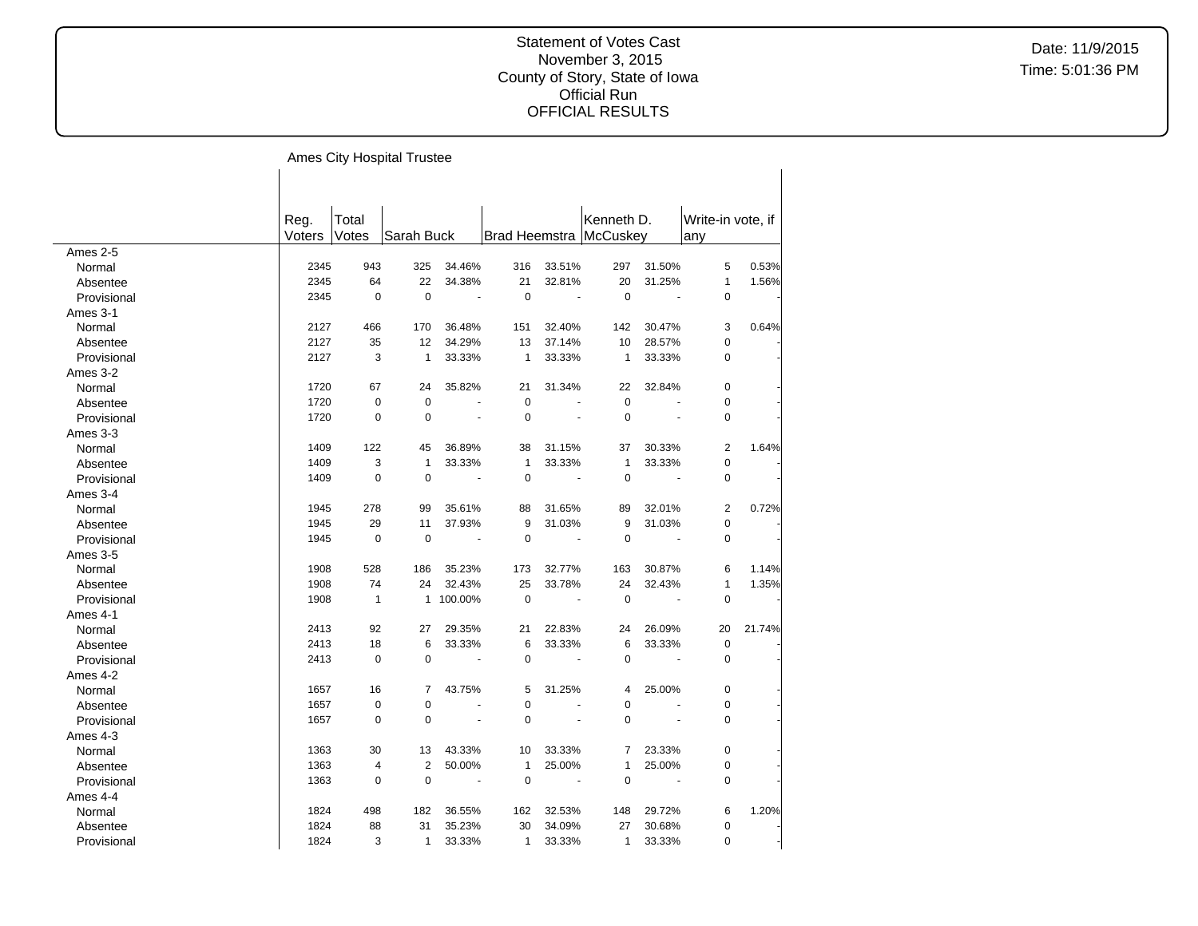|             |        |              | Ames City Hospital Trustee |                          |                |                       |                          |                       |                   |        |
|-------------|--------|--------------|----------------------------|--------------------------|----------------|-----------------------|--------------------------|-----------------------|-------------------|--------|
|             |        |              |                            |                          |                |                       |                          |                       |                   |        |
|             |        |              |                            |                          |                |                       |                          |                       |                   |        |
|             | Reg.   | Total        |                            |                          |                |                       | Kenneth D.               |                       | Write-in vote, if |        |
|             | Voters | Votes        | Sarah Buck                 |                          |                |                       | Brad Heemstra   McCuskey |                       | any               |        |
| Ames 2-5    |        |              |                            |                          |                |                       |                          |                       |                   |        |
| Normal      | 2345   | 943          | 325                        | 34.46%                   | 316            | 33.51%                | 297                      | 31.50%                | 5                 | 0.53%  |
| Absentee    | 2345   | 64           | 22                         | 34.38%                   | 21             | 32.81%                | 20                       | 31.25%                | $\mathbf{1}$      | 1.56%  |
| Provisional | 2345   | $\mathbf 0$  | $\mathbf 0$                | $\overline{\phantom{a}}$ | $\mathbf 0$    | $\tilde{\phantom{a}}$ | $\mathbf 0$              | $\tilde{\phantom{a}}$ | $\mathbf 0$       |        |
| Ames 3-1    |        |              |                            |                          |                |                       |                          |                       |                   |        |
| Normal      | 2127   | 466          | 170                        | 36.48%                   | 151            | 32.40%                | 142                      | 30.47%                | 3                 | 0.64%  |
| Absentee    | 2127   | 35           | 12                         | 34.29%                   | 13             | 37.14%                | 10                       | 28.57%                | $\pmb{0}$         |        |
| Provisional | 2127   | 3            | $\mathbf{1}$               | 33.33%                   | $\mathbf{1}$   | 33.33%                | $\mathbf{1}$             | 33.33%                | 0                 |        |
| Ames 3-2    |        |              |                            |                          |                |                       |                          |                       |                   |        |
| Normal      | 1720   | 67           | 24                         | 35.82%                   | 21             | 31.34%                | 22                       | 32.84%                | $\mathbf 0$       |        |
| Absentee    | 1720   | $\pmb{0}$    | $\mathbf 0$                |                          | $\mathbf 0$    |                       | $\mathbf 0$              |                       | $\pmb{0}$         |        |
| Provisional | 1720   | $\pmb{0}$    | $\mathbf 0$                | $\tilde{\phantom{a}}$    | $\mathbf 0$    | $\tilde{\phantom{a}}$ | $\mathbf 0$              | ÷,                    | $\mathbf 0$       |        |
| Ames 3-3    |        |              |                            |                          |                |                       |                          |                       |                   |        |
| Normal      | 1409   | 122          | 45                         | 36.89%                   | 38             | 31.15%                | 37                       | 30.33%                | $\overline{2}$    | 1.64%  |
| Absentee    | 1409   | 3            | $\mathbf{1}$               | 33.33%                   | $\mathbf{1}$   | 33.33%                | $\mathbf{1}$             | 33.33%                | $\pmb{0}$         |        |
| Provisional | 1409   | $\mathbf 0$  | $\mathbf 0$                | ÷,                       | $\mathbf 0$    |                       | $\mathbf 0$              | ÷,                    | 0                 |        |
| Ames 3-4    |        |              |                            |                          |                |                       |                          |                       |                   |        |
| Normal      | 1945   | 278          | 99                         | 35.61%                   | 88             | 31.65%                | 89                       | 32.01%                | $\overline{2}$    | 0.72%  |
| Absentee    | 1945   | 29           | 11                         | 37.93%                   | 9              | 31.03%                | 9                        | 31.03%                | $\pmb{0}$         |        |
| Provisional | 1945   | $\mathbf 0$  | $\mathbf 0$                | $\blacksquare$           | $\overline{0}$ | $\blacksquare$        | $\mathbf 0$              | $\tilde{\phantom{a}}$ | $\pmb{0}$         |        |
| Ames 3-5    |        |              |                            |                          |                |                       |                          |                       |                   |        |
| Normal      | 1908   | 528          | 186                        | 35.23%                   | 173            | 32.77%                | 163                      | 30.87%                | 6                 | 1.14%  |
| Absentee    | 1908   | 74           | 24                         | 32.43%                   | 25             | 33.78%                | 24                       | 32.43%                | $\mathbf{1}$      | 1.35%  |
| Provisional | 1908   | $\mathbf{1}$ | 1                          | 100.00%                  | $\mathbf 0$    |                       | $\mathbf 0$              | ÷,                    | $\mathbf 0$       |        |
| Ames 4-1    |        |              |                            |                          |                |                       |                          |                       |                   |        |
| Normal      | 2413   | 92           | 27                         | 29.35%                   | 21             | 22.83%                | 24                       | 26.09%                | 20                | 21.74% |
| Absentee    | 2413   | 18           | 6                          | 33.33%                   | 6              | 33.33%                | 6                        | 33.33%                | $\pmb{0}$         |        |
| Provisional | 2413   | $\mathbf 0$  | $\Omega$                   | $\ddot{\phantom{1}}$     | 0              | $\tilde{\phantom{a}}$ | $\mathbf 0$              | $\tilde{\phantom{a}}$ | $\mathbf 0$       |        |
| Ames 4-2    |        |              |                            |                          |                |                       |                          |                       |                   |        |
| Normal      | 1657   | 16           | 7                          | 43.75%                   | 5              | 31.25%                | 4                        | 25.00%                | $\mathbf 0$       |        |
| Absentee    | 1657   | $\mathbf 0$  | $\mathbf 0$                |                          | 0              |                       | $\mathbf 0$              |                       | 0                 |        |
| Provisional | 1657   | 0            | $\mathbf 0$                | ä,                       | $\mathbf 0$    |                       | $\mathbf 0$              | ä,                    | $\mathbf 0$       |        |
| Ames 4-3    |        |              |                            |                          |                |                       |                          |                       |                   |        |
| Normal      | 1363   | 30           | 13                         | 43.33%                   | 10             | 33.33%                | 7                        | 23.33%                | $\mathbf 0$       |        |
| Absentee    | 1363   | 4            | $\overline{2}$             | 50.00%                   | $\mathbf{1}$   | 25.00%                | 1                        | 25.00%                | 0                 |        |
| Provisional | 1363   | $\pmb{0}$    | $\mathbf 0$                | $\overline{\phantom{a}}$ | $\mathbf 0$    | $\sim$ $-$            | 0                        | $\ddot{\phantom{a}}$  | $\mathbf 0$       |        |
| Ames 4-4    |        |              |                            |                          |                |                       |                          |                       |                   |        |
| Normal      | 1824   | 498          | 182                        | 36.55%                   | 162            | 32.53%                | 148                      | 29.72%                | 6                 | 1.20%  |
| Absentee    | 1824   | 88           | 31                         | 35.23%                   | 30             | 34.09%                | 27                       | 30.68%                | $\mathbf 0$       |        |
| Provisional | 1824   | 3            | $\mathbf{1}$               | 33.33%                   | $\mathbf{1}$   | 33.33%                | $\mathbf{1}$             | 33.33%                | $\mathbf 0$       |        |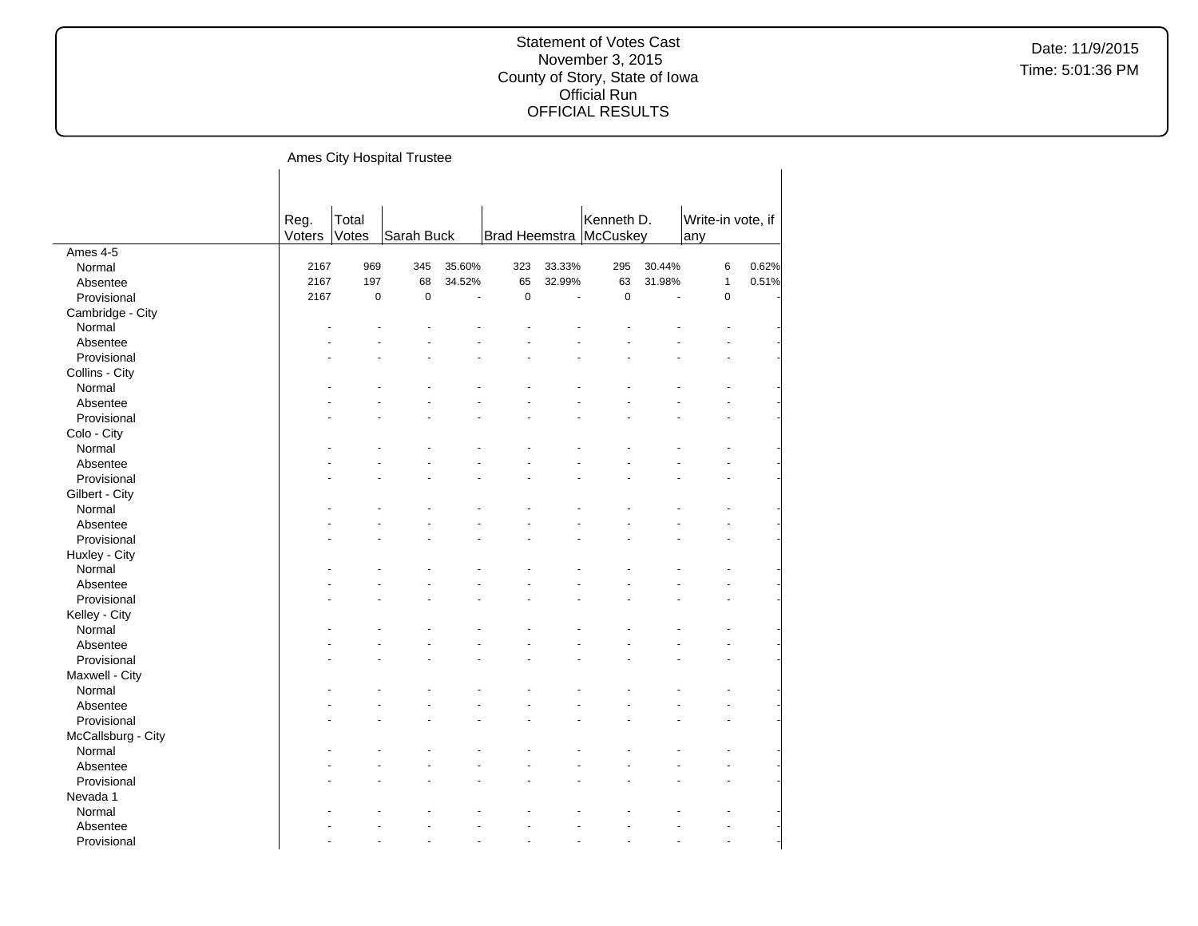|                    |        |             | Ames City Hospital Trustee |        |             |        |                          |        |                   |       |
|--------------------|--------|-------------|----------------------------|--------|-------------|--------|--------------------------|--------|-------------------|-------|
|                    |        |             |                            |        |             |        |                          |        |                   |       |
|                    |        |             |                            |        |             |        |                          |        |                   |       |
|                    | Reg.   | Total       |                            |        |             |        | Kenneth D.               |        | Write-in vote, if |       |
|                    | Voters | Votes       | Sarah Buck                 |        |             |        | Brad Heemstra   McCuskey |        | any               |       |
| Ames 4-5           |        |             |                            |        |             |        |                          |        |                   |       |
| Normal             | 2167   | 969         | 345                        | 35.60% | 323         | 33.33% | 295                      | 30.44% | 6                 | 0.62% |
| Absentee           | 2167   | 197         | 68                         | 34.52% | 65          | 32.99% | 63                       | 31.98% | $\mathbf{1}$      | 0.51% |
| Provisional        | 2167   | $\mathbf 0$ | $\pmb{0}$                  |        | $\mathbf 0$ |        | $\pmb{0}$                |        | $\pmb{0}$         |       |
| Cambridge - City   |        |             |                            |        |             |        |                          |        |                   |       |
| Normal             |        |             |                            |        |             |        |                          |        |                   |       |
| Absentee           |        |             |                            |        |             |        |                          |        |                   |       |
| Provisional        |        |             |                            |        |             |        |                          |        |                   |       |
| Collins - City     |        |             |                            |        |             |        |                          |        |                   |       |
| Normal             |        |             |                            |        |             |        |                          |        |                   |       |
| Absentee           |        |             |                            |        |             |        |                          |        |                   |       |
| Provisional        |        |             |                            |        |             |        |                          |        |                   |       |
| Colo - City        |        |             |                            |        |             |        |                          |        |                   |       |
| Normal             |        |             |                            |        |             |        |                          |        |                   |       |
| Absentee           |        |             |                            |        |             |        |                          |        |                   |       |
| Provisional        |        |             |                            |        |             |        |                          |        |                   |       |
| Gilbert - City     |        |             |                            |        |             |        |                          |        |                   |       |
| Normal             |        |             |                            |        |             |        |                          |        |                   |       |
| Absentee           |        |             |                            |        |             |        |                          |        |                   |       |
| Provisional        |        |             |                            |        |             |        |                          |        |                   |       |
| Huxley - City      |        |             |                            |        |             |        |                          |        |                   |       |
| Normal             |        |             |                            |        |             |        |                          |        |                   |       |
| Absentee           |        |             |                            |        |             |        |                          |        |                   |       |
| Provisional        |        |             |                            |        |             |        |                          |        |                   |       |
| Kelley - City      |        |             |                            |        |             |        |                          |        |                   |       |
| Normal             |        |             |                            |        |             |        |                          |        |                   |       |
| Absentee           |        |             |                            |        |             |        |                          |        |                   |       |
| Provisional        |        |             |                            |        |             |        |                          |        |                   |       |
| Maxwell - City     |        |             |                            |        |             |        |                          |        |                   |       |
| Normal             |        |             |                            |        |             |        |                          |        |                   |       |
| Absentee           |        |             |                            |        |             |        |                          |        |                   |       |
| Provisional        |        |             |                            |        |             |        |                          |        |                   |       |
| McCallsburg - City |        |             |                            |        |             |        |                          |        |                   |       |
| Normal             |        |             |                            |        |             |        |                          |        |                   |       |
| Absentee           |        |             |                            |        |             |        |                          |        |                   |       |
| Provisional        |        |             |                            |        |             |        |                          |        |                   |       |
| Nevada 1           |        |             |                            |        |             |        |                          |        |                   |       |
| Normal             |        |             |                            |        |             |        |                          |        |                   |       |
| Absentee           |        |             |                            |        |             |        |                          |        |                   |       |
| Provisional        |        |             |                            |        |             |        |                          |        |                   |       |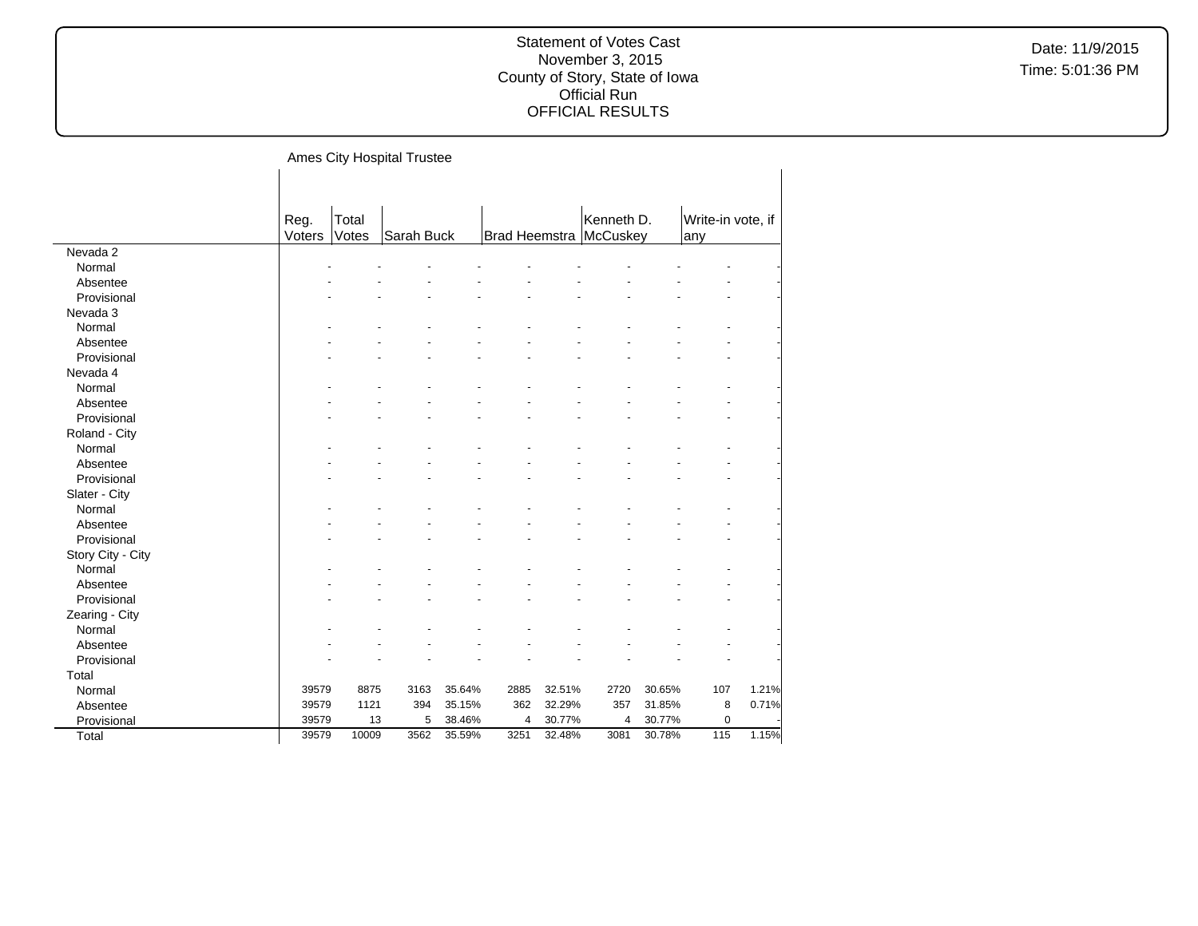|                   |        |       | Ames City Hospital Trustee |        |      |        |                          |        |                   |       |
|-------------------|--------|-------|----------------------------|--------|------|--------|--------------------------|--------|-------------------|-------|
|                   |        |       |                            |        |      |        |                          |        |                   |       |
|                   |        |       |                            |        |      |        |                          |        |                   |       |
|                   | Reg.   | Total |                            |        |      |        | Kenneth D.               |        | Write-in vote, if |       |
|                   | Voters | Votes | Sarah Buck                 |        |      |        | Brad Heemstra   McCuskey |        | any               |       |
| Nevada 2          |        |       |                            |        |      |        |                          |        |                   |       |
| Normal            |        |       |                            |        |      |        |                          |        |                   |       |
| Absentee          |        |       |                            |        |      |        |                          |        |                   |       |
| Provisional       |        |       |                            |        |      |        |                          |        |                   |       |
| Nevada 3          |        |       |                            |        |      |        |                          |        |                   |       |
| Normal            |        |       |                            |        |      |        |                          |        |                   |       |
| Absentee          |        |       |                            |        |      |        |                          |        |                   |       |
| Provisional       |        |       |                            |        |      |        |                          |        |                   |       |
| Nevada 4          |        |       |                            |        |      |        |                          |        |                   |       |
| Normal            |        |       |                            |        |      |        |                          |        |                   |       |
| Absentee          |        |       |                            |        |      |        |                          |        |                   |       |
| Provisional       |        |       |                            |        |      |        |                          |        |                   |       |
| Roland - City     |        |       |                            |        |      |        |                          |        |                   |       |
| Normal            |        |       |                            |        |      |        |                          |        |                   |       |
| Absentee          |        |       |                            |        |      |        |                          |        |                   |       |
| Provisional       |        |       |                            |        |      |        |                          |        |                   |       |
| Slater - City     |        |       |                            |        |      |        |                          |        |                   |       |
| Normal            |        |       |                            |        |      |        |                          |        |                   |       |
| Absentee          |        |       |                            |        |      |        |                          |        |                   |       |
| Provisional       |        |       |                            |        |      |        |                          |        |                   |       |
| Story City - City |        |       |                            |        |      |        |                          |        |                   |       |
| Normal            |        |       |                            |        |      |        |                          |        |                   |       |
| Absentee          |        |       |                            |        |      |        |                          |        |                   |       |
| Provisional       |        |       |                            |        |      |        |                          |        |                   |       |
| Zearing - City    |        |       |                            |        |      |        |                          |        |                   |       |
| Normal            |        |       |                            |        |      |        |                          |        |                   |       |
| Absentee          |        |       |                            |        |      |        |                          |        |                   |       |
| Provisional       |        |       |                            |        |      |        |                          |        |                   |       |
| Total             |        |       |                            |        |      |        |                          |        |                   |       |
| Normal            | 39579  | 8875  | 3163                       | 35.64% | 2885 | 32.51% | 2720                     | 30.65% | 107               | 1.21% |
| Absentee          | 39579  | 1121  | 394                        | 35.15% | 362  | 32.29% | 357                      | 31.85% | 8                 | 0.71% |
| Provisional       | 39579  | 13    | 5                          | 38.46% | 4    | 30.77% | 4                        | 30.77% | $\pmb{0}$         |       |
| Total             | 39579  | 10009 | 3562                       | 35.59% | 3251 | 32.48% | 3081                     | 30.78% | 115               | 1.15% |
|                   |        |       |                            |        |      |        |                          |        |                   |       |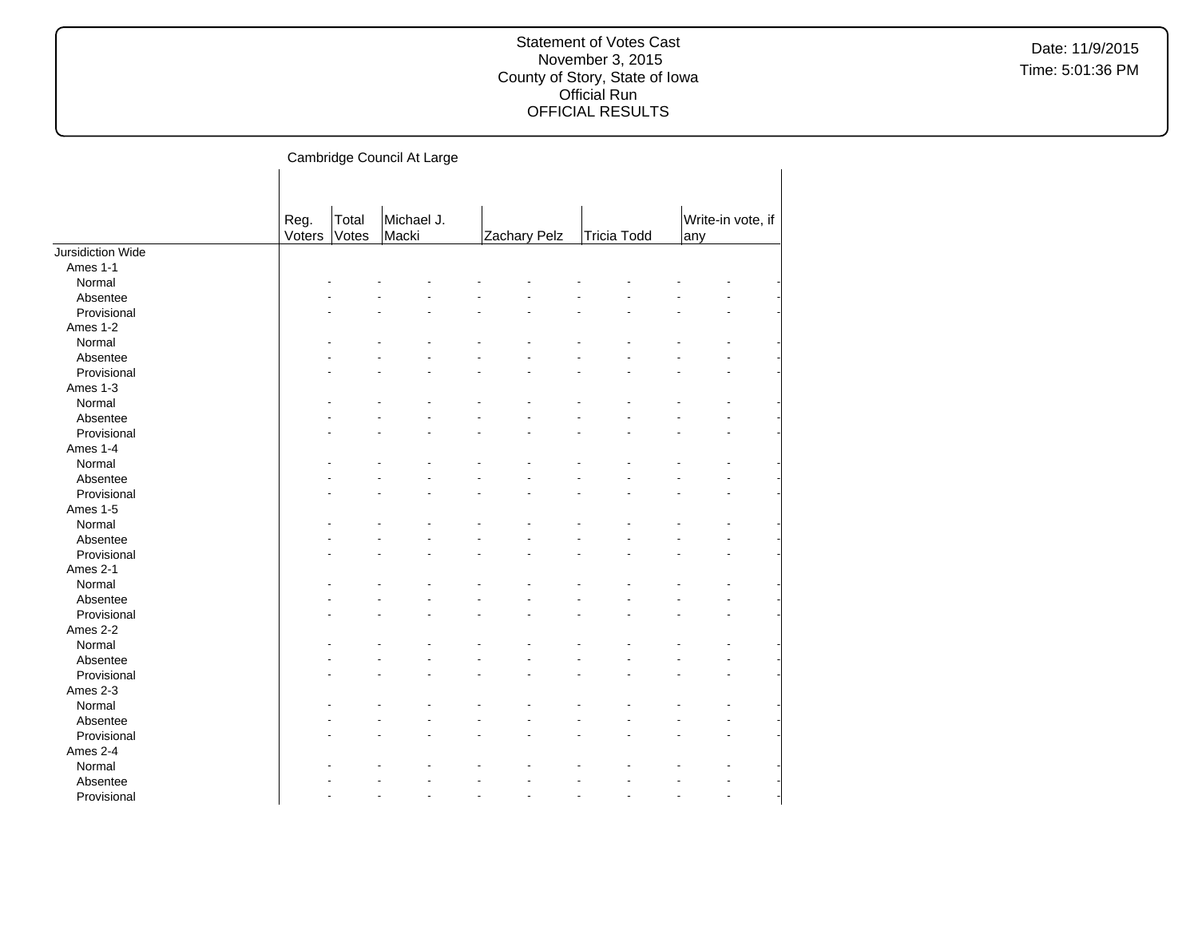|                          |                |                | Cambridge Council At Large |              |                      |                    |    |     |                   |  |
|--------------------------|----------------|----------------|----------------------------|--------------|----------------------|--------------------|----|-----|-------------------|--|
|                          |                |                |                            |              |                      |                    |    |     |                   |  |
|                          | Reg.<br>Voters | Total<br>Votes | Michael J.<br>Macki        | Zachary Pelz |                      | <b>Tricia Todd</b> |    | any | Write-in vote, if |  |
| <b>Jursidiction Wide</b> |                |                |                            |              |                      |                    |    |     |                   |  |
| Ames 1-1                 |                |                |                            |              |                      |                    |    |     |                   |  |
| Normal                   |                |                |                            |              |                      |                    |    |     |                   |  |
| Absentee                 |                |                |                            |              |                      |                    |    |     |                   |  |
| Provisional              |                |                |                            |              |                      |                    |    |     |                   |  |
| Ames 1-2                 |                |                |                            |              |                      |                    |    |     |                   |  |
| Normal                   |                |                |                            |              |                      |                    |    |     |                   |  |
| Absentee                 |                |                |                            |              |                      |                    |    |     |                   |  |
| Provisional              |                |                |                            |              |                      |                    |    |     |                   |  |
| Ames 1-3                 |                |                |                            |              |                      |                    |    |     |                   |  |
| Normal                   |                |                |                            |              |                      |                    |    |     |                   |  |
| Absentee                 |                |                |                            |              |                      |                    |    |     |                   |  |
| Provisional              |                |                |                            |              |                      |                    |    |     |                   |  |
| Ames 1-4                 |                |                |                            |              |                      |                    |    |     |                   |  |
| Normal                   |                |                |                            |              |                      |                    |    |     |                   |  |
| Absentee                 |                |                |                            |              |                      |                    |    |     |                   |  |
| Provisional              |                |                |                            |              |                      |                    |    |     |                   |  |
| Ames 1-5                 |                |                |                            |              |                      |                    |    |     |                   |  |
| Normal                   |                |                |                            |              |                      |                    |    |     |                   |  |
| Absentee                 |                |                |                            |              |                      |                    |    |     |                   |  |
| Provisional              |                |                |                            |              |                      |                    |    |     |                   |  |
| Ames 2-1                 |                |                |                            |              |                      |                    |    |     |                   |  |
| Normal                   |                |                |                            |              |                      |                    |    |     |                   |  |
| Absentee                 |                |                |                            |              |                      |                    |    |     |                   |  |
| Provisional              |                |                |                            |              |                      |                    |    |     |                   |  |
| Ames 2-2                 |                |                |                            |              |                      |                    |    |     |                   |  |
| Normal                   |                |                |                            |              |                      |                    |    |     |                   |  |
| Absentee                 |                |                |                            |              |                      |                    |    |     |                   |  |
| Provisional              |                |                |                            |              |                      |                    |    |     |                   |  |
| Ames 2-3                 |                |                |                            |              |                      |                    |    |     |                   |  |
| Normal                   |                |                |                            |              |                      |                    |    |     |                   |  |
| Absentee                 |                |                |                            |              |                      |                    |    |     |                   |  |
| Provisional              |                |                |                            |              |                      |                    |    |     |                   |  |
| Ames 2-4                 |                |                |                            |              |                      |                    |    |     |                   |  |
| Normal                   |                |                |                            |              |                      |                    |    |     |                   |  |
| Absentee                 |                |                |                            |              |                      |                    |    |     |                   |  |
| Provisional              |                |                |                            |              | $\ddot{\phantom{1}}$ |                    | ä, |     |                   |  |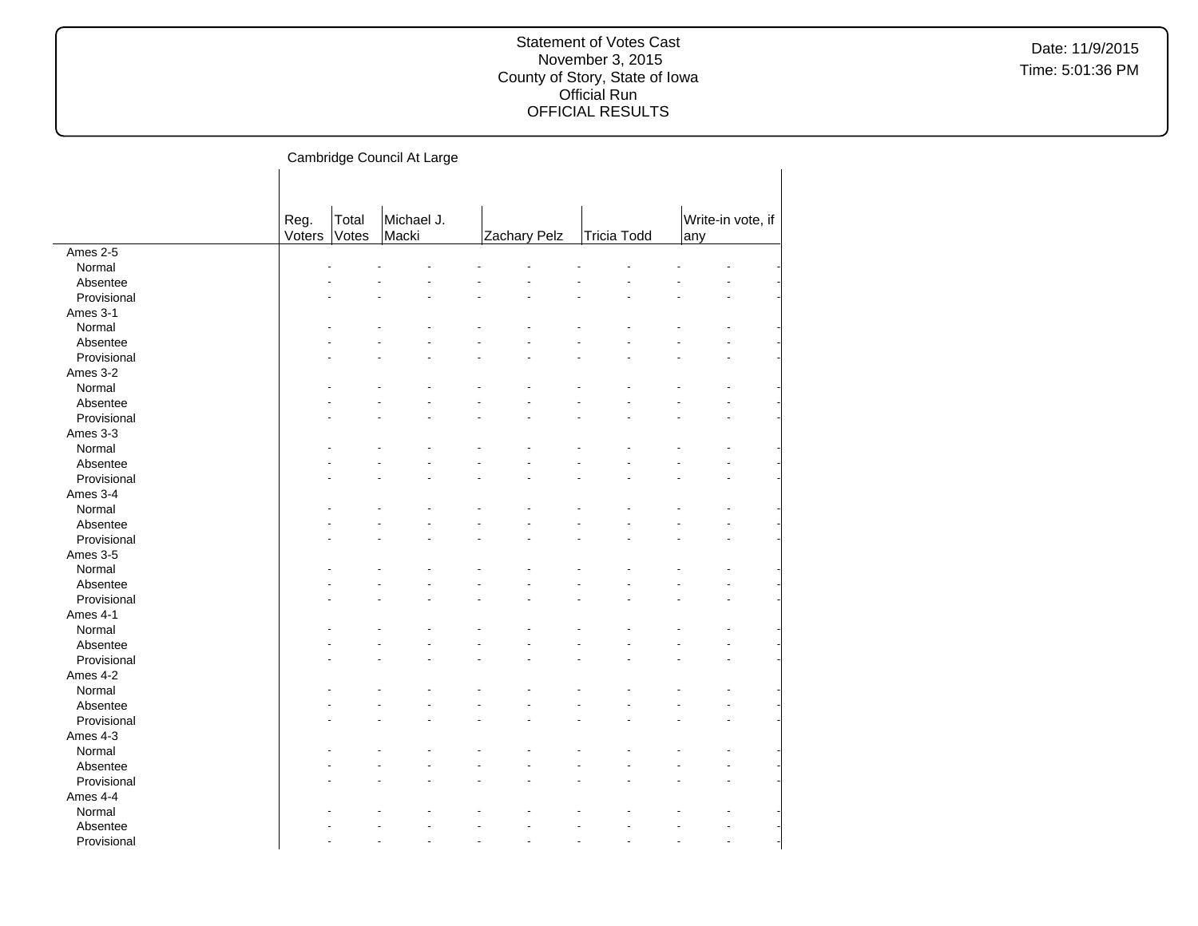|             |        |       | Cambridge Council At Large |              |                    |     |                   |
|-------------|--------|-------|----------------------------|--------------|--------------------|-----|-------------------|
|             |        |       |                            |              |                    |     |                   |
|             |        |       |                            |              |                    |     |                   |
|             | Reg.   | Total | Michael J.                 |              |                    |     | Write-in vote, if |
|             | Voters | Votes | Macki                      | Zachary Pelz | <b>Tricia Todd</b> | any |                   |
| Ames 2-5    |        |       |                            |              |                    |     |                   |
| Normal      |        |       |                            |              |                    |     |                   |
| Absentee    |        |       |                            |              |                    |     |                   |
| Provisional |        |       |                            |              |                    |     |                   |
| Ames 3-1    |        |       |                            |              |                    |     |                   |
| Normal      |        |       |                            |              |                    |     |                   |
| Absentee    |        |       |                            |              |                    |     |                   |
| Provisional |        |       |                            |              |                    |     |                   |
| Ames 3-2    |        |       |                            |              |                    |     |                   |
| Normal      |        |       |                            |              |                    |     |                   |
| Absentee    |        |       |                            |              |                    |     |                   |
| Provisional |        |       |                            |              |                    |     |                   |
| Ames 3-3    |        |       |                            |              |                    |     |                   |
| Normal      |        |       |                            |              |                    |     |                   |
| Absentee    |        |       |                            |              |                    |     |                   |
| Provisional |        |       |                            |              |                    |     |                   |
| Ames 3-4    |        |       |                            |              |                    |     |                   |
| Normal      |        |       |                            |              |                    |     |                   |
| Absentee    |        |       |                            |              |                    |     |                   |
| Provisional |        |       |                            |              |                    |     |                   |
| Ames 3-5    |        |       |                            |              |                    |     |                   |
| Normal      |        |       |                            |              |                    |     |                   |
| Absentee    |        |       |                            |              |                    |     |                   |
| Provisional |        |       |                            |              |                    |     |                   |
| Ames 4-1    |        |       |                            |              |                    |     |                   |
| Normal      |        |       |                            |              |                    |     |                   |
| Absentee    |        |       |                            |              |                    |     |                   |
| Provisional |        |       |                            |              |                    |     |                   |
| Ames 4-2    |        |       |                            |              |                    |     |                   |
| Normal      |        |       |                            |              |                    |     |                   |
| Absentee    |        |       |                            |              |                    |     |                   |
| Provisional |        |       |                            |              |                    |     |                   |
| Ames 4-3    |        |       |                            |              |                    |     |                   |
| Normal      |        |       |                            |              |                    |     |                   |
| Absentee    |        |       |                            |              |                    |     |                   |
| Provisional |        |       |                            |              |                    |     |                   |
| Ames 4-4    |        |       |                            |              |                    |     |                   |
| Normal      |        |       |                            |              |                    |     |                   |
| Absentee    |        |       |                            |              |                    |     |                   |
| Provisional |        |       |                            |              |                    |     |                   |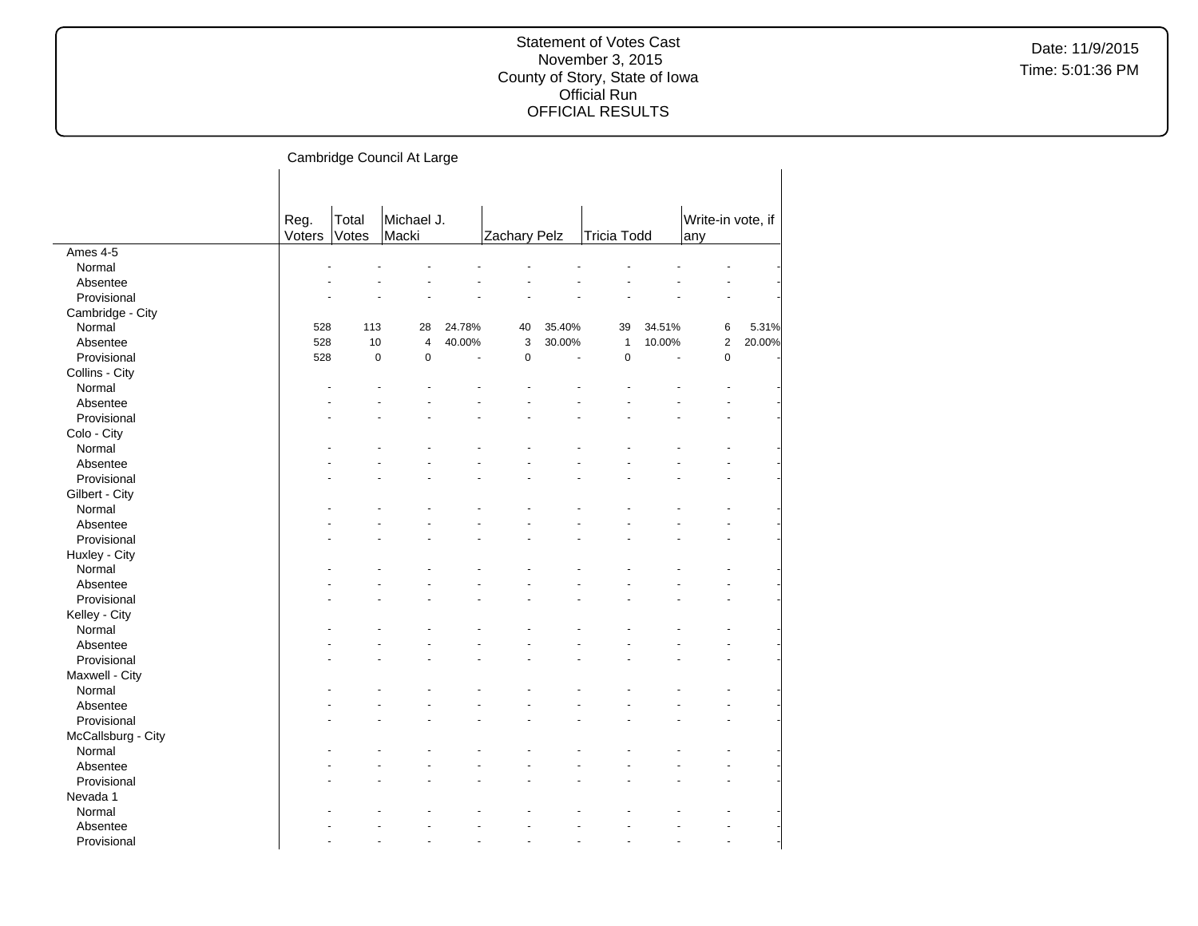|                    |        |             | Cambridge Council At Large |        |              |        |                    |        |                   |        |
|--------------------|--------|-------------|----------------------------|--------|--------------|--------|--------------------|--------|-------------------|--------|
|                    |        |             |                            |        |              |        |                    |        |                   |        |
|                    |        |             |                            |        |              |        |                    |        |                   |        |
|                    |        |             |                            |        |              |        |                    |        |                   |        |
|                    | Reg.   | Total       | Michael J.                 |        |              |        |                    |        | Write-in vote, if |        |
|                    | Voters | Votes       | Macki                      |        | Zachary Pelz |        | <b>Tricia Todd</b> |        | any               |        |
| Ames 4-5           |        |             |                            |        |              |        |                    |        |                   |        |
| Normal             |        |             |                            |        |              |        |                    |        |                   |        |
| Absentee           |        |             |                            |        |              |        |                    |        |                   |        |
| Provisional        |        |             |                            |        |              |        |                    |        |                   |        |
| Cambridge - City   |        |             |                            |        |              |        |                    |        |                   |        |
| Normal             | 528    | 113         | 28                         | 24.78% | 40           | 35.40% | 39                 | 34.51% | 6                 | 5.31%  |
| Absentee           | 528    | 10          | 4                          | 40.00% | 3            | 30.00% | $\mathbf{1}$       | 10.00% | $\overline{c}$    | 20.00% |
| Provisional        | 528    | $\mathbf 0$ | $\mathbf 0$                | ÷,     | $\mathbf 0$  | ÷.     | $\mathbf 0$        | ÷.     | 0                 |        |
| Collins - City     |        |             |                            |        |              |        |                    |        |                   |        |
| Normal             |        |             |                            |        |              |        |                    |        |                   |        |
| Absentee           |        |             |                            |        |              |        |                    |        |                   |        |
| Provisional        |        |             |                            |        |              |        |                    |        |                   |        |
| Colo - City        |        |             |                            |        |              |        |                    |        |                   |        |
| Normal             |        |             |                            |        |              |        |                    |        |                   |        |
| Absentee           |        |             |                            |        |              |        |                    |        |                   |        |
| Provisional        |        |             |                            |        |              |        |                    |        |                   |        |
| Gilbert - City     |        |             |                            |        |              |        |                    |        |                   |        |
| Normal             |        |             |                            |        |              |        |                    |        |                   |        |
| Absentee           |        |             |                            |        |              |        |                    |        |                   |        |
| Provisional        |        |             |                            |        |              |        |                    |        |                   |        |
| Huxley - City      |        |             |                            |        |              |        |                    |        |                   |        |
| Normal             |        |             |                            |        |              |        |                    |        |                   |        |
| Absentee           |        |             |                            |        |              |        |                    |        |                   |        |
| Provisional        |        |             |                            |        |              |        |                    |        |                   |        |
| Kelley - City      |        |             |                            |        |              |        |                    |        |                   |        |
| Normal             |        |             |                            |        |              |        |                    |        |                   |        |
| Absentee           |        |             |                            |        |              |        |                    |        |                   |        |
| Provisional        |        |             |                            |        |              |        |                    |        |                   |        |
| Maxwell - City     |        |             |                            |        |              |        |                    |        |                   |        |
|                    |        |             |                            |        |              |        |                    |        |                   |        |
| Normal             |        |             |                            |        |              |        |                    |        |                   |        |
| Absentee           |        |             |                            |        |              |        |                    |        |                   |        |
| Provisional        |        |             |                            |        |              |        |                    |        |                   |        |
| McCallsburg - City |        |             |                            |        |              |        |                    |        |                   |        |
| Normal             |        |             |                            |        |              |        |                    |        |                   |        |
| Absentee           |        |             |                            |        |              |        |                    |        |                   |        |
| Provisional        |        |             |                            |        |              |        |                    |        |                   |        |
| Nevada 1           |        |             |                            |        |              |        |                    |        |                   |        |
| Normal             |        |             |                            |        |              |        |                    |        |                   |        |
| Absentee           |        |             |                            |        |              |        |                    |        |                   |        |
| Provisional        |        |             |                            |        |              |        |                    |        |                   |        |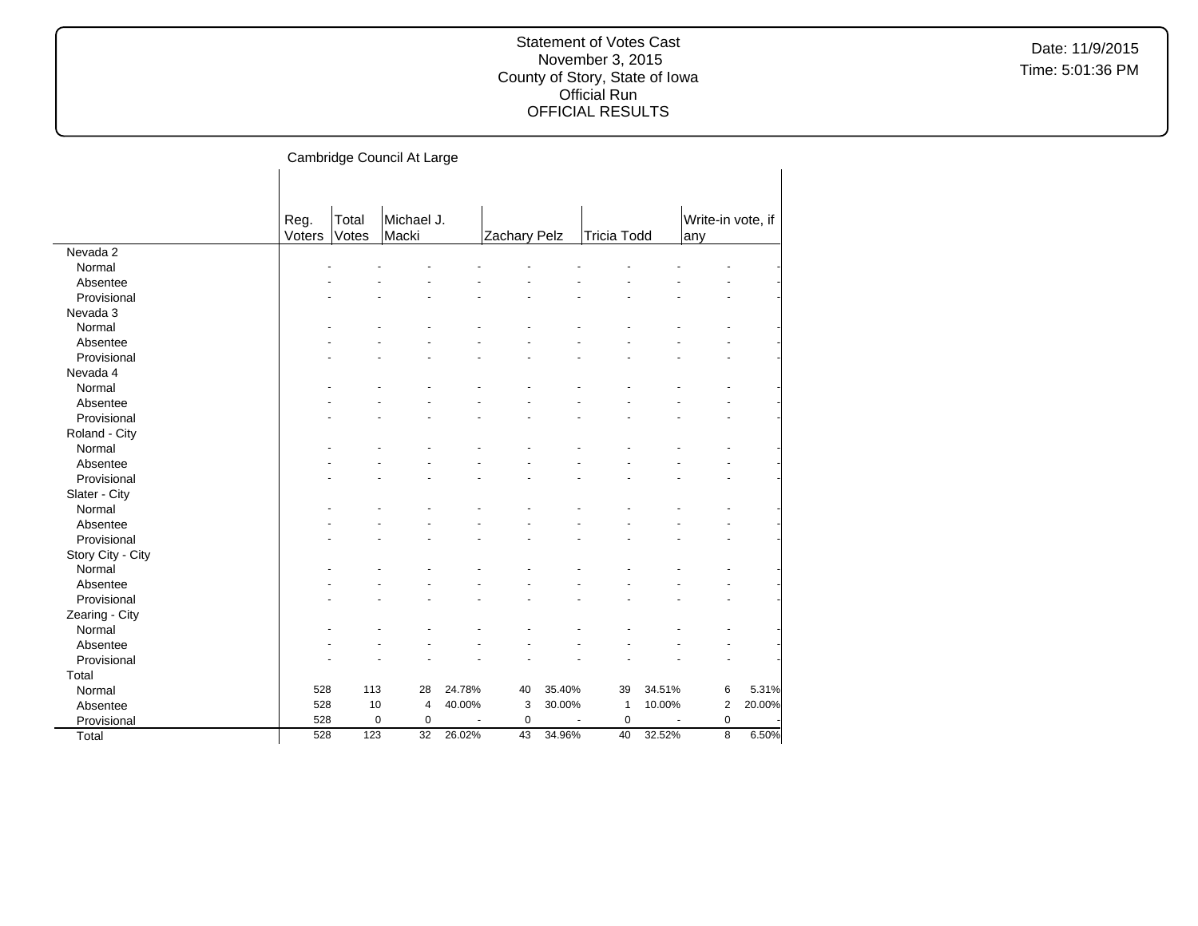|                   |                |                | Cambridge Council At Large |        |              |        |                    |        |                          |        |
|-------------------|----------------|----------------|----------------------------|--------|--------------|--------|--------------------|--------|--------------------------|--------|
|                   |                |                |                            |        |              |        |                    |        |                          |        |
|                   | Reg.<br>Voters | Total<br>Votes | Michael J.<br>Macki        |        | Zachary Pelz |        | <b>Tricia Todd</b> |        | Write-in vote, if<br>any |        |
| Nevada 2          |                |                |                            |        |              |        |                    |        |                          |        |
| Normal            |                |                |                            |        |              |        |                    |        |                          |        |
| Absentee          |                |                |                            |        |              |        |                    |        |                          |        |
| Provisional       |                |                |                            |        |              |        |                    |        |                          |        |
| Nevada 3          |                |                |                            |        |              |        |                    |        |                          |        |
| Normal            |                |                |                            |        |              |        |                    |        |                          |        |
| Absentee          |                |                |                            |        |              |        |                    |        |                          |        |
| Provisional       |                |                |                            |        |              |        |                    |        |                          |        |
| Nevada 4          |                |                |                            |        |              |        |                    |        |                          |        |
| Normal            |                |                |                            |        |              |        |                    |        |                          |        |
| Absentee          |                |                |                            |        |              |        |                    |        |                          |        |
| Provisional       |                |                |                            |        |              |        |                    |        |                          |        |
| Roland - City     |                |                |                            |        |              |        |                    |        |                          |        |
| Normal            |                |                |                            |        |              |        |                    |        |                          |        |
| Absentee          |                |                |                            |        |              |        |                    |        |                          |        |
| Provisional       |                |                |                            |        |              |        |                    |        |                          |        |
| Slater - City     |                |                |                            |        |              |        |                    |        |                          |        |
| Normal            |                |                |                            |        |              |        |                    |        |                          |        |
| Absentee          |                |                |                            |        |              |        |                    |        |                          |        |
| Provisional       |                |                |                            |        |              |        |                    |        |                          |        |
| Story City - City |                |                |                            |        |              |        |                    |        |                          |        |
| Normal            |                |                |                            |        |              |        |                    |        |                          |        |
| Absentee          |                |                |                            |        |              |        |                    |        |                          |        |
| Provisional       |                |                |                            |        |              |        |                    |        |                          |        |
| Zearing - City    |                |                |                            |        |              |        |                    |        |                          |        |
| Normal            |                |                |                            |        |              |        |                    |        |                          |        |
| Absentee          |                |                |                            |        |              |        |                    |        |                          |        |
| Provisional       |                |                |                            |        |              |        |                    |        |                          |        |
| Total             |                |                |                            |        |              |        |                    |        |                          |        |
| Normal            | 528            | 113            | 28                         | 24.78% | 40           | 35.40% | 39                 | 34.51% | 6                        | 5.31%  |
| Absentee          | 528            | 10             | 4                          | 40.00% | 3            | 30.00% | $\mathbf{1}$       | 10.00% | $\overline{c}$           | 20.00% |
| Provisional       | 528            |                | $\pmb{0}$<br>$\pmb{0}$     |        | $\mathbf 0$  |        | $\mathbf 0$        |        | $\pmb{0}$                |        |
| Total             | 528            | 123            | 32                         | 26.02% | 43           | 34.96% | 40                 | 32.52% | $\overline{8}$           | 6.50%  |
|                   |                |                |                            |        |              |        |                    |        |                          |        |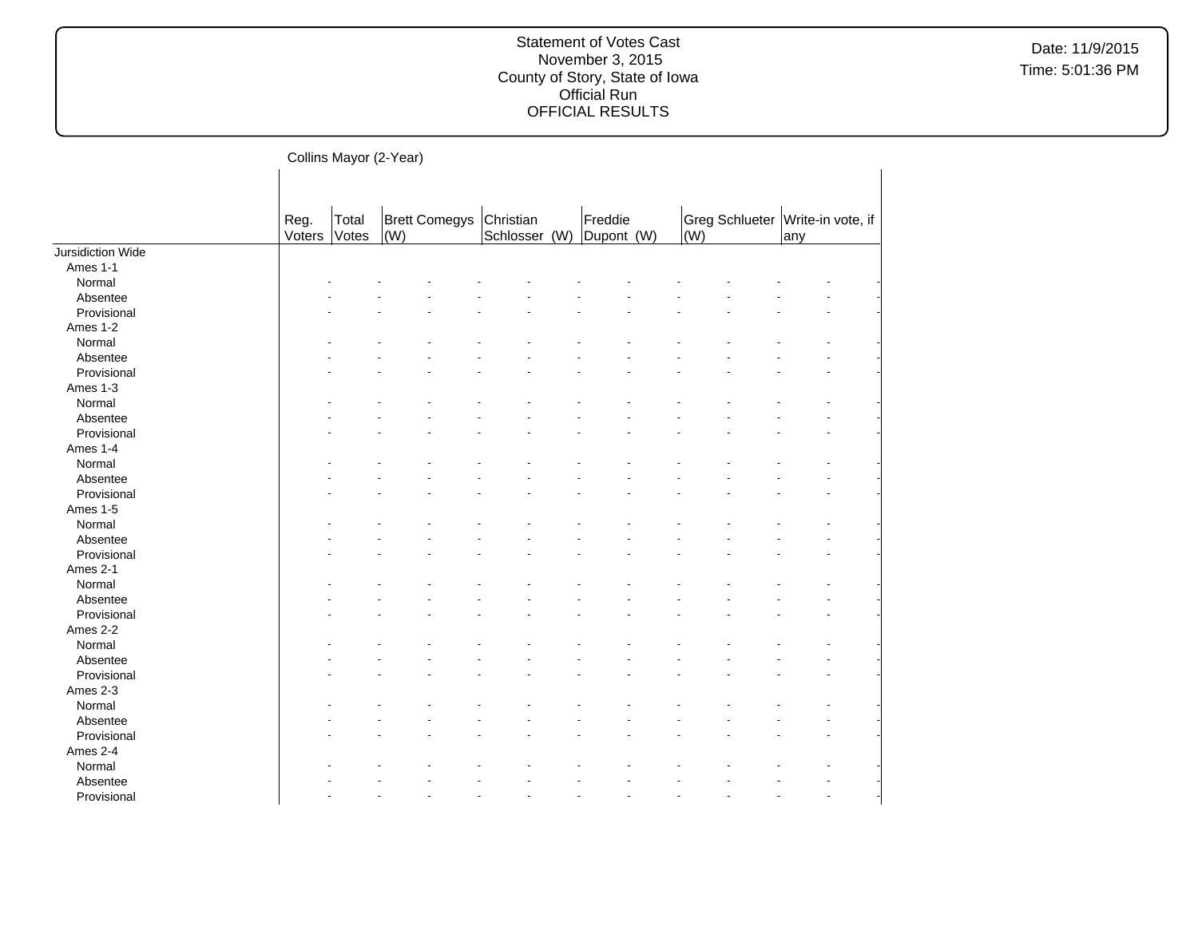Date: 11/9/2015 Time: 5:01:36 PM

Collins Mayor (2-Year)

|                   |                |                |                      |                            | Freddie    |             |                                  |     |  |
|-------------------|----------------|----------------|----------------------|----------------------------|------------|-------------|----------------------------------|-----|--|
|                   | Reg.<br>Voters | Total<br>Votes | Brett Comegys<br>(W) | Christian<br>Schlosser (W) | Dupont (W) | $\vert$ (W) | Greg Schlueter Write-in vote, if | any |  |
| Jursidiction Wide |                |                |                      |                            |            |             |                                  |     |  |
| Ames 1-1          |                |                |                      |                            |            |             |                                  |     |  |
| Normal            |                |                |                      |                            |            |             |                                  |     |  |
| Absentee          |                |                |                      |                            |            |             |                                  |     |  |
| Provisional       |                |                |                      |                            |            |             |                                  |     |  |
| Ames 1-2          |                |                |                      |                            |            |             |                                  |     |  |
| Normal            |                |                |                      |                            |            |             |                                  |     |  |
| Absentee          |                |                |                      |                            |            |             |                                  |     |  |
| Provisional       |                |                |                      |                            |            |             |                                  |     |  |
| Ames 1-3          |                |                |                      |                            |            |             |                                  |     |  |
| Normal            |                |                |                      |                            |            |             |                                  |     |  |
| Absentee          |                |                |                      |                            |            |             |                                  |     |  |
| Provisional       |                |                |                      |                            |            |             |                                  |     |  |
| Ames 1-4          |                |                |                      |                            |            |             |                                  |     |  |
| Normal            |                |                |                      |                            |            |             |                                  |     |  |
| Absentee          |                |                |                      |                            |            |             |                                  |     |  |
| Provisional       |                |                |                      |                            |            |             |                                  |     |  |
| Ames 1-5          |                |                |                      |                            |            |             |                                  |     |  |
| Normal            |                |                |                      |                            |            |             |                                  |     |  |
| Absentee          |                |                |                      |                            |            |             |                                  |     |  |
| Provisional       |                |                |                      |                            |            |             |                                  |     |  |
| Ames 2-1          |                |                |                      |                            |            |             |                                  |     |  |
| Normal            |                |                |                      |                            |            |             |                                  |     |  |
| Absentee          |                |                |                      |                            |            |             |                                  |     |  |
| Provisional       |                |                |                      |                            |            |             |                                  |     |  |
| Ames 2-2          |                |                |                      |                            |            |             |                                  |     |  |
| Normal            |                |                |                      |                            |            |             |                                  |     |  |
| Absentee          |                |                |                      |                            |            |             |                                  |     |  |
| Provisional       |                |                |                      |                            |            |             |                                  |     |  |
| Ames 2-3          |                |                |                      |                            |            |             |                                  |     |  |
| Normal            |                |                |                      |                            |            |             |                                  |     |  |
| Absentee          |                |                |                      |                            |            |             |                                  |     |  |
| Provisional       |                |                |                      |                            |            |             |                                  |     |  |
| Ames 2-4          |                |                |                      |                            |            |             |                                  |     |  |
| Normal            |                |                |                      |                            |            |             |                                  |     |  |
| Absentee          |                |                |                      |                            |            |             |                                  |     |  |
| Provisional       |                |                |                      |                            |            |             |                                  |     |  |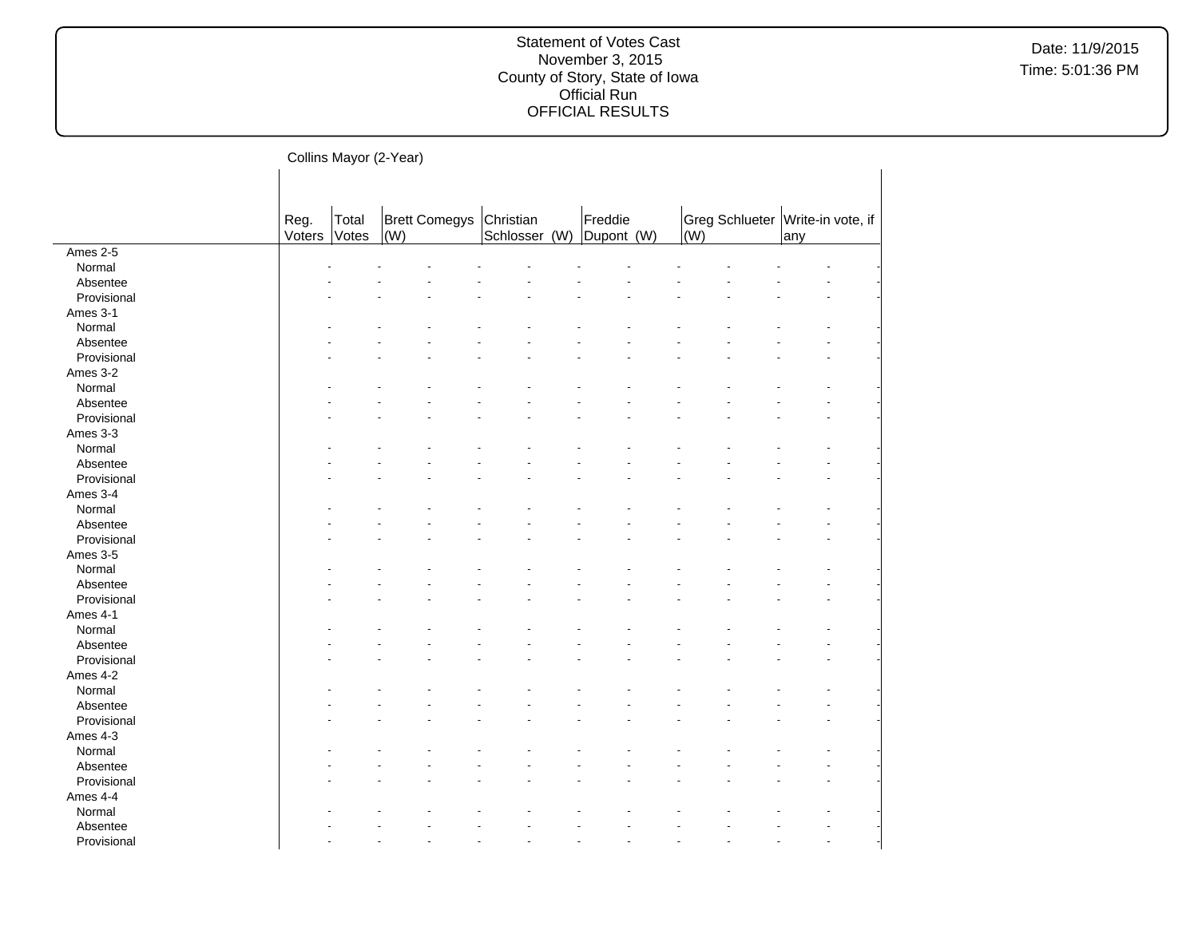Date: 11/9/2015 Time: 5:01:36 PM

—<br>| Collins Mayor (2-Year)<br>|

|             | ------- -- <i>---</i> , |                | $\cdots$ $\cdots$           |                            |                       |     |                                  |     |  |
|-------------|-------------------------|----------------|-----------------------------|----------------------------|-----------------------|-----|----------------------------------|-----|--|
|             |                         |                |                             |                            |                       |     |                                  |     |  |
|             | Reg.<br>Voters          | Total<br>Votes | <b>Brett Comegys</b><br>(W) | Christian<br>Schlosser (W) | Freddie<br>Dupont (W) | (W) | Greg Schlueter Write-in vote, if | any |  |
| Ames 2-5    |                         |                |                             |                            |                       |     |                                  |     |  |
| Normal      |                         |                |                             |                            |                       |     |                                  |     |  |
| Absentee    |                         |                |                             |                            |                       |     |                                  |     |  |
| Provisional |                         |                |                             |                            |                       |     |                                  |     |  |
| Ames 3-1    |                         |                |                             |                            |                       |     |                                  |     |  |
| Normal      |                         |                |                             |                            |                       |     |                                  |     |  |
| Absentee    |                         |                |                             |                            |                       |     |                                  |     |  |
| Provisional |                         |                |                             |                            |                       |     |                                  |     |  |
| Ames 3-2    |                         |                |                             |                            |                       |     |                                  |     |  |
| Normal      |                         |                |                             |                            |                       |     |                                  |     |  |
| Absentee    |                         |                |                             |                            |                       |     |                                  |     |  |
| Provisional |                         |                |                             |                            |                       |     |                                  |     |  |
| Ames 3-3    |                         |                |                             |                            |                       |     |                                  |     |  |
| Normal      |                         |                |                             |                            |                       |     |                                  |     |  |
| Absentee    |                         |                |                             |                            |                       |     |                                  |     |  |
| Provisional |                         |                |                             |                            |                       |     |                                  |     |  |
| Ames 3-4    |                         |                |                             |                            |                       |     |                                  |     |  |
| Normal      |                         |                |                             |                            |                       |     |                                  |     |  |
| Absentee    |                         |                |                             |                            |                       |     |                                  |     |  |
| Provisional |                         |                |                             |                            |                       |     |                                  |     |  |
| Ames 3-5    |                         |                |                             |                            |                       |     |                                  |     |  |
| Normal      |                         |                |                             |                            |                       |     |                                  |     |  |
| Absentee    |                         |                |                             |                            |                       |     |                                  |     |  |
| Provisional |                         |                |                             |                            |                       |     |                                  |     |  |
|             |                         |                |                             |                            |                       |     |                                  |     |  |
| Ames 4-1    |                         |                |                             |                            |                       |     |                                  |     |  |
| Normal      |                         |                |                             |                            |                       |     |                                  |     |  |
| Absentee    |                         |                |                             |                            |                       |     |                                  |     |  |
| Provisional |                         |                |                             |                            |                       |     |                                  |     |  |
| Ames 4-2    |                         |                |                             |                            |                       |     |                                  |     |  |
| Normal      |                         |                |                             |                            |                       |     |                                  |     |  |
| Absentee    |                         |                |                             |                            |                       |     |                                  |     |  |
| Provisional |                         |                |                             |                            |                       |     |                                  |     |  |
| Ames 4-3    |                         |                |                             |                            |                       |     |                                  |     |  |
| Normal      |                         |                |                             |                            |                       |     |                                  |     |  |
| Absentee    |                         |                |                             |                            |                       |     |                                  |     |  |
| Provisional |                         |                |                             |                            |                       |     |                                  |     |  |
| Ames 4-4    |                         |                |                             |                            |                       |     |                                  |     |  |
| Normal      |                         |                |                             |                            |                       |     |                                  |     |  |
| Absentee    |                         |                |                             |                            |                       |     |                                  |     |  |
| Provisional |                         |                |                             |                            |                       |     |                                  |     |  |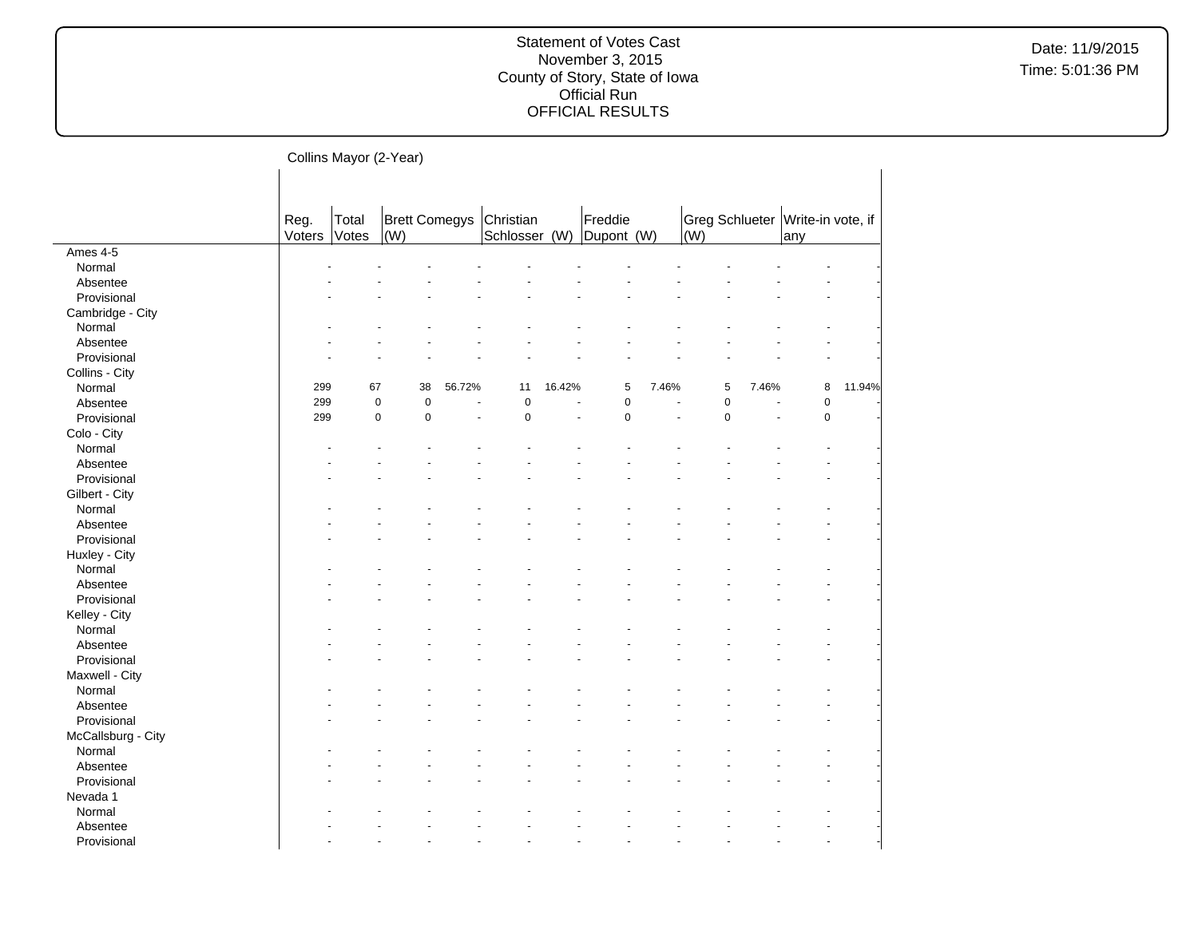Date: 11/9/2015 Time: 5:01:36 PM

Collins Mayor (2-Year)

|                    | Reg.   | Total     | Brett Comegys |        | Christian     |        | Freddie    |       | Greg Schlueter Write-in vote, if |       |             |        |
|--------------------|--------|-----------|---------------|--------|---------------|--------|------------|-------|----------------------------------|-------|-------------|--------|
|                    | Voters | Votes     | (W)           |        | Schlosser (W) |        | Dupont (W) |       | (W)                              |       | any         |        |
| Ames 4-5           |        |           |               |        |               |        |            |       |                                  |       |             |        |
| Normal             |        |           |               |        |               |        |            |       |                                  |       |             |        |
| Absentee           |        |           |               |        |               |        |            |       |                                  |       |             |        |
| Provisional        |        |           |               |        |               |        |            |       |                                  |       |             |        |
| Cambridge - City   |        |           |               |        |               |        |            |       |                                  |       |             |        |
| Normal             |        |           |               |        |               |        |            |       |                                  |       |             |        |
| Absentee           |        |           |               |        |               |        |            |       |                                  |       |             |        |
| Provisional        |        |           |               |        |               |        |            |       |                                  |       |             |        |
| Collins - City     |        |           |               |        |               |        |            |       |                                  |       |             |        |
| Normal             | 299    | 67        | 38            | 56.72% | 11            | 16.42% | 5          | 7.46% | 5                                | 7.46% | 8           | 11.94% |
| Absentee           | 299    | $\pmb{0}$ | $\mathbf 0$   |        | $\pmb{0}$     |        | 0          |       | $\pmb{0}$                        |       | 0           |        |
| Provisional        | 299    | $\pmb{0}$ | $\mathbf 0$   | ä,     | $\pmb{0}$     |        | $\pmb{0}$  |       | $\mathbf 0$<br>÷,                |       | $\mathsf 0$ |        |
| Colo - City        |        |           |               |        |               |        |            |       |                                  |       |             |        |
| Normal             |        |           |               |        |               |        |            |       |                                  |       |             |        |
| Absentee           |        |           |               |        |               |        |            |       |                                  |       |             |        |
| Provisional        |        |           |               |        |               |        |            |       |                                  |       |             |        |
| Gilbert - City     |        |           |               |        |               |        |            |       |                                  |       |             |        |
| Normal             |        |           |               |        |               |        |            |       |                                  |       |             |        |
| Absentee           |        |           |               |        |               |        |            |       |                                  |       |             |        |
| Provisional        |        |           |               |        |               |        |            |       |                                  |       |             |        |
| Huxley - City      |        |           |               |        |               |        |            |       |                                  |       |             |        |
| Normal             |        |           |               |        |               |        |            |       |                                  |       |             |        |
| Absentee           |        |           |               |        |               |        |            |       |                                  |       |             |        |
| Provisional        |        |           |               |        |               |        |            |       |                                  |       |             |        |
| Kelley - City      |        |           |               |        |               |        |            |       |                                  |       |             |        |
| Normal             |        |           |               |        |               |        |            |       |                                  |       |             |        |
| Absentee           |        |           |               |        |               |        |            |       |                                  |       |             |        |
| Provisional        |        |           |               |        |               |        |            |       |                                  |       |             |        |
| Maxwell - City     |        |           |               |        |               |        |            |       |                                  |       |             |        |
| Normal             |        |           |               |        |               |        |            |       |                                  |       |             |        |
| Absentee           |        |           |               |        |               |        |            |       |                                  |       |             |        |
| Provisional        |        |           |               |        |               |        |            |       |                                  |       |             |        |
| McCallsburg - City |        |           |               |        |               |        |            |       |                                  |       |             |        |
| Normal             |        |           |               |        |               |        |            |       |                                  |       |             |        |
| Absentee           |        |           |               |        |               |        |            |       |                                  |       |             |        |
| Provisional        |        |           |               |        |               |        |            |       |                                  |       |             |        |
| Nevada 1           |        |           |               |        |               |        |            |       |                                  |       |             |        |
| Normal             |        |           |               |        |               |        |            |       |                                  |       |             |        |
| Absentee           |        |           |               |        |               |        |            |       |                                  |       |             |        |
| Provisional        |        |           |               |        |               |        |            |       |                                  |       |             |        |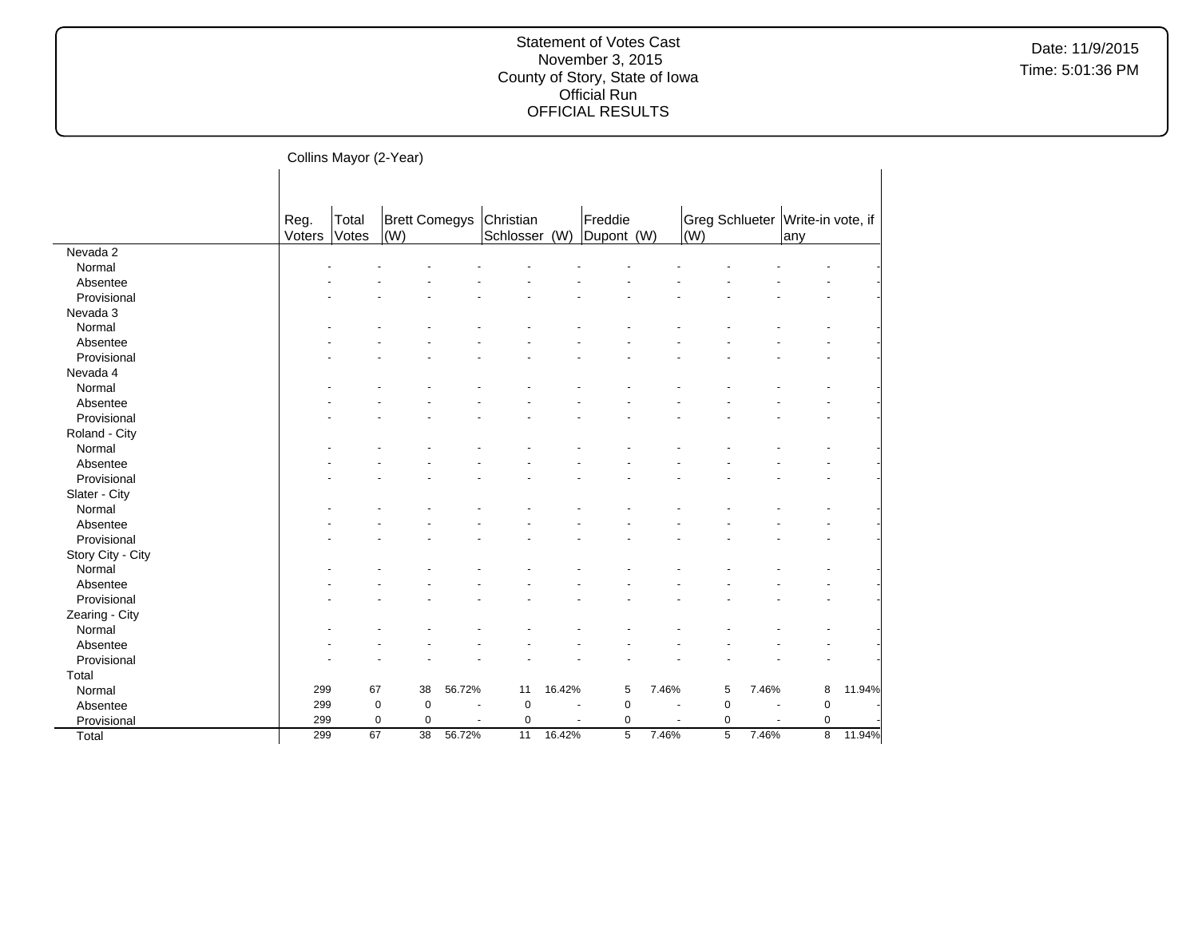| Collins Mayor (2-Year) |  |
|------------------------|--|
|------------------------|--|

| Freddie<br><b>Brett Comegys</b><br>Reg.<br>Total<br>Christian<br>Greg Schlueter   Write-in vote, if<br>Schlosser<br>Voters<br><b>Votes</b><br>$\vert$ (W)<br>(W)<br>Dupont (W)<br>(W)<br>lany<br>Nevada 2<br>Normal<br>Absentee<br>Provisional<br>Nevada 3<br>Normal<br>Absentee<br>Provisional<br>Nevada 4<br>Normal<br>Absentee<br>Provisional<br>Roland - City<br>Normal<br>Absentee<br>Provisional<br>Slater - City<br>Normal<br>Absentee<br>Provisional<br>Story City - City<br>Normal<br>Absentee<br>Provisional |        |
|------------------------------------------------------------------------------------------------------------------------------------------------------------------------------------------------------------------------------------------------------------------------------------------------------------------------------------------------------------------------------------------------------------------------------------------------------------------------------------------------------------------------|--------|
|                                                                                                                                                                                                                                                                                                                                                                                                                                                                                                                        |        |
|                                                                                                                                                                                                                                                                                                                                                                                                                                                                                                                        |        |
|                                                                                                                                                                                                                                                                                                                                                                                                                                                                                                                        |        |
|                                                                                                                                                                                                                                                                                                                                                                                                                                                                                                                        |        |
|                                                                                                                                                                                                                                                                                                                                                                                                                                                                                                                        |        |
|                                                                                                                                                                                                                                                                                                                                                                                                                                                                                                                        |        |
|                                                                                                                                                                                                                                                                                                                                                                                                                                                                                                                        |        |
|                                                                                                                                                                                                                                                                                                                                                                                                                                                                                                                        |        |
|                                                                                                                                                                                                                                                                                                                                                                                                                                                                                                                        |        |
|                                                                                                                                                                                                                                                                                                                                                                                                                                                                                                                        |        |
|                                                                                                                                                                                                                                                                                                                                                                                                                                                                                                                        |        |
|                                                                                                                                                                                                                                                                                                                                                                                                                                                                                                                        |        |
|                                                                                                                                                                                                                                                                                                                                                                                                                                                                                                                        |        |
|                                                                                                                                                                                                                                                                                                                                                                                                                                                                                                                        |        |
|                                                                                                                                                                                                                                                                                                                                                                                                                                                                                                                        |        |
|                                                                                                                                                                                                                                                                                                                                                                                                                                                                                                                        |        |
|                                                                                                                                                                                                                                                                                                                                                                                                                                                                                                                        |        |
|                                                                                                                                                                                                                                                                                                                                                                                                                                                                                                                        |        |
|                                                                                                                                                                                                                                                                                                                                                                                                                                                                                                                        |        |
|                                                                                                                                                                                                                                                                                                                                                                                                                                                                                                                        |        |
|                                                                                                                                                                                                                                                                                                                                                                                                                                                                                                                        |        |
|                                                                                                                                                                                                                                                                                                                                                                                                                                                                                                                        |        |
|                                                                                                                                                                                                                                                                                                                                                                                                                                                                                                                        |        |
|                                                                                                                                                                                                                                                                                                                                                                                                                                                                                                                        |        |
|                                                                                                                                                                                                                                                                                                                                                                                                                                                                                                                        |        |
|                                                                                                                                                                                                                                                                                                                                                                                                                                                                                                                        |        |
| Zearing - City                                                                                                                                                                                                                                                                                                                                                                                                                                                                                                         |        |
| Normal                                                                                                                                                                                                                                                                                                                                                                                                                                                                                                                 |        |
| Absentee                                                                                                                                                                                                                                                                                                                                                                                                                                                                                                               |        |
| Provisional                                                                                                                                                                                                                                                                                                                                                                                                                                                                                                            |        |
| Total                                                                                                                                                                                                                                                                                                                                                                                                                                                                                                                  |        |
| 299<br>67<br>38<br>56.72%<br>16.42%<br>5<br>7.46%<br>5<br>7.46%<br>8<br>Normal<br>11                                                                                                                                                                                                                                                                                                                                                                                                                                   | 11.94% |
| $\mathbf 0$<br>$\pmb{0}$<br>$\pmb{0}$<br>Absentee<br>299<br>$\mathbf 0$<br>$\mathbf 0$<br>$\mathbf 0$<br>$\overline{\phantom{a}}$                                                                                                                                                                                                                                                                                                                                                                                      |        |
| 299<br>0<br>$\mathbf 0$<br>$\mathbf 0$<br>$\mathbf 0$<br>$\mathbf 0$<br>$\mathbf 0$<br>Provisional<br>$\ddot{\phantom{1}}$                                                                                                                                                                                                                                                                                                                                                                                             |        |
| $\overline{8}$<br>67<br>$\overline{5}$<br>299<br>38<br>11<br>16.42%<br>5<br>7.46%<br>7.46%<br>Total<br>56.72%                                                                                                                                                                                                                                                                                                                                                                                                          |        |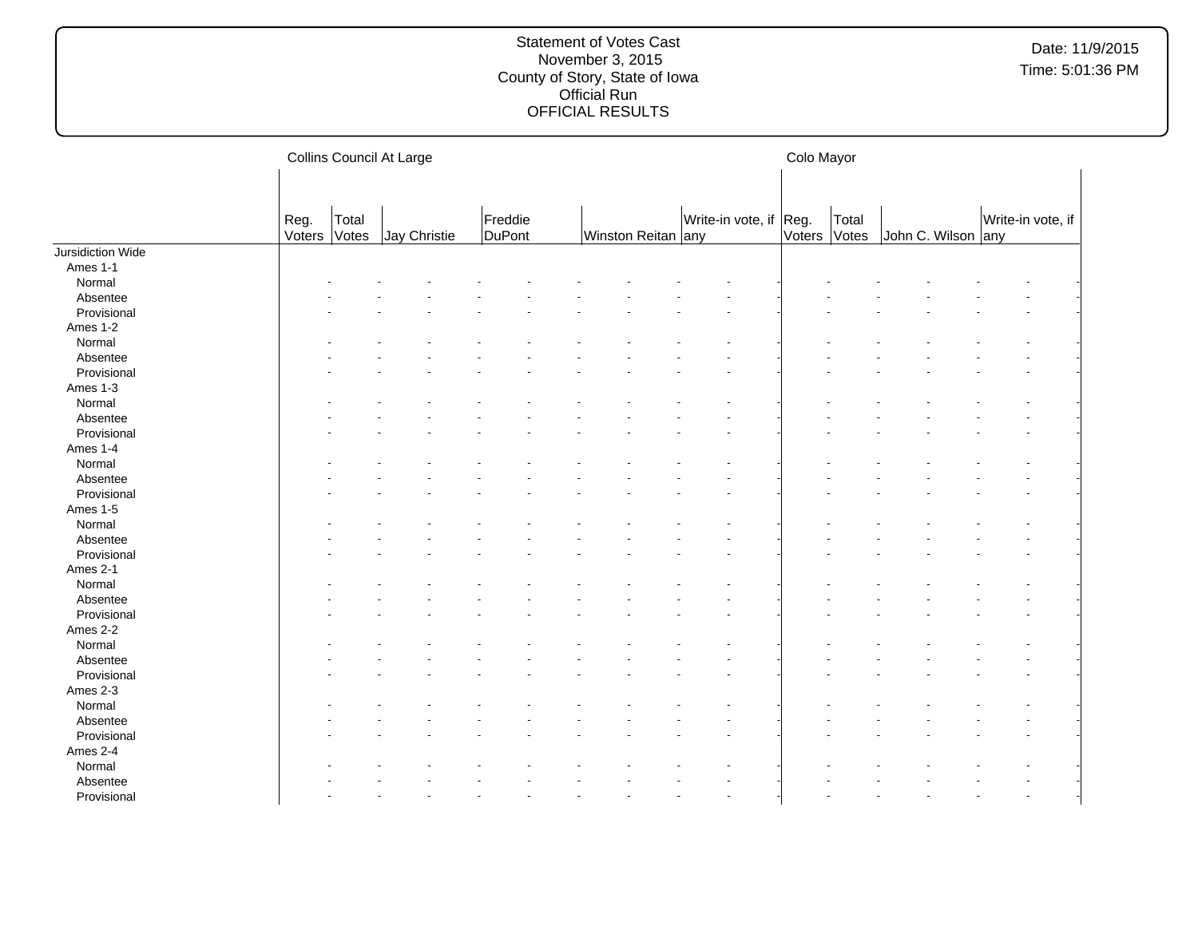|                   |                |                | Collins Council At Large |                   |  |                    | Colo Mayor |                        |              |       |  |                    |  |                   |
|-------------------|----------------|----------------|--------------------------|-------------------|--|--------------------|------------|------------------------|--------------|-------|--|--------------------|--|-------------------|
|                   |                |                |                          |                   |  |                    |            |                        |              |       |  |                    |  |                   |
|                   | Reg.<br>Voters | Total<br>Votes | Jay Christie             | Freddie<br>DuPont |  | Winston Reitan any |            | Write-in vote, if Reg. | Voters Votes | Total |  | John C. Wilson any |  | Write-in vote, if |
| Jursidiction Wide |                |                |                          |                   |  |                    |            |                        |              |       |  |                    |  |                   |
| Ames 1-1          |                |                |                          |                   |  |                    |            |                        |              |       |  |                    |  |                   |
| Normal            |                |                |                          |                   |  |                    |            |                        |              |       |  |                    |  |                   |
| Absentee          |                |                |                          |                   |  |                    |            |                        |              |       |  |                    |  |                   |
| Provisional       |                |                |                          |                   |  |                    |            |                        |              |       |  |                    |  |                   |
| Ames 1-2          |                |                |                          |                   |  |                    |            |                        |              |       |  |                    |  |                   |
| Normal            |                |                |                          |                   |  |                    |            |                        |              |       |  |                    |  |                   |
| Absentee          |                |                |                          |                   |  |                    |            |                        |              |       |  |                    |  |                   |
| Provisional       |                |                |                          |                   |  |                    |            |                        |              |       |  |                    |  |                   |
| Ames 1-3          |                |                |                          |                   |  |                    |            |                        |              |       |  |                    |  |                   |
| Normal            |                |                |                          |                   |  |                    |            |                        |              |       |  |                    |  |                   |
| Absentee          |                |                |                          |                   |  |                    |            |                        |              |       |  |                    |  |                   |
| Provisional       |                |                |                          |                   |  |                    |            |                        |              |       |  |                    |  |                   |
| Ames 1-4          |                |                |                          |                   |  |                    |            |                        |              |       |  |                    |  |                   |
| Normal            |                |                |                          |                   |  |                    |            |                        |              |       |  |                    |  |                   |
| Absentee          |                |                |                          |                   |  |                    |            |                        |              |       |  |                    |  |                   |
| Provisional       |                |                |                          |                   |  |                    |            |                        |              |       |  |                    |  |                   |
| Ames 1-5          |                |                |                          |                   |  |                    |            |                        |              |       |  |                    |  |                   |
|                   |                |                |                          |                   |  |                    |            |                        |              |       |  |                    |  |                   |
| Normal            |                |                |                          |                   |  |                    |            |                        |              |       |  |                    |  |                   |
| Absentee          |                |                |                          |                   |  |                    |            |                        |              |       |  |                    |  |                   |
| Provisional       |                |                |                          |                   |  |                    |            |                        |              |       |  |                    |  |                   |
| Ames 2-1          |                |                |                          |                   |  |                    |            |                        |              |       |  |                    |  |                   |
| Normal            |                |                |                          |                   |  |                    |            |                        |              |       |  |                    |  |                   |
| Absentee          |                |                |                          |                   |  |                    |            |                        |              |       |  |                    |  |                   |
| Provisional       |                |                |                          |                   |  |                    |            |                        |              |       |  |                    |  |                   |
| Ames 2-2          |                |                |                          |                   |  |                    |            |                        |              |       |  |                    |  |                   |
| Normal            |                |                |                          |                   |  |                    |            |                        |              |       |  |                    |  |                   |
| Absentee          |                |                |                          |                   |  |                    |            |                        |              |       |  |                    |  |                   |
| Provisional       |                |                |                          |                   |  |                    |            |                        |              |       |  |                    |  |                   |
| Ames 2-3          |                |                |                          |                   |  |                    |            |                        |              |       |  |                    |  |                   |
| Normal            |                |                |                          |                   |  |                    |            |                        |              |       |  |                    |  |                   |
| Absentee          |                |                |                          |                   |  |                    |            |                        |              |       |  |                    |  |                   |
| Provisional       |                |                |                          |                   |  |                    |            |                        |              |       |  |                    |  |                   |
| Ames 2-4          |                |                |                          |                   |  |                    |            |                        |              |       |  |                    |  |                   |
| Normal            |                |                |                          |                   |  |                    |            |                        |              |       |  |                    |  |                   |
| Absentee          |                |                |                          |                   |  |                    |            |                        |              |       |  |                    |  |                   |
| Provisional       |                |                |                          |                   |  |                    |            |                        |              |       |  |                    |  |                   |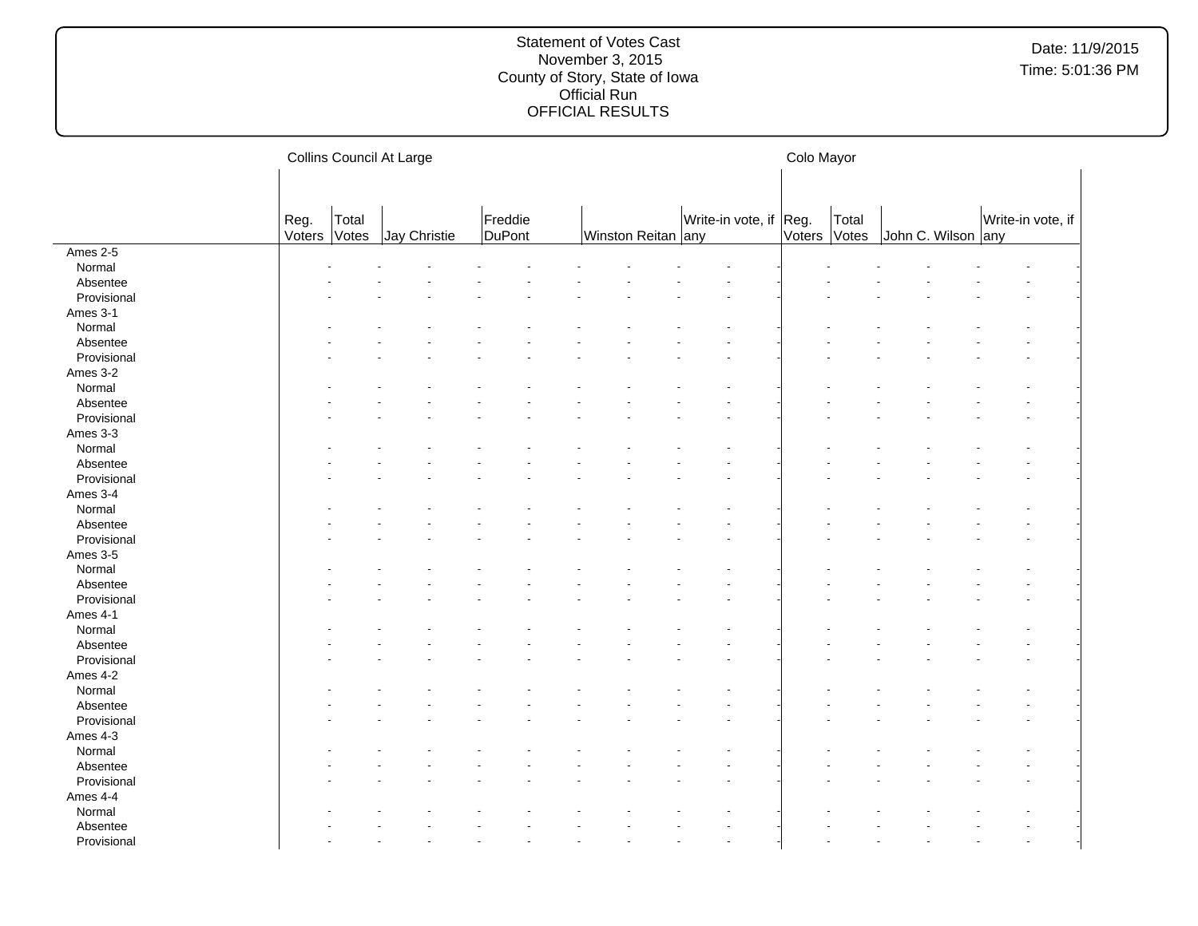|             |                |                | Collins Council At Large |                   |                    |                        | Colo Mayor |                |                    |                   |  |
|-------------|----------------|----------------|--------------------------|-------------------|--------------------|------------------------|------------|----------------|--------------------|-------------------|--|
|             |                |                |                          |                   |                    |                        |            |                |                    |                   |  |
|             | Reg.<br>Voters | Total<br>Votes | Jay Christie             | Freddie<br>DuPont | Winston Reitan any | Write-in vote, if Reg. | Voters     | Total<br>Votes | John C. Wilson any | Write-in vote, if |  |
| Ames 2-5    |                |                |                          |                   |                    |                        |            |                |                    |                   |  |
| Normal      |                |                |                          |                   |                    |                        |            |                |                    |                   |  |
| Absentee    |                |                |                          |                   |                    |                        |            |                |                    |                   |  |
| Provisional |                |                |                          |                   |                    |                        |            |                |                    |                   |  |
| Ames 3-1    |                |                |                          |                   |                    |                        |            |                |                    |                   |  |
| Normal      |                |                |                          |                   |                    |                        |            |                |                    |                   |  |
| Absentee    |                |                |                          |                   |                    |                        |            |                |                    |                   |  |
| Provisional |                |                |                          |                   |                    |                        |            |                |                    |                   |  |
| Ames 3-2    |                |                |                          |                   |                    |                        |            |                |                    |                   |  |
| Normal      |                |                |                          |                   |                    |                        |            |                |                    |                   |  |
| Absentee    |                |                |                          |                   |                    |                        |            |                |                    |                   |  |
| Provisional |                |                |                          |                   |                    |                        |            |                |                    |                   |  |
| Ames 3-3    |                |                |                          |                   |                    |                        |            |                |                    |                   |  |
| Normal      |                |                |                          |                   |                    |                        |            |                |                    |                   |  |
| Absentee    |                |                |                          |                   |                    |                        |            |                |                    |                   |  |
| Provisional |                |                |                          |                   |                    |                        |            |                |                    |                   |  |
| Ames 3-4    |                |                |                          |                   |                    |                        |            |                |                    |                   |  |
| Normal      |                |                |                          |                   |                    |                        |            |                |                    |                   |  |
| Absentee    |                |                |                          |                   |                    |                        |            |                |                    |                   |  |
| Provisional |                |                |                          |                   |                    |                        |            |                |                    |                   |  |
| Ames 3-5    |                |                |                          |                   |                    |                        |            |                |                    |                   |  |
| Normal      |                |                |                          |                   |                    |                        |            |                |                    |                   |  |
| Absentee    |                |                |                          |                   |                    |                        |            |                |                    |                   |  |
| Provisional |                |                |                          |                   |                    |                        |            |                |                    |                   |  |
| Ames 4-1    |                |                |                          |                   |                    |                        |            |                |                    |                   |  |
| Normal      |                |                |                          |                   |                    |                        |            |                |                    |                   |  |
| Absentee    |                |                |                          |                   |                    |                        |            |                |                    |                   |  |
| Provisional |                |                |                          |                   |                    |                        |            |                |                    |                   |  |
| Ames 4-2    |                |                |                          |                   |                    |                        |            |                |                    |                   |  |
| Normal      |                |                |                          |                   |                    |                        |            |                |                    |                   |  |
| Absentee    |                |                |                          |                   |                    |                        |            |                |                    |                   |  |
| Provisional |                |                |                          |                   |                    |                        |            |                |                    |                   |  |
| Ames 4-3    |                |                |                          |                   |                    |                        |            |                |                    |                   |  |
| Normal      |                |                |                          |                   |                    |                        |            |                |                    |                   |  |
| Absentee    |                |                |                          |                   |                    |                        |            |                |                    |                   |  |
| Provisional |                |                |                          |                   |                    |                        |            |                |                    |                   |  |
| Ames 4-4    |                |                |                          |                   |                    |                        |            |                |                    |                   |  |
| Normal      |                |                |                          |                   |                    |                        |            |                |                    |                   |  |
| Absentee    |                |                |                          |                   |                    |                        |            |                |                    |                   |  |
| Provisional |                |                |                          |                   |                    |                        |            |                |                    |                   |  |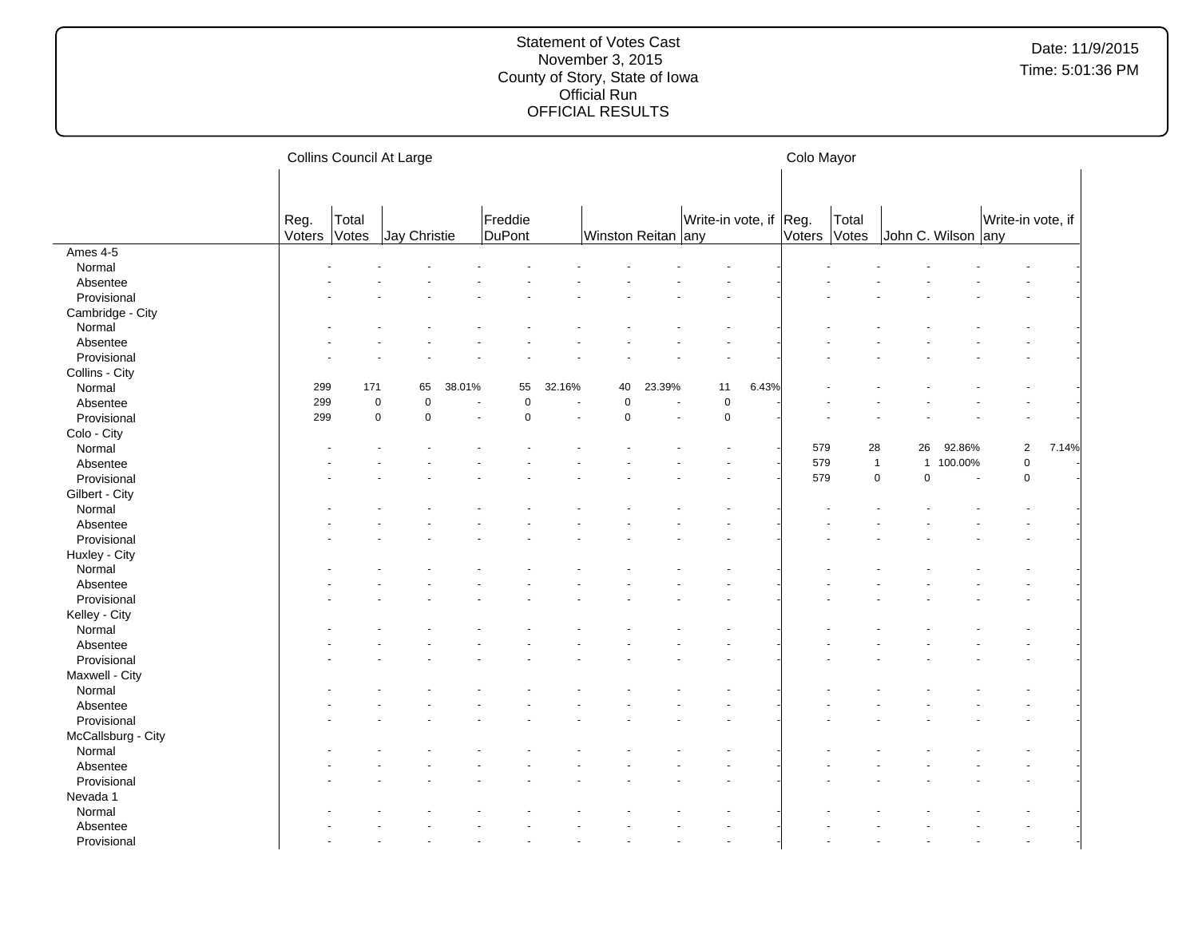|                    |        |       | Collins Council At Large   |        |             |        |                     |                |                        |       | Colo Mayor |              |                              |         |                   |       |  |
|--------------------|--------|-------|----------------------------|--------|-------------|--------|---------------------|----------------|------------------------|-------|------------|--------------|------------------------------|---------|-------------------|-------|--|
|                    |        |       |                            |        |             |        |                     |                |                        |       |            |              |                              |         |                   |       |  |
|                    | Reg.   | Total |                            |        | Freddie     |        |                     |                | Write-in vote, if Reg. |       |            | Total        |                              |         | Write-in vote, if |       |  |
|                    | Voters | Votes | Jay Christie               |        | DuPont      |        | Winston Reitan any  |                |                        |       |            | Voters Votes | John C. Wilson any           |         |                   |       |  |
| Ames 4-5           |        |       |                            |        |             |        |                     |                |                        |       |            |              |                              |         |                   |       |  |
| Normal             |        |       |                            |        |             |        |                     |                |                        |       |            |              |                              |         |                   |       |  |
| Absentee           |        |       |                            |        |             |        |                     |                |                        |       |            |              |                              |         |                   |       |  |
| Provisional        |        |       |                            |        |             |        |                     |                |                        |       |            |              |                              |         |                   |       |  |
| Cambridge - City   |        |       |                            |        |             |        |                     |                |                        |       |            |              |                              |         |                   |       |  |
| Normal             |        |       |                            |        |             |        |                     |                |                        |       |            |              |                              |         |                   |       |  |
| Absentee           |        |       |                            |        |             |        |                     |                |                        |       |            |              |                              |         |                   |       |  |
| Provisional        |        |       |                            |        |             |        |                     |                |                        |       |            |              |                              |         |                   |       |  |
| Collins - City     |        |       |                            |        |             |        |                     |                |                        |       |            |              |                              |         |                   |       |  |
| Normal             | 299    | 171   | 65                         | 38.01% | 55          | 32.16% | 40                  | 23.39%         | 11                     | 6.43% |            |              |                              |         |                   |       |  |
| Absentee           | 299    |       | $\mathsf 0$<br>$\pmb{0}$   | ÷,     | $\pmb{0}$   |        | $\mathsf{O}\xspace$ | $\blacksquare$ | $\pmb{0}$              |       |            |              |                              |         |                   |       |  |
| Provisional        | 299    |       | $\mathsf 0$<br>$\mathbf 0$ |        | $\mathbf 0$ |        | 0                   |                | $\mathbf 0$            |       |            |              |                              |         |                   |       |  |
| Colo - City        |        |       |                            |        |             |        |                     |                |                        |       |            |              |                              |         |                   |       |  |
| Normal             |        |       |                            |        |             |        |                     |                |                        |       | 579        |              | 28<br>26                     | 92.86%  | $\sqrt{2}$        | 7.14% |  |
| Absentee           |        |       |                            |        |             |        |                     |                |                        |       | 579        |              | $\mathbf{1}$<br>$\mathbf{1}$ | 100.00% | $\pmb{0}$         |       |  |
| Provisional        |        |       |                            |        |             |        |                     |                |                        |       | 579        |              | $\mathbf 0$<br>$\mathbf 0$   | $\sim$  | $\mathsf 0$       |       |  |
| Gilbert - City     |        |       |                            |        |             |        |                     |                |                        |       |            |              |                              |         |                   |       |  |
| Normal             |        |       |                            |        |             |        |                     |                |                        |       |            |              |                              |         |                   |       |  |
| Absentee           |        |       |                            |        |             |        |                     |                |                        |       |            |              |                              |         |                   |       |  |
| Provisional        |        |       |                            |        |             |        |                     |                |                        |       |            |              |                              |         |                   |       |  |
| Huxley - City      |        |       |                            |        |             |        |                     |                |                        |       |            |              |                              |         |                   |       |  |
| Normal             |        |       |                            |        |             |        |                     |                |                        |       |            |              |                              |         |                   |       |  |
| Absentee           |        |       |                            |        |             |        |                     |                |                        |       |            |              |                              |         |                   |       |  |
| Provisional        |        |       |                            |        |             |        |                     |                |                        |       |            |              |                              |         |                   |       |  |
| Kelley - City      |        |       |                            |        |             |        |                     |                |                        |       |            |              |                              |         |                   |       |  |
| Normal             |        |       |                            |        |             |        |                     |                |                        |       |            |              |                              |         |                   |       |  |
| Absentee           |        |       |                            |        |             |        |                     |                |                        |       |            |              |                              |         |                   |       |  |
| Provisional        |        |       |                            |        |             |        |                     |                |                        |       |            |              |                              |         |                   |       |  |
| Maxwell - City     |        |       |                            |        |             |        |                     |                |                        |       |            |              |                              |         |                   |       |  |
| Normal             |        |       |                            |        |             |        |                     |                |                        |       |            |              |                              |         |                   |       |  |
| Absentee           |        |       |                            |        |             |        |                     |                |                        |       |            |              |                              |         |                   |       |  |
| Provisional        |        |       |                            |        |             |        |                     |                |                        |       |            |              |                              |         |                   |       |  |
| McCallsburg - City |        |       |                            |        |             |        |                     |                |                        |       |            |              |                              |         |                   |       |  |
| Normal             |        |       |                            |        |             |        |                     |                |                        |       |            |              |                              |         |                   |       |  |
| Absentee           |        |       |                            |        |             |        |                     |                |                        |       |            |              |                              |         |                   |       |  |
| Provisional        |        |       |                            |        |             |        |                     |                |                        |       |            |              |                              |         |                   |       |  |
| Nevada 1           |        |       |                            |        |             |        |                     |                |                        |       |            |              |                              |         |                   |       |  |
| Normal             |        |       |                            |        |             |        |                     |                |                        |       |            |              |                              |         |                   |       |  |
|                    |        |       |                            |        |             |        |                     |                |                        |       |            |              |                              |         |                   |       |  |
| Absentee           |        |       |                            |        |             |        |                     |                |                        |       |            |              |                              |         |                   |       |  |
| Provisional        |        |       |                            |        |             |        |                     |                |                        |       |            |              |                              |         |                   |       |  |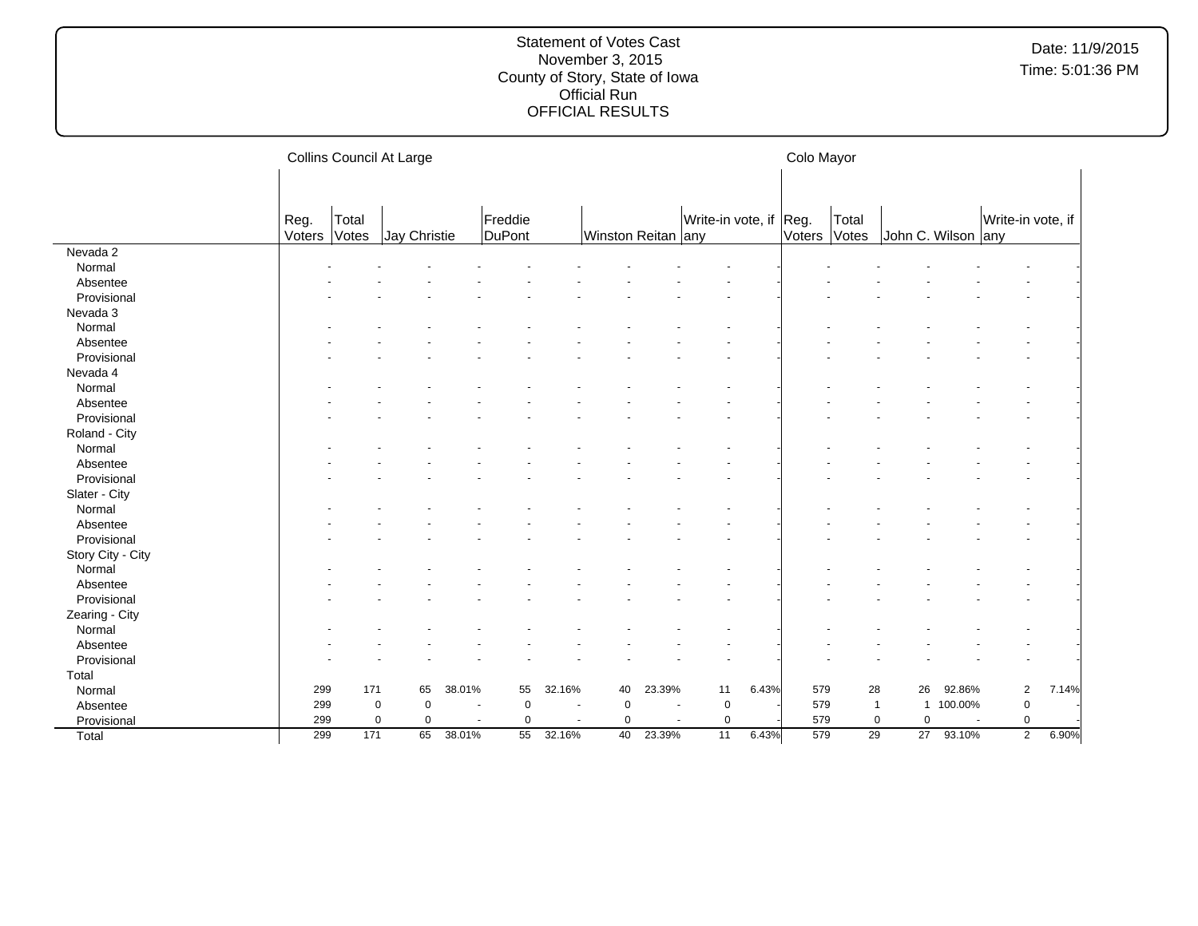|                   |                | Collins Council At Large |              |        |                   |                |                    |        | Colo Mayor             |       |               |                |                          |           |                   |       |
|-------------------|----------------|--------------------------|--------------|--------|-------------------|----------------|--------------------|--------|------------------------|-------|---------------|----------------|--------------------------|-----------|-------------------|-------|
|                   | Reg.<br>Voters | Total<br>Votes           | Jay Christie |        | Freddie<br>DuPont |                | Winston Reitan any |        | Write-in vote, if Reg. |       | <b>Voters</b> | Total<br>Votes | John C. Wilson any       |           | Write-in vote, if |       |
| Nevada 2          |                |                          |              |        |                   |                |                    |        |                        |       |               |                |                          |           |                   |       |
| Normal            |                |                          |              |        |                   |                |                    |        |                        |       |               |                |                          |           |                   |       |
| Absentee          |                |                          |              |        |                   |                |                    |        |                        |       |               |                |                          |           |                   |       |
| Provisional       |                |                          |              |        |                   |                |                    |        |                        |       |               |                |                          |           |                   |       |
| Nevada 3          |                |                          |              |        |                   |                |                    |        |                        |       |               |                |                          |           |                   |       |
| Normal            |                |                          |              |        |                   |                |                    |        |                        |       |               |                |                          |           |                   |       |
| Absentee          |                |                          |              |        |                   |                |                    |        |                        |       |               |                |                          |           |                   |       |
| Provisional       |                |                          |              |        |                   |                |                    |        |                        |       |               |                |                          |           |                   |       |
| Nevada 4          |                |                          |              |        |                   |                |                    |        |                        |       |               |                |                          |           |                   |       |
| Normal            |                |                          |              |        |                   |                |                    |        |                        |       |               |                |                          |           |                   |       |
| Absentee          |                |                          |              |        |                   |                |                    |        |                        |       |               |                |                          |           |                   |       |
| Provisional       |                |                          |              |        |                   |                |                    |        |                        |       |               |                |                          |           |                   |       |
| Roland - City     |                |                          |              |        |                   |                |                    |        |                        |       |               |                |                          |           |                   |       |
| Normal            |                |                          |              |        |                   |                |                    |        |                        |       |               |                |                          |           |                   |       |
| Absentee          |                |                          |              |        |                   |                |                    |        |                        |       |               |                |                          |           |                   |       |
| Provisional       |                |                          |              |        |                   |                |                    |        |                        |       |               |                |                          |           |                   |       |
| Slater - City     |                |                          |              |        |                   |                |                    |        |                        |       |               |                |                          |           |                   |       |
| Normal            |                |                          |              |        |                   |                |                    |        |                        |       |               |                |                          |           |                   |       |
| Absentee          |                |                          |              |        |                   |                |                    |        |                        |       |               |                |                          |           |                   |       |
| Provisional       |                |                          |              |        |                   |                |                    |        |                        |       |               |                |                          |           |                   |       |
| Story City - City |                |                          |              |        |                   |                |                    |        |                        |       |               |                |                          |           |                   |       |
| Normal            |                |                          |              |        |                   |                |                    |        |                        |       |               |                |                          |           |                   |       |
| Absentee          |                |                          |              |        |                   |                |                    |        |                        |       |               |                |                          |           |                   |       |
| Provisional       |                |                          |              |        |                   |                |                    |        |                        |       |               |                |                          |           |                   |       |
| Zearing - City    |                |                          |              |        |                   |                |                    |        |                        |       |               |                |                          |           |                   |       |
| Normal            |                |                          |              |        |                   |                |                    |        |                        |       |               |                |                          |           |                   |       |
| Absentee          |                |                          |              |        |                   |                |                    |        |                        |       |               |                |                          |           |                   |       |
| Provisional       |                |                          |              |        |                   |                |                    |        |                        |       |               |                |                          |           |                   |       |
| Total             |                |                          |              |        |                   |                |                    |        |                        |       |               |                |                          |           |                   |       |
| Normal            | 299            | 171                      | 65           | 38.01% | 55                | 32.16%         | 40                 | 23.39% | 11                     | 6.43% | 579           | 28             | 26                       | 92.86%    | $\overline{2}$    | 7.14% |
| Absentee          | 299            | $\mathbf 0$              | $\mathbf 0$  |        | $\mathbf 0$       |                | $\pmb{0}$          |        | $\mathbf 0$            |       | 579           |                | $\overline{1}$           | 1 100.00% | $\mathsf 0$       |       |
| Provisional       | 299            | 0                        | $\mathbf 0$  |        | 0                 | $\overline{a}$ | 0                  |        | $\pmb{0}$              |       | 579           |                | $\pmb{0}$<br>$\mathbf 0$ |           | 0                 |       |
| Total             | 299            | 171                      | 65           | 38.01% | 55                | 32.16%         | 40                 | 23.39% | 11                     | 6.43% | 579           | 29             | 27                       | 93.10%    | $\overline{2}$    | 6.90% |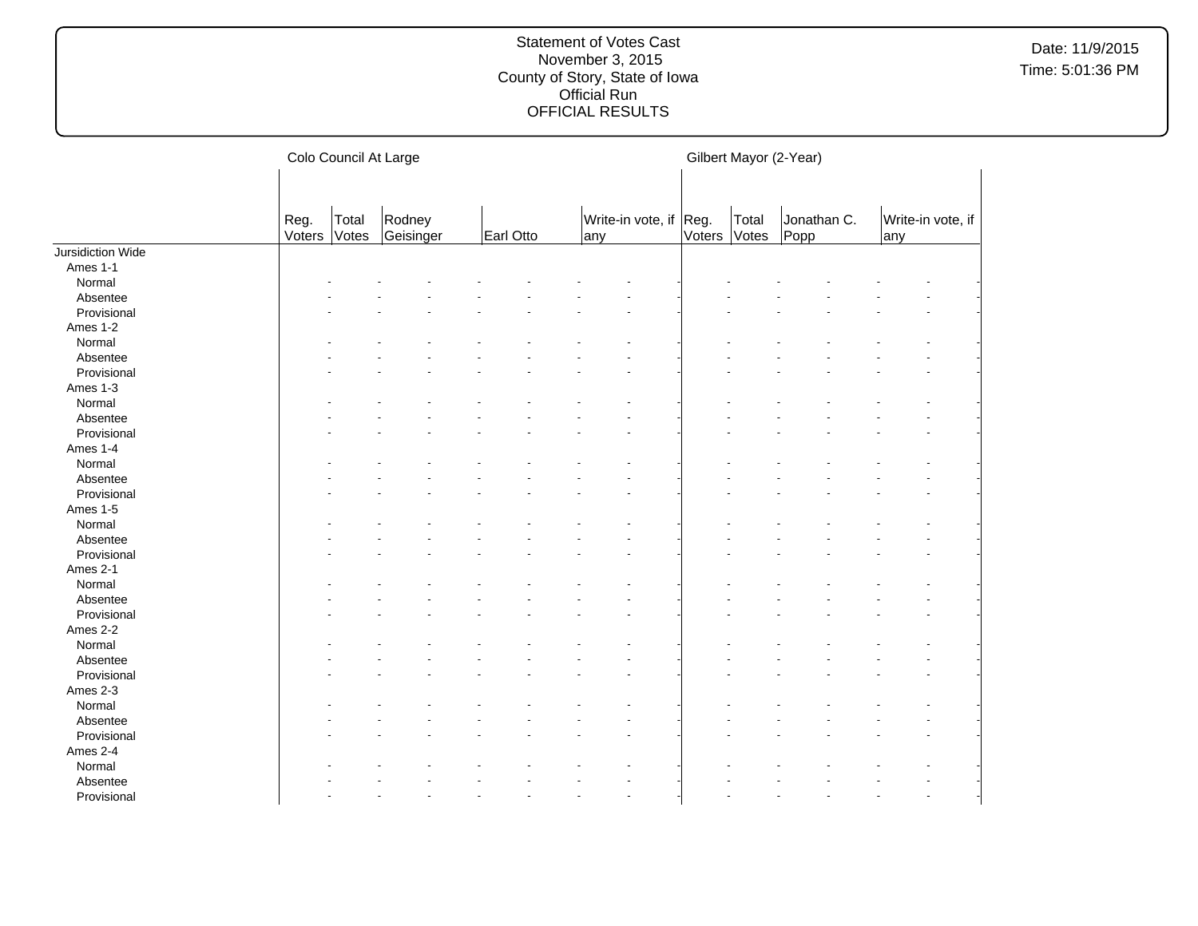|                   |                | Colo Council At Large |                     |           |  |     |                        |        | Gilbert Mayor (2-Year) |                     |  |     |                   |  |
|-------------------|----------------|-----------------------|---------------------|-----------|--|-----|------------------------|--------|------------------------|---------------------|--|-----|-------------------|--|
|                   | Reg.<br>Voters | Total<br>Votes        | Rodney<br>Geisinger | Earl Otto |  | any | Write-in vote, if Reg. | Voters | Total<br>Votes         | Jonathan C.<br>Popp |  | any | Write-in vote, if |  |
| Jursidiction Wide |                |                       |                     |           |  |     |                        |        |                        |                     |  |     |                   |  |
| Ames 1-1          |                |                       |                     |           |  |     |                        |        |                        |                     |  |     |                   |  |
| Normal            |                |                       |                     |           |  |     |                        |        |                        |                     |  |     |                   |  |
| Absentee          |                |                       |                     |           |  |     |                        |        |                        |                     |  |     |                   |  |
| Provisional       |                |                       |                     |           |  |     |                        |        |                        |                     |  |     |                   |  |
| Ames 1-2          |                |                       |                     |           |  |     |                        |        |                        |                     |  |     |                   |  |
| Normal            |                |                       |                     |           |  |     |                        |        |                        |                     |  |     |                   |  |
| Absentee          |                |                       |                     |           |  |     |                        |        |                        |                     |  |     |                   |  |
| Provisional       |                |                       |                     |           |  |     |                        |        |                        |                     |  |     |                   |  |
| Ames 1-3          |                |                       |                     |           |  |     |                        |        |                        |                     |  |     |                   |  |
| Normal            |                |                       |                     |           |  |     |                        |        |                        |                     |  |     |                   |  |
| Absentee          |                |                       |                     |           |  |     |                        |        |                        |                     |  |     |                   |  |
| Provisional       |                |                       |                     |           |  |     |                        |        |                        |                     |  |     |                   |  |
| Ames 1-4          |                |                       |                     |           |  |     |                        |        |                        |                     |  |     |                   |  |
| Normal            |                |                       |                     |           |  |     |                        |        |                        |                     |  |     |                   |  |
| Absentee          |                |                       |                     |           |  |     |                        |        |                        |                     |  |     |                   |  |
| Provisional       |                |                       |                     |           |  |     |                        |        |                        |                     |  |     |                   |  |
| Ames 1-5          |                |                       |                     |           |  |     |                        |        |                        |                     |  |     |                   |  |
| Normal            |                |                       |                     |           |  |     |                        |        |                        |                     |  |     |                   |  |
| Absentee          |                |                       |                     |           |  |     |                        |        |                        |                     |  |     |                   |  |
| Provisional       |                |                       |                     |           |  |     |                        |        |                        |                     |  |     |                   |  |
| Ames 2-1          |                |                       |                     |           |  |     |                        |        |                        |                     |  |     |                   |  |
| Normal            |                |                       |                     |           |  |     |                        |        |                        |                     |  |     |                   |  |
| Absentee          |                |                       |                     |           |  |     |                        |        |                        |                     |  |     |                   |  |
| Provisional       |                |                       |                     |           |  |     |                        |        |                        |                     |  |     |                   |  |
| Ames 2-2          |                |                       |                     |           |  |     |                        |        |                        |                     |  |     |                   |  |
| Normal            |                |                       |                     |           |  |     |                        |        |                        |                     |  |     |                   |  |
| Absentee          |                |                       |                     |           |  |     |                        |        |                        |                     |  |     |                   |  |
| Provisional       |                |                       |                     |           |  |     |                        |        |                        |                     |  |     |                   |  |
| Ames 2-3          |                |                       |                     |           |  |     |                        |        |                        |                     |  |     |                   |  |
| Normal            |                |                       |                     |           |  |     |                        |        |                        |                     |  |     |                   |  |
| Absentee          |                |                       |                     |           |  |     |                        |        |                        |                     |  |     |                   |  |
| Provisional       |                |                       |                     |           |  |     |                        |        |                        |                     |  |     |                   |  |
| Ames 2-4          |                |                       |                     |           |  |     |                        |        |                        |                     |  |     |                   |  |
| Normal            |                |                       |                     |           |  |     |                        |        |                        |                     |  |     |                   |  |
| Absentee          |                |                       |                     |           |  |     |                        |        |                        |                     |  |     |                   |  |
|                   |                |                       |                     |           |  |     |                        |        |                        |                     |  |     |                   |  |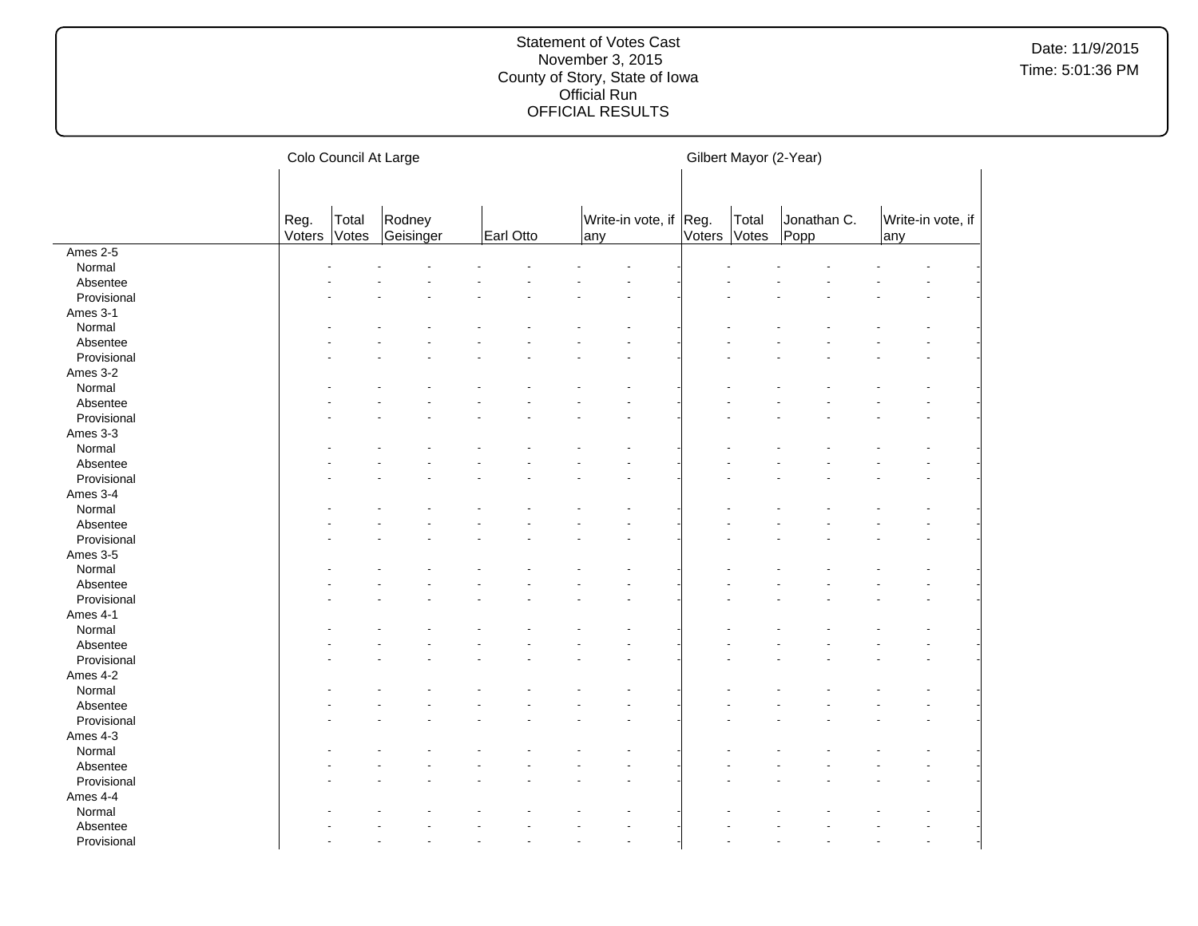|                                                              | Colo Council At Large |                |                     |           | Gilbert Mayor (2-Year)        |              |       |                     |                          |  |
|--------------------------------------------------------------|-----------------------|----------------|---------------------|-----------|-------------------------------|--------------|-------|---------------------|--------------------------|--|
|                                                              |                       |                |                     |           |                               |              |       |                     |                          |  |
|                                                              | Reg.<br>Voters        | Total<br>Votes | Rodney<br>Geisinger | Earl Otto | Write-in vote, if Reg.<br>any | Voters Votes | Total | Jonathan C.<br>Popp | Write-in vote, if<br>any |  |
| Ames 2-5                                                     |                       |                |                     |           |                               |              |       |                     |                          |  |
| Normal                                                       |                       |                |                     |           |                               |              |       |                     |                          |  |
| Absentee                                                     |                       |                |                     |           |                               |              |       |                     |                          |  |
| Provisional                                                  |                       |                |                     |           |                               |              |       |                     |                          |  |
| Ames 3-1                                                     |                       |                |                     |           |                               |              |       |                     |                          |  |
| Normal                                                       |                       |                |                     |           |                               |              |       |                     |                          |  |
| Absentee                                                     |                       |                |                     |           |                               |              |       |                     |                          |  |
| Provisional                                                  |                       |                |                     |           |                               |              |       |                     |                          |  |
| Ames 3-2                                                     |                       |                |                     |           |                               |              |       |                     |                          |  |
| Normal                                                       |                       |                |                     |           |                               |              |       |                     |                          |  |
| Absentee                                                     |                       |                |                     |           |                               |              |       |                     |                          |  |
| Provisional                                                  |                       |                |                     |           |                               |              |       |                     |                          |  |
| Ames 3-3                                                     |                       |                |                     |           |                               |              |       |                     |                          |  |
| Normal                                                       |                       |                |                     |           |                               |              |       |                     |                          |  |
| Absentee                                                     |                       |                |                     |           |                               |              |       |                     |                          |  |
| Provisional                                                  |                       |                |                     |           |                               |              |       |                     |                          |  |
| Ames 3-4                                                     |                       |                |                     |           |                               |              |       |                     |                          |  |
| Normal                                                       |                       |                |                     |           |                               |              |       |                     |                          |  |
| Absentee                                                     |                       |                |                     |           |                               |              |       |                     |                          |  |
| Provisional                                                  |                       |                |                     |           |                               |              |       |                     |                          |  |
| Ames 3-5                                                     |                       |                |                     |           |                               |              |       |                     |                          |  |
| Normal                                                       |                       |                |                     |           |                               |              |       |                     |                          |  |
| Absentee                                                     |                       |                |                     |           |                               |              |       |                     |                          |  |
| Provisional                                                  |                       |                |                     |           |                               |              |       |                     |                          |  |
| Ames 4-1                                                     |                       |                |                     |           |                               |              |       |                     |                          |  |
| Normal                                                       |                       |                |                     |           |                               |              |       |                     |                          |  |
| Absentee                                                     |                       |                |                     |           |                               |              |       |                     |                          |  |
| Provisional                                                  |                       |                |                     |           |                               |              |       |                     |                          |  |
| Ames 4-2                                                     |                       |                |                     |           |                               |              |       |                     |                          |  |
| Normal                                                       |                       |                |                     |           |                               |              |       |                     |                          |  |
| Absentee                                                     |                       |                |                     |           |                               |              |       |                     |                          |  |
| Provisional                                                  |                       |                |                     |           |                               |              |       |                     |                          |  |
| Ames 4-3                                                     |                       |                |                     |           |                               |              |       |                     |                          |  |
| Normal                                                       |                       |                |                     |           |                               |              |       |                     |                          |  |
| Absentee                                                     |                       |                |                     |           |                               |              |       |                     |                          |  |
|                                                              |                       |                |                     |           |                               |              |       |                     |                          |  |
|                                                              |                       |                |                     |           |                               |              |       |                     |                          |  |
|                                                              |                       |                |                     |           |                               |              |       |                     |                          |  |
|                                                              |                       |                |                     |           |                               |              |       |                     |                          |  |
|                                                              |                       |                |                     |           | ÷.                            |              |       |                     |                          |  |
| Provisional<br>Ames 4-4<br>Normal<br>Absentee<br>Provisional |                       |                |                     |           |                               |              |       |                     |                          |  |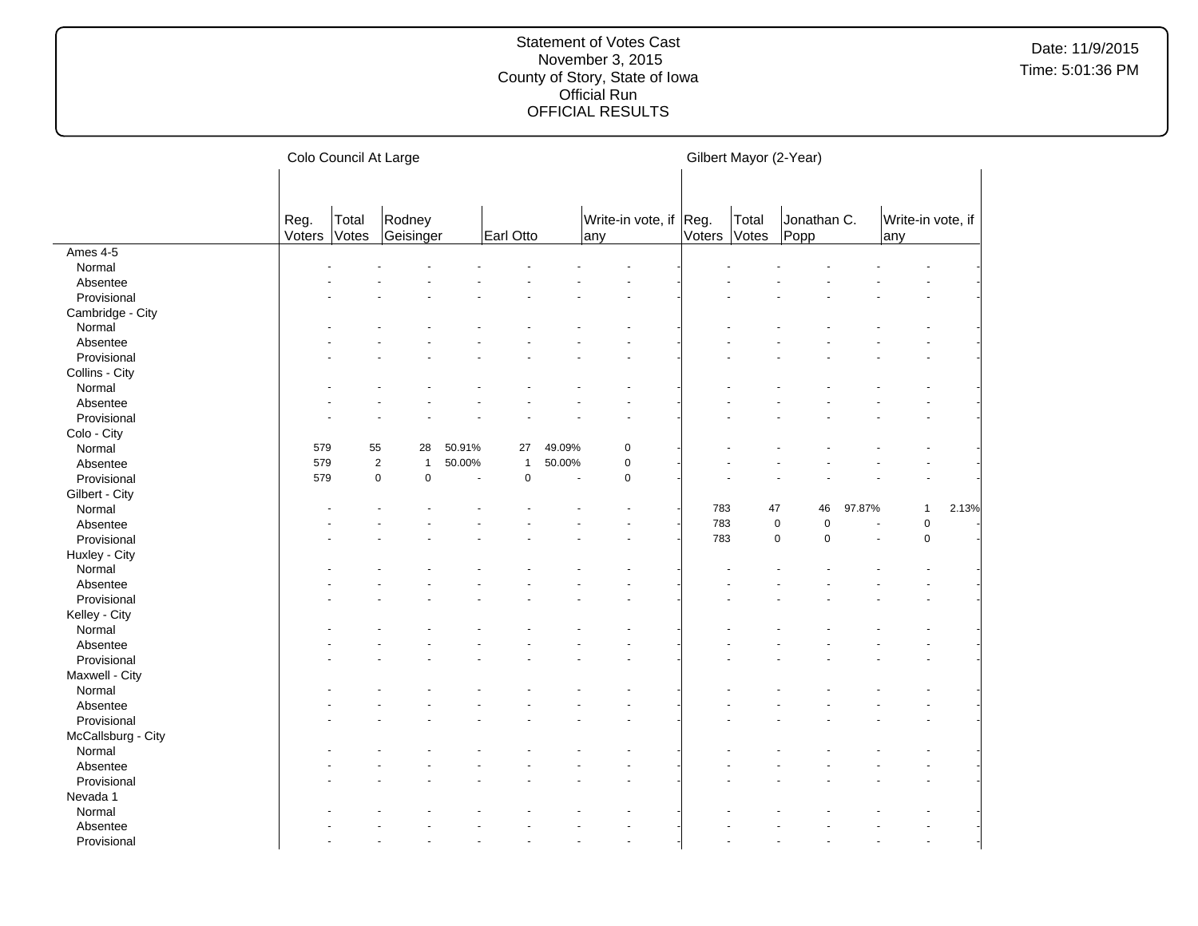|                    |                | Colo Council At Large |                     |                          |              |        |                               |  |        | Gilbert Mayor (2-Year) |                        |        |                          |       |  |
|--------------------|----------------|-----------------------|---------------------|--------------------------|--------------|--------|-------------------------------|--|--------|------------------------|------------------------|--------|--------------------------|-------|--|
|                    | Reg.<br>Voters | Total<br>Votes        | Rodney<br>Geisinger |                          | Earl Otto    |        | Write-in vote, if Reg.<br>any |  | Voters | Total<br>Votes         | Jonathan C.<br>Popp    |        | Write-in vote, if<br>any |       |  |
| Ames 4-5           |                |                       |                     |                          |              |        |                               |  |        |                        |                        |        |                          |       |  |
| Normal             |                |                       |                     |                          |              |        |                               |  |        |                        |                        |        |                          |       |  |
| Absentee           |                |                       |                     |                          |              |        |                               |  |        |                        |                        |        |                          |       |  |
| Provisional        |                |                       |                     |                          |              |        |                               |  |        |                        |                        |        |                          |       |  |
| Cambridge - City   |                |                       |                     |                          |              |        |                               |  |        |                        |                        |        |                          |       |  |
| Normal             |                |                       |                     |                          |              |        |                               |  |        |                        |                        |        |                          |       |  |
| Absentee           |                |                       |                     |                          |              |        |                               |  |        |                        |                        |        |                          |       |  |
| Provisional        |                |                       |                     |                          |              |        |                               |  |        |                        |                        |        |                          |       |  |
| Collins - City     |                |                       |                     |                          |              |        |                               |  |        |                        |                        |        |                          |       |  |
| Normal             |                |                       |                     |                          |              |        |                               |  |        |                        |                        |        |                          |       |  |
| Absentee           |                |                       |                     |                          |              |        |                               |  |        |                        |                        |        |                          |       |  |
| Provisional        |                |                       |                     |                          |              |        |                               |  |        |                        |                        |        |                          |       |  |
| Colo - City        |                |                       |                     |                          |              |        |                               |  |        |                        |                        |        |                          |       |  |
| Normal             | 579            | 55                    | 28                  | 50.91%                   | 27           | 49.09% | $\mathbf 0$                   |  |        |                        |                        |        |                          |       |  |
| Absentee           | 579            | $\overline{2}$        | $\mathbf{1}$        | 50.00%                   | $\mathbf{1}$ | 50.00% | $\pmb{0}$                     |  |        |                        |                        |        |                          |       |  |
| Provisional        | 579            | $\mathbf 0$           | $\mathsf 0$         | $\overline{\phantom{a}}$ | $\mathbf 0$  | ÷,     | $\mathbf 0$                   |  |        |                        |                        |        |                          |       |  |
| Gilbert - City     |                |                       |                     |                          |              |        |                               |  |        |                        |                        |        |                          |       |  |
| Normal             |                |                       |                     |                          |              |        |                               |  | 783    | 47                     | 46                     | 97.87% | $\mathbf{1}$             | 2.13% |  |
| Absentee           |                |                       |                     |                          |              |        |                               |  | 783    |                        | 0<br>$\pmb{0}$         |        | $\pmb{0}$                |       |  |
| Provisional        |                |                       |                     |                          |              |        |                               |  | 783    |                        | $\pmb{0}$<br>$\pmb{0}$ | $\sim$ | $\pmb{0}$                |       |  |
|                    |                |                       |                     |                          |              |        |                               |  |        |                        |                        |        |                          |       |  |
| Huxley - City      |                |                       |                     |                          |              |        |                               |  |        |                        |                        |        |                          |       |  |
| Normal             |                |                       |                     |                          |              |        |                               |  |        |                        |                        |        |                          |       |  |
| Absentee           |                |                       |                     |                          |              |        |                               |  |        |                        |                        |        |                          |       |  |
| Provisional        |                |                       |                     |                          |              |        |                               |  |        |                        |                        |        |                          |       |  |
| Kelley - City      |                |                       |                     |                          |              |        |                               |  |        |                        |                        |        |                          |       |  |
| Normal             |                |                       |                     |                          |              |        |                               |  |        |                        |                        |        |                          |       |  |
| Absentee           |                |                       |                     |                          |              |        |                               |  |        |                        |                        |        |                          |       |  |
| Provisional        |                |                       |                     |                          |              |        |                               |  |        |                        |                        |        |                          |       |  |
| Maxwell - City     |                |                       |                     |                          |              |        |                               |  |        |                        |                        |        |                          |       |  |
| Normal             |                |                       |                     |                          |              |        |                               |  |        |                        |                        |        |                          |       |  |
| Absentee           |                |                       |                     |                          |              |        |                               |  |        |                        |                        |        |                          |       |  |
| Provisional        |                |                       |                     |                          |              |        |                               |  |        |                        |                        |        |                          |       |  |
| McCallsburg - City |                |                       |                     |                          |              |        |                               |  |        |                        |                        |        |                          |       |  |
| Normal             |                |                       |                     |                          |              |        |                               |  |        |                        |                        |        |                          |       |  |
| Absentee           |                |                       |                     |                          |              |        |                               |  |        |                        |                        |        |                          |       |  |
| Provisional        |                |                       |                     |                          |              |        |                               |  |        |                        |                        |        |                          |       |  |
| Nevada 1           |                |                       |                     |                          |              |        |                               |  |        |                        |                        |        |                          |       |  |
| Normal             |                |                       |                     |                          |              |        |                               |  |        |                        |                        |        |                          |       |  |
| Absentee           |                |                       |                     |                          |              |        |                               |  |        |                        |                        |        |                          |       |  |
| Provisional        |                |                       |                     |                          |              |        |                               |  |        |                        |                        |        |                          |       |  |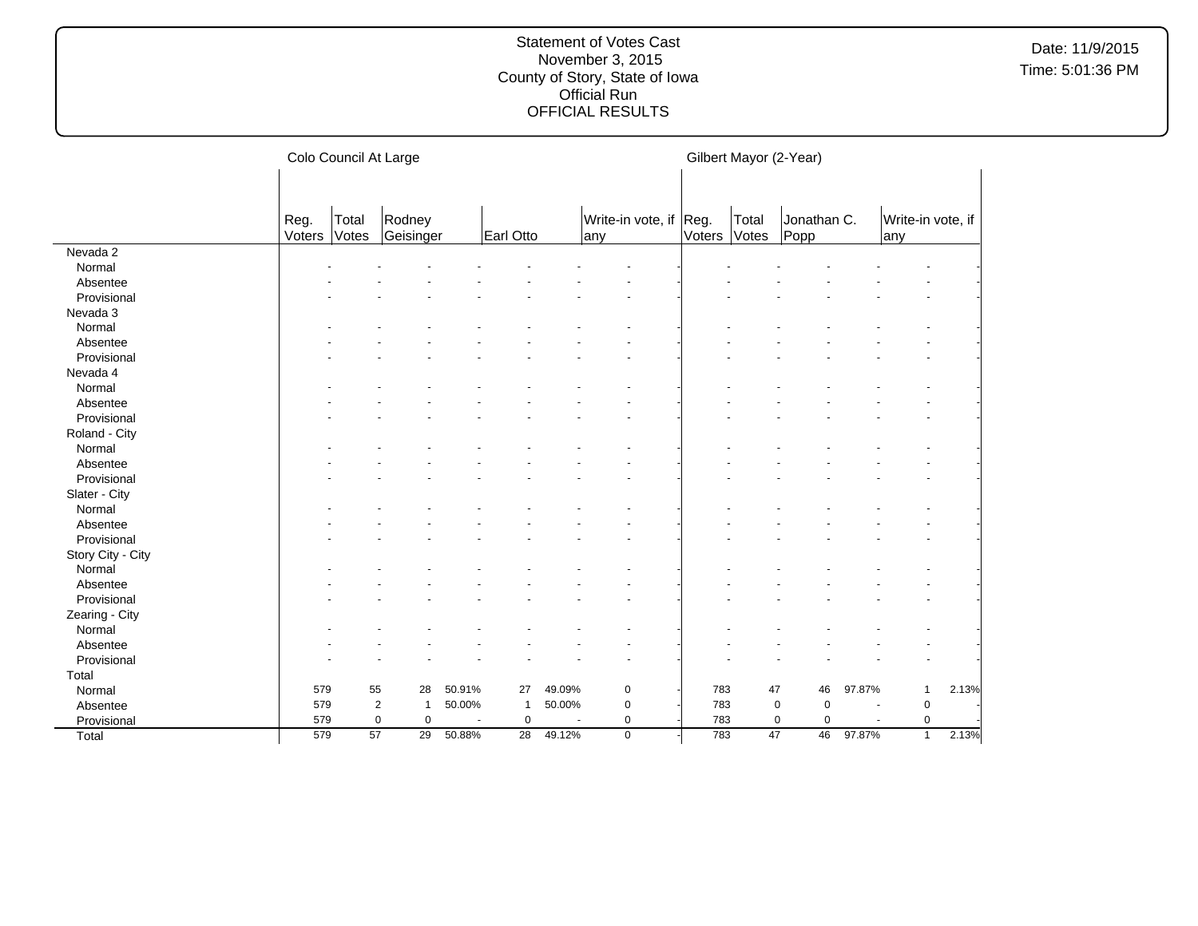|                   |        | Colo Council At Large                             |                                |        |                 |        |             |        | Gilbert Mayor (2-Year) |                            |                      |                   |       |  |
|-------------------|--------|---------------------------------------------------|--------------------------------|--------|-----------------|--------|-------------|--------|------------------------|----------------------------|----------------------|-------------------|-------|--|
|                   |        | Total<br>Rodney<br>Write-in vote, if Reg.<br>Reg. |                                |        |                 |        |             |        | Total                  | Jonathan C.                |                      | Write-in vote, if |       |  |
|                   | Voters | Votes                                             | Geisinger                      |        | Earl Otto       |        | any         | Voters | Votes                  | Popp                       |                      | any               |       |  |
| Nevada 2          |        |                                                   |                                |        |                 |        |             |        |                        |                            |                      |                   |       |  |
| Normal            |        |                                                   |                                |        |                 |        |             |        |                        |                            |                      |                   |       |  |
| Absentee          |        |                                                   |                                |        |                 |        |             |        |                        |                            |                      |                   |       |  |
| Provisional       |        |                                                   |                                |        |                 |        |             |        |                        |                            |                      |                   |       |  |
| Nevada 3          |        |                                                   |                                |        |                 |        |             |        |                        |                            |                      |                   |       |  |
| Normal            |        |                                                   |                                |        |                 |        |             |        |                        |                            |                      |                   |       |  |
| Absentee          |        |                                                   |                                |        |                 |        |             |        |                        |                            |                      |                   |       |  |
| Provisional       |        |                                                   |                                |        |                 |        |             |        |                        |                            |                      |                   |       |  |
| Nevada 4          |        |                                                   |                                |        |                 |        |             |        |                        |                            |                      |                   |       |  |
| Normal            |        |                                                   |                                |        |                 |        |             |        |                        |                            |                      |                   |       |  |
| Absentee          |        |                                                   |                                |        |                 |        |             |        |                        |                            |                      |                   |       |  |
| Provisional       |        |                                                   |                                |        |                 |        |             |        |                        |                            |                      |                   |       |  |
| Roland - City     |        |                                                   |                                |        |                 |        |             |        |                        |                            |                      |                   |       |  |
| Normal            |        |                                                   |                                |        |                 |        |             |        |                        |                            |                      |                   |       |  |
| Absentee          |        |                                                   |                                |        |                 |        |             |        |                        |                            |                      |                   |       |  |
| Provisional       |        |                                                   |                                |        |                 |        |             |        |                        |                            |                      |                   |       |  |
| Slater - City     |        |                                                   |                                |        |                 |        |             |        |                        |                            |                      |                   |       |  |
| Normal            |        |                                                   |                                |        |                 |        |             |        |                        |                            |                      |                   |       |  |
| Absentee          |        |                                                   |                                |        |                 |        |             |        |                        |                            |                      |                   |       |  |
| Provisional       |        |                                                   |                                |        |                 |        |             |        |                        |                            |                      |                   |       |  |
| Story City - City |        |                                                   |                                |        |                 |        |             |        |                        |                            |                      |                   |       |  |
| Normal            |        |                                                   |                                |        |                 |        |             |        |                        |                            |                      |                   |       |  |
| Absentee          |        |                                                   |                                |        |                 |        |             |        |                        |                            |                      |                   |       |  |
| Provisional       |        |                                                   |                                |        |                 |        |             |        |                        |                            |                      |                   |       |  |
| Zearing - City    |        |                                                   |                                |        |                 |        |             |        |                        |                            |                      |                   |       |  |
| Normal            |        |                                                   |                                |        |                 |        |             |        |                        |                            |                      |                   |       |  |
| Absentee          |        |                                                   |                                |        |                 |        |             |        |                        |                            |                      |                   |       |  |
| Provisional       |        |                                                   |                                |        |                 |        |             |        |                        |                            |                      |                   |       |  |
| Total             |        |                                                   |                                |        |                 |        |             |        |                        |                            |                      |                   |       |  |
| Normal            | 579    | 55                                                | 28                             | 50.91% | 27              | 49.09% | 0           | 783    | 47                     | 46                         | 97.87%               | $\mathbf{1}$      | 2.13% |  |
| Absentee          | 579    |                                                   | $\overline{2}$<br>$\mathbf{1}$ | 50.00% | -1              | 50.00% | $\mathbf 0$ | 783    |                        | $\mathbf 0$<br>$\mathbf 0$ | $\overline{a}$       | $\pmb{0}$         |       |  |
| Provisional       | 579    |                                                   | $\mathsf 0$<br>$\mathbf 0$     |        | $\mathbf 0$     |        | 0           | 783    |                        | 0<br>$\pmb{0}$             | $\ddot{\phantom{1}}$ | $\pmb{0}$         |       |  |
| Total             | 579    | 57                                                | 29                             | 50.88% | $\overline{28}$ | 49.12% | $\mathbf 0$ | 783    | 47                     | 46                         | 97.87%               | $\mathbf{1}$      | 2.13% |  |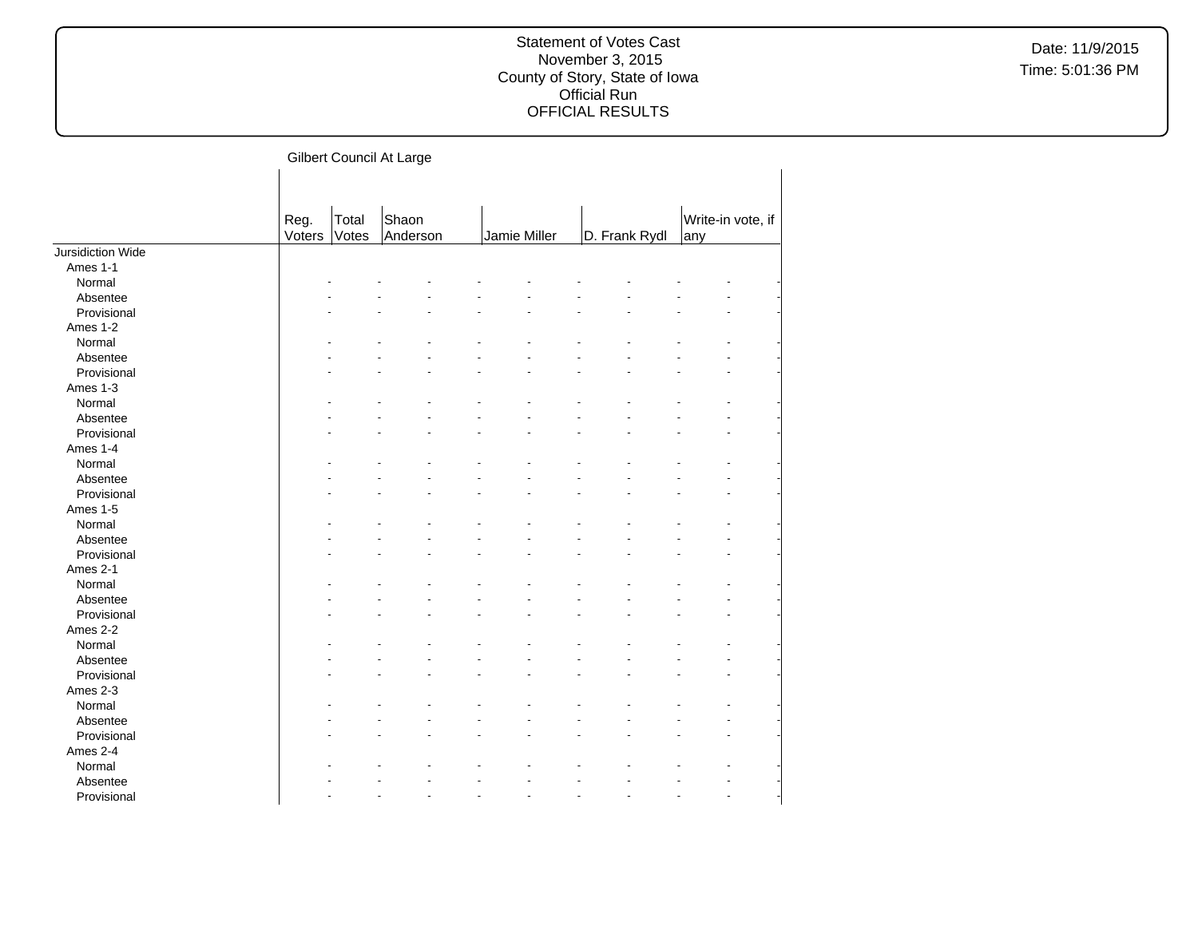| Gilbert Council At Large |  |
|--------------------------|--|
|--------------------------|--|

|                   | Reg.<br>Voters | Total<br>Votes | Shaon<br>Anderson | Jamie Miller | D. Frank Rydl | Write-in vote, if<br>any |
|-------------------|----------------|----------------|-------------------|--------------|---------------|--------------------------|
| Jursidiction Wide |                |                |                   |              |               |                          |
| Ames 1-1          |                |                |                   |              |               |                          |
| Normal            |                |                |                   |              |               |                          |
| Absentee          |                |                |                   |              |               |                          |
| Provisional       |                |                |                   |              |               |                          |
| Ames 1-2          |                |                |                   |              |               |                          |
| Normal            |                |                |                   |              |               |                          |
| Absentee          |                |                |                   |              |               |                          |
| Provisional       |                |                |                   |              |               |                          |
| Ames 1-3          |                |                |                   |              |               |                          |
| Normal            |                |                |                   |              |               |                          |
| Absentee          |                |                |                   |              |               |                          |
| Provisional       |                |                |                   |              |               |                          |
| Ames 1-4          |                |                |                   |              |               |                          |
| Normal            |                |                |                   |              |               |                          |
| Absentee          |                |                |                   |              |               |                          |
| Provisional       |                |                |                   |              |               |                          |
| Ames 1-5          |                |                |                   |              |               |                          |
| Normal            |                |                |                   |              |               |                          |
| Absentee          |                |                |                   |              |               |                          |
| Provisional       |                |                |                   |              |               |                          |
| Ames 2-1          |                |                |                   |              |               |                          |
| Normal            |                |                |                   |              |               |                          |
| Absentee          |                |                |                   |              |               |                          |
| Provisional       |                |                |                   |              |               |                          |
| Ames 2-2          |                |                |                   |              |               |                          |
| Normal            |                |                |                   |              |               |                          |
| Absentee          |                |                |                   |              |               |                          |
| Provisional       |                |                |                   |              |               |                          |
| Ames 2-3          |                |                |                   |              |               |                          |
| Normal            |                |                |                   |              |               |                          |
| Absentee          |                |                |                   |              |               |                          |
| Provisional       |                |                |                   |              |               |                          |
| Ames 2-4          |                |                |                   |              |               |                          |
| Normal            |                |                |                   |              |               |                          |
| Absentee          |                |                |                   |              |               |                          |
| Provisional       |                |                |                   |              |               |                          |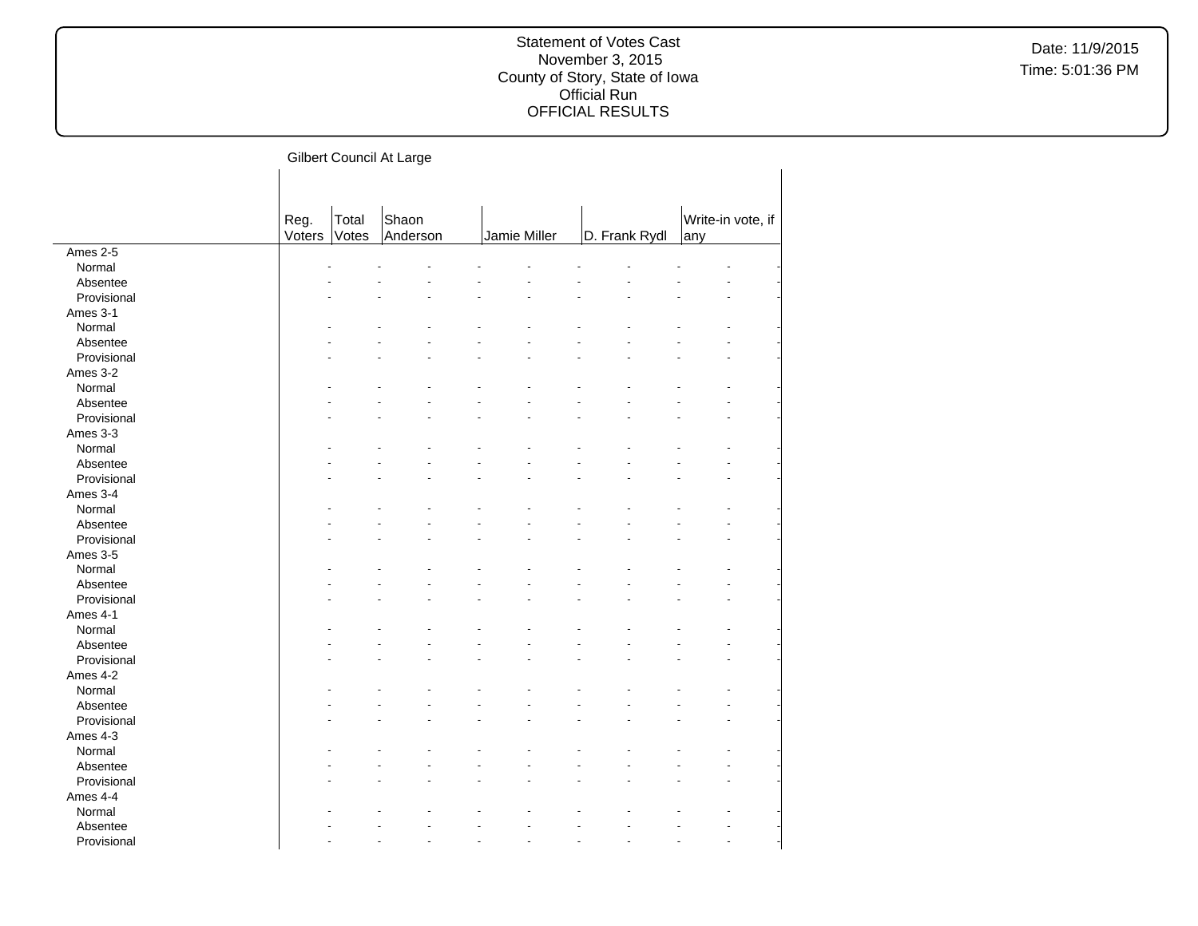| Gilbert Council At Large |  |
|--------------------------|--|
|--------------------------|--|

|             | Reg.   | Total | Shaon    |              |               | Write-in vote, if |
|-------------|--------|-------|----------|--------------|---------------|-------------------|
|             | Voters | Votes | Anderson | Jamie Miller | D. Frank Rydl | any               |
| Ames $2-5$  |        |       |          |              |               |                   |
| Normal      |        |       |          |              |               |                   |
| Absentee    |        |       |          |              |               |                   |
| Provisional |        |       |          |              |               |                   |
| Ames 3-1    |        |       |          |              |               |                   |
| Normal      |        |       |          |              |               |                   |
| Absentee    |        |       |          |              |               |                   |
| Provisional |        |       |          |              |               |                   |
| Ames 3-2    |        |       |          |              |               |                   |
| Normal      |        |       |          |              |               |                   |
| Absentee    |        |       |          |              |               |                   |
| Provisional |        |       |          |              |               |                   |
| Ames 3-3    |        |       |          |              |               |                   |
| Normal      |        |       |          |              |               |                   |
| Absentee    |        |       |          |              |               |                   |
| Provisional |        |       |          |              |               |                   |
| Ames 3-4    |        |       |          |              |               |                   |
| Normal      |        |       |          |              |               |                   |
| Absentee    |        |       |          |              |               |                   |
| Provisional |        |       |          |              |               |                   |
| Ames 3-5    |        |       |          |              |               |                   |
| Normal      |        |       |          |              |               |                   |
| Absentee    |        |       |          |              |               |                   |
| Provisional |        |       |          |              |               |                   |
| Ames 4-1    |        |       |          |              |               |                   |
| Normal      |        |       |          |              |               |                   |
| Absentee    |        |       |          |              |               |                   |
| Provisional |        |       |          |              |               |                   |
| Ames 4-2    |        |       |          |              |               |                   |
| Normal      |        |       |          |              |               |                   |
|             |        |       |          |              |               |                   |
| Absentee    |        |       |          |              |               |                   |
| Provisional |        |       |          |              |               |                   |
| Ames 4-3    |        |       |          |              |               |                   |
| Normal      |        |       |          |              |               |                   |
| Absentee    |        |       |          |              |               |                   |
| Provisional |        |       |          |              |               |                   |
| Ames 4-4    |        |       |          |              |               |                   |
| Normal      |        |       |          |              |               |                   |
| Absentee    |        |       |          |              |               |                   |
| Provisional |        |       |          |              |               |                   |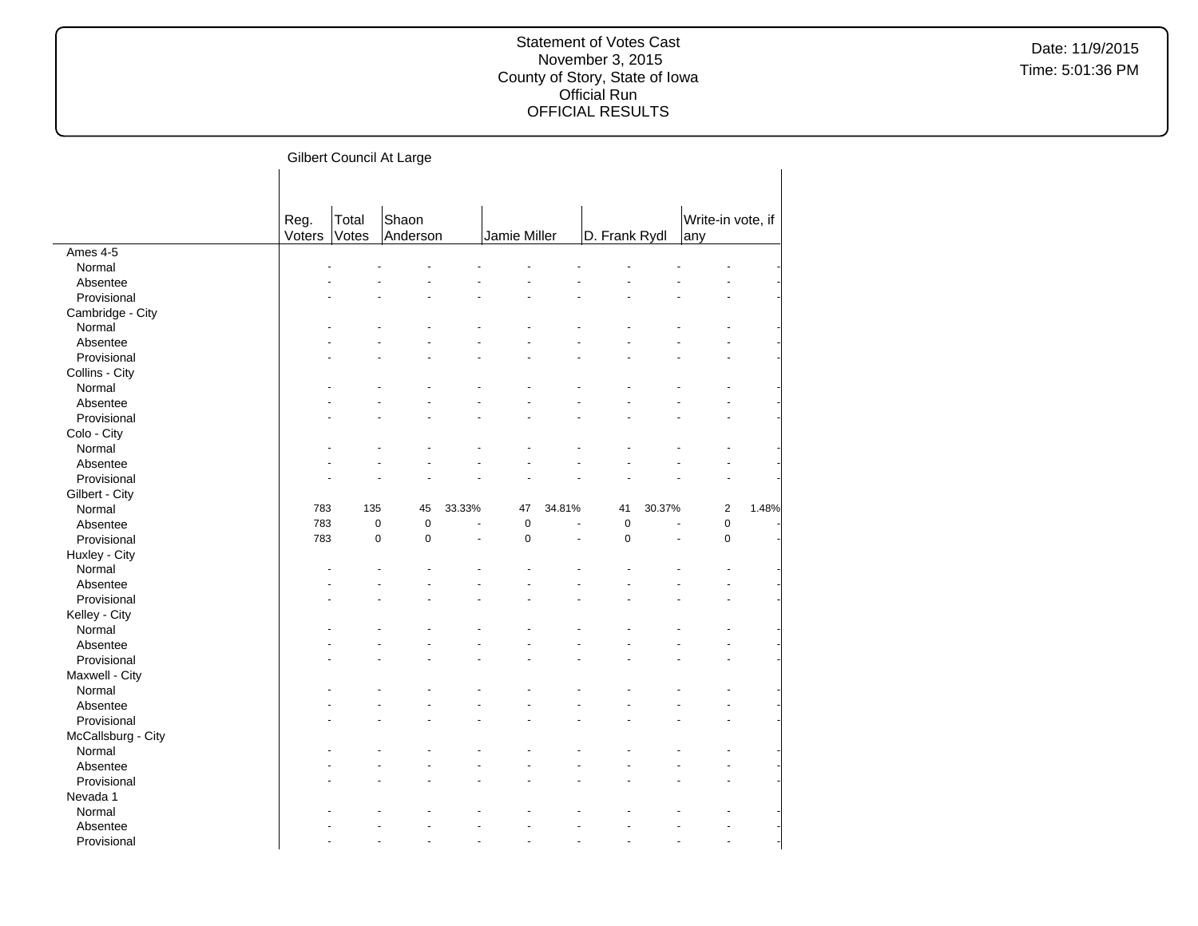|                    |                |                | Gilbert Council At Large |        |              |        |               |        |                          |       |
|--------------------|----------------|----------------|--------------------------|--------|--------------|--------|---------------|--------|--------------------------|-------|
|                    | Reg.<br>Voters | Total<br>Votes | Shaon<br>Anderson        |        | Jamie Miller |        | D. Frank Rydl |        | Write-in vote, if<br>any |       |
| Ames 4-5           |                |                |                          |        |              |        |               |        |                          |       |
| Normal             |                |                |                          |        |              |        |               |        |                          |       |
| Absentee           |                |                |                          |        |              |        |               |        |                          |       |
| Provisional        |                |                |                          |        |              |        |               |        |                          |       |
| Cambridge - City   |                |                |                          |        |              |        |               |        |                          |       |
| Normal             |                |                |                          |        |              |        |               |        |                          |       |
| Absentee           |                |                |                          |        |              |        |               |        |                          |       |
| Provisional        |                |                |                          |        |              |        |               |        |                          |       |
| Collins - City     |                |                |                          |        |              |        |               |        |                          |       |
| Normal             |                |                |                          |        |              |        |               |        |                          |       |
| Absentee           |                |                |                          |        |              |        |               |        |                          |       |
| Provisional        |                |                |                          |        |              |        |               |        |                          |       |
| Colo - City        |                |                |                          |        |              |        |               |        |                          |       |
| Normal             |                |                |                          |        |              |        |               |        |                          |       |
| Absentee           |                |                |                          |        |              |        |               |        |                          |       |
| Provisional        |                |                |                          |        |              |        |               |        |                          |       |
| Gilbert - City     |                |                |                          |        |              |        |               |        |                          |       |
| Normal             | 783            | 135            | 45                       | 33.33% | 47           | 34.81% | 41            | 30.37% | $\overline{2}$           | 1.48% |
| Absentee           | 783            | $\pmb{0}$      | $\pmb{0}$                |        | $\pmb{0}$    | Ĭ.     | $\pmb{0}$     |        | $\pmb{0}$                |       |
| Provisional        | 783            | $\mathbf 0$    | $\mathbf 0$              | ä,     | $\mathbf 0$  | ä,     | $\mathbf 0$   | ÷.     | $\mathbf 0$              |       |
| Huxley - City      |                |                |                          |        |              |        |               |        |                          |       |
| Normal             |                |                |                          |        |              |        |               |        |                          |       |
| Absentee           |                |                |                          |        |              |        |               |        |                          |       |
| Provisional        |                |                |                          |        |              |        |               |        |                          |       |
| Kelley - City      |                |                |                          |        |              |        |               |        |                          |       |
| Normal             |                |                |                          |        |              |        |               |        |                          |       |
| Absentee           |                |                |                          |        |              |        |               |        |                          |       |
| Provisional        |                |                |                          |        |              |        |               |        |                          |       |
| Maxwell - City     |                |                |                          |        |              |        |               |        |                          |       |
| Normal             |                |                |                          |        |              |        |               |        |                          |       |
| Absentee           |                |                |                          |        |              |        |               |        |                          |       |
| Provisional        |                |                |                          |        |              |        |               |        |                          |       |
| McCallsburg - City |                |                |                          |        |              |        |               |        |                          |       |
| Normal             |                |                |                          |        |              |        |               |        |                          |       |
| Absentee           |                |                |                          |        |              |        |               |        |                          |       |
| Provisional        |                |                |                          |        |              |        |               |        |                          |       |
| Nevada 1           |                |                |                          |        |              |        |               |        |                          |       |
| Normal             |                |                |                          |        |              |        |               |        |                          |       |
| Absentee           |                |                |                          |        |              |        |               |        |                          |       |
| Provisional        |                |                |                          |        |              |        |               |        |                          |       |
|                    |                |                |                          |        |              |        |               |        |                          |       |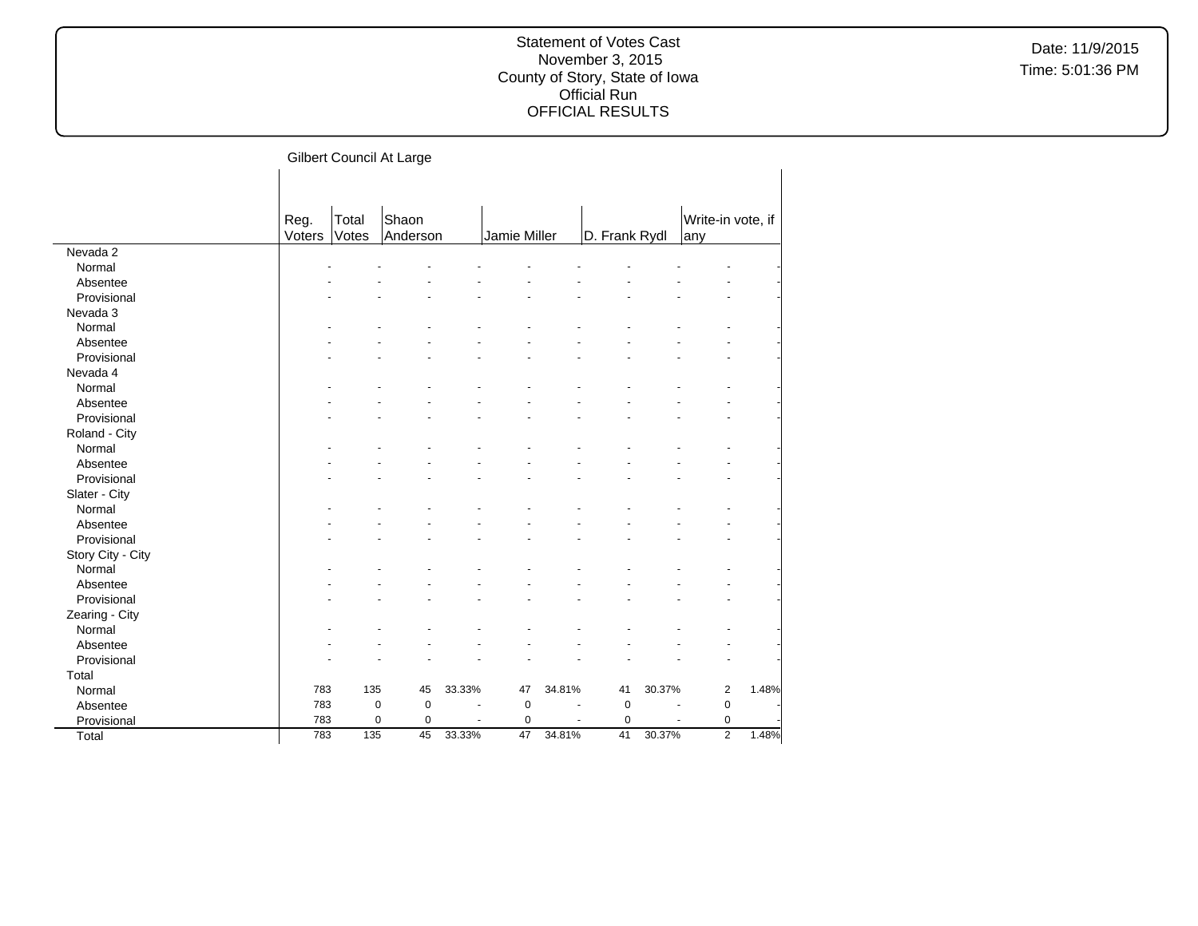|                   |        |             | Gilbert Council At Large |        |              |        |               |        |                   |       |
|-------------------|--------|-------------|--------------------------|--------|--------------|--------|---------------|--------|-------------------|-------|
|                   |        |             |                          |        |              |        |               |        |                   |       |
|                   |        |             |                          |        |              |        |               |        |                   |       |
|                   | Reg.   | Total       | Shaon                    |        |              |        |               |        | Write-in vote, if |       |
|                   | Voters | Votes       | Anderson                 |        | Jamie Miller |        | D. Frank Rydl |        | any               |       |
| Nevada 2          |        |             |                          |        |              |        |               |        |                   |       |
| Normal            |        |             |                          |        |              |        |               |        |                   |       |
| Absentee          |        |             |                          |        |              |        |               |        |                   |       |
| Provisional       |        |             |                          |        |              |        |               |        |                   |       |
| Nevada 3          |        |             |                          |        |              |        |               |        |                   |       |
| Normal            |        |             |                          |        |              |        |               |        |                   |       |
| Absentee          |        |             |                          |        |              |        |               |        |                   |       |
| Provisional       |        |             |                          |        |              |        |               |        |                   |       |
| Nevada 4          |        |             |                          |        |              |        |               |        |                   |       |
| Normal            |        |             |                          |        |              |        |               |        |                   |       |
| Absentee          |        |             |                          |        |              |        |               |        |                   |       |
| Provisional       |        |             |                          |        |              |        |               |        |                   |       |
| Roland - City     |        |             |                          |        |              |        |               |        |                   |       |
| Normal            |        |             |                          |        |              |        |               |        |                   |       |
| Absentee          |        |             |                          |        |              |        |               |        |                   |       |
| Provisional       |        |             |                          |        |              |        |               |        |                   |       |
| Slater - City     |        |             |                          |        |              |        |               |        |                   |       |
| Normal            |        |             |                          |        |              |        |               |        |                   |       |
| Absentee          |        |             |                          |        |              |        |               |        |                   |       |
| Provisional       |        |             |                          |        |              |        |               |        |                   |       |
| Story City - City |        |             |                          |        |              |        |               |        |                   |       |
| Normal            |        |             |                          |        |              |        |               |        |                   |       |
| Absentee          |        |             |                          |        |              |        |               |        |                   |       |
| Provisional       |        |             |                          |        |              |        |               |        |                   |       |
| Zearing - City    |        |             |                          |        |              |        |               |        |                   |       |
| Normal            |        |             |                          |        |              |        |               |        |                   |       |
| Absentee          |        |             |                          |        |              |        |               |        |                   |       |
| Provisional       |        |             |                          |        |              |        |               |        |                   |       |
| Total             |        |             |                          |        |              |        |               |        |                   |       |
| Normal            | 783    | 135         | 45                       | 33.33% | 47           | 34.81% | 41            | 30.37% | $\overline{c}$    | 1.48% |
| Absentee          | 783    | $\mathbf 0$ | $\pmb{0}$                |        | $\mathbf 0$  |        | $\mathbf 0$   |        | $\mathbf 0$       |       |
|                   | 783    | $\pmb{0}$   | $\pmb{0}$                |        | 0            |        | $\pmb{0}$     |        | $\pmb{0}$         |       |
| Provisional       | 783    | 135         | $\overline{45}$          | 33.33% | 47           | 34.81% | 41            | 30.37% | $\overline{2}$    | 1.48% |
| Total             |        |             |                          |        |              |        |               |        |                   |       |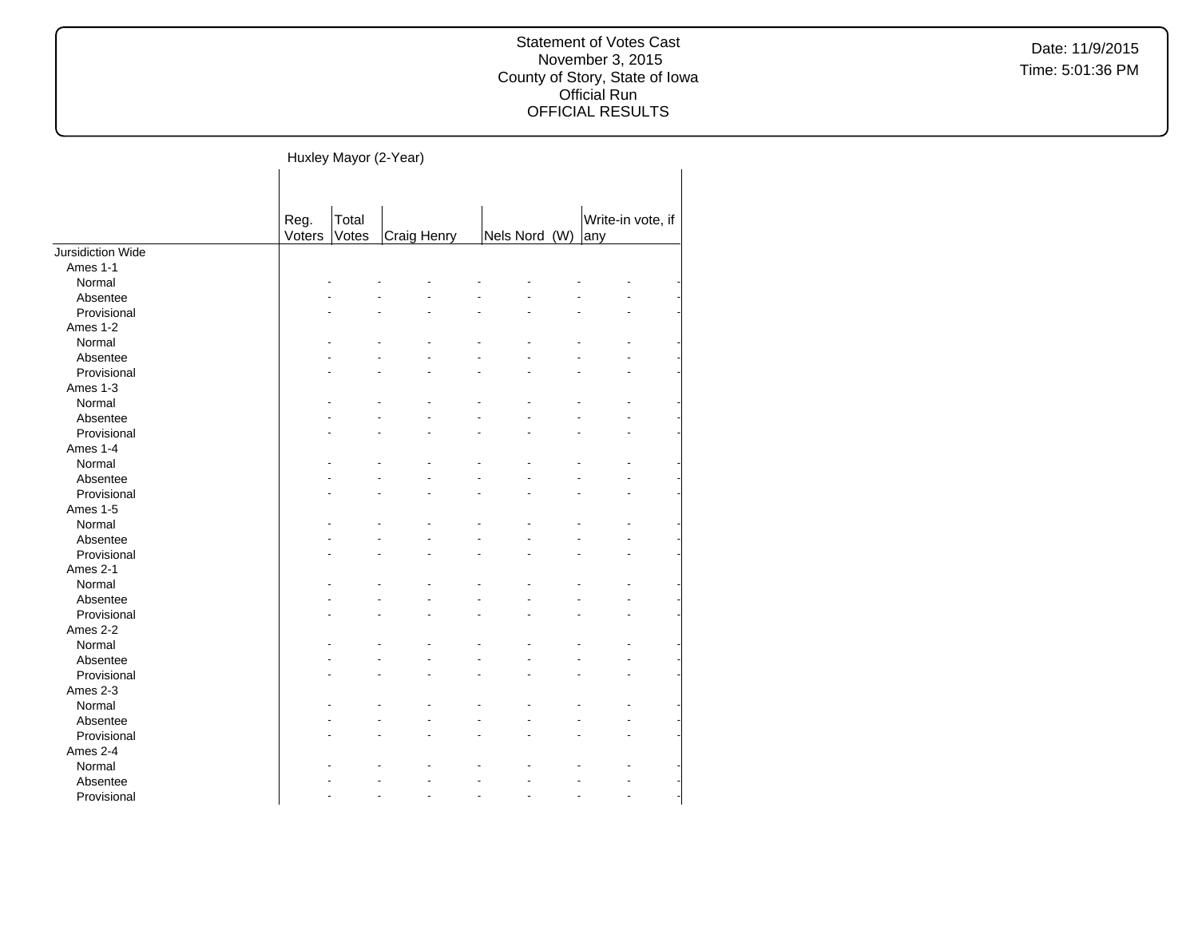Huxley Mayor (2-Year)

|                   | Reg.   | Total |             |               | Write-in vote, if |
|-------------------|--------|-------|-------------|---------------|-------------------|
|                   |        |       |             |               |                   |
|                   | Voters | Votes | Craig Henry | Nels Nord (W) | any               |
| Jursidiction Wide |        |       |             |               |                   |
| Ames 1-1          |        |       |             |               |                   |
| Normal            |        |       |             |               |                   |
| Absentee          |        |       |             |               |                   |
| Provisional       |        |       |             |               |                   |
| Ames 1-2          |        |       |             |               |                   |
| Normal            |        |       |             |               |                   |
| Absentee          |        |       |             |               |                   |
| Provisional       |        |       |             |               |                   |
| Ames 1-3          |        |       |             |               |                   |
| Normal            |        |       |             |               |                   |
| Absentee          |        |       |             |               |                   |
| Provisional       |        |       |             |               |                   |
| Ames 1-4          |        |       |             |               |                   |
| Normal            |        |       |             |               |                   |
| Absentee          |        |       |             |               |                   |
| Provisional       |        |       |             |               |                   |
| Ames 1-5          |        |       |             |               |                   |
| Normal            |        |       |             |               |                   |
| Absentee          |        |       |             |               |                   |
| Provisional       |        |       |             |               |                   |
| Ames 2-1          |        |       |             |               |                   |
| Normal            |        |       |             |               |                   |
| Absentee          |        |       |             |               |                   |
| Provisional       |        |       |             |               |                   |
| Ames 2-2          |        |       |             |               |                   |
| Normal            |        |       |             |               |                   |
| Absentee          |        |       |             |               |                   |
| Provisional       |        |       |             |               |                   |
| Ames 2-3          |        |       |             |               |                   |
| Normal            |        |       |             |               |                   |
| Absentee          |        |       |             |               |                   |
| Provisional       |        |       |             |               |                   |
| Ames 2-4          |        |       |             |               |                   |
| Normal            |        |       |             |               |                   |
| Absentee          |        |       |             |               |                   |
|                   |        |       |             |               |                   |
| Provisional       |        |       |             |               |                   |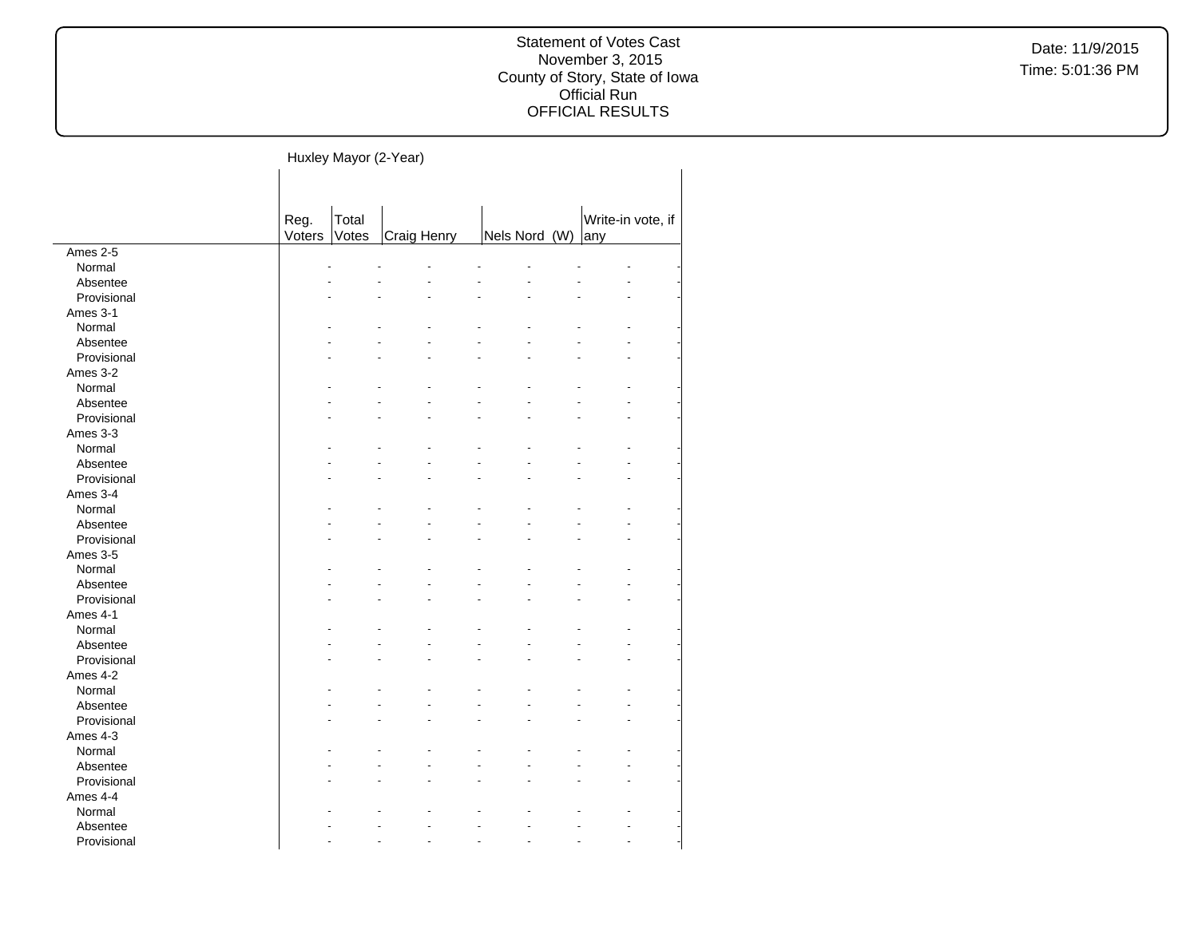#### Statement of Votes Cast November 3, 2015 County of Story, State of Iowa Official Run OFFICIAL RESULTS

#### Huxley Mayor (2-Year)

|                    | Reg.   | Total |             |               | Write-in vote, if |  |
|--------------------|--------|-------|-------------|---------------|-------------------|--|
|                    | Voters | Votes | Craig Henry | Nels Nord (W) | any               |  |
| Ames 2-5           |        |       |             |               |                   |  |
| Normal             |        |       |             |               |                   |  |
| Absentee           |        |       |             |               |                   |  |
| Provisional        |        |       |             |               |                   |  |
| Ames 3-1           |        |       |             |               |                   |  |
| Normal             |        |       |             |               |                   |  |
| Absentee           |        |       |             |               |                   |  |
| Provisional        |        |       |             |               |                   |  |
| Ames 3-2           |        |       |             |               |                   |  |
| Normal             |        |       |             |               |                   |  |
| Absentee           |        |       |             |               |                   |  |
| Provisional        |        |       |             |               |                   |  |
| Ames 3-3           |        |       |             |               |                   |  |
| Normal             |        |       |             |               |                   |  |
| Absentee           |        |       |             |               |                   |  |
| Provisional        |        |       |             |               |                   |  |
| Ames 3-4           |        |       |             |               |                   |  |
| Normal             |        |       |             |               |                   |  |
| Absentee           |        |       |             |               |                   |  |
| Provisional        |        |       |             |               |                   |  |
| Ames 3-5           |        |       |             |               |                   |  |
| Normal             |        |       |             |               |                   |  |
| Absentee           |        |       |             |               |                   |  |
| Provisional        |        |       |             |               |                   |  |
| Ames 4-1           |        |       |             |               |                   |  |
| Normal             |        |       |             |               |                   |  |
| Absentee           |        |       |             |               |                   |  |
| Provisional        |        |       |             |               |                   |  |
| Ames 4-2           |        |       |             |               |                   |  |
| Normal             |        |       |             |               |                   |  |
| Absentee           |        |       |             |               |                   |  |
| Provisional        |        |       |             |               |                   |  |
|                    |        |       |             |               |                   |  |
| Ames 4-3<br>Normal |        |       |             |               |                   |  |
|                    |        |       |             |               |                   |  |
| Absentee           |        |       |             |               |                   |  |
| Provisional        |        |       |             |               |                   |  |
| Ames 4-4           |        |       |             |               |                   |  |
| Normal             |        |       |             |               |                   |  |
| Absentee           |        |       |             |               |                   |  |
| Provisional        |        |       |             |               |                   |  |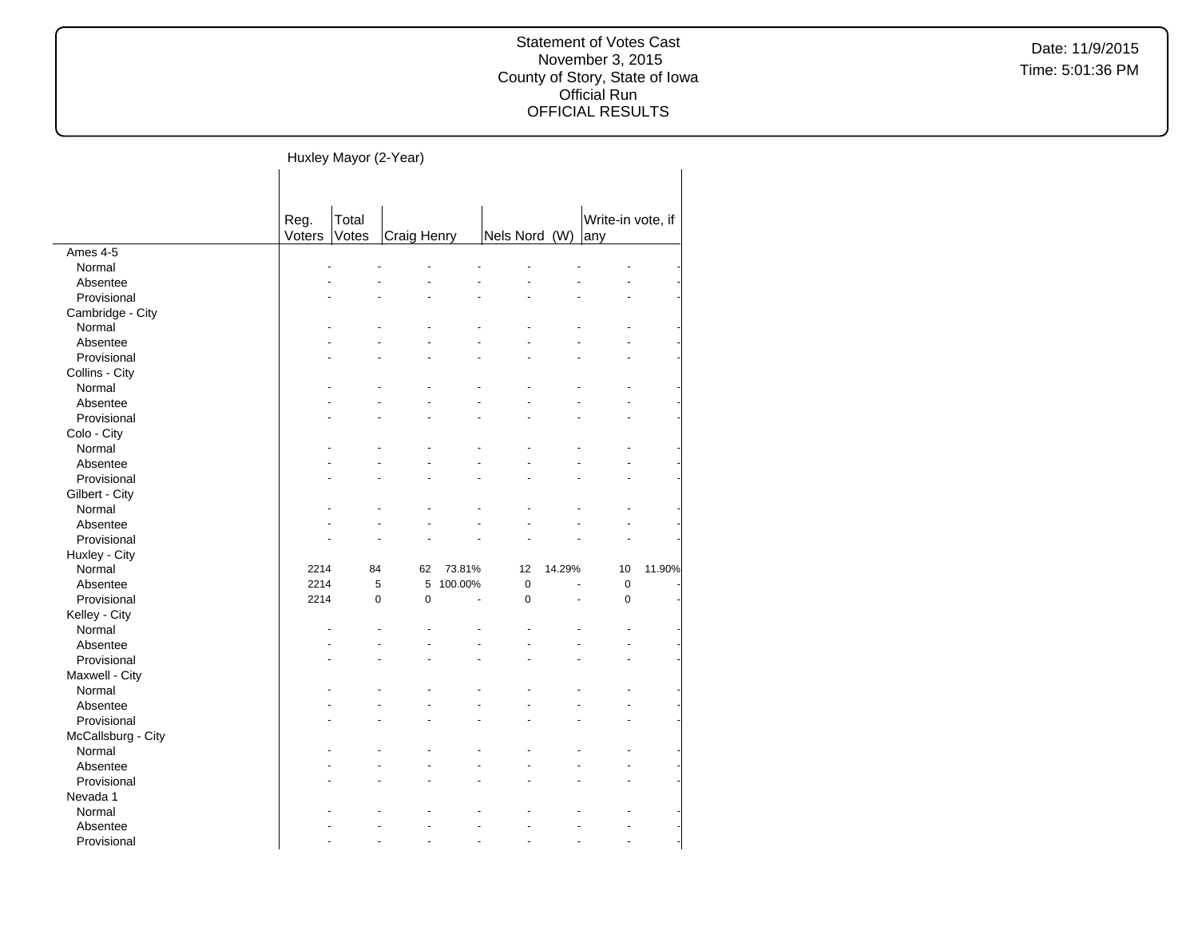#### Statement of Votes Cast November 3, 2015 County of Story, State of Iowa Official Run OFFICIAL RESULTS

# Huxley Mayor (2-Year)

|                          | Reg.<br>Voters | Total<br>Votes | Craig Henry      |         | Nels Nord (W) |        | Write-in vote, if<br>any |        |
|--------------------------|----------------|----------------|------------------|---------|---------------|--------|--------------------------|--------|
| Ames 4-5                 |                |                |                  |         |               |        |                          |        |
| Normal                   |                |                |                  |         |               |        |                          |        |
| Absentee                 |                |                |                  |         |               |        |                          |        |
| Provisional              |                |                |                  |         |               |        |                          |        |
| Cambridge - City         |                |                |                  |         |               |        |                          |        |
| Normal                   |                |                |                  |         |               |        |                          |        |
| Absentee                 |                |                |                  |         |               |        |                          |        |
| Provisional              |                |                |                  |         |               |        |                          |        |
|                          |                |                |                  |         |               |        |                          |        |
| Collins - City<br>Normal |                |                |                  |         |               |        |                          |        |
| Absentee                 |                |                |                  |         |               |        |                          |        |
|                          |                |                |                  |         |               |        |                          |        |
| Provisional              |                |                |                  |         |               |        |                          |        |
| Colo - City              |                |                |                  |         |               |        |                          |        |
| Normal                   |                |                |                  |         |               |        |                          |        |
| Absentee                 |                |                |                  |         |               |        |                          |        |
| Provisional              |                |                |                  |         |               |        |                          |        |
| Gilbert - City           |                |                |                  |         |               |        |                          |        |
| Normal                   |                |                |                  |         |               |        |                          |        |
| Absentee                 |                |                |                  |         |               |        |                          |        |
| Provisional              |                |                |                  |         |               |        |                          |        |
| Huxley - City            |                |                |                  |         |               |        |                          |        |
| Normal                   | 2214           | 84             | 62               | 73.81%  | 12            | 14.29% | 10                       | 11.90% |
| Absentee                 | 2214           |                | 5<br>5           | 100.00% | $\mathbf 0$   |        | $\mathbf 0$              |        |
| Provisional              | 2214           |                | $\mathbf 0$<br>0 |         | $\pmb{0}$     |        | $\pmb{0}$                |        |
| Kelley - City            |                |                |                  |         |               |        |                          |        |
| Normal                   |                |                |                  |         |               |        |                          |        |
| Absentee                 |                |                |                  |         |               |        |                          |        |
| Provisional              |                |                |                  |         |               |        |                          |        |
| Maxwell - City           |                |                |                  |         |               |        |                          |        |
| Normal                   |                |                |                  |         |               |        |                          |        |
| Absentee                 |                |                |                  |         |               |        |                          |        |
| Provisional              |                |                |                  |         |               |        |                          |        |
| McCallsburg - City       |                |                |                  |         |               |        |                          |        |
| Normal                   |                |                |                  |         |               |        |                          |        |
| Absentee                 |                |                |                  |         |               |        |                          |        |
| Provisional              |                |                |                  |         |               |        |                          |        |
| Nevada 1                 |                |                |                  |         |               |        |                          |        |
| Normal                   |                |                |                  |         |               |        |                          |        |
| Absentee                 |                |                |                  |         |               |        |                          |        |
| Provisional              |                |                |                  |         |               |        |                          |        |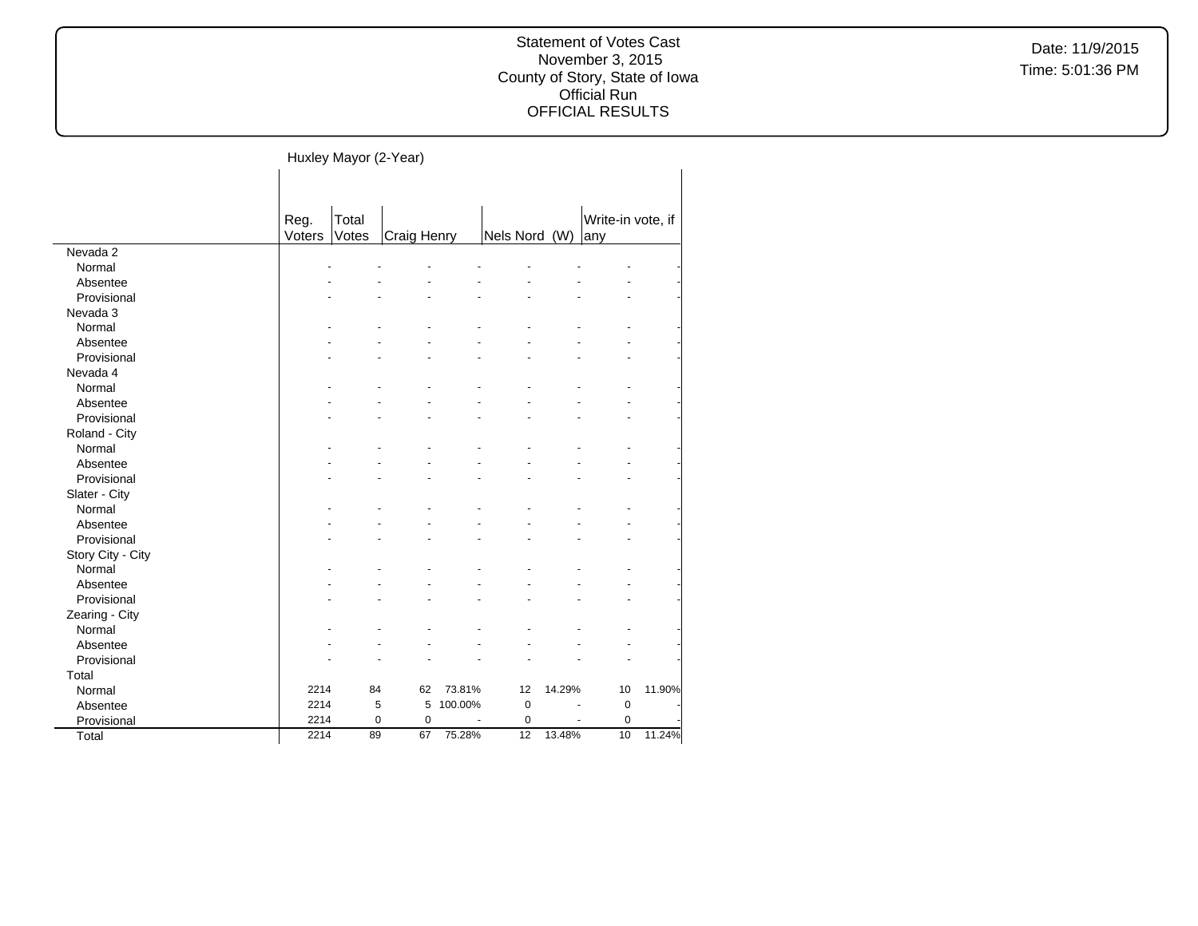#### Statement of Votes Cast November 3, 2015 County of Story, State of Iowa Official Run OFFICIAL RESULTS

#### Huxley Mayor (2-Year)

|                   | Reg.<br>Voters | Total<br>Votes | Craig Henry    |         | Nels Nord (W) |        | Write-in vote, if<br>any |        |
|-------------------|----------------|----------------|----------------|---------|---------------|--------|--------------------------|--------|
| Nevada 2          |                |                |                |         |               |        |                          |        |
| Normal            |                |                |                |         |               |        |                          |        |
| Absentee          |                |                |                |         |               |        |                          |        |
| Provisional       |                |                |                |         |               |        |                          |        |
| Nevada 3          |                |                |                |         |               |        |                          |        |
| Normal            |                |                |                |         |               |        |                          |        |
| Absentee          |                |                |                |         |               |        |                          |        |
| Provisional       |                |                |                |         |               |        |                          |        |
| Nevada 4          |                |                |                |         |               |        |                          |        |
| Normal            |                |                |                |         |               |        |                          |        |
| Absentee          |                |                |                |         |               |        |                          |        |
| Provisional       |                |                |                |         |               |        |                          |        |
| Roland - City     |                |                |                |         |               |        |                          |        |
| Normal            |                |                |                |         |               |        |                          |        |
| Absentee          |                |                |                |         |               |        |                          |        |
| Provisional       |                |                |                |         |               |        |                          |        |
| Slater - City     |                |                |                |         |               |        |                          |        |
| Normal            |                |                |                |         |               |        |                          |        |
| Absentee          |                |                |                |         |               |        |                          |        |
| Provisional       |                |                |                |         |               |        |                          |        |
| Story City - City |                |                |                |         |               |        |                          |        |
| Normal            |                |                |                |         |               |        |                          |        |
| Absentee          |                |                |                |         |               |        |                          |        |
| Provisional       |                |                |                |         |               |        |                          |        |
| Zearing - City    |                |                |                |         |               |        |                          |        |
| Normal            |                |                |                |         |               |        |                          |        |
| Absentee          |                |                |                |         |               |        |                          |        |
| Provisional       |                |                |                |         |               |        |                          |        |
| Total             |                |                |                |         |               |        |                          |        |
| Normal            | 2214           | 84             | 62             | 73.81%  | 12            | 14.29% | 10                       | 11.90% |
| Absentee          | 2214           | 5              | 5              | 100.00% | 0             | ÷      | $\mathbf 0$              |        |
| Provisional       | 2214           | 0              | $\overline{0}$ |         | $\mathbf 0$   |        | $\overline{0}$           |        |
| Total             | 2214           | 89             | 67             | 75.28%  | 12            | 13.48% | 10                       | 11.24% |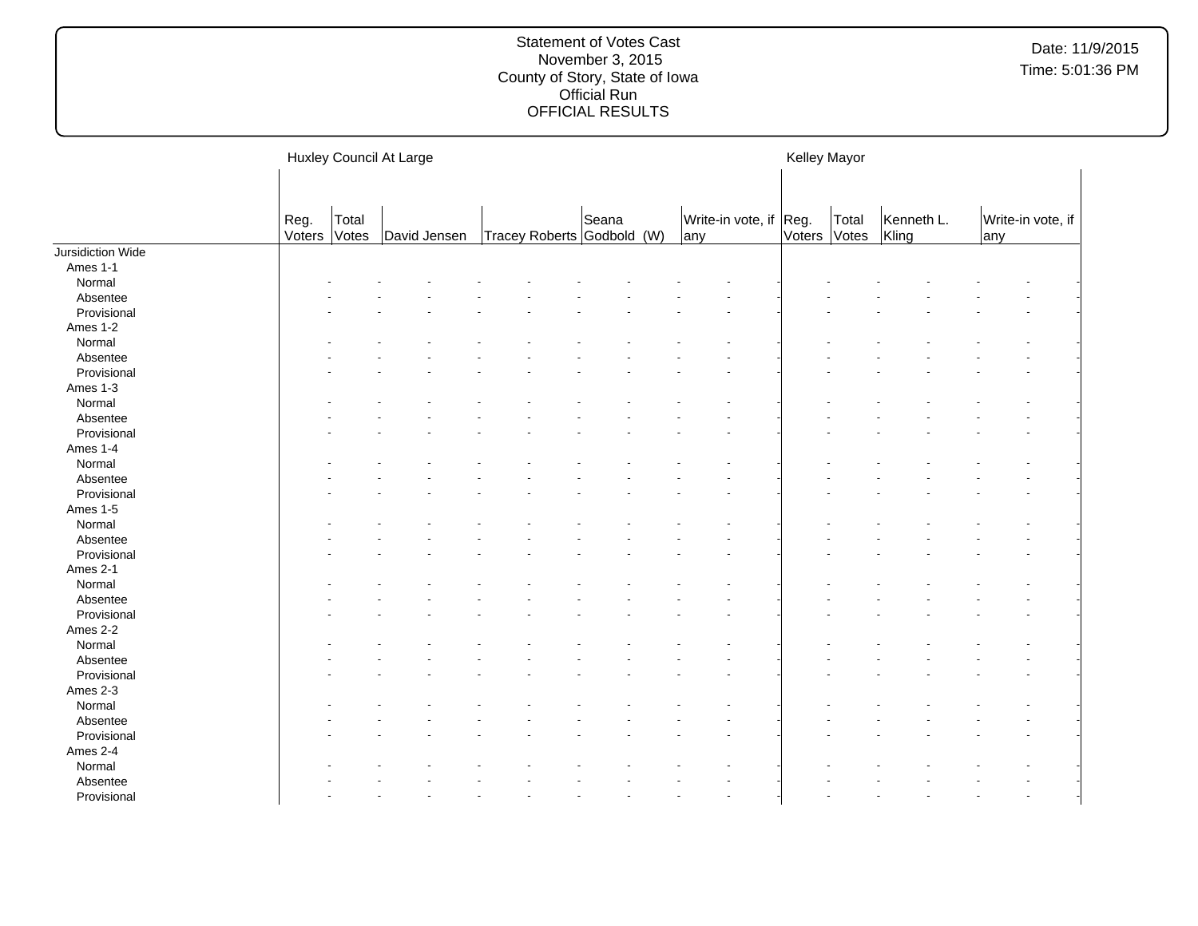|                   |                |                | Huxley Council At Large |  |                                     |     |                        | Kelley Mayor |       |                     |     |                   |
|-------------------|----------------|----------------|-------------------------|--|-------------------------------------|-----|------------------------|--------------|-------|---------------------|-----|-------------------|
|                   | Reg.<br>Voters | Total<br>Votes | David Jensen            |  | Seana<br>Tracey Roberts Godbold (W) | any | Write-in vote, if Reg. | Voters Votes | Total | Kenneth L.<br>Kling | any | Write-in vote, if |
| Jursidiction Wide |                |                |                         |  |                                     |     |                        |              |       |                     |     |                   |
| Ames 1-1          |                |                |                         |  |                                     |     |                        |              |       |                     |     |                   |
| Normal            |                |                |                         |  |                                     |     |                        |              |       |                     |     |                   |
| Absentee          |                |                |                         |  |                                     |     |                        |              |       |                     |     |                   |
| Provisional       |                |                |                         |  |                                     |     |                        |              |       |                     |     |                   |
| Ames 1-2          |                |                |                         |  |                                     |     |                        |              |       |                     |     |                   |
| Normal            |                |                |                         |  |                                     |     |                        |              |       |                     |     |                   |
| Absentee          |                |                |                         |  |                                     |     |                        |              |       |                     |     |                   |
| Provisional       |                |                |                         |  |                                     |     |                        |              |       |                     |     |                   |
| Ames 1-3          |                |                |                         |  |                                     |     |                        |              |       |                     |     |                   |
| Normal            |                |                |                         |  |                                     |     |                        |              |       |                     |     |                   |
| Absentee          |                |                |                         |  |                                     |     |                        |              |       |                     |     |                   |
| Provisional       |                |                |                         |  |                                     |     |                        |              |       |                     |     |                   |
| Ames 1-4          |                |                |                         |  |                                     |     |                        |              |       |                     |     |                   |
| Normal            |                |                |                         |  |                                     |     |                        |              |       |                     |     |                   |
| Absentee          |                |                |                         |  |                                     |     |                        |              |       |                     |     |                   |
| Provisional       |                |                |                         |  |                                     |     |                        |              |       |                     |     |                   |
| Ames 1-5          |                |                |                         |  |                                     |     |                        |              |       |                     |     |                   |
| Normal            |                |                |                         |  |                                     |     |                        |              |       |                     |     |                   |
| Absentee          |                |                |                         |  |                                     |     |                        |              |       |                     |     |                   |
| Provisional       |                |                |                         |  |                                     |     |                        |              |       |                     |     |                   |
| Ames 2-1          |                |                |                         |  |                                     |     |                        |              |       |                     |     |                   |
| Normal            |                |                |                         |  |                                     |     |                        |              |       |                     |     |                   |
|                   |                |                |                         |  |                                     |     |                        |              |       |                     |     |                   |
| Absentee          |                |                |                         |  |                                     |     |                        |              |       |                     |     |                   |
| Provisional       |                |                |                         |  |                                     |     |                        |              |       |                     |     |                   |
| Ames 2-2          |                |                |                         |  |                                     |     |                        |              |       |                     |     |                   |
| Normal            |                |                |                         |  |                                     |     |                        |              |       |                     |     |                   |
| Absentee          |                |                |                         |  |                                     |     |                        |              |       |                     |     |                   |
| Provisional       |                |                |                         |  |                                     |     |                        |              |       |                     |     |                   |
| Ames 2-3          |                |                |                         |  |                                     |     |                        |              |       |                     |     |                   |
| Normal            |                |                |                         |  |                                     |     |                        |              |       |                     |     |                   |
| Absentee          |                |                |                         |  |                                     |     |                        |              |       |                     |     |                   |
| Provisional       |                |                |                         |  |                                     |     |                        |              |       |                     |     |                   |
| Ames 2-4          |                |                |                         |  |                                     |     |                        |              |       |                     |     |                   |
| Normal            |                |                |                         |  |                                     |     |                        |              |       |                     |     |                   |
| Absentee          |                |                |                         |  |                                     |     |                        |              |       |                     |     |                   |
| Provisional       |                |                |                         |  |                                     |     |                        |              |       |                     |     |                   |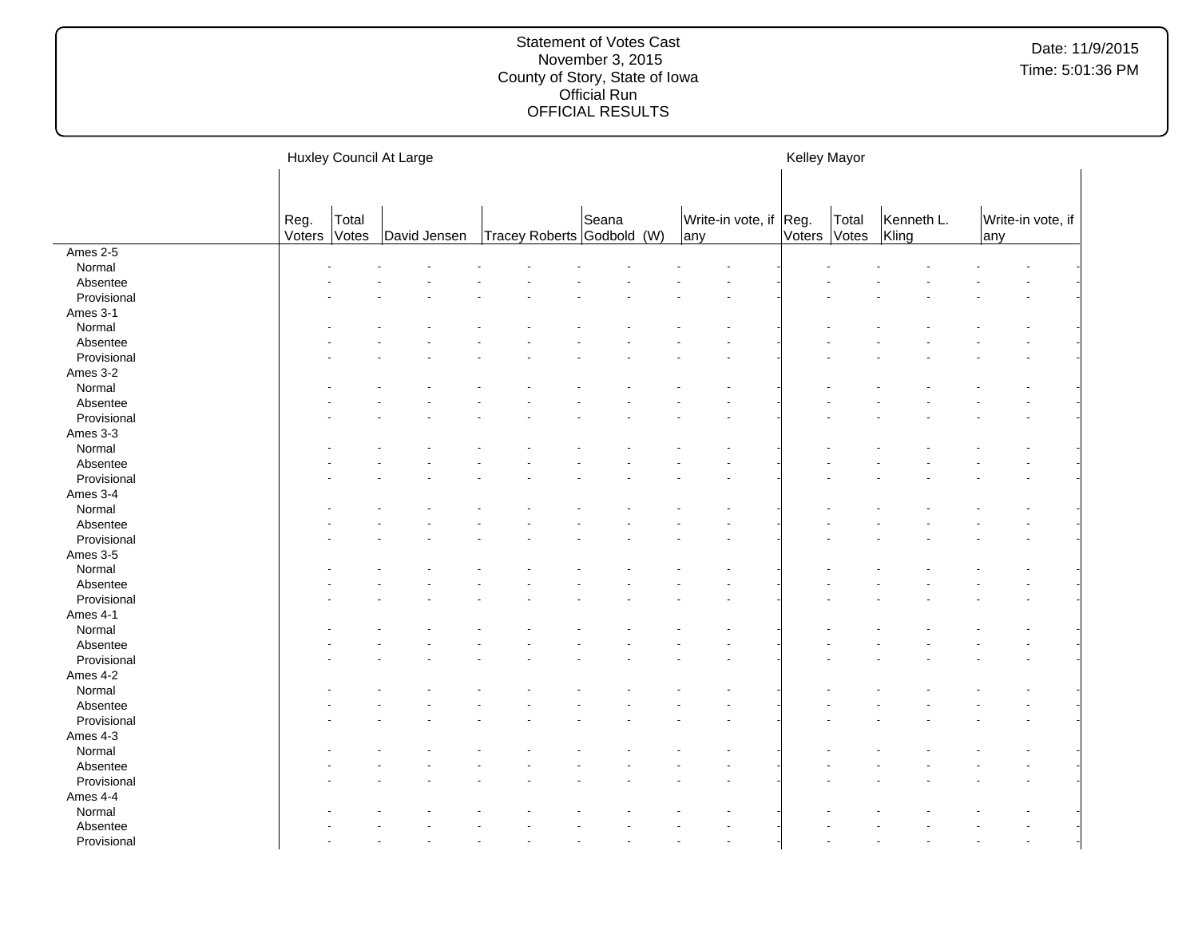|                 |                |                | Huxley Council At Large |  |                                     |                               | Kelley Mayor |       |                     |     |                   |  |
|-----------------|----------------|----------------|-------------------------|--|-------------------------------------|-------------------------------|--------------|-------|---------------------|-----|-------------------|--|
|                 |                |                |                         |  |                                     |                               |              |       |                     |     |                   |  |
|                 | Reg.<br>Voters | Total<br>Votes | David Jensen            |  | Seana<br>Tracey Roberts Godbold (W) | Write-in vote, if Reg.<br>any | Voters Votes | Total | Kenneth L.<br>Kling | any | Write-in vote, if |  |
| <b>Ames 2-5</b> |                |                |                         |  |                                     |                               |              |       |                     |     |                   |  |
| Normal          |                |                |                         |  |                                     |                               |              |       |                     |     |                   |  |
| Absentee        |                |                |                         |  |                                     |                               |              |       |                     |     |                   |  |
| Provisional     |                |                |                         |  |                                     |                               |              |       |                     |     |                   |  |
| Ames 3-1        |                |                |                         |  |                                     |                               |              |       |                     |     |                   |  |
| Normal          |                |                |                         |  |                                     |                               |              |       |                     |     |                   |  |
| Absentee        |                |                |                         |  |                                     |                               |              |       |                     |     |                   |  |
| Provisional     |                |                |                         |  |                                     |                               |              |       |                     |     |                   |  |
| Ames 3-2        |                |                |                         |  |                                     |                               |              |       |                     |     |                   |  |
| Normal          |                |                |                         |  |                                     |                               |              |       |                     |     |                   |  |
| Absentee        |                |                |                         |  |                                     |                               |              |       |                     |     |                   |  |
| Provisional     |                |                |                         |  |                                     |                               |              |       |                     |     |                   |  |
| Ames 3-3        |                |                |                         |  |                                     |                               |              |       |                     |     |                   |  |
| Normal          |                |                |                         |  |                                     |                               |              |       |                     |     |                   |  |
| Absentee        |                |                |                         |  |                                     |                               |              |       |                     |     |                   |  |
| Provisional     |                |                |                         |  |                                     |                               |              |       |                     |     |                   |  |
| Ames 3-4        |                |                |                         |  |                                     |                               |              |       |                     |     |                   |  |
| Normal          |                |                |                         |  |                                     |                               |              |       |                     |     |                   |  |
| Absentee        |                |                |                         |  |                                     |                               |              |       |                     |     |                   |  |
| Provisional     |                |                |                         |  |                                     |                               |              |       |                     |     |                   |  |
| Ames 3-5        |                |                |                         |  |                                     |                               |              |       |                     |     |                   |  |
| Normal          |                |                |                         |  |                                     |                               |              |       |                     |     |                   |  |
| Absentee        |                |                |                         |  |                                     |                               |              |       |                     |     |                   |  |
| Provisional     |                |                |                         |  |                                     |                               |              |       |                     |     |                   |  |
| Ames 4-1        |                |                |                         |  |                                     |                               |              |       |                     |     |                   |  |
| Normal          |                |                |                         |  |                                     |                               |              |       |                     |     |                   |  |
| Absentee        |                |                |                         |  |                                     |                               |              |       |                     |     |                   |  |
| Provisional     |                |                |                         |  |                                     |                               |              |       |                     |     |                   |  |
| Ames 4-2        |                |                |                         |  |                                     |                               |              |       |                     |     |                   |  |
| Normal          |                |                |                         |  |                                     |                               |              |       |                     |     |                   |  |
| Absentee        |                |                |                         |  |                                     |                               |              |       |                     |     |                   |  |
| Provisional     |                |                |                         |  |                                     |                               |              |       |                     |     |                   |  |
| Ames 4-3        |                |                |                         |  |                                     |                               |              |       |                     |     |                   |  |
| Normal          |                |                |                         |  |                                     |                               |              |       |                     |     |                   |  |
| Absentee        |                |                |                         |  |                                     |                               |              |       |                     |     |                   |  |
| Provisional     |                |                |                         |  |                                     |                               |              |       |                     |     |                   |  |
| Ames 4-4        |                |                |                         |  |                                     |                               |              |       |                     |     |                   |  |
| Normal          |                |                |                         |  |                                     |                               |              |       |                     |     |                   |  |
| Absentee        |                |                |                         |  |                                     |                               |              |       |                     |     |                   |  |
| Provisional     |                |                |                         |  |                                     |                               |              |       |                     |     |                   |  |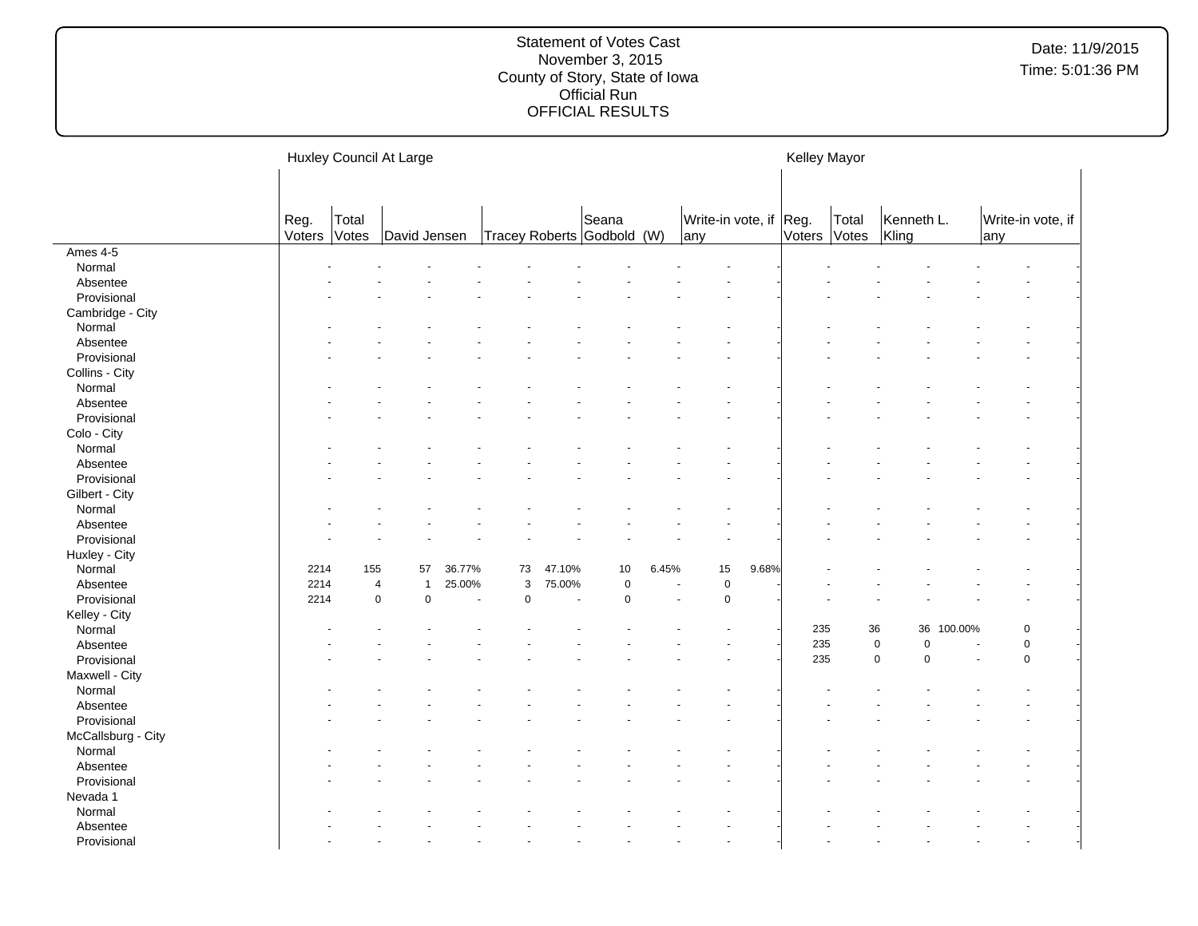|                    |                |                | Huxley Council At Large  |        |             |        |                                     |       |                               |       | Kelley Mayor |                       |                          |         |                          |  |
|--------------------|----------------|----------------|--------------------------|--------|-------------|--------|-------------------------------------|-------|-------------------------------|-------|--------------|-----------------------|--------------------------|---------|--------------------------|--|
|                    | Reg.<br>Voters | Total<br>Votes | David Jensen             |        |             |        | Seana<br>Tracey Roberts Godbold (W) |       | Write-in vote, if Reg.<br>any |       |              | Total<br>Voters Votes | Kenneth L.<br>Kling      |         | Write-in vote, if<br>any |  |
| Ames 4-5           |                |                |                          |        |             |        |                                     |       |                               |       |              |                       |                          |         |                          |  |
| Normal             |                |                |                          |        |             |        |                                     |       |                               |       |              |                       |                          |         |                          |  |
| Absentee           |                |                |                          |        |             |        |                                     |       |                               |       |              |                       |                          |         |                          |  |
| Provisional        |                |                |                          |        |             |        |                                     |       |                               |       |              |                       |                          |         |                          |  |
| Cambridge - City   |                |                |                          |        |             |        |                                     |       |                               |       |              |                       |                          |         |                          |  |
| Normal             |                |                |                          |        |             |        |                                     |       |                               |       |              |                       |                          |         |                          |  |
| Absentee           |                |                |                          |        |             |        |                                     |       |                               |       |              |                       |                          |         |                          |  |
| Provisional        |                |                |                          |        |             |        |                                     |       |                               |       |              |                       |                          |         |                          |  |
| Collins - City     |                |                |                          |        |             |        |                                     |       |                               |       |              |                       |                          |         |                          |  |
| Normal             |                |                |                          |        |             |        |                                     |       |                               |       |              |                       |                          |         |                          |  |
| Absentee           |                |                |                          |        |             |        |                                     |       |                               |       |              |                       |                          |         |                          |  |
| Provisional        |                |                |                          |        |             |        |                                     |       |                               |       |              |                       |                          |         |                          |  |
| Colo - City        |                |                |                          |        |             |        |                                     |       |                               |       |              |                       |                          |         |                          |  |
| Normal             |                |                |                          |        |             |        |                                     |       |                               |       |              |                       |                          |         |                          |  |
| Absentee           |                |                |                          |        |             |        |                                     |       |                               |       |              |                       |                          |         |                          |  |
| Provisional        |                |                |                          |        |             |        |                                     |       |                               |       |              |                       |                          |         |                          |  |
| Gilbert - City     |                |                |                          |        |             |        |                                     |       |                               |       |              |                       |                          |         |                          |  |
| Normal             |                |                |                          |        |             |        |                                     |       |                               |       |              |                       |                          |         |                          |  |
| Absentee           |                |                |                          |        |             |        |                                     |       |                               |       |              |                       |                          |         |                          |  |
| Provisional        |                |                |                          |        |             |        |                                     |       |                               |       |              |                       |                          |         |                          |  |
| Huxley - City      |                |                |                          |        |             |        |                                     |       |                               |       |              |                       |                          |         |                          |  |
| Normal             | 2214           | 155            | 57                       | 36.77% | 73          | 47.10% | 10                                  | 6.45% | 15                            | 9.68% |              |                       |                          |         |                          |  |
| Absentee           | 2214           |                | 4<br>$\mathbf{1}$        | 25.00% | 3           | 75.00% | 0                                   |       | $\mathbf 0$                   |       |              |                       |                          |         |                          |  |
| Provisional        | 2214           |                | $\mathbf 0$<br>$\pmb{0}$ | ÷,     | $\mathbf 0$ | ä,     | $\mathbf 0$                         |       | $\overline{0}$                |       |              |                       |                          |         |                          |  |
| Kelley - City      |                |                |                          |        |             |        |                                     |       |                               |       |              |                       |                          |         |                          |  |
| Normal             |                |                |                          |        |             |        |                                     |       |                               |       | 235          |                       | 36<br>36                 | 100.00% | $\mathbf 0$              |  |
| Absentee           |                |                |                          |        |             |        |                                     |       |                               |       | 235          |                       | $\pmb{0}$<br>$\mathbf 0$ |         | $\pmb{0}$                |  |
| Provisional        |                |                |                          |        |             |        |                                     |       |                               |       | 235          |                       | $\mathbf 0$<br>$\Omega$  |         | $\mathbf 0$              |  |
| Maxwell - City     |                |                |                          |        |             |        |                                     |       |                               |       |              |                       |                          |         |                          |  |
| Normal             |                |                |                          |        |             |        |                                     |       |                               |       |              |                       |                          |         |                          |  |
| Absentee           |                |                |                          |        |             |        |                                     |       |                               |       |              |                       |                          |         |                          |  |
| Provisional        |                |                |                          |        |             |        |                                     |       |                               |       |              |                       |                          |         |                          |  |
| McCallsburg - City |                |                |                          |        |             |        |                                     |       |                               |       |              |                       |                          |         |                          |  |
| Normal             |                |                |                          |        |             |        |                                     |       |                               |       |              |                       |                          |         |                          |  |
| Absentee           |                |                |                          |        |             |        |                                     |       |                               |       |              |                       |                          |         |                          |  |
| Provisional        |                |                |                          |        |             |        |                                     |       |                               |       |              |                       |                          |         |                          |  |
| Nevada 1           |                |                |                          |        |             |        |                                     |       |                               |       |              |                       |                          |         |                          |  |
| Normal             |                |                |                          |        |             |        |                                     |       |                               |       |              |                       |                          |         |                          |  |
| Absentee           |                |                |                          |        |             |        |                                     |       |                               |       |              |                       |                          |         |                          |  |
| Provisional        |                |                |                          |        |             |        |                                     |       |                               |       |              |                       |                          |         |                          |  |
|                    |                |                |                          |        |             |        |                                     |       |                               |       |              |                       |                          |         |                          |  |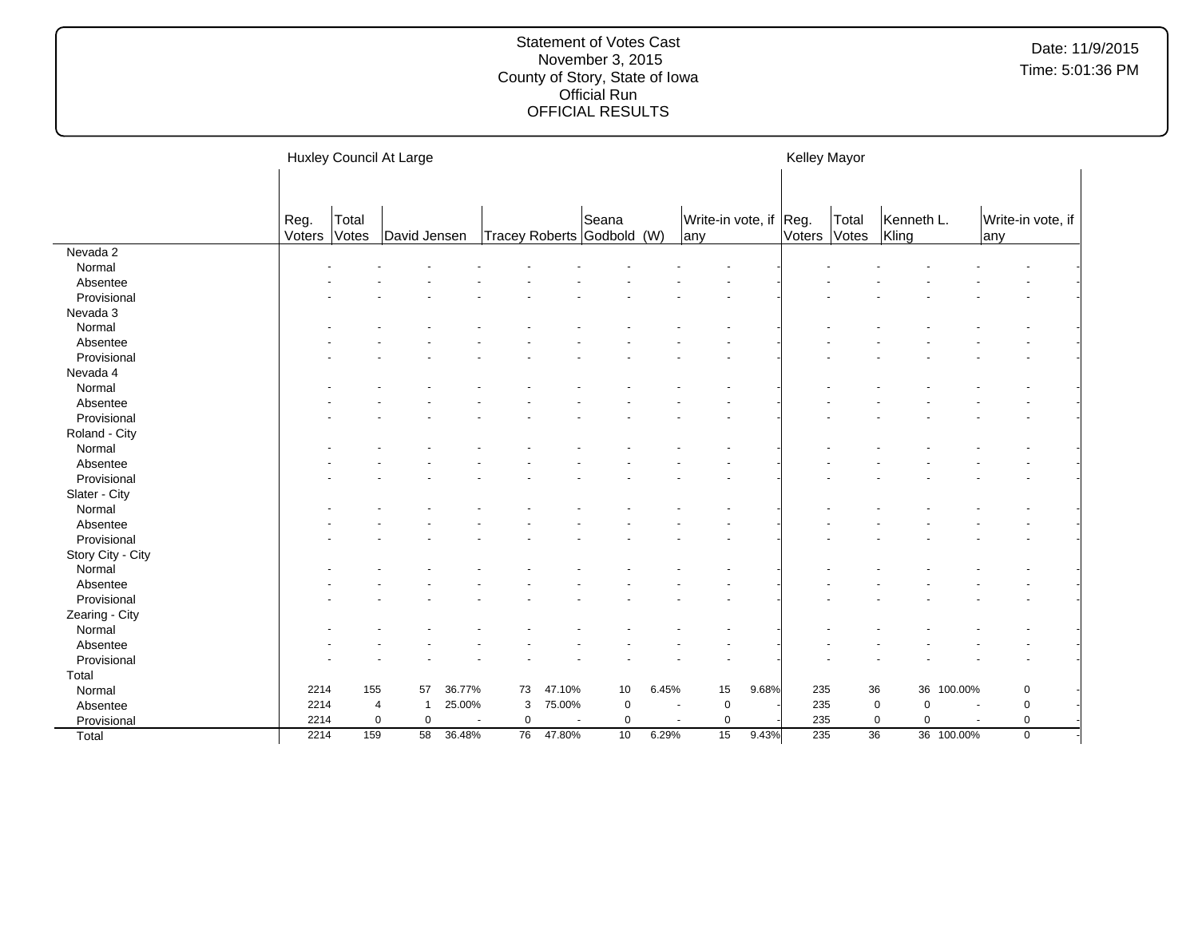|                   |                |                | Huxley Council At Large |        |             |        |                                 |       |                               |       | Kelley Mayor |                |                     |            |                           |  |
|-------------------|----------------|----------------|-------------------------|--------|-------------|--------|---------------------------------|-------|-------------------------------|-------|--------------|----------------|---------------------|------------|---------------------------|--|
|                   | Reg.<br>Voters | Total<br>Votes | David Jensen            |        |             |        | Seana<br>Tracey Roberts Godbold | (W)   | Write-in vote, if Reg.<br>any |       | Voters       | Total<br>Votes | Kenneth L.<br>Kling |            | Write-in vote, if<br>lany |  |
| Nevada 2          |                |                |                         |        |             |        |                                 |       |                               |       |              |                |                     |            |                           |  |
| Normal            |                |                |                         |        |             |        |                                 |       |                               |       |              |                |                     |            |                           |  |
| Absentee          |                |                |                         |        |             |        |                                 |       |                               |       |              |                |                     |            |                           |  |
| Provisional       |                |                |                         |        |             |        |                                 |       |                               |       |              |                |                     |            |                           |  |
| Nevada 3          |                |                |                         |        |             |        |                                 |       |                               |       |              |                |                     |            |                           |  |
| Normal            |                |                |                         |        |             |        |                                 |       |                               |       |              |                |                     |            |                           |  |
| Absentee          |                |                |                         |        |             |        |                                 |       |                               |       |              |                |                     |            |                           |  |
| Provisional       |                |                |                         |        |             |        |                                 |       |                               |       |              |                |                     |            |                           |  |
| Nevada 4          |                |                |                         |        |             |        |                                 |       |                               |       |              |                |                     |            |                           |  |
| Normal            |                |                |                         |        |             |        |                                 |       |                               |       |              |                |                     |            |                           |  |
| Absentee          |                |                |                         |        |             |        |                                 |       |                               |       |              |                |                     |            |                           |  |
| Provisional       |                |                |                         |        |             |        |                                 |       |                               |       |              |                |                     |            |                           |  |
| Roland - City     |                |                |                         |        |             |        |                                 |       |                               |       |              |                |                     |            |                           |  |
| Normal            |                |                |                         |        |             |        |                                 |       |                               |       |              |                |                     |            |                           |  |
| Absentee          |                |                |                         |        |             |        |                                 |       |                               |       |              |                |                     |            |                           |  |
| Provisional       |                |                |                         |        |             |        |                                 |       |                               |       |              |                |                     |            |                           |  |
| Slater - City     |                |                |                         |        |             |        |                                 |       |                               |       |              |                |                     |            |                           |  |
| Normal            |                |                |                         |        |             |        |                                 |       |                               |       |              |                |                     |            |                           |  |
| Absentee          |                |                |                         |        |             |        |                                 |       |                               |       |              |                |                     |            |                           |  |
| Provisional       |                |                |                         |        |             |        |                                 |       |                               |       |              |                |                     |            |                           |  |
| Story City - City |                |                |                         |        |             |        |                                 |       |                               |       |              |                |                     |            |                           |  |
| Normal            |                |                |                         |        |             |        |                                 |       |                               |       |              |                |                     |            |                           |  |
| Absentee          |                |                |                         |        |             |        |                                 |       |                               |       |              |                |                     |            |                           |  |
| Provisional       |                |                |                         |        |             |        |                                 |       |                               |       |              |                |                     |            |                           |  |
| Zearing - City    |                |                |                         |        |             |        |                                 |       |                               |       |              |                |                     |            |                           |  |
| Normal            |                |                |                         |        |             |        |                                 |       |                               |       |              |                |                     |            |                           |  |
| Absentee          |                |                |                         |        |             |        |                                 |       |                               |       |              |                |                     |            |                           |  |
| Provisional       |                |                |                         |        |             |        |                                 |       |                               |       |              |                |                     |            |                           |  |
| Total             |                |                |                         |        |             |        |                                 |       |                               |       |              |                |                     |            |                           |  |
| Normal            | 2214           | 155            | 57                      | 36.77% | 73          | 47.10% | 10                              | 6.45% | 15                            | 9.68% | 235          |                | 36                  | 36 100.00% | 0                         |  |
| Absentee          | 2214           | 4              | $\mathbf 1$             | 25.00% | 3           | 75.00% | $\mathbf 0$                     |       | $\pmb{0}$                     |       | 235          |                | 0<br>$\mathbf 0$    |            | 0                         |  |
| Provisional       | 2214           | 0              | $\mathbf 0$             |        | $\mathbf 0$ |        | 0                               |       | $\pmb{0}$                     |       | 235          |                | 0<br>$\mathbf 0$    |            | 0                         |  |
| Total             | 2214           | 159            | 58                      | 36.48% | 76          | 47.80% | 10                              | 6.29% | 15                            | 9.43% | 235          | 36             |                     | 36 100.00% | $\mathbf 0$               |  |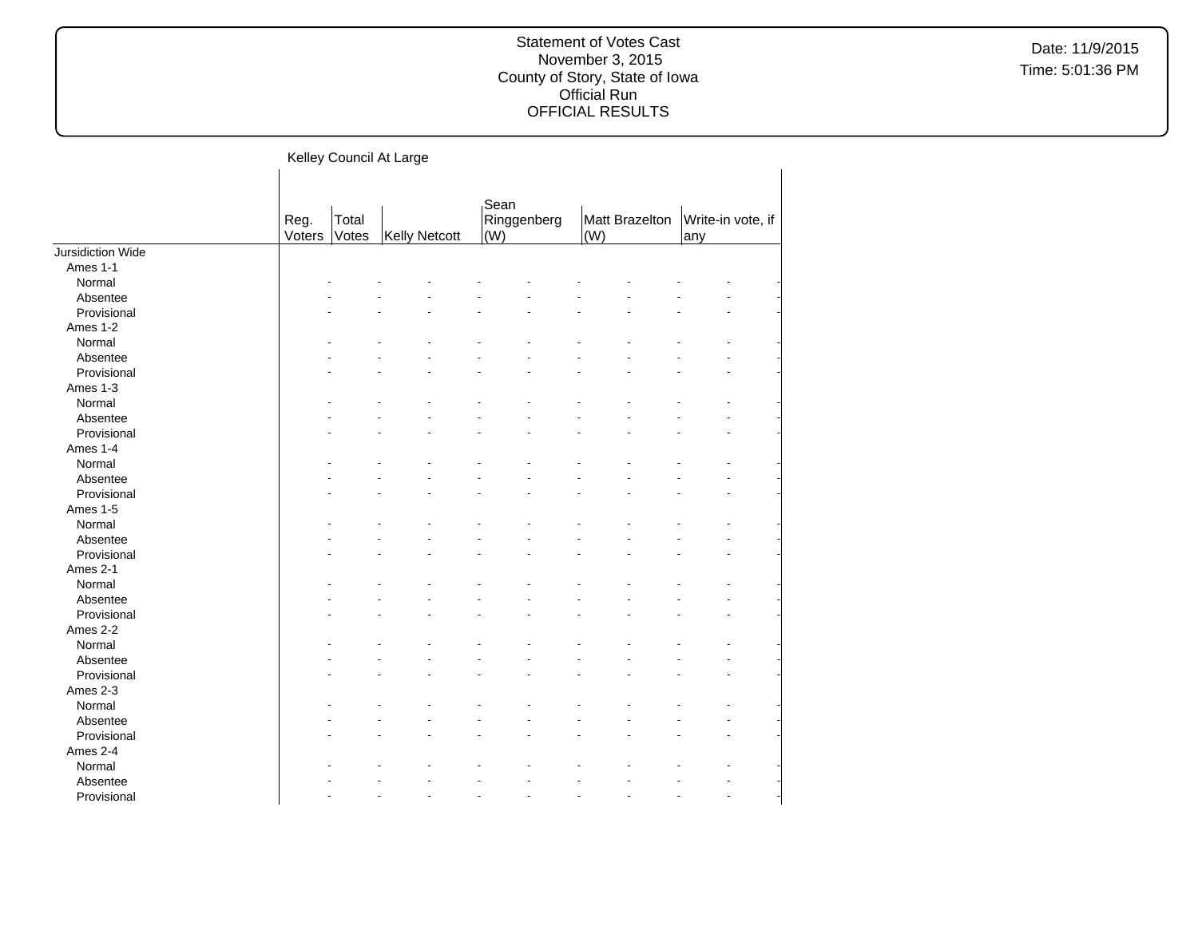|                   |                | Kelley Council At Large |               |             |             |     |                |     |                   |  |
|-------------------|----------------|-------------------------|---------------|-------------|-------------|-----|----------------|-----|-------------------|--|
|                   | Reg.<br>Voters | Total<br>Votes          | Kelly Netcott | Sean<br>(W) | Ringgenberg | (W) | Matt Brazelton | any | Write-in vote, if |  |
| Jursidiction Wide |                |                         |               |             |             |     |                |     |                   |  |
| Ames 1-1          |                |                         |               |             |             |     |                |     |                   |  |
| Normal            |                |                         |               |             |             |     |                |     |                   |  |
| Absentee          |                |                         |               |             |             |     |                |     |                   |  |
| Provisional       |                |                         |               |             |             |     |                |     |                   |  |
| Ames 1-2          |                |                         |               |             |             |     |                |     |                   |  |
| Normal            |                |                         |               |             |             |     |                |     |                   |  |
| Absentee          |                |                         |               |             |             |     |                |     |                   |  |
| Provisional       |                |                         |               |             |             |     |                |     |                   |  |
| Ames 1-3          |                |                         |               |             |             |     |                |     |                   |  |
| Normal            |                |                         |               |             |             |     |                |     |                   |  |
| Absentee          |                |                         |               |             |             |     |                |     |                   |  |
| Provisional       |                |                         |               |             |             |     |                |     |                   |  |
| Ames 1-4          |                |                         |               |             |             |     |                |     |                   |  |
| Normal            |                |                         |               |             |             |     |                |     |                   |  |
| Absentee          |                |                         |               |             |             |     |                |     |                   |  |
| Provisional       |                |                         |               |             |             |     |                |     |                   |  |
| Ames 1-5          |                |                         |               |             |             |     |                |     |                   |  |
| Normal            |                |                         |               |             |             |     |                |     |                   |  |
| Absentee          |                |                         |               |             |             |     |                |     |                   |  |
| Provisional       |                |                         |               |             |             |     |                |     |                   |  |
| Ames 2-1          |                |                         |               |             |             |     |                |     |                   |  |
| Normal            |                |                         |               |             |             |     |                |     |                   |  |
| Absentee          |                |                         |               |             |             |     |                |     |                   |  |
| Provisional       |                |                         |               |             |             |     |                |     |                   |  |
| Ames 2-2          |                |                         |               |             |             |     |                |     |                   |  |
| Normal            |                |                         |               |             |             |     |                |     |                   |  |
| Absentee          |                |                         |               |             |             |     |                |     |                   |  |
| Provisional       |                |                         |               |             |             |     |                |     |                   |  |
| Ames 2-3          |                |                         |               |             |             |     |                |     |                   |  |
| Normal            |                |                         |               |             |             |     |                |     |                   |  |
| Absentee          |                |                         |               |             |             |     |                |     |                   |  |
| Provisional       |                |                         |               |             |             |     |                |     |                   |  |
| Ames 2-4          |                |                         |               |             |             |     |                |     |                   |  |
| Normal            |                |                         |               |             |             |     |                |     |                   |  |
| Absentee          |                |                         |               |             |             |     |                |     |                   |  |
| Provisional       |                |                         |               |             |             | ÷   |                |     |                   |  |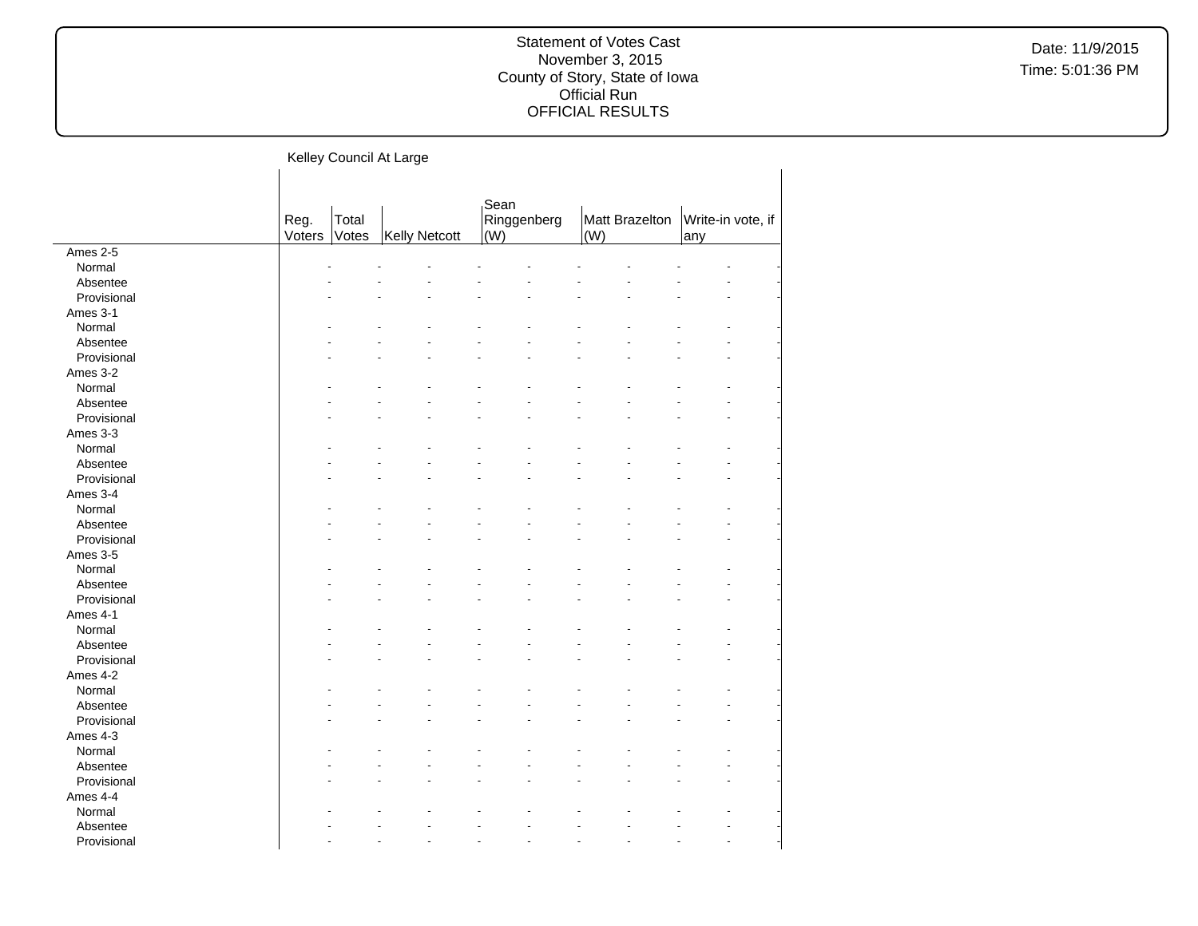Date: 11/9/2015 Time: 5:01:36 PM

|             |                |                | Kelley Council At Large |                            |                       |                          |
|-------------|----------------|----------------|-------------------------|----------------------------|-----------------------|--------------------------|
|             | Reg.<br>Voters | Total<br>Votes | Kelly Netcott           | Sean<br>Ringgenberg<br>(W) | Matt Brazelton<br>(W) | Write-in vote, if<br>any |
| Ames 2-5    |                |                |                         |                            |                       |                          |
| Normal      |                |                |                         |                            |                       |                          |
| Absentee    |                |                |                         |                            |                       |                          |
| Provisional |                |                |                         |                            |                       |                          |
| Ames 3-1    |                |                |                         |                            |                       |                          |
| Normal      |                |                |                         |                            |                       |                          |
| Absentee    |                |                |                         |                            |                       |                          |
| Provisional |                |                |                         |                            |                       |                          |
| Ames 3-2    |                |                |                         |                            |                       |                          |
| Normal      |                |                |                         |                            |                       |                          |
| Absentee    |                |                |                         |                            |                       |                          |
| Provisional |                |                |                         |                            |                       |                          |
| Ames 3-3    |                |                |                         |                            |                       |                          |
| Normal      |                |                |                         |                            |                       |                          |
| Absentee    |                |                |                         |                            |                       |                          |
| Provisional |                |                |                         |                            |                       |                          |
| Ames 3-4    |                |                |                         |                            |                       |                          |
| Normal      |                |                |                         |                            |                       |                          |
| Absentee    |                |                |                         |                            |                       |                          |
| Provisional |                |                |                         |                            |                       |                          |
| Ames 3-5    |                |                |                         |                            |                       |                          |
| Normal      |                |                |                         |                            |                       |                          |
| Absentee    |                |                |                         |                            |                       |                          |
| Provisional |                |                |                         |                            |                       |                          |
| Ames 4-1    |                |                |                         |                            |                       |                          |
| Normal      |                |                |                         |                            |                       |                          |
| Absentee    |                |                |                         |                            |                       |                          |
| Provisional |                |                |                         |                            |                       |                          |
| Ames 4-2    |                |                |                         |                            |                       |                          |
| Normal      |                |                |                         |                            |                       |                          |
| Absentee    |                |                |                         |                            |                       |                          |
| Provisional |                |                |                         |                            |                       |                          |
| Ames 4-3    |                |                |                         |                            |                       |                          |
| Normal      |                |                |                         |                            |                       |                          |
| Absentee    |                |                |                         |                            |                       |                          |
| Provisional |                |                |                         |                            |                       |                          |
| Ames 4-4    |                |                |                         |                            |                       |                          |
| Normal      |                |                |                         |                            |                       |                          |
|             |                |                | L.                      |                            | ÷<br>÷                | $\overline{a}$           |
| Absentee    |                |                |                         |                            |                       |                          |

Provisional - - - - - - - - - -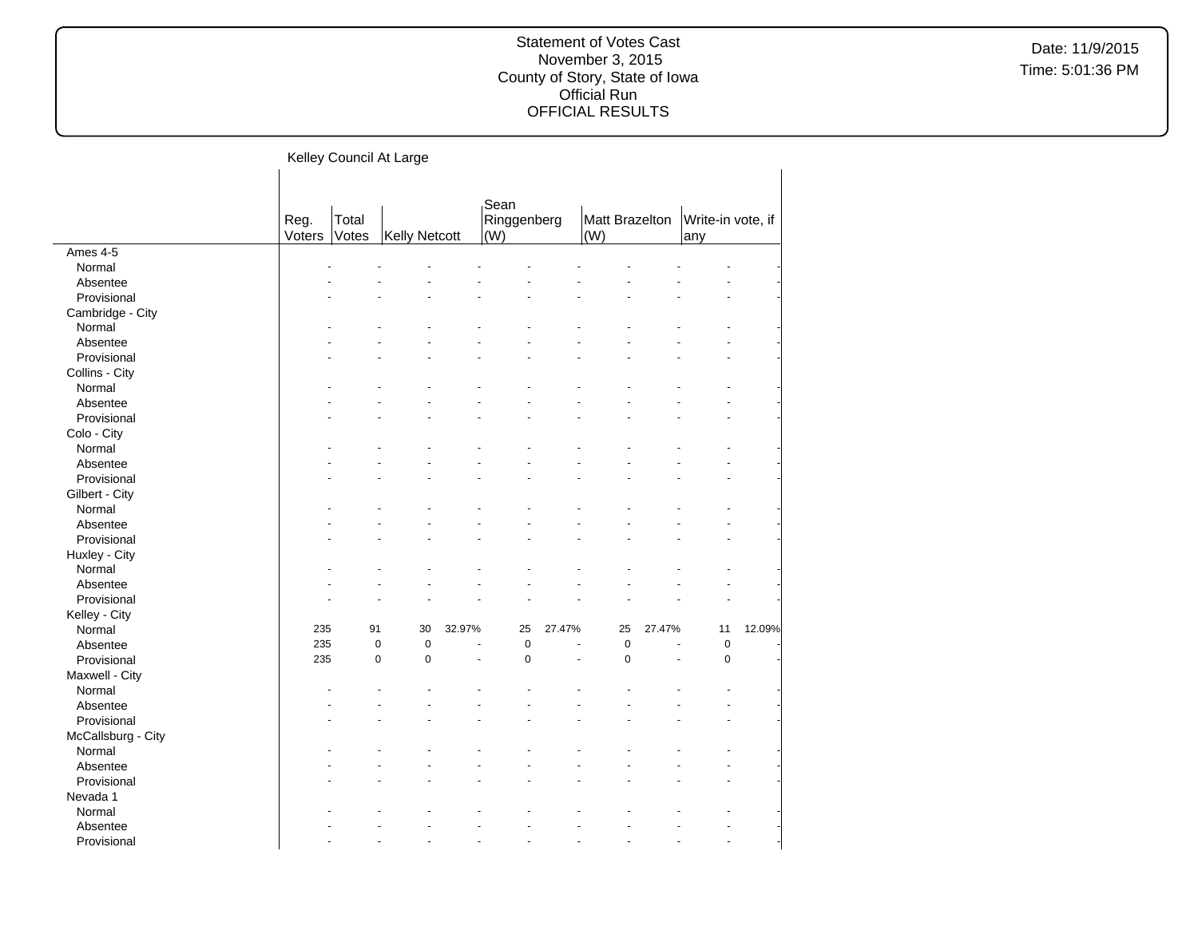|                    | Kelley Council At Large |                |               |                          |                            |        |                       |        |                          |        |
|--------------------|-------------------------|----------------|---------------|--------------------------|----------------------------|--------|-----------------------|--------|--------------------------|--------|
|                    | Reg.<br>Voters          | Total<br>Votes | Kelly Netcott |                          | Sean<br>Ringgenberg<br>(W) |        | Matt Brazelton<br>(W) |        | Write-in vote, if<br>any |        |
| Ames 4-5           |                         |                |               |                          |                            |        |                       |        |                          |        |
| Normal             |                         |                |               |                          |                            |        |                       |        |                          |        |
| Absentee           |                         |                |               |                          |                            |        |                       |        |                          |        |
| Provisional        |                         |                |               |                          |                            |        |                       |        |                          |        |
| Cambridge - City   |                         |                |               |                          |                            |        |                       |        |                          |        |
| Normal             |                         |                |               |                          |                            |        |                       |        |                          |        |
| Absentee           |                         |                |               |                          |                            |        |                       |        |                          |        |
| Provisional        |                         |                |               |                          |                            |        |                       |        |                          |        |
| Collins - City     |                         |                |               |                          |                            |        |                       |        |                          |        |
| Normal             |                         |                |               |                          |                            |        |                       |        |                          |        |
| Absentee           |                         |                |               |                          |                            |        |                       |        |                          |        |
| Provisional        |                         |                |               |                          |                            |        |                       |        |                          |        |
| Colo - City        |                         |                |               |                          |                            |        |                       |        |                          |        |
| Normal             |                         |                |               |                          |                            |        |                       |        |                          |        |
| Absentee           |                         |                |               |                          |                            |        |                       |        |                          |        |
| Provisional        |                         |                |               |                          |                            |        |                       |        |                          |        |
| Gilbert - City     |                         |                |               |                          |                            |        |                       |        |                          |        |
| Normal             |                         |                |               |                          |                            |        |                       |        |                          |        |
| Absentee           |                         |                |               |                          |                            |        |                       |        |                          |        |
| Provisional        |                         |                |               |                          |                            |        |                       |        | $\overline{a}$           |        |
| Huxley - City      |                         |                |               |                          |                            |        |                       |        |                          |        |
| Normal             |                         |                |               |                          |                            |        |                       |        |                          |        |
| Absentee           |                         |                |               |                          |                            |        |                       |        |                          |        |
| Provisional        |                         |                |               |                          |                            |        |                       |        |                          |        |
| Kelley - City      |                         |                |               |                          |                            |        |                       |        |                          |        |
| Normal             | 235                     | 91             | 30            | 32.97%                   | 25                         | 27.47% | 25                    | 27.47% | 11                       | 12.09% |
| Absentee           | 235                     | $\pmb{0}$      | $\pmb{0}$     | $\blacksquare$           | $\pmb{0}$                  |        | $\mathbf 0$           | ÷.     | $\mathbf 0$              |        |
| Provisional        | 235                     | $\pmb{0}$      | $\mathbf 0$   | $\overline{\phantom{a}}$ | $\mathbf 0$                | ÷,     | $\mathbf 0$           | ÷,     | $\mathbf 0$              |        |
| Maxwell - City     |                         |                |               |                          |                            |        |                       |        |                          |        |
| Normal             |                         |                |               |                          |                            |        |                       |        |                          |        |
| Absentee           |                         |                |               |                          |                            |        |                       |        |                          |        |
| Provisional        |                         |                |               |                          |                            |        |                       |        |                          |        |
| McCallsburg - City |                         |                |               |                          |                            |        |                       |        |                          |        |
| Normal             |                         |                |               |                          |                            |        |                       |        |                          |        |
| Absentee           |                         |                |               |                          |                            |        |                       |        |                          |        |
| Provisional        |                         |                |               |                          |                            |        |                       |        | $\overline{a}$           |        |
| Nevada 1           |                         |                |               |                          |                            |        |                       |        |                          |        |
| Normal             |                         |                |               |                          |                            |        |                       |        |                          |        |
| Absentee           |                         |                |               |                          |                            |        |                       |        |                          |        |
| Provisional        |                         |                |               |                          |                            |        |                       |        |                          |        |
|                    |                         |                |               |                          |                            |        |                       |        |                          |        |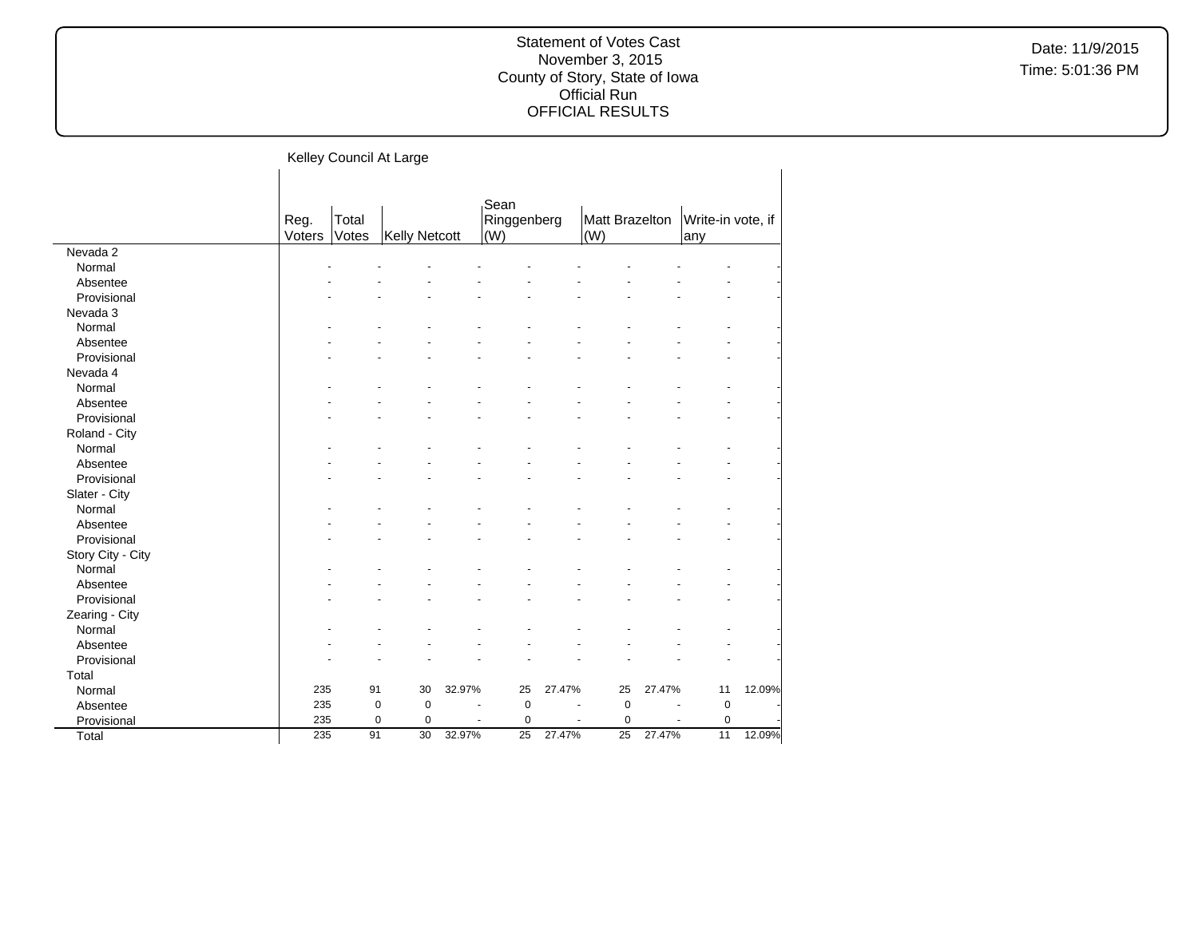|                   |                |                | Kelley Council At Large |        |                            |        |                       |        |                          |        |
|-------------------|----------------|----------------|-------------------------|--------|----------------------------|--------|-----------------------|--------|--------------------------|--------|
|                   | Reg.<br>Voters | Total<br>Votes | <b>Kelly Netcott</b>    |        | Sean<br>Ringgenberg<br>(W) |        | Matt Brazelton<br>(W) |        | Write-in vote, if<br>any |        |
| Nevada 2          |                |                |                         |        |                            |        |                       |        |                          |        |
| Normal            |                |                |                         |        |                            |        |                       |        |                          |        |
| Absentee          |                |                |                         |        |                            |        |                       |        |                          |        |
| Provisional       |                |                |                         |        |                            |        |                       |        |                          |        |
| Nevada 3          |                |                |                         |        |                            |        |                       |        |                          |        |
| Normal            |                |                |                         |        |                            |        |                       |        |                          |        |
| Absentee          |                |                |                         |        |                            |        |                       |        |                          |        |
| Provisional       |                |                |                         |        |                            |        |                       |        |                          |        |
| Nevada 4          |                |                |                         |        |                            |        |                       |        |                          |        |
| Normal            |                |                |                         |        |                            |        |                       |        |                          |        |
| Absentee          |                |                |                         |        |                            |        |                       |        |                          |        |
| Provisional       |                |                |                         |        |                            |        |                       |        |                          |        |
| Roland - City     |                |                |                         |        |                            |        |                       |        |                          |        |
| Normal            |                |                |                         |        |                            |        |                       |        |                          |        |
| Absentee          |                |                |                         |        |                            |        |                       |        |                          |        |
| Provisional       |                |                |                         |        |                            |        |                       |        |                          |        |
| Slater - City     |                |                |                         |        |                            |        |                       |        |                          |        |
| Normal            |                |                |                         |        |                            |        |                       |        |                          |        |
| Absentee          |                |                |                         |        |                            |        |                       |        |                          |        |
| Provisional       |                |                |                         |        |                            |        |                       |        |                          |        |
| Story City - City |                |                |                         |        |                            |        |                       |        |                          |        |
| Normal            |                |                |                         |        |                            |        |                       |        |                          |        |
| Absentee          |                |                |                         |        |                            |        |                       |        |                          |        |
| Provisional       |                |                |                         |        |                            |        |                       |        |                          |        |
| Zearing - City    |                |                |                         |        |                            |        |                       |        |                          |        |
| Normal            |                |                |                         |        |                            |        |                       |        |                          |        |
| Absentee          |                |                |                         |        |                            |        |                       |        |                          |        |
| Provisional       |                |                |                         |        |                            |        |                       |        |                          |        |
| Total             |                |                |                         |        |                            |        |                       |        |                          |        |
| Normal            | 235            | 91             | 30                      | 32.97% | 25                         | 27.47% | 25                    | 27.47% | 11                       | 12.09% |
| Absentee          | 235            | $\mathbf 0$    | $\mathbf 0$             |        | $\mathbf 0$                |        | 0                     |        | 0                        |        |
| Provisional       | 235            | $\mathbf 0$    | 0                       |        | 0                          |        | 0                     |        | 0                        |        |
| Total             | 235            | 91             | 30                      | 32.97% | 25                         | 27.47% | 25                    | 27.47% | 11                       | 12.09% |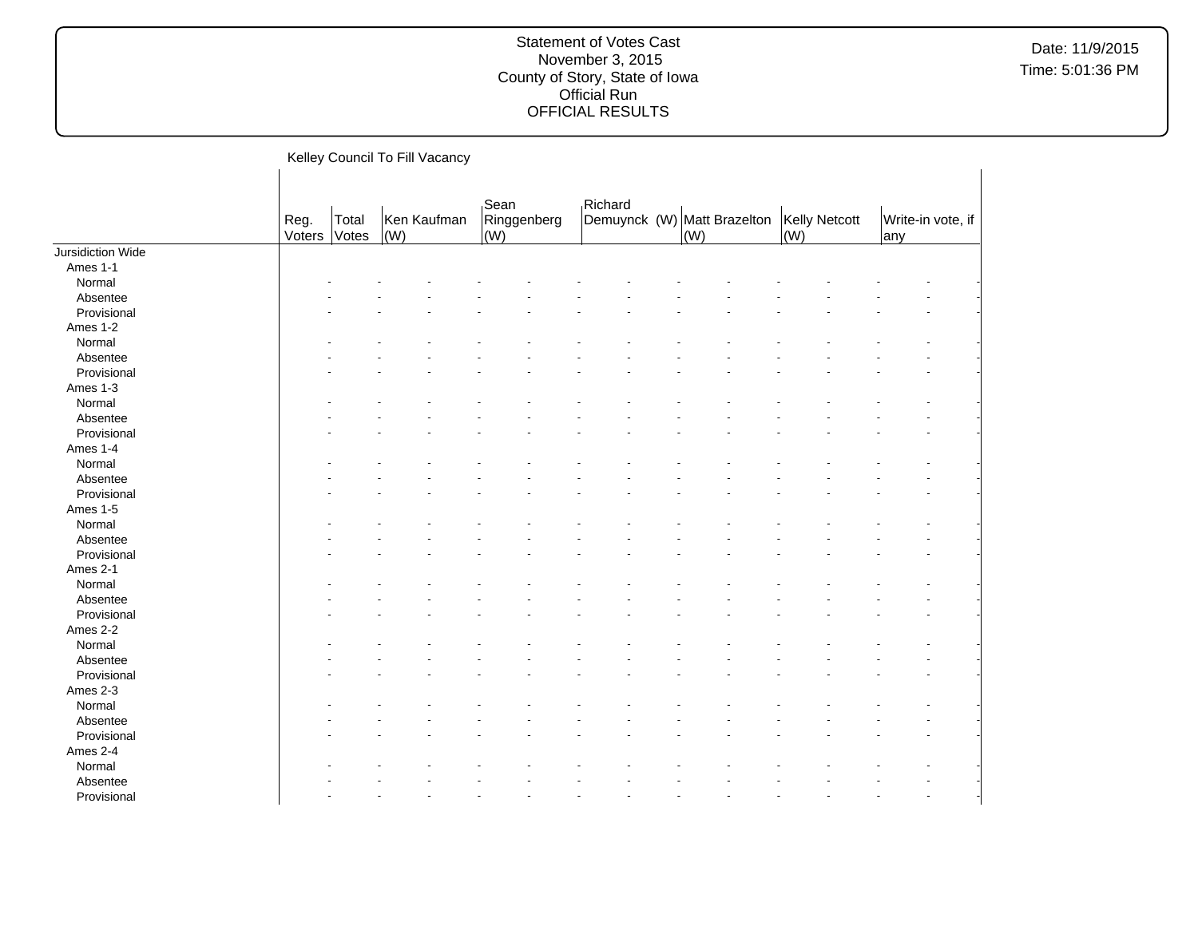Date: 11/9/2015 Time: 5:01:36 PM

Kelley Council To Fill Vacancy Reg. Voters Total Votes Ken Kaufman (W) Sean Ringgenberg  $\vert$ (W) $\vert$ Richard Demuynck (W) Matt Brazelton (W) Kelly Netcott (W) Write-in vote, if any Jursidiction Wide Ames 1-1  $\textsf{Normal}$  . The set of the set of the set of the set of the set of the set of the set of the set of the set of the set of the set of the set of the set of the set of the set of the set of the set of the set of the set of t Absentee - - - - - - - - - - - - - - Provisional and the second contract of the second contract of the second contract of the second contract of the second contract of the second contract of the second contract of the second contract of the second contract of Ames 1-2  $\textsf{Normal}$  . The set of the set of the set of the set of the set of the set of the set of the set of the set of the set of the set of the set of the set of the set of the set of the set of the set of the set of the set of t Absentee and the second contract of the second contract of the second contract of the second contract of the second contract of the second contract of the second contract of the second contract of the second contract of th Provisional and the second contract of the second contract of the second contract of the second contract of the second contract of the second contract of the second contract of the second contract of the second contract of Ames 1-3  $\textsf{Normal}$  . The set of the set of the set of the set of the set of the set of the set of the set of the set of the set of the set of the set of the set of the set of the set of the set of the set of the set of the set of t Absentee and the second contract of the second contract of the second contract of the second contract of the second contract of the second contract of the second contract of the second contract of the second contract of th Provisional and the second contract of the second contract of the second contract of the second contract of the second contract of the second contract of the second contract of the second contract of the second contract of Ames 1-4  $\textsf{Normal}$  . The set of the set of the set of the set of the set of the set of the set of the set of the set of the set of the set of the set of the set of the set of the set of the set of the set of the set of the set of t Absentee - - - - - - - - - - - - - - Provisional and the second contract of the second contract of the second contract of the second contract of the second contract of the second contract of the second contract of the second contract of the second contract of Ames 1-5  $\textsf{Normal}$  . The set of the set of the set of the set of the set of the set of the set of the set of the set of the set of the set of the set of the set of the set of the set of the set of the set of the set of the set of t Absentee and the second contract of the second contract of the second contract of the second contract of the second contract of the second contract of the second contract of the second contract of the second contract of th Provisional and the second contract of the second contract of the second contract of the second contract of the second contract of the second contract of the second contract of the second contract of the second contract of Ames 2-1  $\textsf{Normal}$  . The set of the set of the set of the set of the set of the set of the set of the set of the set of the set of the set of the set of the set of the set of the set of the set of the set of the set of the set of t Absentee and the second contract of the second contract of the second contract of the second contract of the second contract of the second contract of the second contract of the second contract of the second contract of th Provisional and the second contract of the second contract of the second contract of the second contract of the second contract of the second contract of the second contract of the second contract of the second contract of Ames 2-2  $\textsf{Normal}$  . The set of the set of the set of the set of the set of the set of the set of the set of the set of the set of the set of the set of the set of the set of the set of the set of the set of the set of the set of t Absentee - - - - - - - - - - - - - - Provisional and the second contract of the second contract of the second contract of the second contract of the second contract of the second contract of the second contract of the second contract of the second contract of Ames 2-3<br>Normal  $\textsf{Normal}$  . The set of the set of the set of the set of the set of the set of the set of the set of the set of the set of the set of the set of the set of the set of the set of the set of the set of the set of the set of t Absentee and the second contract of the second contract of the second contract of the second contract of the second contract of the second contract of the second contract of the second contract of the second contract of th Provisional and the second contract of the second contract of the second contract of the second contract of the second contract of the second contract of the second contract of the second contract of the second contract of Ames 2-4  $\textsf{Normal}$  . The set of the set of the set of the set of the set of the set of the set of the set of the set of the set of the set of the set of the set of the set of the set of the set of the set of the set of the set of t Absentee and the second contract of the second contract of the second contract of the second contract of the second contract of the second contract of the second contract of the second contract of the second contract of th

Provisional and the second contract of the second contract of the second contract of the second contract of the second contract of the second contract of the second contract of the second contract of the second contract of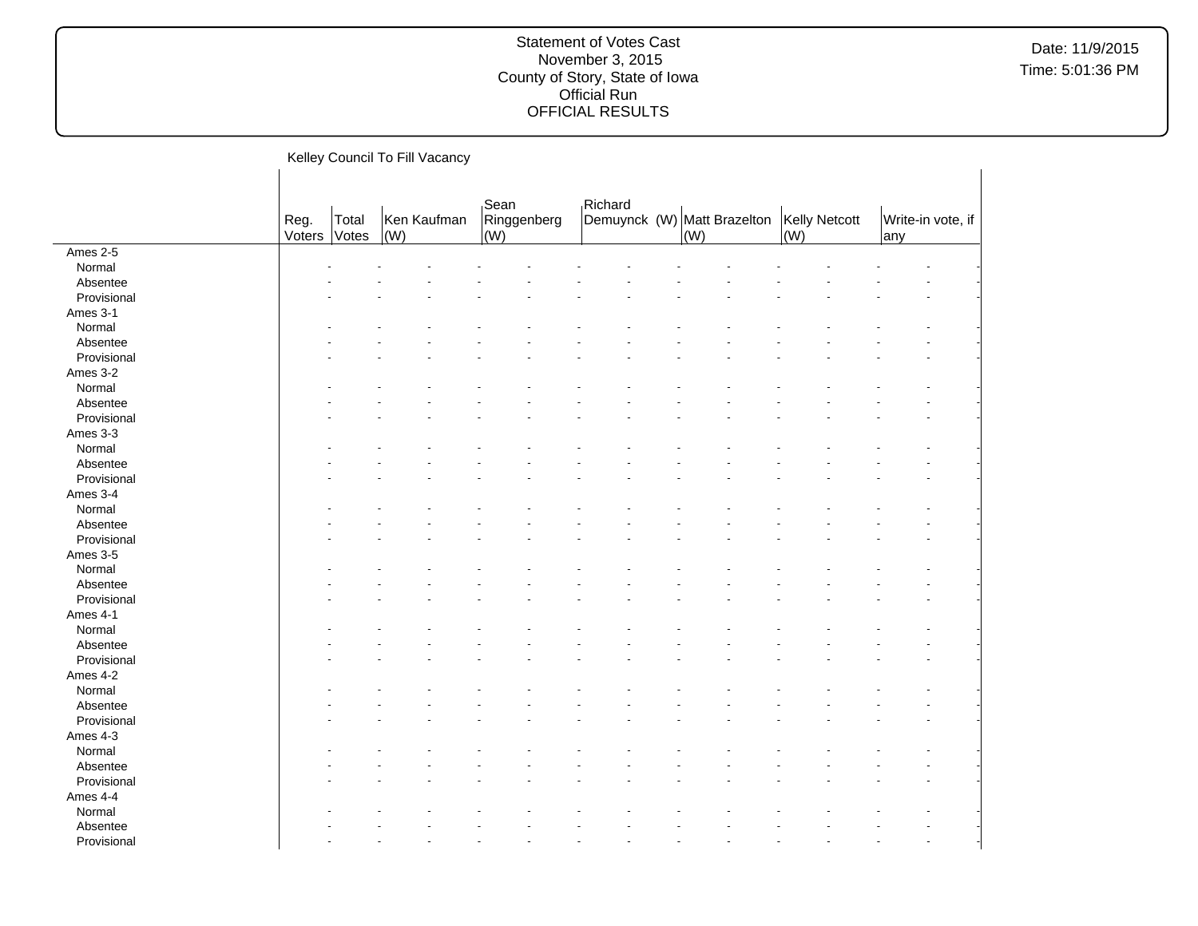Date: 11/9/2015 Time: 5:01:36 PM

Kelley Council To Fill Vacancy Reg. Voters Total Votes Ken Kaufman (W) Sean Ringgenberg (W) Richard Demuynck (W) Matt Brazelton (W) Kelly Netcott (W) Write-in vote, if any Ames 2-5  $\textsf{Normal}$  . The set of the set of the set of the set of the set of the set of the set of the set of the set of the set of the set of the set of the set of the set of the set of the set of the set of the set of the set of t Absentee and the second contract of the second contract of the second contract of the second contract of the second contract of the second contract of the second contract of the second contract of the second contract of th Provisional and the second contract of the second contract of the second contract of the second contract of the second contract of the second contract of the second contract of the second contract of the second contract of Ames 3-1  $\textsf{Normal}$  . The set of the set of the set of the set of the set of the set of the set of the set of the set of the set of the set of the set of the set of the set of the set of the set of the set of the set of the set of t Absentee - - - - - - - - - - - - - - Provisional and the second contract of the second contract of the second contract of the second contract of the second contract of the second contract of the second contract of the second contract of the second contract of Ames 3-2  $\textsf{Normal}$  . The set of the set of the set of the set of the set of the set of the set of the set of the set of the set of the set of the set of the set of the set of the set of the set of the set of the set of the set of t Absentee and the second contract of the second contract of the second contract of the second contract of the second contract of the second contract of the second contract of the second contract of the second contract of th Provisional and the second contract of the second contract of the second contract of the second contract of the second contract of the second contract of the second contract of the second contract of the second contract of Ames 3-3  $\textsf{Normal}$  . The set of the set of the set of the set of the set of the set of the set of the set of the set of the set of the set of the set of the set of the set of the set of the set of the set of the set of the set of t Absentee and the second contract of the second contract of the second contract of the second contract of the second contract of the second contract of the second contract of the second contract of the second contract of th Provisional and the second contract of the second contract of the second contract of the second contract of the second contract of the second contract of the second contract of the second contract of the second contract of Ames 3-4  $\textsf{Normal}$  . The set of the set of the set of the set of the set of the set of the set of the set of the set of the set of the set of the set of the set of the set of the set of the set of the set of the set of the set of t Absentee - - - - - - - - - - - - - - Provisional and the second contract of the second contract of the second contract of the second contract of the second contract of the second contract of the second contract of the second contract of the second contract of Ames 3-5  $\textsf{Normal}$  . The set of the set of the set of the set of the set of the set of the set of the set of the set of the set of the set of the set of the set of the set of the set of the set of the set of the set of the set of t Absentee and the second contract of the second contract of the second contract of the second contract of the second contract of the second contract of the second contract of the second contract of the second contract of th Provisional and the second contract of the second contract of the second contract of the second contract of the second contract of the second contract of the second contract of the second contract of the second contract of Ames 4-1  $\textsf{Normal}$  . The set of the set of the set of the set of the set of the set of the set of the set of the set of the set of the set of the set of the set of the set of the set of the set of the set of the set of the set of t Absentee and the second contract of the second contract of the second contract of the second contract of the second contract of the second contract of the second contract of the second contract of the second contract of th Provisional and the second contract of the second contract of the second contract of the second contract of the second contract of the second contract of the second contract of the second contract of the second contract of Ames 4-2  $\textsf{Normal}$  . The set of the set of the set of the set of the set of the set of the set of the set of the set of the set of the set of the set of the set of the set of the set of the set of the set of the set of the set of t Absentee - - - - - - - - - - - - - - Provisional and the second contract of the second contract of the second contract of the second contract of the second contract of the second contract of the second contract of the second contract of the second contract of Ames 4-3<br>Normal  $\textsf{Normal}$  . The set of the set of the set of the set of the set of the set of the set of the set of the set of the set of the set of the set of the set of the set of the set of the set of the set of the set of the set of t Absentee and the second contract of the second contract of the second contract of the second contract of the second contract of the second contract of the second contract of the second contract of the second contract of th Provisional and the second contract of the second contract of the second contract of the second contract of the second contract of the second contract of the second contract of the second contract of the second contract of Ames 4-4  $\textsf{Normal}$  . The set of the set of the set of the set of the set of the set of the set of the set of the set of the set of the set of the set of the set of the set of the set of the set of the set of the set of the set of t Absentee and the second contract of the second contract of the second contract of the second contract of the second contract of the second contract of the second contract of the second contract of the second contract of th

Provisional and the second contract of the second contract of the second contract of the second contract of the second contract of the second contract of the second contract of the second contract of the second contract of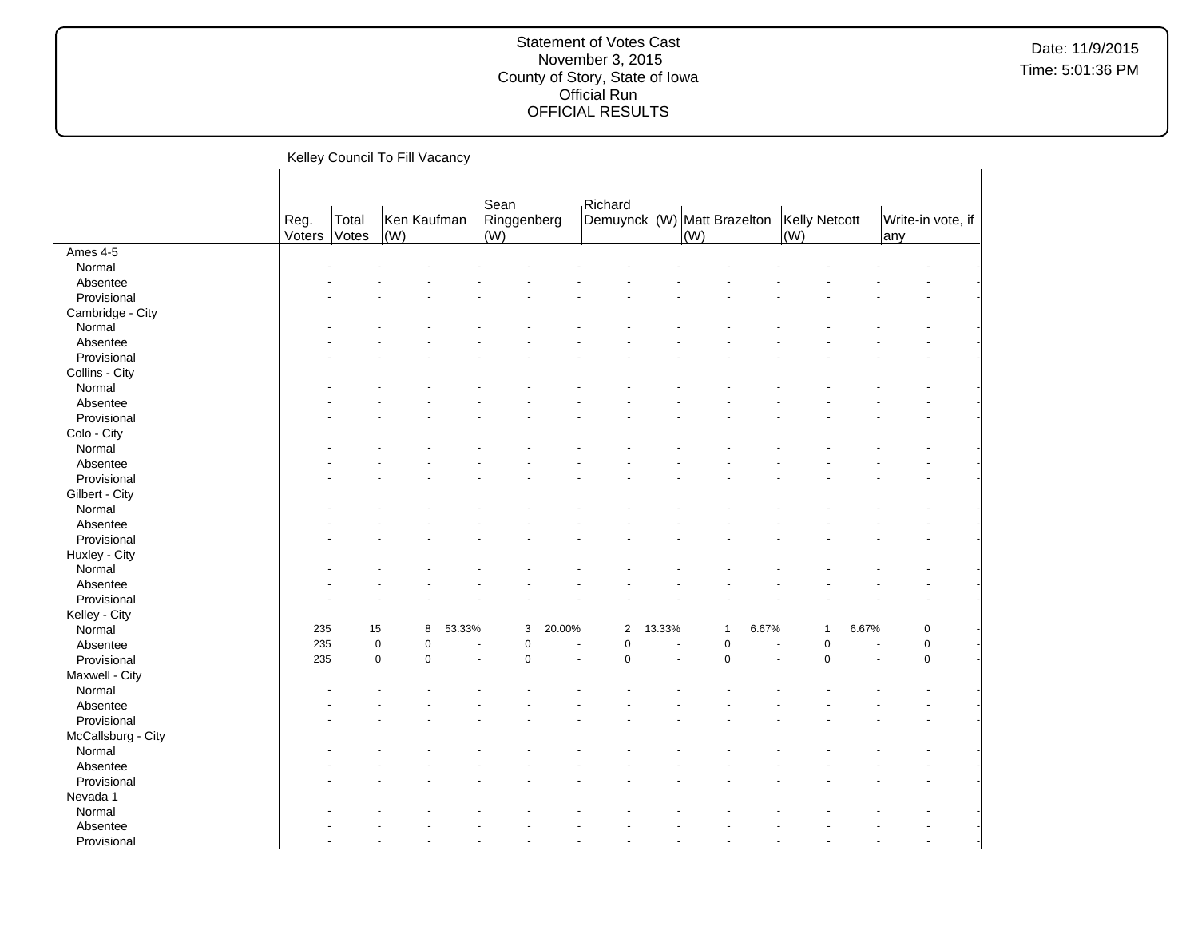Date: 11/9/2015 Time: 5:01:36 PM

Kelley Council To Fill Vacancy Reg. Voters Total Votes Ken Kaufman (W) Sean Ringgenberg (W) Richard Demuynck (W) Matt Brazelton (W) Kelly Netcott (W) Write-in vote, if any Ames 4-5  $\textsf{Normal}$  . The set of the set of the set of the set of the set of the set of the set of the set of the set of the set of the set of the set of the set of the set of the set of the set of the set of the set of the set of t Absentee and the second contract of the second contract of the second contract of the second contract of the second contract of the second contract of the second contract of the second contract of the second contract of th Provisional and the second contract of the second contract of the second contract of the second contract of the second contract of the second contract of the second contract of the second contract of the second contract of Cambridge - City  $\textsf{Normal}$  . The set of the set of the set of the set of the set of the set of the set of the set of the set of the set of the set of the set of the set of the set of the set of the set of the set of the set of the set of t Absentee - - - - - - - - - - - - - - Provisional and the second contract of the second contract of the second contract of the second contract of the second contract of the second contract of the second contract of the second contract of the second contract of Collins - City  $\textsf{Normal}$  . The set of the set of the set of the set of the set of the set of the set of the set of the set of the set of the set of the set of the set of the set of the set of the set of the set of the set of the set of t Absentee and the second contract of the second contract of the second contract of the second contract of the second contract of the second contract of the second contract of the second contract of the second contract of th Provisional and the second contract of the second contract of the second contract of the second contract of the second contract of the second contract of the second contract of the second contract of the second contract of Colo - City  $\textsf{Normal}$  . The set of the set of the set of the set of the set of the set of the set of the set of the set of the set of the set of the set of the set of the set of the set of the set of the set of the set of the set of t Absentee and the second contract of the second contract of the second contract of the second contract of the second contract of the second contract of the second contract of the second contract of the second contract of th Provisional and the second contract of the second contract of the second contract of the second contract of the second contract of the second contract of the second contract of the second contract of the second contract of Gilbert - City  $\textsf{Normal}$  . The set of the set of the set of the set of the set of the set of the set of the set of the set of the set of the set of the set of the set of the set of the set of the set of the set of the set of the set of t Absentee - - - - - - - - - - - - - - Provisional and the second contract of the second contract of the second contract of the second contract of the second contract of the second contract of the second contract of the second contract of the second contract of Huxley - City<br>Normal  $\textsf{Normal}$  . The set of the set of the set of the set of the set of the set of the set of the set of the set of the set of the set of the set of the set of the set of the set of the set of the set of the set of the set of t Absentee and the second contract of the second contract of the second contract of the second contract of the second contract of the second contract of the second contract of the second contract of the second contract of th Provisional and the second contract of the second contract of the second contract of the second contract of the second contract of the second contract of the second contract of the second contract of the second contract of Kelley - City Normal 235 15 8 53.33% 3 20.00% 2 13.33% 1 6.67% 1 6.67% 0 - Absentee 235 0 0 - 0 - 0 - 0 - 0 - 0 -Provisional | 235 0 - 0 - 0 - 0 - 0 -Maxwell - City  $\textsf{Normal}$  . The set of the set of the set of the set of the set of the set of the set of the set of the set of the set of the set of the set of the set of the set of the set of the set of the set of the set of the set of t Absentee - - - - - - - - - - - - - - Provisional and the second contract of the second contract of the second contract of the second contract of the second contract of the second contract of the second contract of the second contract of the second contract of McCallsburg - City<br>Normal  $\textsf{Normal}$  . The set of the set of the set of the set of the set of the set of the set of the set of the set of the set of the set of the set of the set of the set of the set of the set of the set of the set of the set of t Absentee and the second contract of the second contract of the second contract of the second contract of the second contract of the second contract of the second contract of the second contract of the second contract of th Provisional and the second contract of the second contract of the second contract of the second contract of the second contract of the second contract of the second contract of the second contract of the second contract of Nevada 1  $\textsf{Normal}$  . The set of the set of the set of the set of the set of the set of the set of the set of the set of the set of the set of the set of the set of the set of the set of the set of the set of the set of the set of t Absentee and the second contract of the second contract of the second contract of the second contract of the second contract of the second contract of the second contract of the second contract of the second contract of th

Provisional and the second contract of the second contract of the second contract of the second contract of the second contract of the second contract of the second contract of the second contract of the second contract of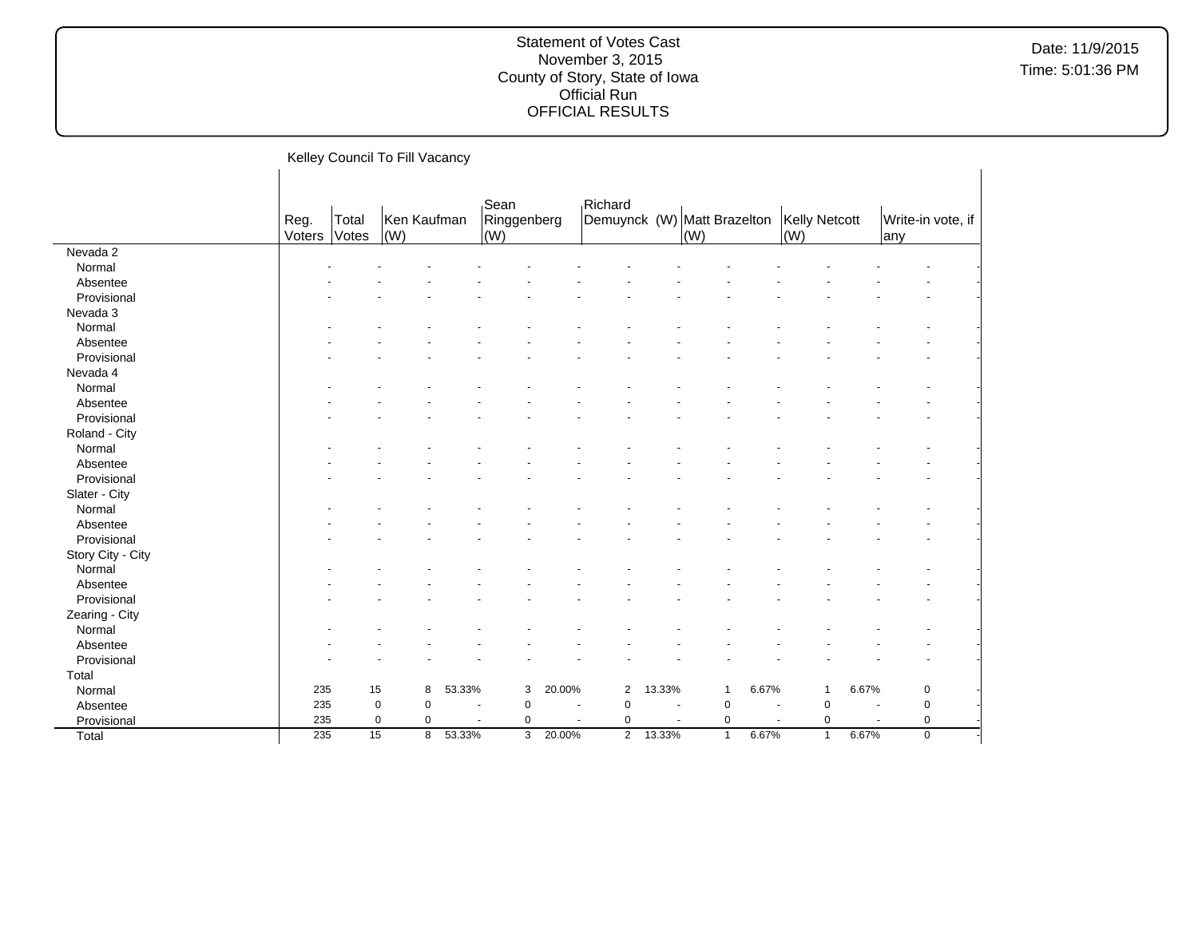Date: 11/9/2015 Time: 5:01:36 PM

Kelley Council To Fill Vacancy Reg. Voters Total Votes Ken Kaufman (W) Sean Ringgenberg (W) Richard Demuynck (W) Matt Brazelton (W) Kelly Netcott (W) Write-in vote, if any Nevada 2  $\textsf{Normal}$  . The set of the set of the set of the set of the set of the set of the set of the set of the set of the set of the set of the set of the set of the set of the set of the set of the set of the set of the set of t Absentee and the second contract of the second contract of the second contract of the second contract of the second contract of the second contract of the second contract of the second contract of the second contract of th Provisional and the second contract of the second contract of the second contract of the second contract of the second contract of the second contract of the second contract of the second contract of the second contract of Nevada 3  $\textsf{Normal}$  . The set of the set of the set of the set of the set of the set of the set of the set of the set of the set of the set of the set of the set of the set of the set of the set of the set of the set of the set of t Absentee - - - - - - - - - - - - - - Provisional and the second contract of the second contract of the second contract of the second contract of the second contract of the second contract of the second contract of the second contract of the second contract of Nevada 4  $\textsf{Normal}$  . The set of the set of the set of the set of the set of the set of the set of the set of the set of the set of the set of the set of the set of the set of the set of the set of the set of the set of the set of t Absentee and the second contract of the second contract of the second contract of the second contract of the second contract of the second contract of the second contract of the second contract of the second contract of th Provisional and the second contract of the second contract of the second contract of the second contract of the second contract of the second contract of the second contract of the second contract of the second contract of Roland - City  $\textsf{Normal}$  . The set of the set of the set of the set of the set of the set of the set of the set of the set of the set of the set of the set of the set of the set of the set of the set of the set of the set of the set of t Absentee and the second contract of the second contract of the second contract of the second contract of the second contract of the second contract of the second contract of the second contract of the second contract of th Provisional and the second contract of the second contract of the second contract of the second contract of the second contract of the second contract of the second contract of the second contract of the second contract of Slater - City  $\textsf{Normal}$  . The set of the set of the set of the set of the set of the set of the set of the set of the set of the set of the set of the set of the set of the set of the set of the set of the set of the set of the set of t Absentee - - - - - - - - - - - - - - Provisional and the second contract of the second contract of the second contract of the second contract of the second contract of the second contract of the second contract of the second contract of the second contract of Story City - City  $\textsf{Normal}$  . The set of the set of the set of the set of the set of the set of the set of the set of the set of the set of the set of the set of the set of the set of the set of the set of the set of the set of the set of t Absentee and the second contract of the second contract of the second contract of the second contract of the second contract of the second contract of the second contract of the second contract of the second contract of th Provisional and the second contract of the second contract of the second contract of the second contract of the second contract of the second contract of the second contract of the second contract of the second contract of Zearing - City  $\textsf{Normal}$  . The set of the set of the set of the set of the set of the set of the set of the set of the set of the set of the set of the set of the set of the set of the set of the set of the set of the set of the set of t Absentee and the second contract of the second contract of the second contract of the second contract of the second contract of the second contract of the second contract of the second contract of the second contract of th Provisional and the second contract of the second contract of the second contract of the second contract of the second contract of the second contract of the second contract of the second contract of the second contract of Total Normal 235 15 8 53.33% 3 20.00% 2 13.33% 1 6.67% 1 6.67% 0 - Absentee 235 0 0 - 0 - 0 - 0 - 0 - 0 - Provisional 235 0 0 - 0 - 0 - 0 - 0 - 0 - Total 235 15 8 53.33% 3 20.00% 2 13.33% 1 6.67% 1 6.67% 0 -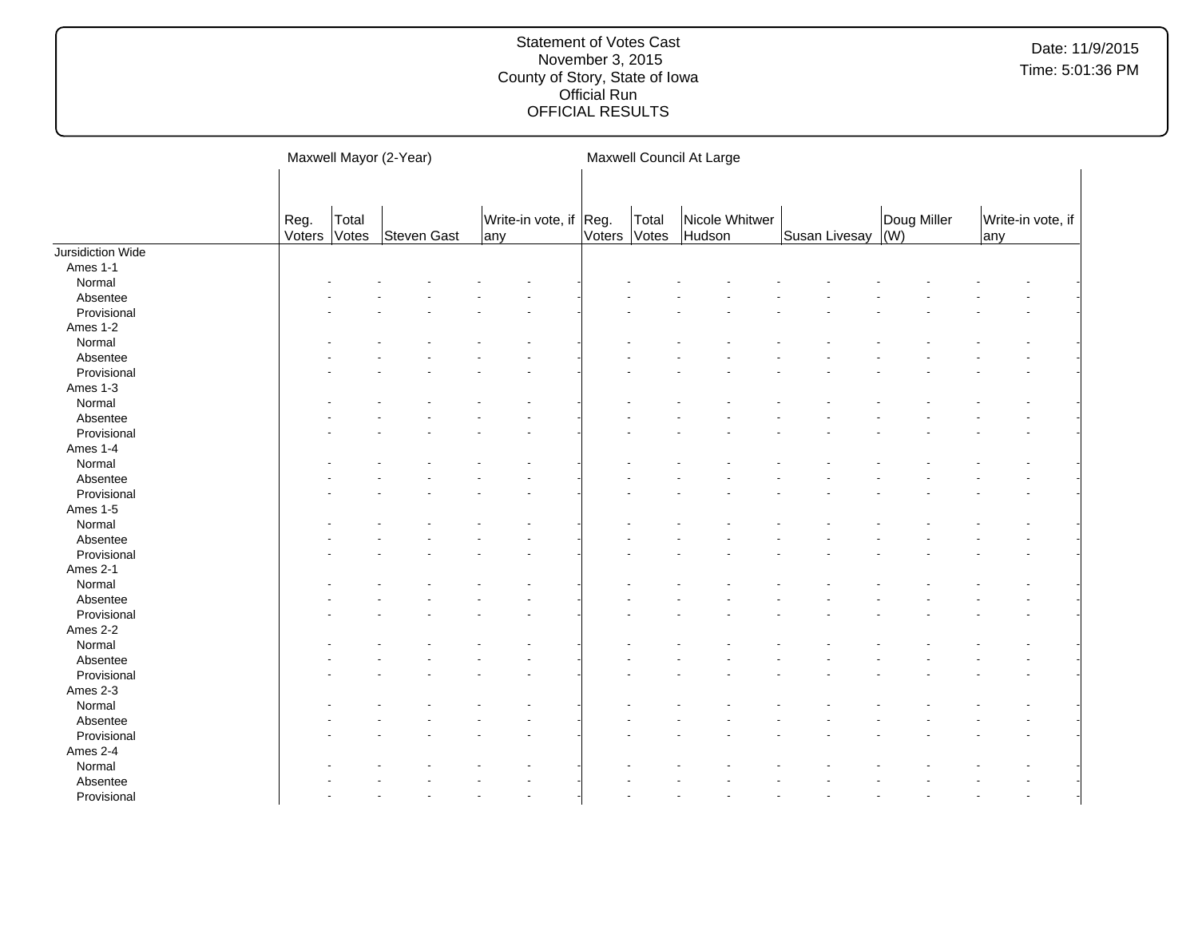|                   |                |                | Maxwell Mayor (2-Year) |     |                        |              |       | Maxwell Council At Large |               |                            |     |                   |
|-------------------|----------------|----------------|------------------------|-----|------------------------|--------------|-------|--------------------------|---------------|----------------------------|-----|-------------------|
|                   | Reg.<br>Voters | Total<br>Votes | Steven Gast            | any | Write-in vote, if Reg. | Voters Votes | Total | Nicole Whitwer<br>Hudson | Susan Livesay | Doug Miller<br>$\vert$ (W) | any | Write-in vote, if |
| Jursidiction Wide |                |                |                        |     |                        |              |       |                          |               |                            |     |                   |
| Ames 1-1          |                |                |                        |     |                        |              |       |                          |               |                            |     |                   |
| Normal            |                |                |                        |     |                        |              |       |                          |               |                            |     |                   |
| Absentee          |                |                |                        |     |                        |              |       |                          |               |                            |     |                   |
| Provisional       |                |                |                        |     |                        |              |       |                          |               |                            |     |                   |
| Ames 1-2          |                |                |                        |     |                        |              |       |                          |               |                            |     |                   |
| Normal            |                |                |                        |     |                        |              |       |                          |               |                            |     |                   |
| Absentee          |                |                |                        |     |                        |              |       |                          |               |                            |     |                   |
| Provisional       |                |                |                        |     |                        |              |       |                          |               |                            |     |                   |
| Ames 1-3          |                |                |                        |     |                        |              |       |                          |               |                            |     |                   |
| Normal            |                |                |                        |     |                        |              |       |                          |               |                            |     |                   |
| Absentee          |                |                |                        |     |                        |              |       |                          |               |                            |     |                   |
| Provisional       |                |                |                        |     |                        |              |       |                          |               |                            |     |                   |
| Ames 1-4          |                |                |                        |     |                        |              |       |                          |               |                            |     |                   |
| Normal            |                |                |                        |     |                        |              |       |                          |               |                            |     |                   |
| Absentee          |                |                |                        |     |                        |              |       |                          |               |                            |     |                   |
| Provisional       |                |                |                        |     |                        |              |       |                          |               |                            |     |                   |
| Ames 1-5          |                |                |                        |     |                        |              |       |                          |               |                            |     |                   |
| Normal            |                |                |                        |     |                        |              |       |                          |               |                            |     |                   |
| Absentee          |                |                |                        |     |                        |              |       |                          |               |                            |     |                   |
| Provisional       |                |                |                        |     |                        |              |       |                          |               |                            |     |                   |
| Ames 2-1          |                |                |                        |     |                        |              |       |                          |               |                            |     |                   |
| Normal            |                |                |                        |     |                        |              |       |                          |               |                            |     |                   |
| Absentee          |                |                |                        |     |                        |              |       |                          |               |                            |     |                   |
| Provisional       |                |                |                        |     |                        |              |       |                          |               |                            |     |                   |
| Ames 2-2          |                |                |                        |     |                        |              |       |                          |               |                            |     |                   |
| Normal            |                |                |                        |     |                        |              |       |                          |               |                            |     |                   |
| Absentee          |                |                |                        |     |                        |              |       |                          |               |                            |     |                   |
| Provisional       |                |                |                        |     |                        |              |       |                          |               |                            |     |                   |
| Ames 2-3          |                |                |                        |     |                        |              |       |                          |               |                            |     |                   |
| Normal            |                |                |                        |     |                        |              |       |                          |               |                            |     |                   |
| Absentee          |                |                |                        |     |                        |              |       |                          |               |                            |     |                   |
|                   |                |                |                        |     |                        |              |       |                          |               |                            |     |                   |
| Provisional       |                |                |                        |     |                        |              |       |                          |               |                            |     |                   |
| Ames 2-4          |                |                |                        |     |                        |              |       |                          |               |                            |     |                   |
| Normal            |                |                |                        |     |                        |              |       |                          |               |                            |     |                   |
| Absentee          |                |                |                        |     |                        |              |       |                          |               |                            |     |                   |
| Provisional       |                |                |                        |     |                        |              |       |                          |               |                            |     |                   |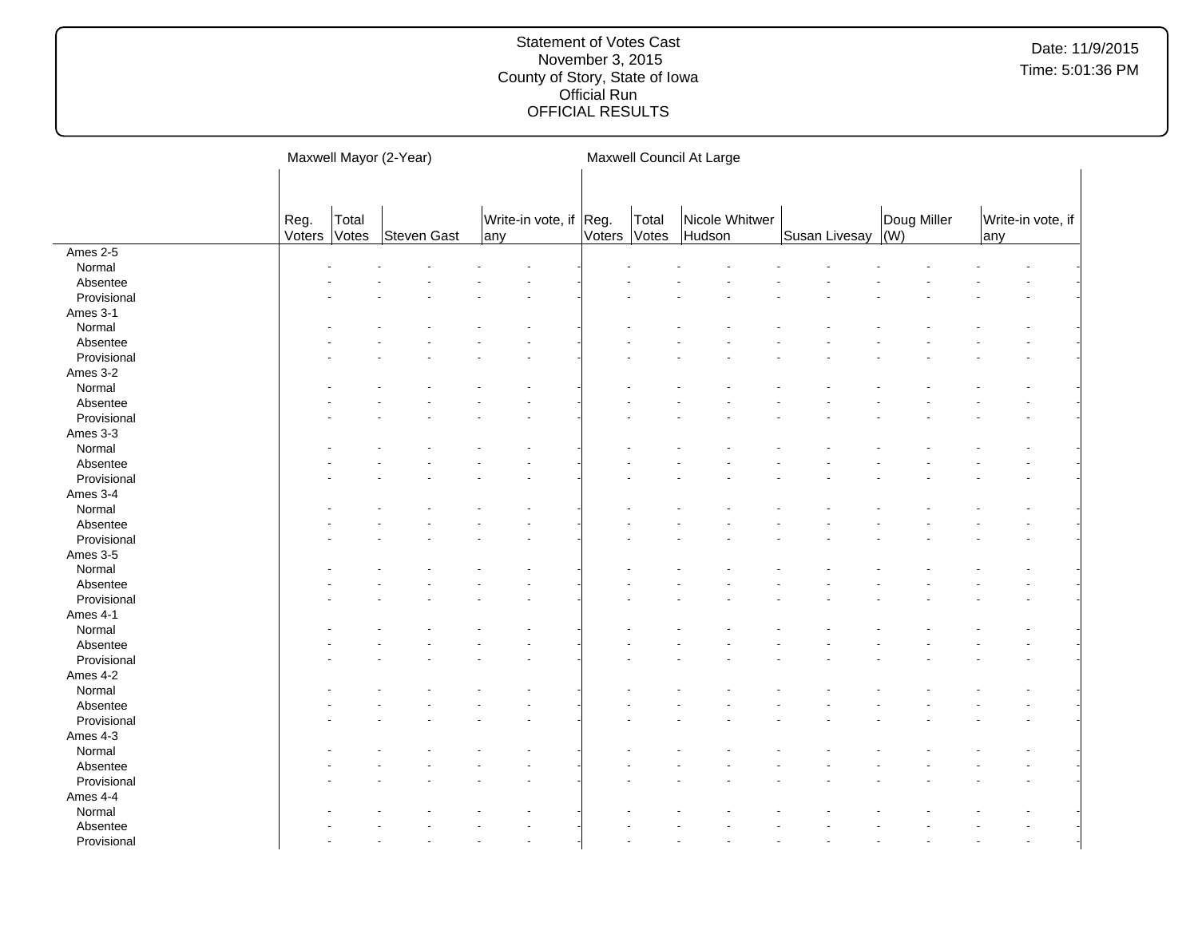|             |                |                | Maxwell Mayor (2-Year) |     |                   |                |                | Maxwell Council At Large |                   |             |     |                   |
|-------------|----------------|----------------|------------------------|-----|-------------------|----------------|----------------|--------------------------|-------------------|-------------|-----|-------------------|
|             | Reg.<br>Voters | Total<br>Votes | Steven Gast            | any | Write-in vote, if | Reg.<br>Voters | Total<br>Votes | Nicole Whitwer<br>Hudson | Susan Livesay (W) | Doug Miller | any | Write-in vote, if |
| Ames 2-5    |                |                |                        |     |                   |                |                |                          |                   |             |     |                   |
| Normal      |                |                |                        |     |                   |                |                |                          |                   |             |     |                   |
| Absentee    |                |                |                        |     |                   |                |                |                          |                   |             |     |                   |
| Provisional |                |                |                        |     |                   |                |                |                          |                   |             |     |                   |
| Ames 3-1    |                |                |                        |     |                   |                |                |                          |                   |             |     |                   |
| Normal      |                |                |                        |     |                   |                |                |                          |                   |             |     |                   |
| Absentee    |                |                |                        |     |                   |                |                |                          |                   |             |     |                   |
| Provisional |                |                |                        |     |                   |                |                |                          |                   |             |     |                   |
| Ames 3-2    |                |                |                        |     |                   |                |                |                          |                   |             |     |                   |
| Normal      |                |                |                        |     |                   |                |                |                          |                   |             |     |                   |
| Absentee    |                |                |                        |     |                   |                |                |                          |                   |             |     |                   |
| Provisional |                |                |                        |     |                   |                |                |                          |                   |             |     |                   |
| Ames 3-3    |                |                |                        |     |                   |                |                |                          |                   |             |     |                   |
| Normal      |                |                |                        |     |                   |                |                |                          |                   |             |     |                   |
| Absentee    |                |                |                        |     |                   |                |                |                          |                   |             |     |                   |
| Provisional |                |                |                        |     |                   |                |                |                          |                   |             |     |                   |
| Ames 3-4    |                |                |                        |     |                   |                |                |                          |                   |             |     |                   |
| Normal      |                |                |                        |     |                   |                |                |                          |                   |             |     |                   |
| Absentee    |                |                |                        |     |                   |                |                |                          |                   |             |     |                   |
| Provisional |                |                |                        |     |                   |                |                |                          |                   |             |     |                   |
| Ames 3-5    |                |                |                        |     |                   |                |                |                          |                   |             |     |                   |
| Normal      |                |                |                        |     |                   |                |                |                          |                   |             |     |                   |
| Absentee    |                |                |                        |     |                   |                |                |                          |                   |             |     |                   |
| Provisional |                |                |                        |     |                   |                |                |                          |                   |             |     |                   |
| Ames 4-1    |                |                |                        |     |                   |                |                |                          |                   |             |     |                   |
| Normal      |                |                |                        |     |                   |                |                |                          |                   |             |     |                   |
| Absentee    |                |                |                        |     |                   |                |                |                          |                   |             |     |                   |
| Provisional |                |                |                        |     |                   |                |                |                          |                   |             |     |                   |
| Ames 4-2    |                |                |                        |     |                   |                |                |                          |                   |             |     |                   |
| Normal      |                |                |                        |     |                   |                |                |                          |                   |             |     |                   |
| Absentee    |                |                |                        |     |                   |                |                |                          |                   |             |     |                   |
| Provisional |                |                |                        |     |                   |                |                |                          |                   |             |     |                   |
| Ames 4-3    |                |                |                        |     |                   |                |                |                          |                   |             |     |                   |
| Normal      |                |                |                        |     |                   |                |                |                          |                   |             |     |                   |
| Absentee    |                |                |                        |     |                   |                |                |                          |                   |             |     |                   |
| Provisional |                |                |                        |     |                   |                |                |                          |                   |             |     |                   |
| Ames 4-4    |                |                |                        |     |                   |                |                |                          |                   |             |     |                   |
| Normal      |                |                |                        |     |                   |                |                |                          |                   |             |     |                   |
| Absentee    |                |                |                        |     |                   |                |                |                          |                   |             |     |                   |
| Provisional |                |                |                        |     |                   |                |                |                          |                   |             |     |                   |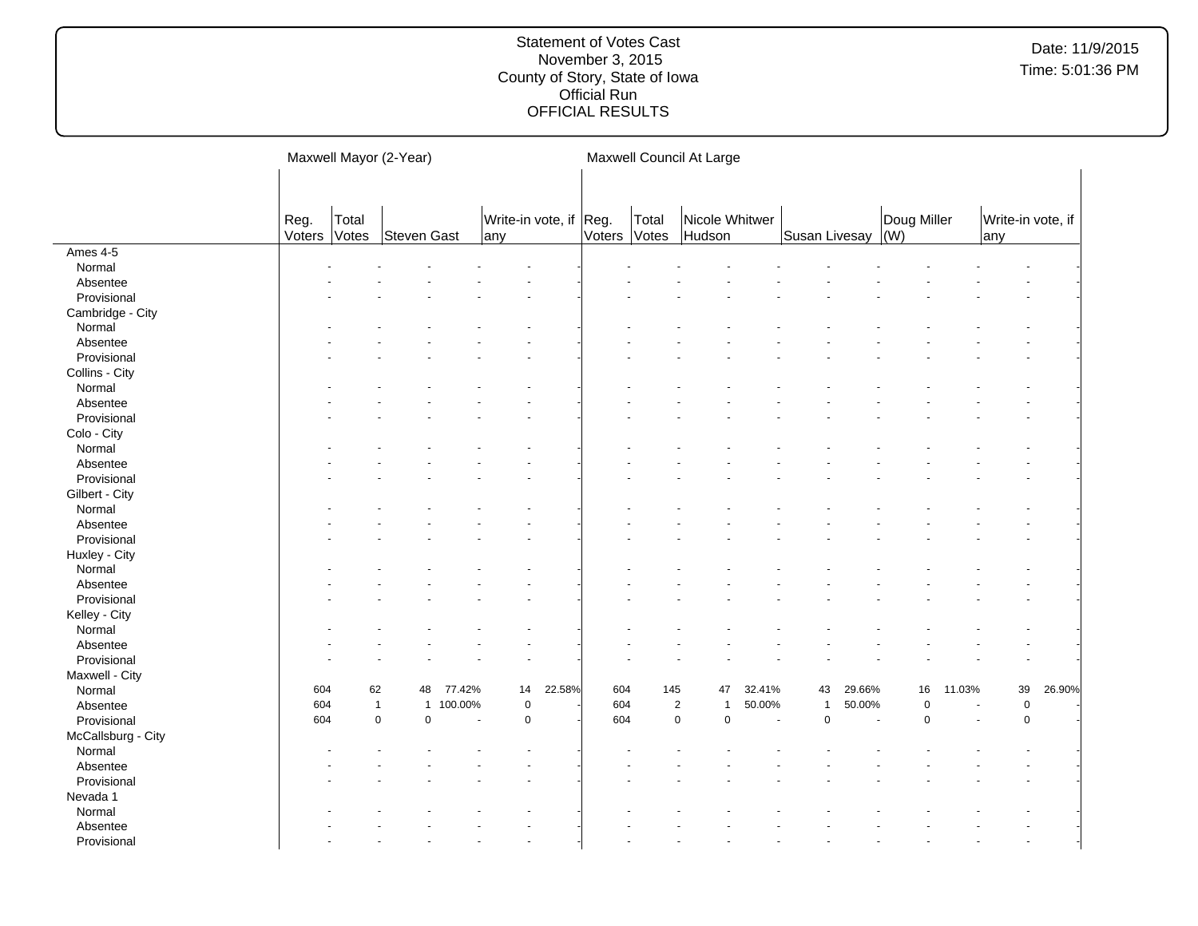|                    |                |                | Maxwell Mayor (2-Year)       |                      |                               |        |        |                | Maxwell Council At Large     |        |               |        |                    |        |                           |        |
|--------------------|----------------|----------------|------------------------------|----------------------|-------------------------------|--------|--------|----------------|------------------------------|--------|---------------|--------|--------------------|--------|---------------------------|--------|
|                    | Reg.<br>Voters | Total<br>Votes | <b>Steven Gast</b>           |                      | Write-in vote, if Reg.<br>any |        | Voters | Total<br>Votes | Nicole Whitwer<br>Hudson     |        | Susan Livesay |        | Doug Miller<br>(W) |        | Write-in vote, if<br> any |        |
| Ames 4-5           |                |                |                              |                      |                               |        |        |                |                              |        |               |        |                    |        |                           |        |
| Normal             |                |                |                              |                      |                               |        |        |                |                              |        |               |        |                    |        |                           |        |
| Absentee           |                |                |                              |                      |                               |        |        |                |                              |        |               |        |                    |        |                           |        |
| Provisional        |                |                |                              |                      |                               |        |        |                |                              |        |               |        |                    |        |                           |        |
| Cambridge - City   |                |                |                              |                      |                               |        |        |                |                              |        |               |        |                    |        |                           |        |
| Normal             |                |                |                              |                      |                               |        |        |                |                              |        |               |        |                    |        |                           |        |
| Absentee           |                |                |                              |                      |                               |        |        |                |                              |        |               |        |                    |        |                           |        |
| Provisional        |                |                |                              |                      |                               |        |        |                |                              |        |               |        |                    |        |                           |        |
| Collins - City     |                |                |                              |                      |                               |        |        |                |                              |        |               |        |                    |        |                           |        |
| Normal             |                |                |                              |                      |                               |        |        |                |                              |        |               |        |                    |        |                           |        |
| Absentee           |                |                |                              |                      |                               |        |        |                |                              |        |               |        |                    |        |                           |        |
| Provisional        |                |                |                              |                      |                               |        |        |                |                              |        |               |        |                    |        |                           |        |
| Colo - City        |                |                |                              |                      |                               |        |        |                |                              |        |               |        |                    |        |                           |        |
| Normal             |                |                |                              |                      |                               |        |        |                |                              |        |               |        |                    |        |                           |        |
| Absentee           |                |                |                              |                      |                               |        |        |                |                              |        |               |        |                    |        |                           |        |
| Provisional        |                |                |                              |                      |                               |        |        |                |                              |        |               |        |                    |        |                           |        |
| Gilbert - City     |                |                |                              |                      |                               |        |        |                |                              |        |               |        |                    |        |                           |        |
| Normal             |                |                |                              |                      |                               |        |        |                |                              |        |               |        |                    |        |                           |        |
| Absentee           |                |                |                              |                      |                               |        |        |                |                              |        |               |        |                    |        |                           |        |
| Provisional        |                |                |                              |                      |                               |        |        |                |                              |        |               |        |                    |        |                           |        |
| Huxley - City      |                |                |                              |                      |                               |        |        |                |                              |        |               |        |                    |        |                           |        |
| Normal             |                |                |                              |                      |                               |        |        |                |                              |        |               |        |                    |        |                           |        |
| Absentee           |                |                |                              |                      |                               |        |        |                |                              |        |               |        |                    |        |                           |        |
| Provisional        |                |                |                              |                      |                               |        |        |                |                              |        |               |        |                    |        |                           |        |
| Kelley - City      |                |                |                              |                      |                               |        |        |                |                              |        |               |        |                    |        |                           |        |
| Normal             |                |                |                              |                      |                               |        |        |                |                              |        |               |        |                    |        |                           |        |
| Absentee           |                |                |                              |                      |                               |        |        |                |                              |        |               |        |                    |        |                           |        |
| Provisional        |                |                |                              |                      |                               |        |        |                |                              |        |               |        |                    |        |                           |        |
| Maxwell - City     |                |                |                              |                      |                               |        |        |                |                              |        |               |        |                    |        |                           |        |
| Normal             | 604            | 62             | 48                           | 77.42%               | 14                            | 22.58% | 604    | 145            | 47                           | 32.41% | 43            | 29.66% | 16                 | 11.03% | 39                        | 26.90% |
| Absentee           | 604            |                | $\mathbf{1}$<br>$\mathbf{1}$ | 100.00%              | $\pmb{0}$                     |        | 604    |                | $\sqrt{2}$<br>$\overline{1}$ | 50.00% | $\mathbf{1}$  | 50.00% | $\pmb{0}$          |        | $\mathsf{O}\xspace$       |        |
| Provisional        | 604            |                | 0<br>$\pmb{0}$               | $\ddot{\phantom{1}}$ | $\pmb{0}$                     |        | 604    |                | $\pmb{0}$<br>$\pmb{0}$       | ä,     | $\pmb{0}$     |        | $\Omega$           |        | $\mathsf 0$               |        |
| McCallsburg - City |                |                |                              |                      |                               |        |        |                |                              |        |               |        |                    |        |                           |        |
| Normal             |                |                |                              |                      |                               |        |        |                |                              |        |               |        |                    |        |                           |        |
| Absentee           |                |                |                              |                      |                               |        |        |                |                              |        |               |        |                    |        |                           |        |
| Provisional        |                |                |                              |                      |                               |        |        |                |                              |        |               |        |                    |        |                           |        |
| Nevada 1           |                |                |                              |                      |                               |        |        |                |                              |        |               |        |                    |        |                           |        |
| Normal             |                |                |                              |                      |                               |        |        |                |                              |        |               |        |                    |        |                           |        |
| Absentee           |                |                |                              |                      |                               |        |        |                |                              |        |               |        |                    |        |                           |        |
| Provisional        |                |                |                              |                      |                               |        |        |                |                              |        |               |        |                    |        |                           |        |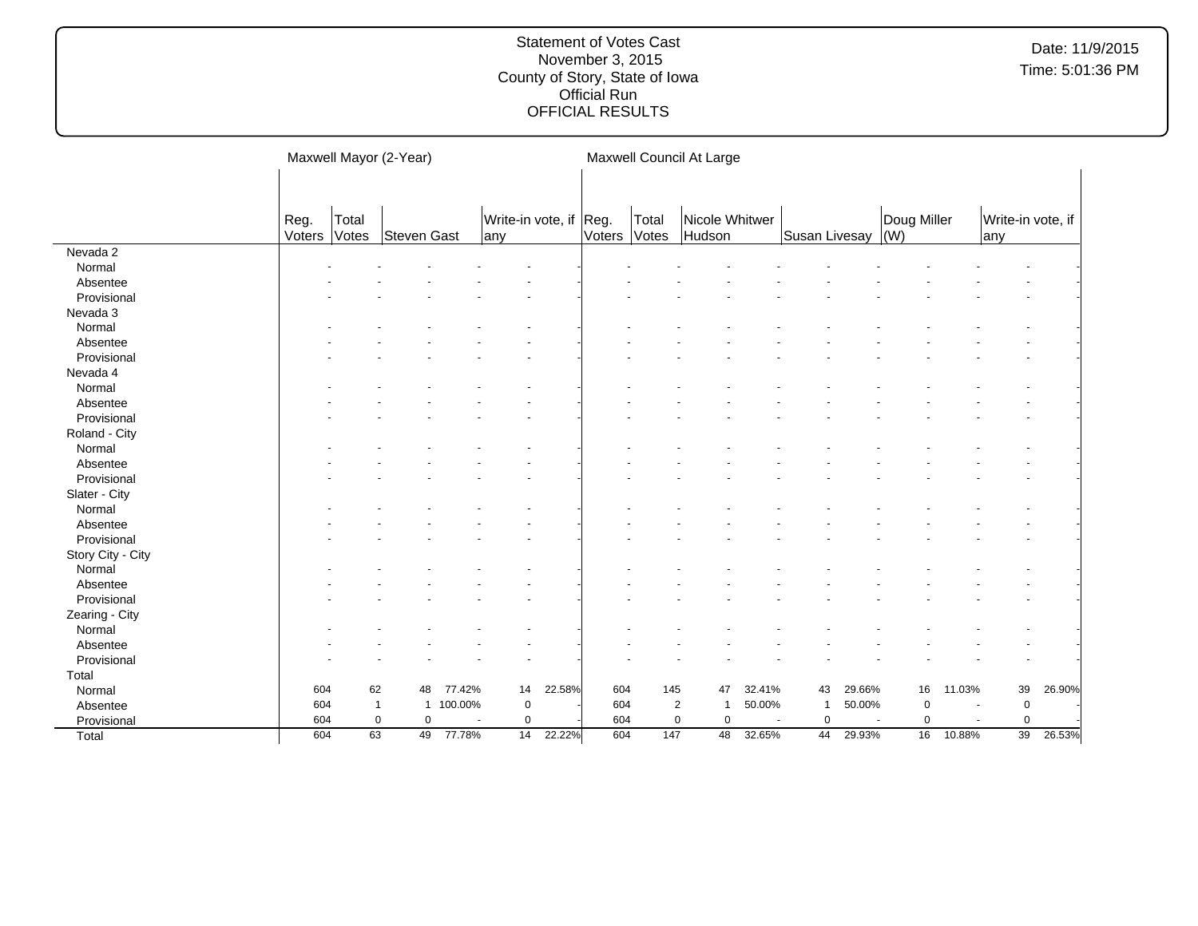|                   |                |                | Maxwell Mayor (2-Year) |           |                                |        |        |                | Maxwell Council At Large |        |               |        |                            |        |                          |        |
|-------------------|----------------|----------------|------------------------|-----------|--------------------------------|--------|--------|----------------|--------------------------|--------|---------------|--------|----------------------------|--------|--------------------------|--------|
|                   |                |                |                        |           |                                |        |        |                |                          |        |               |        |                            |        |                          |        |
|                   | Reg.<br>Voters | Total<br>Votes | Steven Gast            |           | Write-in vote, if Reg.<br> any |        | Voters | Total<br>Votes | Nicole Whitwer<br>Hudson |        | Susan Livesay |        | Doug Miller<br>$\vert$ (W) |        | Write-in vote, if<br>any |        |
| Nevada 2          |                |                |                        |           |                                |        |        |                |                          |        |               |        |                            |        |                          |        |
| Normal            |                |                |                        |           |                                |        |        |                |                          |        |               |        |                            |        |                          |        |
| Absentee          |                |                |                        |           |                                |        |        |                |                          |        |               |        |                            |        |                          |        |
| Provisional       |                |                |                        |           |                                |        |        |                |                          |        |               |        |                            |        |                          |        |
| Nevada 3          |                |                |                        |           |                                |        |        |                |                          |        |               |        |                            |        |                          |        |
| Normal            |                |                |                        |           |                                |        |        |                |                          |        |               |        |                            |        |                          |        |
| Absentee          |                |                |                        |           |                                |        |        |                |                          |        |               |        |                            |        |                          |        |
| Provisional       |                |                |                        |           |                                |        |        |                |                          |        |               |        |                            |        |                          |        |
| Nevada 4          |                |                |                        |           |                                |        |        |                |                          |        |               |        |                            |        |                          |        |
| Normal            |                |                |                        |           |                                |        |        |                |                          |        |               |        |                            |        |                          |        |
| Absentee          |                |                |                        |           |                                |        |        |                |                          |        |               |        |                            |        |                          |        |
| Provisional       |                |                |                        |           |                                |        |        |                |                          |        |               |        |                            |        |                          |        |
| Roland - City     |                |                |                        |           |                                |        |        |                |                          |        |               |        |                            |        |                          |        |
| Normal            |                |                |                        |           |                                |        |        |                |                          |        |               |        |                            |        |                          |        |
| Absentee          |                |                |                        |           |                                |        |        |                |                          |        |               |        |                            |        |                          |        |
| Provisional       |                |                |                        |           |                                |        |        |                |                          |        |               |        |                            |        |                          |        |
| Slater - City     |                |                |                        |           |                                |        |        |                |                          |        |               |        |                            |        |                          |        |
| Normal            |                |                |                        |           |                                |        |        |                |                          |        |               |        |                            |        |                          |        |
| Absentee          |                |                |                        |           |                                |        |        |                |                          |        |               |        |                            |        |                          |        |
| Provisional       |                |                |                        |           |                                |        |        |                |                          |        |               |        |                            |        |                          |        |
| Story City - City |                |                |                        |           |                                |        |        |                |                          |        |               |        |                            |        |                          |        |
| Normal            |                |                |                        |           |                                |        |        |                |                          |        |               |        |                            |        |                          |        |
| Absentee          |                |                |                        |           |                                |        |        |                |                          |        |               |        |                            |        |                          |        |
| Provisional       |                |                |                        |           |                                |        |        |                |                          |        |               |        |                            |        |                          |        |
| Zearing - City    |                |                |                        |           |                                |        |        |                |                          |        |               |        |                            |        |                          |        |
| Normal            |                |                |                        |           |                                |        |        |                |                          |        |               |        |                            |        |                          |        |
| Absentee          |                |                |                        |           |                                |        |        |                |                          |        |               |        |                            |        |                          |        |
| Provisional       |                |                |                        |           |                                |        |        |                |                          |        |               |        |                            |        |                          |        |
| Total             |                |                |                        |           |                                |        |        |                |                          |        |               |        |                            |        |                          |        |
| Normal            | 604            | 62             | 48                     | 77.42%    | 14                             | 22.58% | 604    | 145            | 47                       | 32.41% | 43            | 29.66% | 16                         | 11.03% | 39                       | 26.90% |
| Absentee          | 604            |                | $\mathbf{1}$           | 1 100.00% | $\mathbf 0$                    |        | 604    | $\overline{2}$ | $\overline{1}$           | 50.00% | -1            | 50.00% | 0                          |        | $\mathbf 0$              |        |
| Provisional       | 604            |                | $\mathbf 0$<br>0       |           | $\mathbf 0$                    |        | 604    | $\mathbf 0$    | $\pmb{0}$                | ÷.     | 0             |        | 0                          |        | 0                        |        |
| Total             | 604            | 63             | 49                     | 77.78%    | 14                             | 22.22% | 604    | 147            | 48                       | 32.65% | 44            | 29.93% | 16                         | 10.88% | 39                       | 26.53% |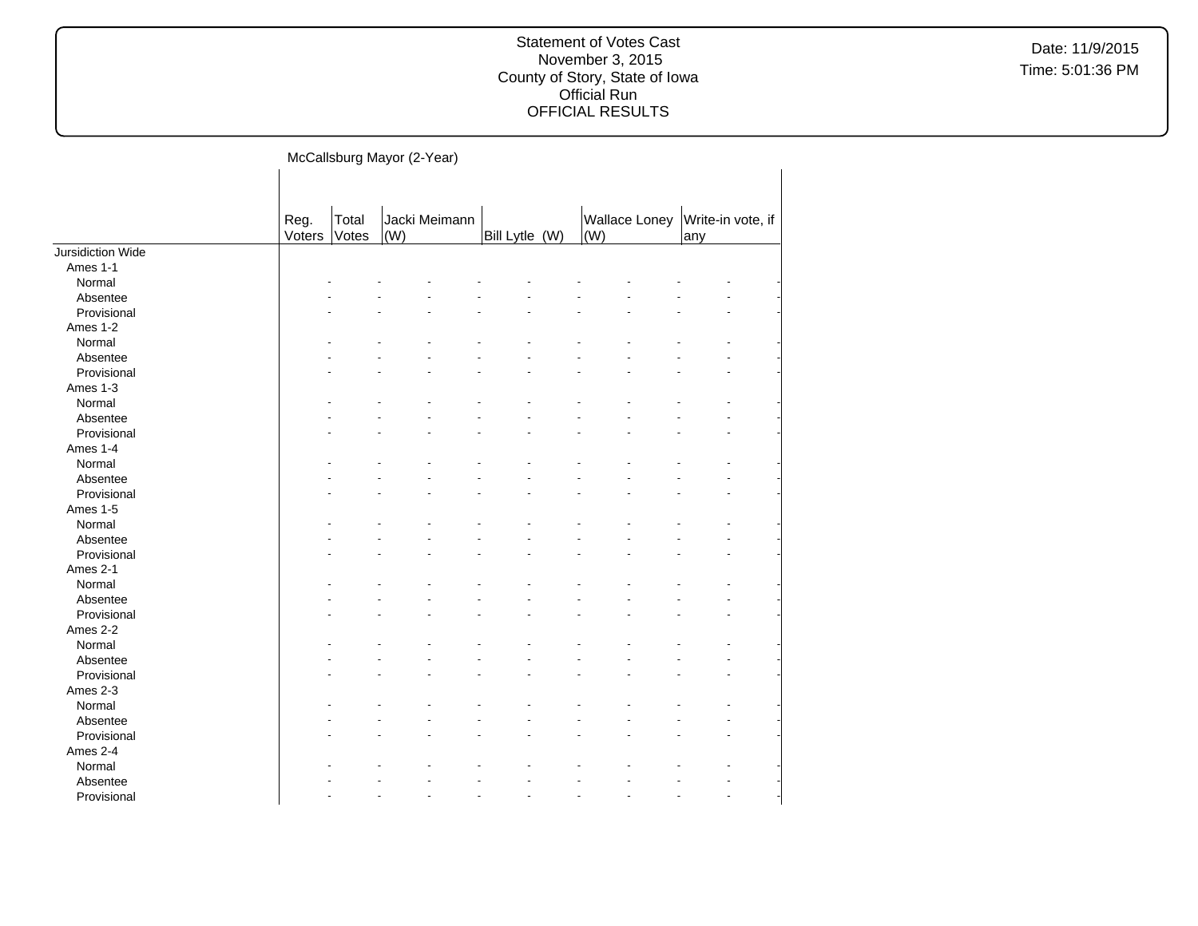Date: 11/9/2015 Time: 5:01:36 PM

McCallsburg Mayor (2-Year)

|                   | Reg.<br>Voters | Total<br>Votes | (W) | Jacki Meimann | Bill Lytle (W) | Wallace Loney<br>$\vert$ (W) | Write-in vote, if<br>any |  |
|-------------------|----------------|----------------|-----|---------------|----------------|------------------------------|--------------------------|--|
| Jursidiction Wide |                |                |     |               |                |                              |                          |  |
| Ames 1-1          |                |                |     |               |                |                              |                          |  |
| Normal            |                |                |     |               |                |                              |                          |  |
| Absentee          |                |                |     |               |                |                              |                          |  |
| Provisional       |                |                |     |               |                |                              |                          |  |
| Ames 1-2          |                |                |     |               |                |                              |                          |  |
| Normal            |                |                |     |               |                |                              |                          |  |
| Absentee          |                |                |     |               |                |                              |                          |  |
| Provisional       |                |                |     |               |                |                              |                          |  |
| Ames 1-3          |                |                |     |               |                |                              |                          |  |
| Normal            |                |                |     |               |                |                              |                          |  |
| Absentee          |                |                |     |               |                |                              |                          |  |
| Provisional       |                |                |     |               |                |                              |                          |  |
| Ames 1-4          |                |                |     |               |                |                              |                          |  |
| Normal            |                |                |     |               |                |                              |                          |  |
| Absentee          |                |                |     |               |                |                              |                          |  |
| Provisional       |                |                |     |               |                |                              |                          |  |
| Ames 1-5          |                |                |     |               |                |                              |                          |  |
| Normal            |                |                |     |               |                |                              |                          |  |
| Absentee          |                |                |     |               |                |                              |                          |  |
| Provisional       |                |                |     |               |                |                              |                          |  |
| Ames 2-1          |                |                |     |               |                |                              |                          |  |
| Normal            |                |                |     |               |                |                              |                          |  |
| Absentee          |                |                |     |               |                |                              |                          |  |
| Provisional       |                |                |     |               |                |                              |                          |  |
| Ames 2-2          |                |                |     |               |                |                              |                          |  |
| Normal            |                |                |     |               |                |                              |                          |  |
| Absentee          |                |                |     |               |                |                              |                          |  |
| Provisional       |                |                |     |               |                |                              |                          |  |
| Ames 2-3          |                |                |     |               |                |                              |                          |  |
| Normal            |                |                |     |               |                |                              |                          |  |
| Absentee          |                |                |     |               |                |                              |                          |  |
| Provisional       |                |                |     |               |                |                              |                          |  |
| Ames 2-4          |                |                |     |               |                |                              |                          |  |
| Normal            |                |                |     |               |                |                              |                          |  |
| Absentee          |                |                |     |               |                |                              |                          |  |
| Provisional       |                |                |     |               |                |                              |                          |  |
|                   |                |                |     |               |                |                              |                          |  |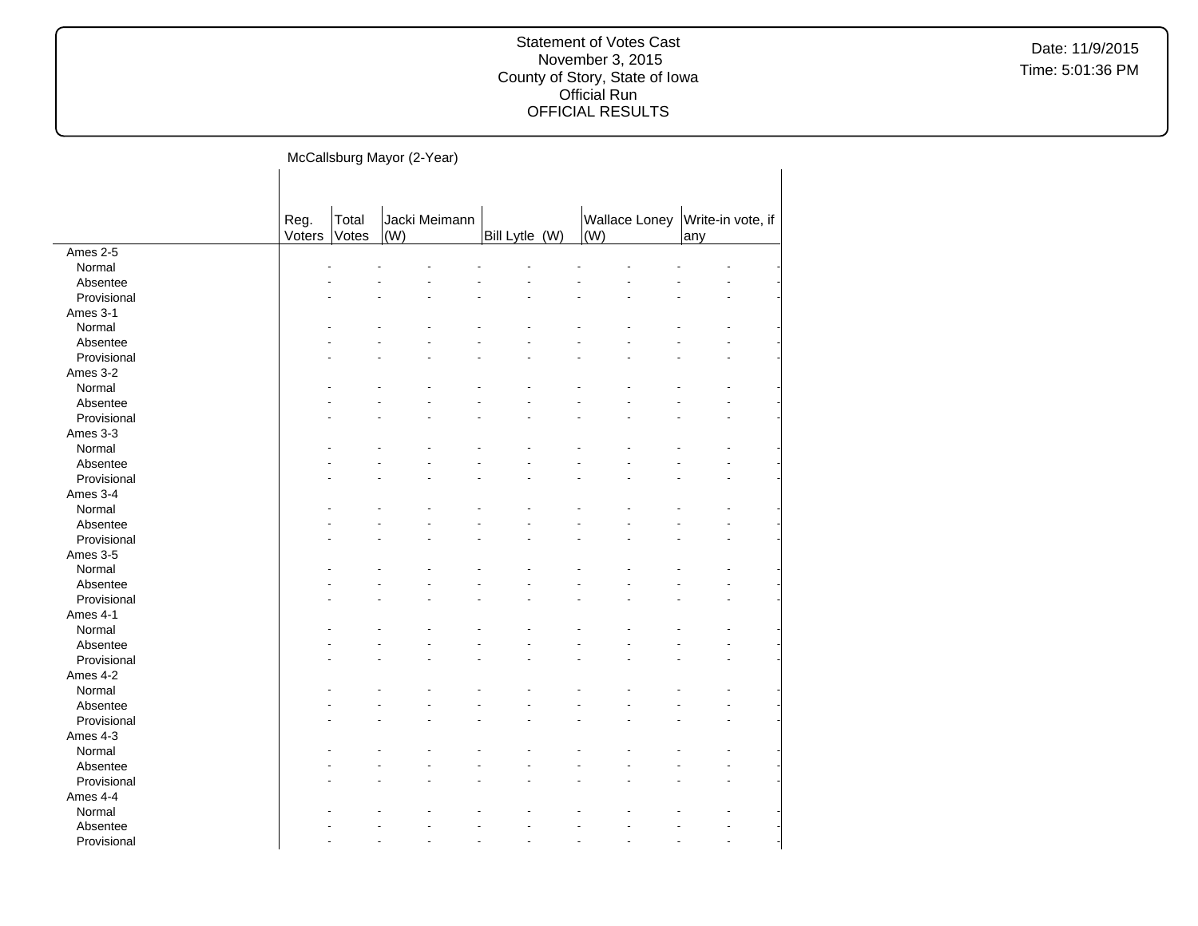| McCallsburg Mayor (2-Year) |  |  |
|----------------------------|--|--|
|                            |  |  |

|             | Reg.   | Total |     | Jacki Meimann |                |     | <b>Wallace Loney</b> | Write-in vote, if |  |
|-------------|--------|-------|-----|---------------|----------------|-----|----------------------|-------------------|--|
|             | Voters | Votes | (W) |               | Bill Lytle (W) | (W) |                      | any               |  |
| Ames $2-5$  |        |       |     |               |                |     |                      |                   |  |
| Normal      |        |       |     |               |                |     |                      |                   |  |
| Absentee    |        |       |     |               |                |     |                      |                   |  |
| Provisional |        |       |     |               |                |     |                      |                   |  |
| Ames 3-1    |        |       |     |               |                |     |                      |                   |  |
| Normal      |        |       |     |               |                |     |                      |                   |  |
| Absentee    |        |       |     |               |                |     |                      |                   |  |
| Provisional |        |       |     |               |                |     |                      |                   |  |
| Ames 3-2    |        |       |     |               |                |     |                      |                   |  |
| Normal      |        |       |     |               |                |     |                      |                   |  |
| Absentee    |        |       |     |               |                |     |                      |                   |  |
| Provisional |        |       |     |               |                |     |                      |                   |  |
| Ames 3-3    |        |       |     |               |                |     |                      |                   |  |
| Normal      |        |       |     |               |                |     |                      |                   |  |
| Absentee    |        |       |     |               |                |     |                      |                   |  |
| Provisional |        |       |     |               |                |     |                      |                   |  |
| Ames 3-4    |        |       |     |               |                |     |                      |                   |  |
| Normal      |        |       |     |               |                |     |                      |                   |  |
| Absentee    |        |       |     |               |                |     |                      |                   |  |
| Provisional |        |       |     |               |                |     |                      |                   |  |
| Ames 3-5    |        |       |     |               |                |     |                      |                   |  |
| Normal      |        |       |     |               |                |     |                      |                   |  |
| Absentee    |        |       |     |               |                |     |                      |                   |  |
| Provisional |        |       |     |               |                |     |                      |                   |  |
| Ames 4-1    |        |       |     |               |                |     |                      |                   |  |
| Normal      |        |       |     |               |                |     |                      |                   |  |
| Absentee    |        |       |     |               |                |     |                      |                   |  |
| Provisional |        |       |     |               |                |     |                      |                   |  |
| Ames 4-2    |        |       |     |               |                |     |                      |                   |  |
| Normal      |        |       |     |               |                |     |                      |                   |  |
| Absentee    |        |       |     |               |                |     |                      |                   |  |
| Provisional |        |       |     |               |                |     |                      |                   |  |
| Ames 4-3    |        |       |     |               |                |     |                      |                   |  |
| Normal      |        |       |     |               |                |     |                      |                   |  |
| Absentee    |        |       |     |               |                |     |                      |                   |  |
| Provisional |        |       |     |               |                |     |                      |                   |  |
| Ames 4-4    |        |       |     |               |                |     |                      |                   |  |
| Normal      |        |       |     |               |                |     |                      |                   |  |
| Absentee    |        |       |     |               |                |     |                      |                   |  |
| Provisional |        |       |     |               |                |     |                      |                   |  |
|             |        |       |     |               |                |     |                      |                   |  |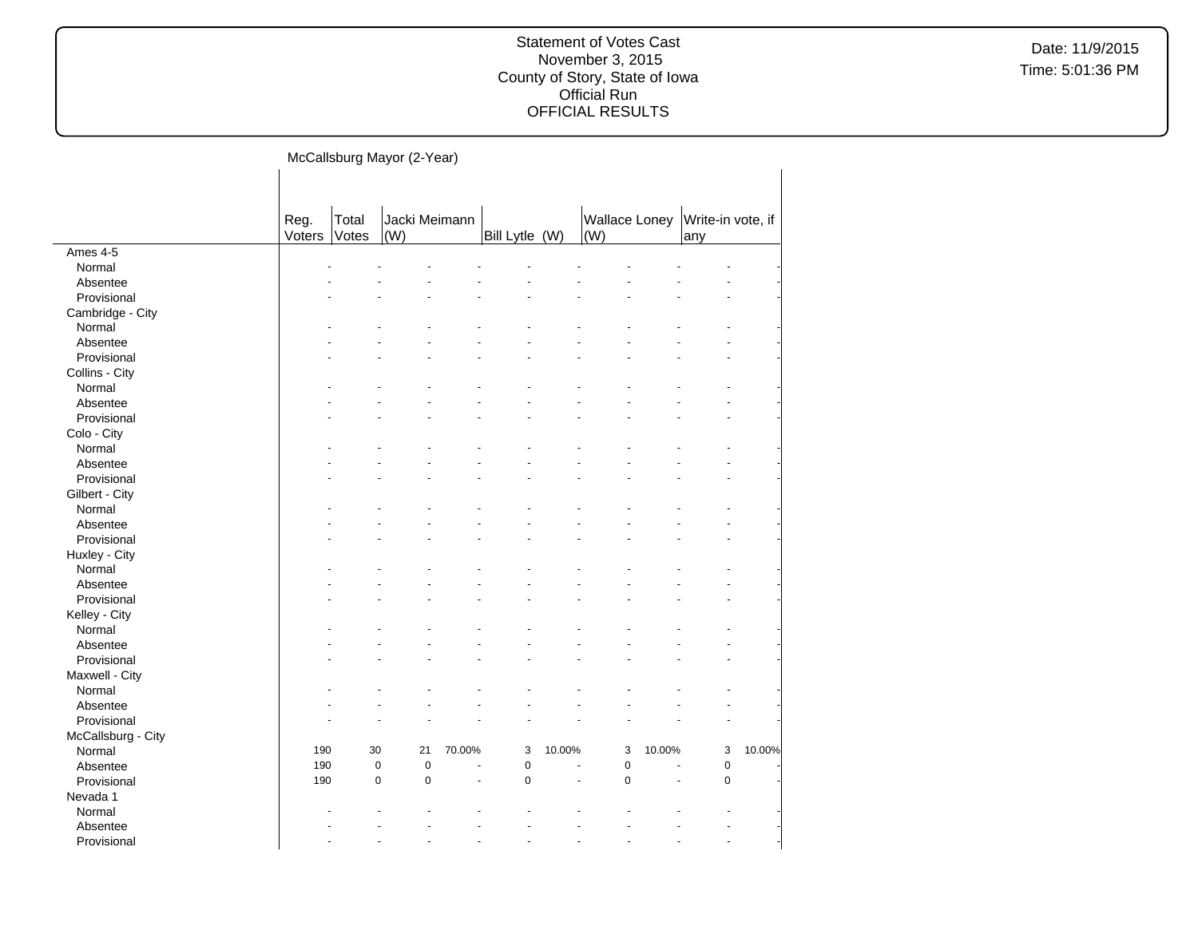| McCallsburg Mayor (2-Year) |  |
|----------------------------|--|
|                            |  |

|                    | Reg.   | Total | Jacki Meimann              |        |                |        | <b>Wallace Loney</b> |        | Write-in vote, if |        |
|--------------------|--------|-------|----------------------------|--------|----------------|--------|----------------------|--------|-------------------|--------|
| Ames 4-5           | Voters | Votes | (W)                        |        | Bill Lytle (W) |        | (W)                  |        | any               |        |
|                    |        |       |                            |        |                |        |                      |        |                   |        |
| Normal             |        |       |                            |        |                |        |                      |        |                   |        |
| Absentee           |        |       |                            |        |                |        |                      |        |                   |        |
| Provisional        |        |       |                            |        |                |        |                      |        |                   |        |
| Cambridge - City   |        |       |                            |        |                |        |                      |        |                   |        |
| Normal             |        |       |                            |        |                |        |                      |        |                   |        |
| Absentee           |        |       |                            |        |                |        |                      |        |                   |        |
| Provisional        |        |       |                            |        |                |        |                      |        |                   |        |
| Collins - City     |        |       |                            |        |                |        |                      |        |                   |        |
| Normal             |        |       |                            |        |                |        |                      |        |                   |        |
| Absentee           |        |       |                            |        |                |        |                      |        |                   |        |
| Provisional        |        |       |                            |        |                |        |                      |        |                   |        |
| Colo - City        |        |       |                            |        |                |        |                      |        |                   |        |
| Normal             |        |       |                            |        |                |        |                      |        |                   |        |
| Absentee           |        |       |                            |        |                |        |                      |        |                   |        |
| Provisional        |        |       |                            |        |                |        |                      |        |                   |        |
| Gilbert - City     |        |       |                            |        |                |        |                      |        |                   |        |
| Normal             |        |       |                            |        |                |        |                      |        |                   |        |
| Absentee           |        |       |                            |        |                |        |                      |        |                   |        |
| Provisional        |        |       |                            |        |                |        |                      |        |                   |        |
| Huxley - City      |        |       |                            |        |                |        |                      |        |                   |        |
| Normal             |        |       |                            |        |                |        |                      |        |                   |        |
| Absentee           |        |       |                            |        |                |        |                      |        |                   |        |
| Provisional        |        |       |                            |        |                |        |                      |        |                   |        |
| Kelley - City      |        |       |                            |        |                |        |                      |        |                   |        |
| Normal             |        |       |                            |        |                |        |                      |        |                   |        |
| Absentee           |        |       |                            |        |                |        |                      |        |                   |        |
| Provisional        |        |       |                            |        |                |        |                      |        |                   |        |
| Maxwell - City     |        |       |                            |        |                |        |                      |        |                   |        |
| Normal             |        |       |                            |        |                |        |                      |        |                   |        |
| Absentee           |        |       |                            |        |                |        |                      |        |                   |        |
| Provisional        |        |       |                            |        |                |        |                      |        |                   |        |
| McCallsburg - City |        |       |                            |        |                |        |                      |        |                   |        |
| Normal             | 190    | 30    | 21                         | 70.00% | 3              | 10.00% | 3                    | 10.00% | 3                 | 10.00% |
| Absentee           | 190    |       | $\mathbf 0$<br>$\pmb{0}$   | ÷,     | $\mathbf 0$    |        | $\pmb{0}$            | L,     | $\pmb{0}$         |        |
| Provisional        | 190    |       | $\mathbf 0$<br>$\mathbf 0$ | ä,     | 0              |        | $\mathbf 0$          | ä,     | 0                 |        |
| Nevada 1           |        |       |                            |        |                |        |                      |        |                   |        |
| Normal             |        |       |                            |        |                |        |                      |        |                   |        |
|                    |        |       |                            |        |                |        |                      |        |                   |        |
| Absentee           |        |       |                            |        |                |        |                      |        |                   |        |
| Provisional        |        |       |                            |        |                |        |                      |        |                   |        |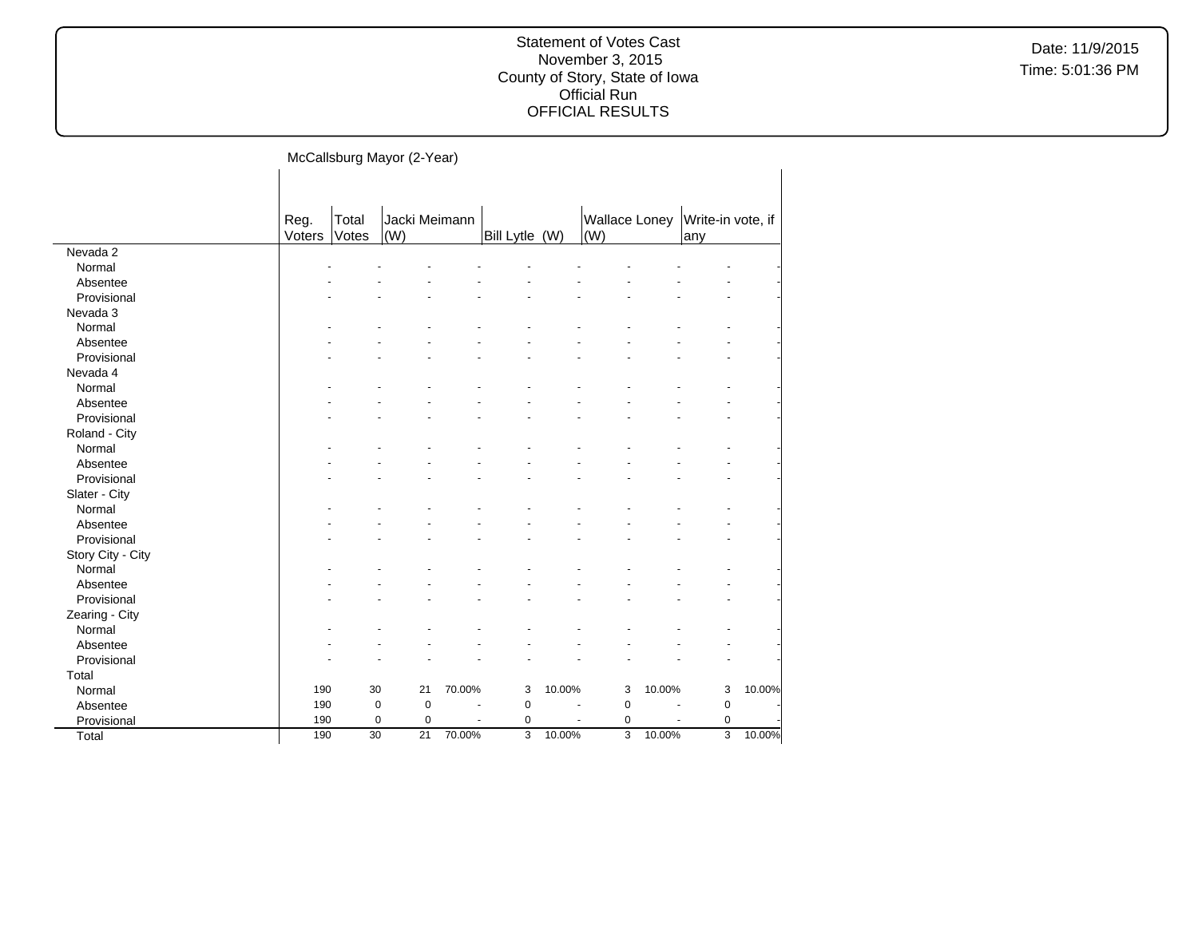Date: 11/9/2015 Time: 5:01:36 PM

|                   |        |                | McCallsburg Mayor (2-Year) |        |                |                |                                     |        |                   |        |
|-------------------|--------|----------------|----------------------------|--------|----------------|----------------|-------------------------------------|--------|-------------------|--------|
|                   |        |                |                            |        |                |                |                                     |        |                   |        |
|                   | Reg.   | Total<br>Votes | Jacki Meimann<br>(W)       |        |                |                | <b>Wallace Loney</b><br>$\vert$ (W) |        | Write-in vote, if |        |
| Nevada 2          | Voters |                |                            |        | Bill Lytle (W) |                |                                     |        | any               |        |
| Normal            |        |                |                            |        |                |                |                                     |        |                   |        |
| Absentee          |        |                |                            |        |                |                |                                     |        |                   |        |
| Provisional       |        |                |                            |        |                |                |                                     |        |                   |        |
| Nevada 3          |        |                |                            |        |                |                |                                     |        |                   |        |
| Normal            |        |                |                            |        |                |                |                                     |        |                   |        |
| Absentee          |        |                |                            |        |                |                |                                     |        |                   |        |
| Provisional       |        |                |                            |        |                |                |                                     |        |                   |        |
| Nevada 4          |        |                |                            |        |                |                |                                     |        |                   |        |
| Normal            |        |                |                            |        |                |                |                                     |        |                   |        |
| Absentee          |        |                |                            |        |                |                |                                     |        |                   |        |
| Provisional       |        |                |                            |        |                |                |                                     |        |                   |        |
| Roland - City     |        |                |                            |        |                |                |                                     |        |                   |        |
| Normal            |        |                |                            |        |                |                |                                     |        |                   |        |
| Absentee          |        |                |                            |        |                |                |                                     |        |                   |        |
| Provisional       |        |                |                            |        |                |                |                                     |        |                   |        |
| Slater - City     |        |                |                            |        |                |                |                                     |        |                   |        |
| Normal            |        |                |                            |        |                |                |                                     |        |                   |        |
| Absentee          |        |                |                            |        |                |                |                                     |        |                   |        |
| Provisional       |        |                |                            |        |                |                |                                     |        |                   |        |
| Story City - City |        |                |                            |        |                |                |                                     |        |                   |        |
| Normal            |        |                |                            |        |                |                |                                     |        |                   |        |
| Absentee          |        |                |                            |        |                |                |                                     |        |                   |        |
| Provisional       |        |                |                            |        |                |                |                                     |        |                   |        |
| Zearing - City    |        |                |                            |        |                |                |                                     |        |                   |        |
| Normal            |        |                |                            |        |                |                |                                     |        |                   |        |
| Absentee          |        |                |                            |        |                |                |                                     |        |                   |        |
| Provisional       |        |                |                            |        |                |                |                                     |        |                   |        |
| Total             |        |                |                            |        |                |                |                                     |        |                   |        |
|                   | 190    | 30             | 21                         | 70.00% | 3              | 10.00%         | 3                                   | 10.00% | 3                 | 10.00% |
| Normal            | 190    | $\mathbf 0$    | $\mathbf 0$                | ÷,     | $\pmb{0}$      |                |                                     | ÷,     |                   |        |
| Absentee          |        |                |                            |        |                | $\blacksquare$ | 0                                   |        | $\pmb{0}$         |        |

Provisional 190 0 0 - 0 - 0 - 0 -Total 190 30 21 70.00% 3 10.00% 3 10.00% 3 10.00%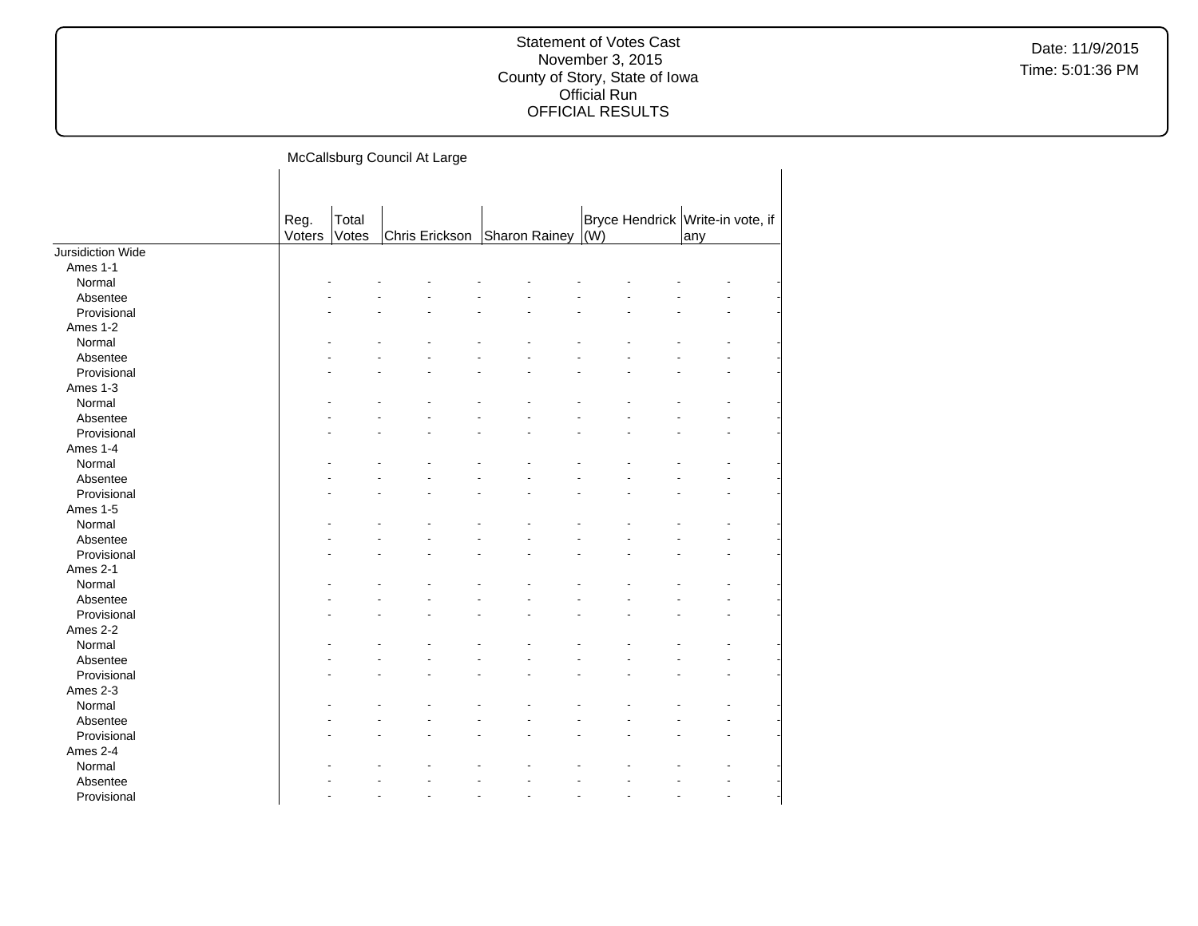Date: 11/9/2015 Time: 5:01:36 PM

McCallsburg Council At Large

|                   | Reg.   | Total |                |               |     | Bryce Hendrick Write-in vote, if |
|-------------------|--------|-------|----------------|---------------|-----|----------------------------------|
|                   | Voters | Votes | Chris Erickson | Sharon Rainey | (W) | any                              |
| Jursidiction Wide |        |       |                |               |     |                                  |
| Ames 1-1          |        |       |                |               |     |                                  |
| Normal            |        |       |                |               |     |                                  |
| Absentee          |        |       |                |               |     |                                  |
| Provisional       |        |       |                |               |     |                                  |
| Ames 1-2          |        |       |                |               |     |                                  |
| Normal            |        |       |                |               |     |                                  |
| Absentee          |        |       |                |               |     |                                  |
| Provisional       |        |       |                |               |     |                                  |
| Ames 1-3          |        |       |                |               |     |                                  |
| Normal            |        |       |                |               |     |                                  |
| Absentee          |        |       |                |               |     |                                  |
| Provisional       |        |       |                |               |     |                                  |
| Ames 1-4          |        |       |                |               |     |                                  |
| Normal            |        |       |                |               |     |                                  |
| Absentee          |        |       |                |               |     |                                  |
| Provisional       |        |       |                |               |     |                                  |
| Ames 1-5          |        |       |                |               |     |                                  |
| Normal            |        |       |                |               |     |                                  |
| Absentee          |        |       |                |               |     |                                  |
| Provisional       |        |       |                |               |     |                                  |
| Ames 2-1          |        |       |                |               |     |                                  |
| Normal            |        |       |                |               |     |                                  |
| Absentee          |        |       |                |               |     |                                  |
| Provisional       |        |       |                |               |     |                                  |
| Ames 2-2          |        |       |                |               |     |                                  |
| Normal            |        |       |                |               |     |                                  |
| Absentee          |        |       |                |               |     |                                  |
| Provisional       |        |       |                |               |     |                                  |
| Ames 2-3          |        |       |                |               |     |                                  |
| Normal            |        |       |                |               |     |                                  |
| Absentee          |        |       |                |               |     |                                  |
|                   |        |       |                |               |     |                                  |
| Provisional       |        |       |                |               |     |                                  |
| Ames 2-4          |        |       |                |               |     |                                  |
| Normal            |        |       |                |               |     |                                  |
| Absentee          |        |       |                |               |     |                                  |
| Provisional       |        |       |                |               |     |                                  |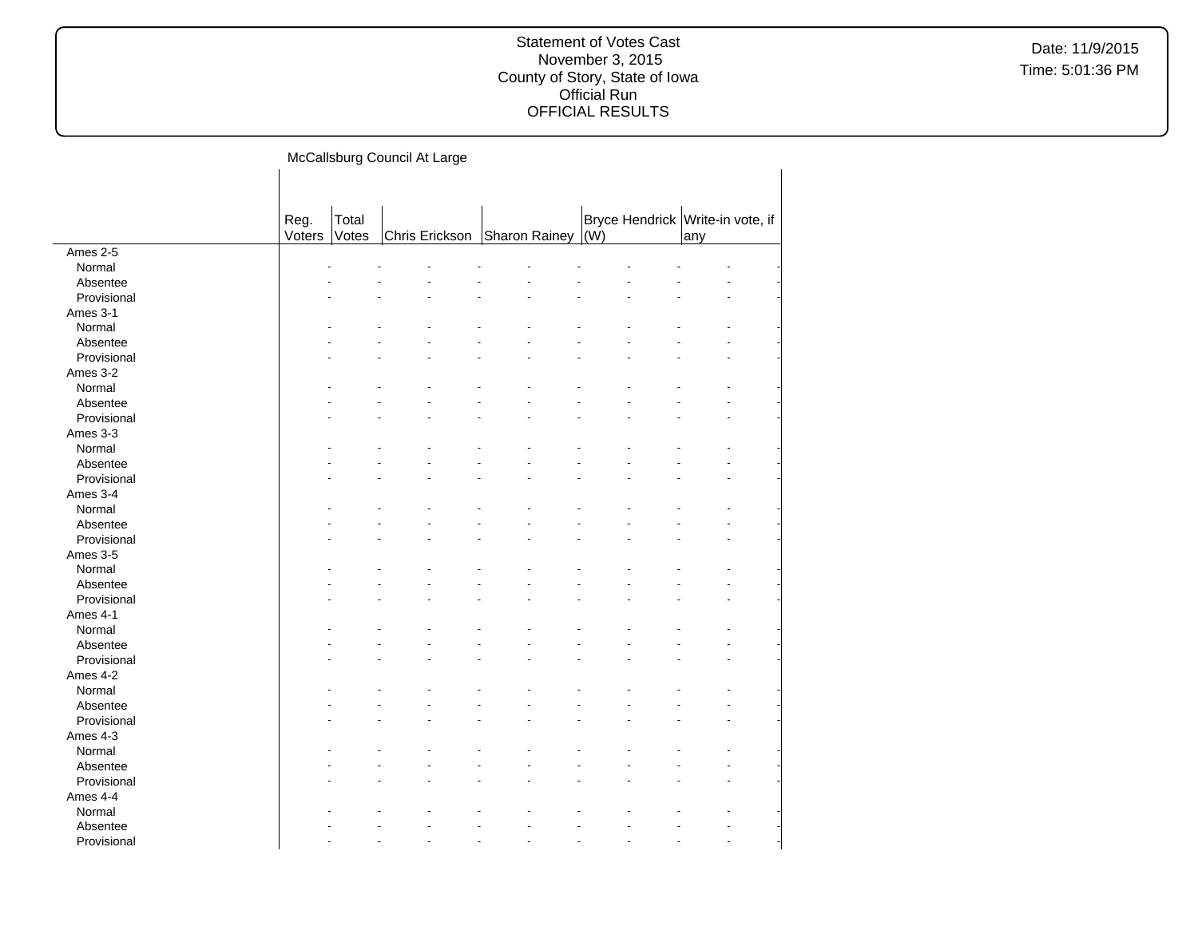Date: 11/9/2015 Time: 5:01:36 PM

McCallsburg Council At Large  $\mathbf{I}$ 

|             | Reg.<br>Total<br>Voters<br>Votes |                |  |               |     |                                  |     |  |
|-------------|----------------------------------|----------------|--|---------------|-----|----------------------------------|-----|--|
|             |                                  |                |  |               |     |                                  |     |  |
|             |                                  |                |  |               |     |                                  |     |  |
|             |                                  |                |  |               |     | Bryce Hendrick Write-in vote, if |     |  |
|             |                                  | Chris Erickson |  | Sharon Rainey | (W) |                                  | any |  |
| Ames 2-5    |                                  |                |  |               |     |                                  |     |  |
| Normal      |                                  |                |  |               |     |                                  |     |  |
| Absentee    |                                  |                |  |               |     |                                  |     |  |
| Provisional |                                  |                |  |               |     |                                  |     |  |
| Ames 3-1    |                                  |                |  |               |     |                                  |     |  |
| Normal      |                                  |                |  |               |     |                                  |     |  |
| Absentee    |                                  |                |  |               |     |                                  |     |  |
| Provisional |                                  |                |  |               |     |                                  |     |  |
| Ames 3-2    |                                  |                |  |               |     |                                  |     |  |
| Normal      |                                  |                |  |               |     |                                  |     |  |
| Absentee    |                                  |                |  |               |     |                                  |     |  |
| Provisional |                                  |                |  |               |     |                                  |     |  |
| Ames 3-3    |                                  |                |  |               |     |                                  |     |  |
| Normal      |                                  |                |  |               |     |                                  |     |  |
| Absentee    |                                  |                |  |               |     |                                  |     |  |
| Provisional |                                  |                |  |               |     |                                  |     |  |
| Ames 3-4    |                                  |                |  |               |     |                                  |     |  |
| Normal      |                                  |                |  |               |     |                                  |     |  |
| Absentee    |                                  |                |  |               |     |                                  |     |  |
| Provisional |                                  |                |  |               |     |                                  |     |  |
| Ames 3-5    |                                  |                |  |               |     |                                  |     |  |
| Normal      |                                  |                |  |               |     |                                  |     |  |
| Absentee    |                                  |                |  |               |     |                                  |     |  |
| Provisional |                                  |                |  |               |     |                                  |     |  |
| Ames 4-1    |                                  |                |  |               |     |                                  |     |  |
| Normal      |                                  |                |  |               |     |                                  |     |  |
| Absentee    |                                  |                |  |               |     |                                  |     |  |
| Provisional |                                  |                |  |               |     |                                  |     |  |
| Ames 4-2    |                                  |                |  |               |     |                                  |     |  |
| Normal      |                                  |                |  |               |     |                                  |     |  |
| Absentee    |                                  |                |  |               |     |                                  |     |  |
| Provisional |                                  |                |  |               |     |                                  |     |  |
| Ames 4-3    |                                  |                |  |               |     |                                  |     |  |
| Normal      |                                  |                |  |               |     |                                  |     |  |
| Absentee    |                                  |                |  |               |     |                                  |     |  |
| Provisional |                                  |                |  |               |     |                                  |     |  |
| Ames 4-4    |                                  |                |  |               |     |                                  |     |  |
| Normal      |                                  |                |  |               |     |                                  |     |  |
| Absentee    |                                  |                |  |               |     |                                  |     |  |
| Provisional |                                  |                |  |               |     |                                  |     |  |
|             |                                  |                |  |               |     |                                  |     |  |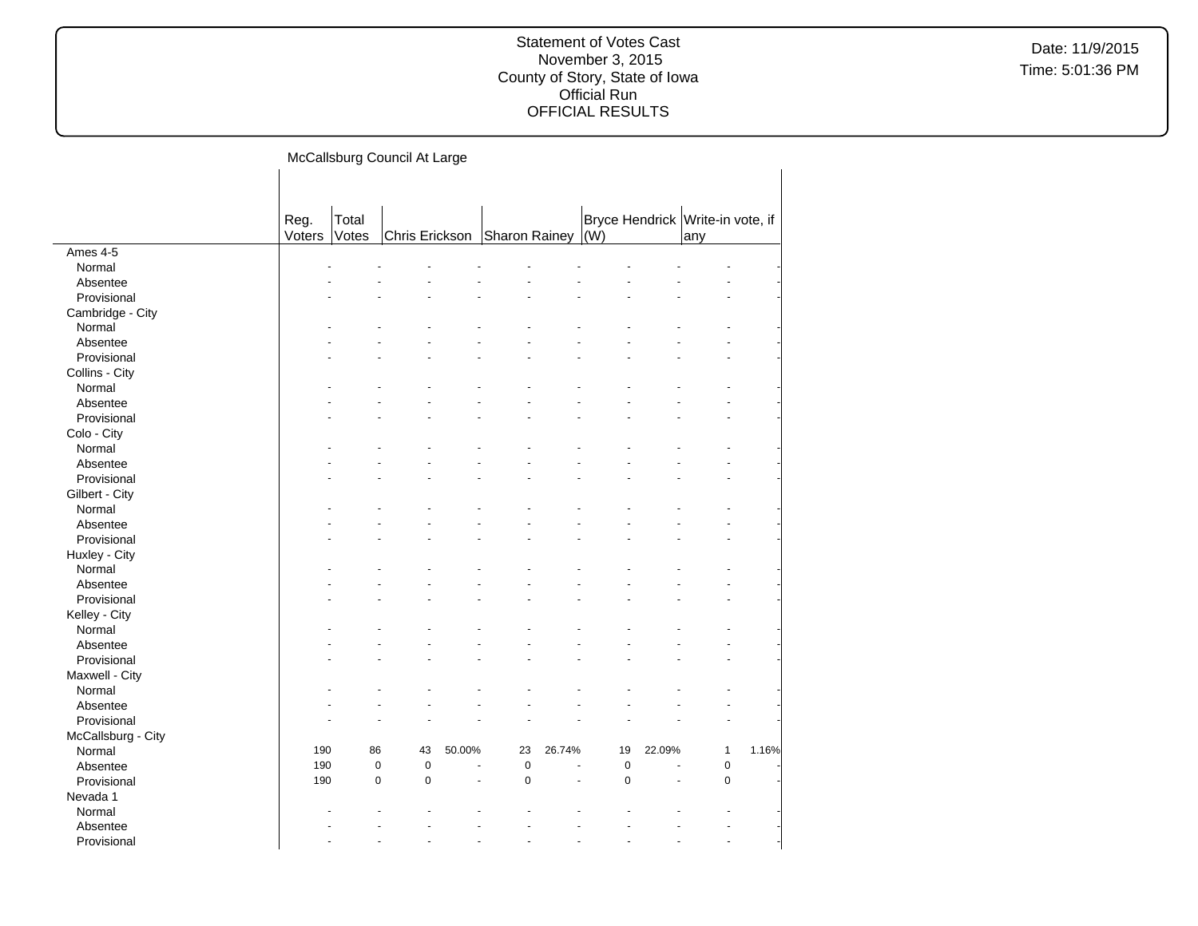Date: 11/9/2015 Time: 5:01:36 PM

McCallsburg Council At Large

 $\overline{1}$ 

|                    | Reg.   | Total |                              |                      |           |        |             |                      | Bryce Hendrick Write-in vote, if |       |
|--------------------|--------|-------|------------------------------|----------------------|-----------|--------|-------------|----------------------|----------------------------------|-------|
|                    | Voters | Votes | Chris Erickson Sharon Rainey |                      |           |        | $\vert$ (W) |                      | any                              |       |
| Ames 4-5           |        |       |                              |                      |           |        |             |                      |                                  |       |
| Normal             |        |       |                              |                      |           |        |             |                      |                                  |       |
| Absentee           |        |       |                              |                      |           |        |             |                      |                                  |       |
| Provisional        |        |       |                              |                      |           |        |             |                      |                                  |       |
| Cambridge - City   |        |       |                              |                      |           |        |             |                      |                                  |       |
| Normal             |        |       |                              |                      |           |        |             |                      |                                  |       |
| Absentee           |        |       |                              |                      |           |        |             |                      |                                  |       |
| Provisional        |        |       |                              |                      |           |        |             |                      |                                  |       |
| Collins - City     |        |       |                              |                      |           |        |             |                      |                                  |       |
| Normal             |        |       |                              |                      |           |        |             |                      |                                  |       |
| Absentee           |        |       |                              |                      |           |        |             |                      |                                  |       |
| Provisional        |        |       |                              |                      |           |        |             |                      |                                  |       |
| Colo - City        |        |       |                              |                      |           |        |             |                      |                                  |       |
| Normal             |        |       |                              |                      |           |        |             |                      |                                  |       |
| Absentee           |        |       |                              |                      |           |        |             |                      |                                  |       |
| Provisional        |        |       |                              |                      |           |        |             |                      |                                  |       |
| Gilbert - City     |        |       |                              |                      |           |        |             |                      |                                  |       |
| Normal             |        |       |                              |                      |           |        |             |                      |                                  |       |
| Absentee           |        |       |                              |                      |           |        |             |                      |                                  |       |
| Provisional        |        |       |                              |                      |           |        |             |                      |                                  |       |
| Huxley - City      |        |       |                              |                      |           |        |             |                      |                                  |       |
| Normal             |        |       |                              |                      |           |        |             |                      |                                  |       |
| Absentee           |        |       |                              |                      |           |        |             |                      |                                  |       |
| Provisional        |        |       |                              |                      |           |        |             |                      |                                  |       |
| Kelley - City      |        |       |                              |                      |           |        |             |                      |                                  |       |
| Normal             |        |       |                              |                      |           |        |             |                      |                                  |       |
| Absentee           |        |       |                              |                      |           |        |             |                      |                                  |       |
| Provisional        |        |       |                              |                      |           |        |             |                      |                                  |       |
| Maxwell - City     |        |       |                              |                      |           |        |             |                      |                                  |       |
| Normal             |        |       |                              |                      |           |        |             |                      |                                  |       |
| Absentee           |        |       |                              |                      |           |        |             |                      |                                  |       |
| Provisional        |        |       |                              |                      |           |        |             |                      |                                  |       |
| McCallsburg - City |        |       |                              |                      |           |        |             |                      |                                  |       |
| Normal             | 190    | 86    | 43                           | 50.00%               | 23        | 26.74% | 19          | 22.09%               | $\mathbf{1}$                     | 1.16% |
| Absentee           | 190    |       | $\pmb{0}$<br>$\pmb{0}$       | $\ddot{\phantom{1}}$ | $\pmb{0}$ | ÷,     | $\pmb{0}$   | $\ddot{\phantom{1}}$ | $\mathbf 0$                      |       |
| Provisional        | 190    |       | $\mathbf 0$<br>$\mathbf 0$   |                      | $\pmb{0}$ |        | $\mathbf 0$ |                      | $\mathbf 0$                      |       |
| Nevada 1           |        |       |                              |                      |           |        |             |                      |                                  |       |
| Normal             |        |       |                              |                      |           |        |             |                      |                                  |       |
| Absentee           |        |       |                              |                      |           |        |             |                      |                                  |       |
| Provisional        |        |       |                              |                      |           |        |             |                      |                                  |       |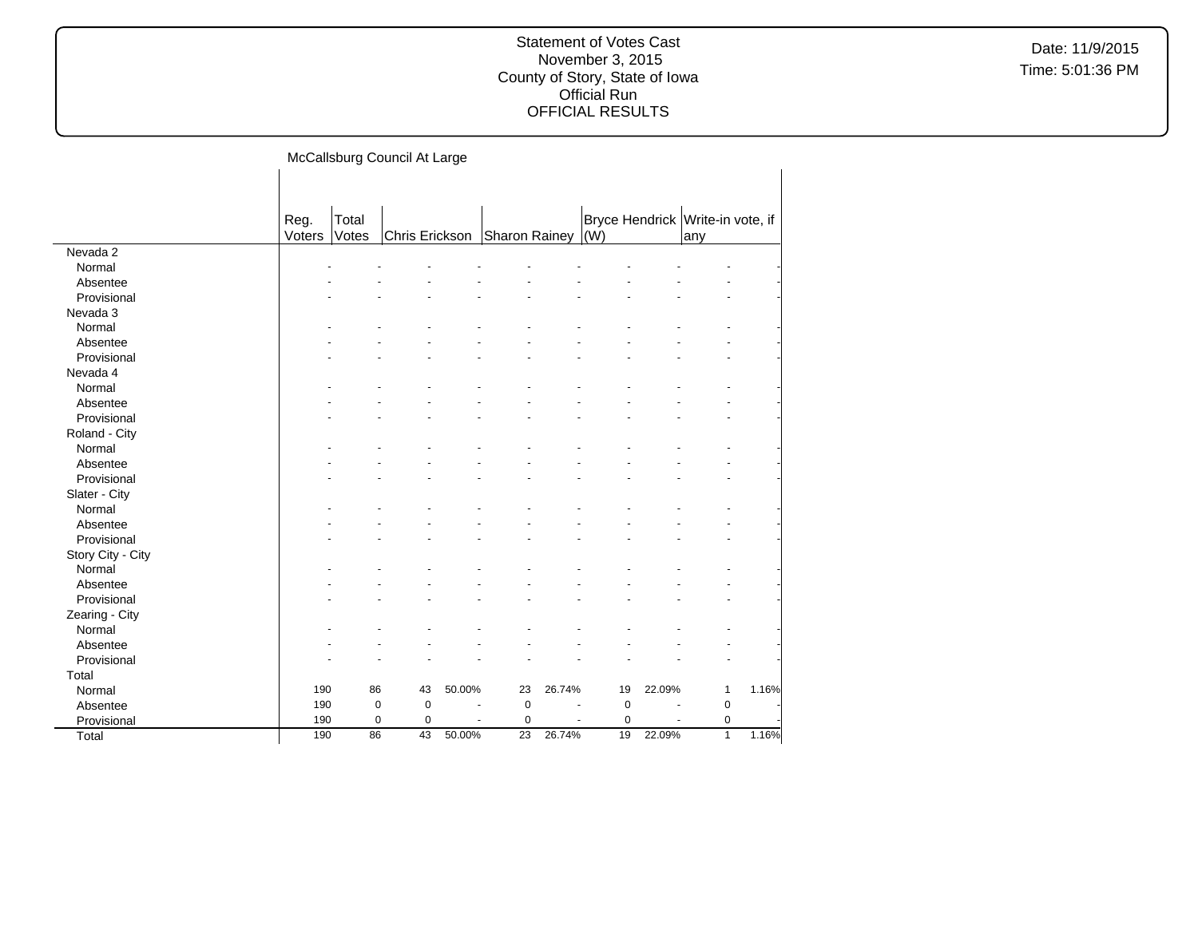Date: 11/9/2015 Time: 5:01:36 PM

McCallsburg Council At Large

 $\mathbf{I}$ 

|                   | Reg.<br>Voters | Total<br>Votes | Chris Erickson |        | Sharon Rainey |        | $\vert$ (W) |        | Bryce Hendrick Write-in vote, if<br>any |       |
|-------------------|----------------|----------------|----------------|--------|---------------|--------|-------------|--------|-----------------------------------------|-------|
| Nevada 2          |                |                |                |        |               |        |             |        |                                         |       |
| Normal            |                |                |                |        |               |        |             |        |                                         |       |
| Absentee          |                |                |                |        |               |        |             |        |                                         |       |
| Provisional       |                |                |                |        |               |        |             |        |                                         |       |
| Nevada 3          |                |                |                |        |               |        |             |        |                                         |       |
| Normal            |                |                |                |        |               |        |             |        |                                         |       |
| Absentee          |                |                |                |        |               |        |             |        |                                         |       |
| Provisional       |                |                |                |        |               |        |             |        |                                         |       |
| Nevada 4          |                |                |                |        |               |        |             |        |                                         |       |
| Normal            |                |                |                |        |               |        |             |        |                                         |       |
| Absentee          |                |                |                |        |               |        |             |        |                                         |       |
| Provisional       |                |                |                |        |               |        |             |        |                                         |       |
| Roland - City     |                |                |                |        |               |        |             |        |                                         |       |
| Normal            |                |                |                |        |               |        |             |        |                                         |       |
| Absentee          |                |                |                |        |               |        |             |        |                                         |       |
| Provisional       |                |                |                |        |               |        |             |        |                                         |       |
| Slater - City     |                |                |                |        |               |        |             |        |                                         |       |
| Normal            |                |                |                |        |               |        |             |        |                                         |       |
| Absentee          |                |                |                |        |               |        |             |        |                                         |       |
| Provisional       |                |                |                |        |               |        |             |        |                                         |       |
| Story City - City |                |                |                |        |               |        |             |        |                                         |       |
| Normal            |                |                |                |        |               |        |             |        |                                         |       |
| Absentee          |                |                |                |        |               |        |             |        |                                         |       |
| Provisional       |                |                |                |        |               |        |             |        |                                         |       |
| Zearing - City    |                |                |                |        |               |        |             |        |                                         |       |
| Normal            |                |                |                |        |               |        |             |        |                                         |       |
| Absentee          |                |                |                |        |               |        |             |        |                                         |       |
| Provisional       |                |                |                |        |               |        |             |        |                                         |       |
| Total             |                |                |                |        |               |        |             |        |                                         |       |
| Normal            | 190            | 86             | 43             | 50.00% | 23            | 26.74% | 19          | 22.09% | 1                                       | 1.16% |
| Absentee          | 190            | $\pmb{0}$      | $\mathbf 0$    | ÷      | $\mathbf 0$   |        | 0           |        | $\pmb{0}$                               |       |
| Provisional       | 190            | $\mathbf 0$    | $\mathbf 0$    |        | $\mathbf 0$   |        | 0           |        | $\mathbf 0$                             |       |
| Total             | 190            | 86             | 43             | 50.00% | 23            | 26.74% | 19          | 22.09% | $\overline{1}$                          | 1.16% |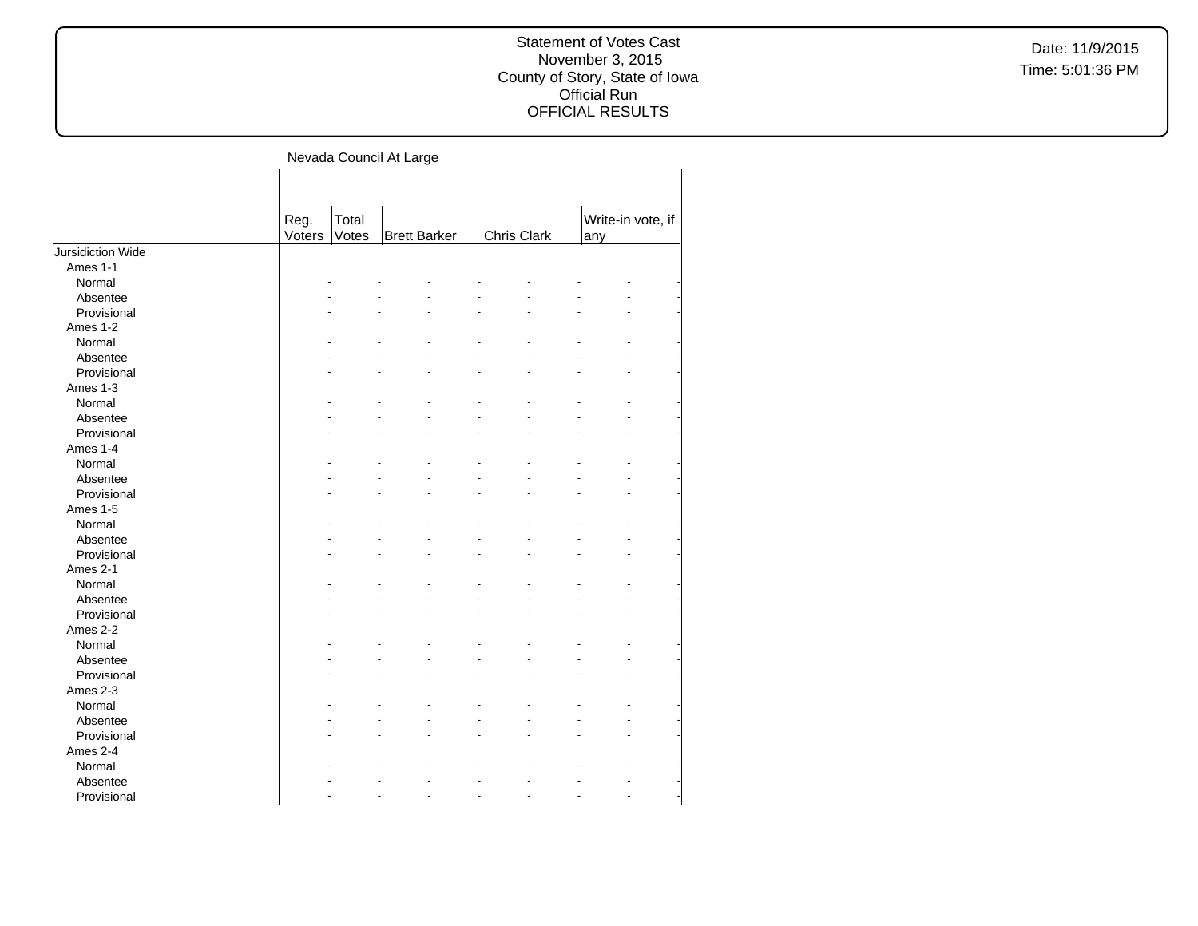Nevada Council At Large

|                   | Reg.   | Total |                     |             | Write-in vote, if |  |
|-------------------|--------|-------|---------------------|-------------|-------------------|--|
|                   | Voters | Votes | <b>Brett Barker</b> | Chris Clark | any               |  |
| Jursidiction Wide |        |       |                     |             |                   |  |
| Ames 1-1          |        |       |                     |             |                   |  |
| Normal            |        |       |                     |             |                   |  |
| Absentee          |        |       |                     |             |                   |  |
| Provisional       |        |       |                     |             |                   |  |
| Ames 1-2          |        |       |                     |             |                   |  |
| Normal            |        |       |                     |             |                   |  |
| Absentee          |        |       |                     |             |                   |  |
| Provisional       |        |       |                     |             |                   |  |
| Ames 1-3          |        |       |                     |             |                   |  |
| Normal            |        |       |                     |             |                   |  |
| Absentee          |        |       |                     |             |                   |  |
| Provisional       |        |       |                     |             |                   |  |
| Ames 1-4          |        |       |                     |             |                   |  |
| Normal            |        |       |                     |             |                   |  |
| Absentee          |        |       |                     |             |                   |  |
| Provisional       |        |       |                     |             |                   |  |
| Ames 1-5          |        |       |                     |             |                   |  |
| Normal            |        |       |                     |             |                   |  |
| Absentee          |        |       |                     |             |                   |  |
| Provisional       |        |       |                     |             |                   |  |
| Ames 2-1          |        |       |                     |             |                   |  |
| Normal            |        |       |                     |             |                   |  |
| Absentee          |        |       |                     |             |                   |  |
| Provisional       |        |       |                     |             |                   |  |
| Ames 2-2          |        |       |                     |             |                   |  |
| Normal            |        |       |                     |             |                   |  |
| Absentee          |        |       |                     |             |                   |  |
| Provisional       |        |       |                     |             |                   |  |
| Ames 2-3          |        |       |                     |             |                   |  |
| Normal            |        |       |                     |             |                   |  |
| Absentee          |        |       |                     |             |                   |  |
| Provisional       |        |       |                     |             |                   |  |
| Ames 2-4          |        |       |                     |             |                   |  |
| Normal            |        |       |                     |             |                   |  |
| Absentee          |        |       |                     |             |                   |  |
| Provisional       |        |       |                     |             |                   |  |
|                   |        |       |                     |             |                   |  |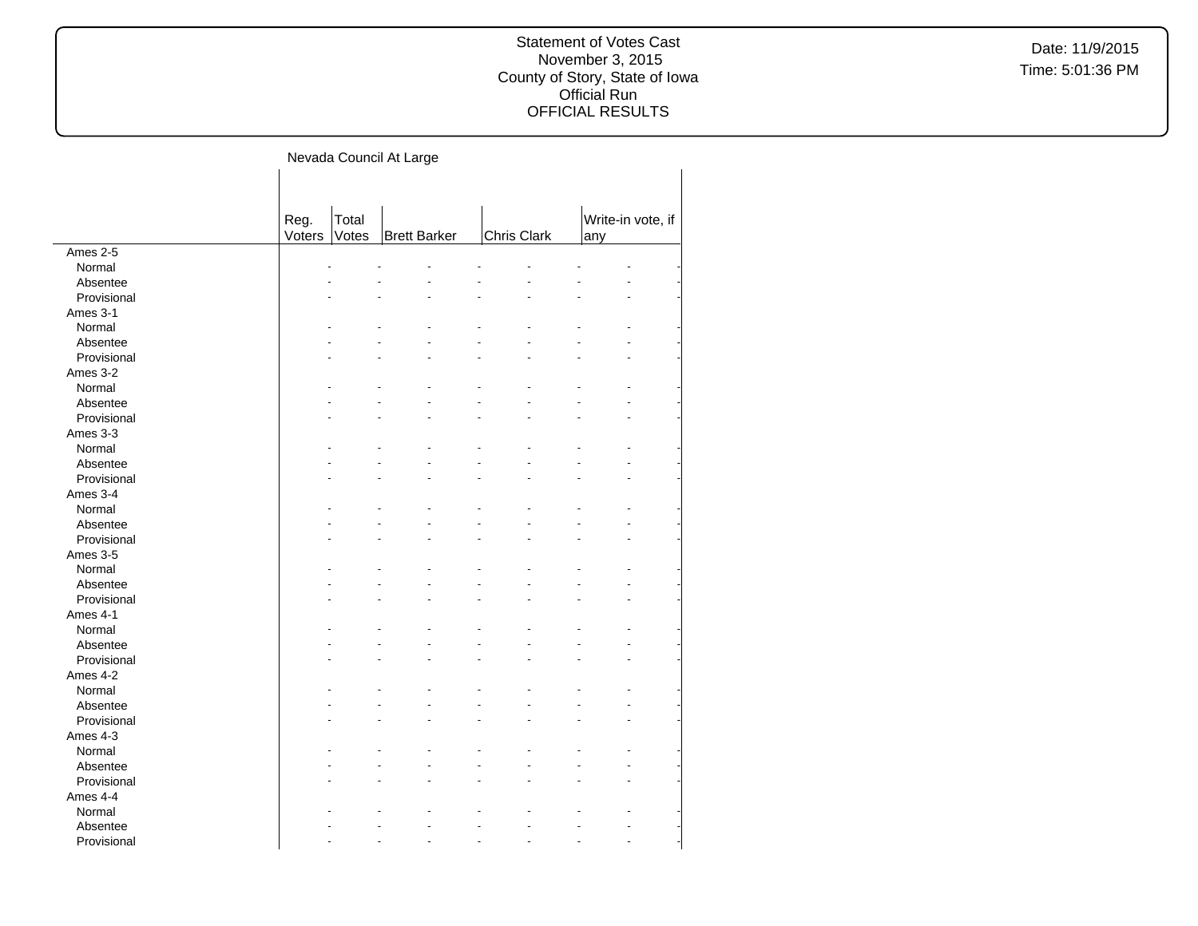Nevada Council At Large

|             | Reg.   | Total |                     |             | Write-in vote, if |  |  |
|-------------|--------|-------|---------------------|-------------|-------------------|--|--|
|             | Voters | Votes | <b>Brett Barker</b> | Chris Clark | any               |  |  |
| Ames 2-5    |        |       |                     |             |                   |  |  |
| Normal      |        |       |                     |             |                   |  |  |
| Absentee    |        |       |                     |             |                   |  |  |
| Provisional |        |       |                     |             |                   |  |  |
| Ames 3-1    |        |       |                     |             |                   |  |  |
| Normal      |        |       |                     |             |                   |  |  |
| Absentee    |        |       |                     |             |                   |  |  |
| Provisional |        |       |                     |             |                   |  |  |
| Ames 3-2    |        |       |                     |             |                   |  |  |
| Normal      |        |       |                     |             |                   |  |  |
| Absentee    |        |       |                     |             |                   |  |  |
| Provisional |        |       |                     |             |                   |  |  |
| Ames 3-3    |        |       |                     |             |                   |  |  |
| Normal      |        |       |                     |             |                   |  |  |
| Absentee    |        |       |                     |             |                   |  |  |
| Provisional |        |       |                     |             |                   |  |  |
| Ames 3-4    |        |       |                     |             |                   |  |  |
| Normal      |        |       |                     |             |                   |  |  |
| Absentee    |        |       |                     |             |                   |  |  |
| Provisional |        |       |                     |             |                   |  |  |
| Ames 3-5    |        |       |                     |             |                   |  |  |
| Normal      |        |       |                     |             |                   |  |  |
| Absentee    |        |       |                     |             |                   |  |  |
| Provisional |        |       |                     |             |                   |  |  |
| Ames 4-1    |        |       |                     |             |                   |  |  |
| Normal      |        |       |                     |             |                   |  |  |
| Absentee    |        |       |                     |             |                   |  |  |
| Provisional |        |       |                     |             |                   |  |  |
| Ames 4-2    |        |       |                     |             |                   |  |  |
| Normal      |        |       |                     |             |                   |  |  |
| Absentee    |        |       |                     |             |                   |  |  |
| Provisional |        |       |                     |             |                   |  |  |
| Ames 4-3    |        |       |                     |             |                   |  |  |
| Normal      |        |       |                     |             |                   |  |  |
| Absentee    |        |       |                     |             |                   |  |  |
| Provisional |        |       |                     |             |                   |  |  |
| Ames 4-4    |        |       |                     |             |                   |  |  |
|             |        |       |                     |             |                   |  |  |
| Normal      |        |       |                     |             |                   |  |  |
| Absentee    |        |       |                     |             |                   |  |  |
| Provisional |        |       |                     |             |                   |  |  |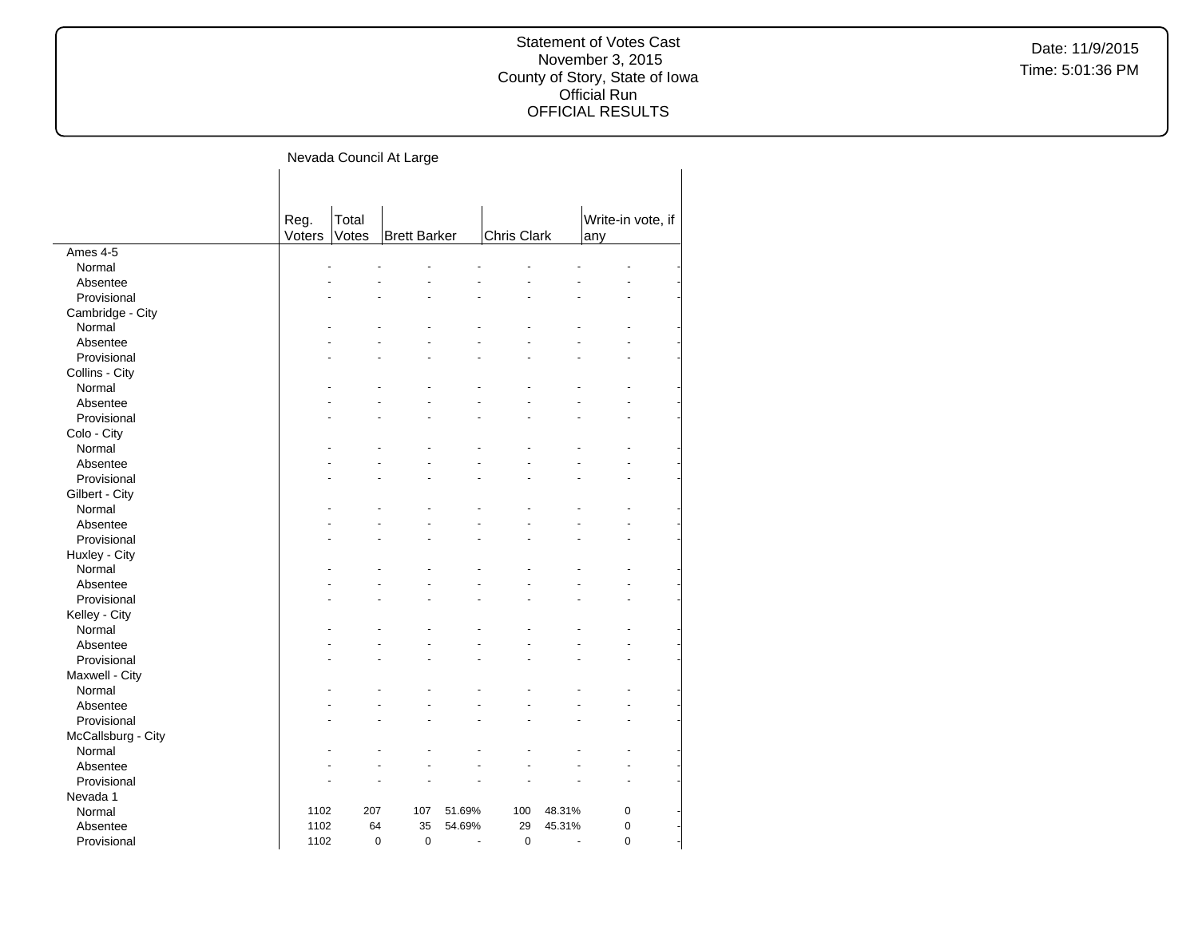Nevada Council At Large

|                    | Reg.   | Total       |                     |                      |             |        | Write-in vote, if |
|--------------------|--------|-------------|---------------------|----------------------|-------------|--------|-------------------|
|                    | Voters | Votes       | <b>Brett Barker</b> |                      | Chris Clark |        | any               |
| Ames 4-5           |        |             |                     |                      |             |        |                   |
| Normal             |        |             |                     |                      |             |        |                   |
| Absentee           |        |             |                     |                      |             |        |                   |
| Provisional        |        |             |                     |                      |             |        |                   |
| Cambridge - City   |        |             |                     |                      |             |        |                   |
| Normal             |        |             |                     |                      |             |        |                   |
| Absentee           |        |             |                     |                      |             |        |                   |
| Provisional        |        |             |                     |                      |             |        |                   |
| Collins - City     |        |             |                     |                      |             |        |                   |
| Normal             |        |             |                     |                      |             |        |                   |
| Absentee           |        |             |                     |                      |             |        |                   |
| Provisional        |        |             |                     |                      |             |        |                   |
| Colo - City        |        |             |                     |                      |             |        |                   |
| Normal             |        |             |                     |                      |             |        |                   |
| Absentee           |        |             |                     |                      |             |        |                   |
| Provisional        |        |             |                     |                      |             |        |                   |
|                    |        |             |                     |                      |             |        |                   |
| Gilbert - City     |        |             |                     |                      |             |        |                   |
| Normal             |        |             |                     |                      |             |        |                   |
| Absentee           |        |             |                     |                      |             |        |                   |
| Provisional        |        |             |                     |                      |             |        |                   |
| Huxley - City      |        |             |                     |                      |             |        |                   |
| Normal             |        |             |                     |                      |             |        |                   |
| Absentee           |        |             |                     |                      |             |        |                   |
| Provisional        |        |             |                     |                      |             |        |                   |
| Kelley - City      |        |             |                     |                      |             |        |                   |
| Normal             |        |             |                     |                      |             |        |                   |
| Absentee           |        |             |                     |                      |             |        |                   |
| Provisional        |        |             |                     |                      |             |        |                   |
| Maxwell - City     |        |             |                     |                      |             |        |                   |
| Normal             |        |             |                     |                      |             |        |                   |
| Absentee           |        |             |                     |                      |             |        |                   |
| Provisional        |        |             |                     |                      |             |        |                   |
| McCallsburg - City |        |             |                     |                      |             |        |                   |
| Normal             |        |             |                     |                      |             |        |                   |
| Absentee           |        |             |                     |                      |             |        |                   |
| Provisional        |        |             |                     |                      |             |        |                   |
| Nevada 1           |        |             |                     |                      |             |        |                   |
| Normal             | 1102   | 207         | 107                 | 51.69%               | 100         | 48.31% | $\pmb{0}$         |
| Absentee           | 1102   | 64          | 35                  | 54.69%               | 29          | 45.31% | $\overline{0}$    |
| Provisional        | 1102   | $\mathbf 0$ | $\mathbf 0$         | $\ddot{\phantom{1}}$ | $\mathbf 0$ | ÷.     | $\overline{0}$    |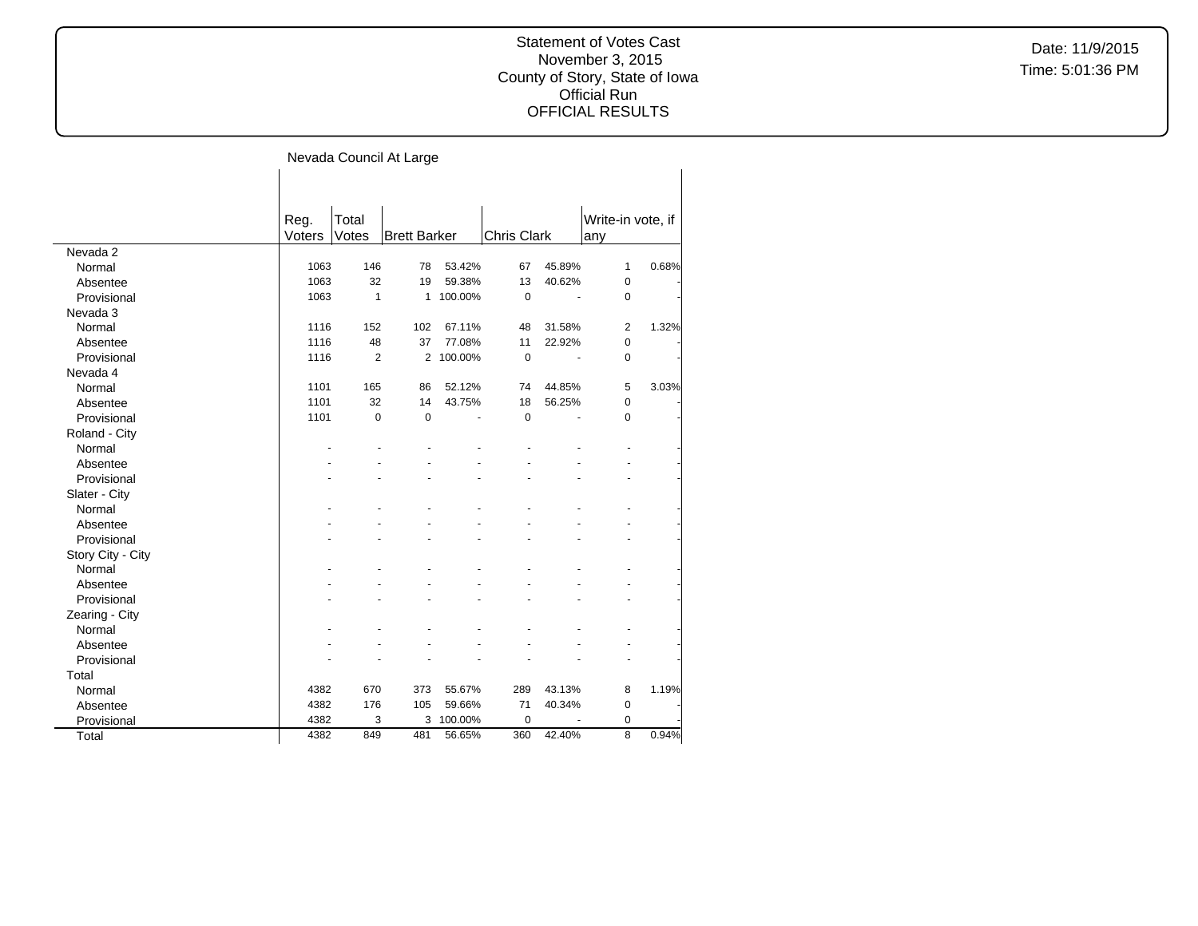# Date: 11/9/2015 Time: 5:01:36 PM

# Statement of Votes Cast November 3, 2015 County of Story, State of Iowa Official Run OFFICIAL RESULTS

Nevada Council At Large

|                   | Reg.   | Total          |                     |         |                    |        |                | Write-in vote, if |
|-------------------|--------|----------------|---------------------|---------|--------------------|--------|----------------|-------------------|
|                   | Voters | Votes          | <b>Brett Barker</b> |         | <b>Chris Clark</b> |        | any            |                   |
| Nevada 2          |        |                |                     |         |                    |        |                |                   |
| Normal            | 1063   | 146            | 78                  | 53.42%  | 67                 | 45.89% | $\mathbf{1}$   | 0.68%             |
| Absentee          | 1063   | 32             | 19                  | 59.38%  | 13                 | 40.62% | 0              |                   |
| Provisional       | 1063   | 1              | $\mathbf{1}$        | 100.00% | $\mathbf 0$        | $\sim$ | 0              |                   |
| Nevada 3          |        |                |                     |         |                    |        |                |                   |
| Normal            | 1116   | 152            | 102                 | 67.11%  | 48                 | 31.58% | $\overline{2}$ | 1.32%             |
| Absentee          | 1116   | 48             | 37                  | 77.08%  | 11                 | 22.92% | 0              |                   |
| Provisional       | 1116   | $\overline{2}$ | $\overline{2}$      | 100.00% | $\mathbf 0$        | ÷.     | 0              |                   |
| Nevada 4          |        |                |                     |         |                    |        |                |                   |
| Normal            | 1101   | 165            | 86                  | 52.12%  | 74                 | 44.85% | 5              | 3.03%             |
| Absentee          | 1101   | 32             | 14                  | 43.75%  | 18                 | 56.25% | 0              |                   |
| Provisional       | 1101   | 0              | 0                   | ä,      | $\Omega$           |        | $\Omega$       |                   |
| Roland - City     |        |                |                     |         |                    |        |                |                   |
| Normal            |        |                |                     |         |                    |        |                |                   |
| Absentee          |        |                |                     |         |                    |        |                |                   |
| Provisional       |        |                |                     |         |                    |        |                |                   |
| Slater - City     |        |                |                     |         |                    |        |                |                   |
| Normal            |        |                |                     |         |                    |        |                |                   |
| Absentee          |        |                |                     |         |                    |        |                |                   |
| Provisional       |        |                |                     |         |                    |        |                |                   |
| Story City - City |        |                |                     |         |                    |        |                |                   |
| Normal            |        |                |                     |         |                    |        |                |                   |
| Absentee          |        |                |                     |         |                    |        |                |                   |
| Provisional       |        |                |                     |         |                    |        |                |                   |
| Zearing - City    |        |                |                     |         |                    |        |                |                   |
| Normal            |        |                |                     |         |                    |        |                |                   |
| Absentee          |        |                |                     |         |                    |        |                |                   |
| Provisional       |        |                |                     |         |                    |        |                |                   |
| Total             |        |                |                     |         |                    |        |                |                   |
| Normal            | 4382   | 670            | 373                 | 55.67%  | 289                | 43.13% | 8              | 1.19%             |
| Absentee          | 4382   | 176            | 105                 | 59.66%  | 71                 | 40.34% | 0              |                   |
| Provisional       | 4382   | 3              | 3                   | 100.00% | $\mathbf 0$        |        | 0              |                   |
| Total             | 4382   | 849            | 481                 | 56.65%  | 360                | 42.40% | 8              | 0.94%             |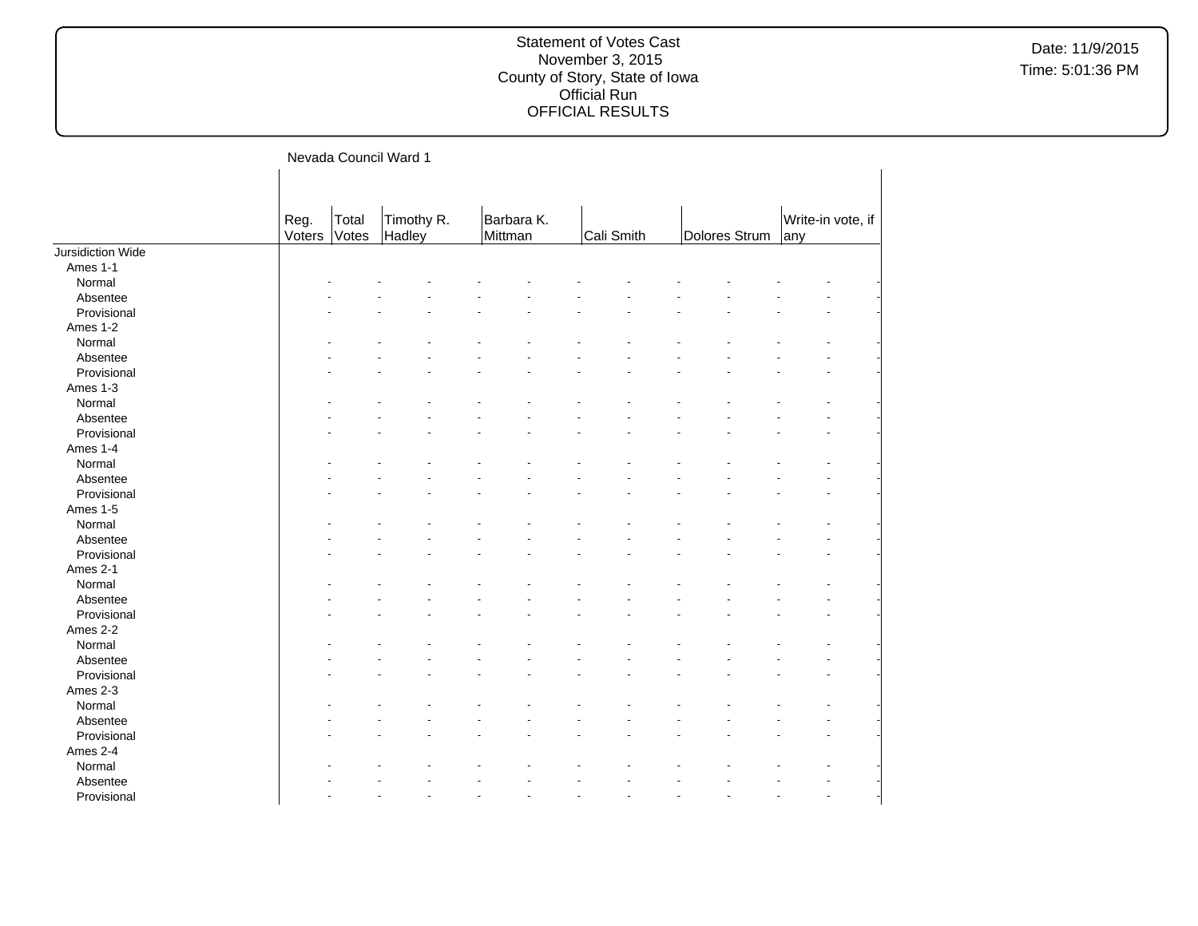|                   |                | Nevada Council Ward 1 |                      |         |            |            |               |     |                   |  |
|-------------------|----------------|-----------------------|----------------------|---------|------------|------------|---------------|-----|-------------------|--|
|                   | Reg.<br>Voters | Total<br>Votes        | Timothy R.<br>Hadley | Mittman | Barbara K. | Cali Smith | Dolores Strum | any | Write-in vote, if |  |
| Jursidiction Wide |                |                       |                      |         |            |            |               |     |                   |  |
| Ames 1-1          |                |                       |                      |         |            |            |               |     |                   |  |
| Normal            |                |                       |                      |         |            |            |               |     |                   |  |
| Absentee          |                |                       |                      |         |            |            |               |     |                   |  |
| Provisional       |                |                       |                      |         |            |            |               |     |                   |  |
| Ames 1-2          |                |                       |                      |         |            |            |               |     |                   |  |
| Normal            |                |                       |                      |         |            |            |               |     |                   |  |
| Absentee          |                |                       |                      |         |            |            |               |     |                   |  |
| Provisional       |                |                       |                      |         |            |            |               |     |                   |  |
| Ames 1-3          |                |                       |                      |         |            |            |               |     |                   |  |
| Normal            |                |                       |                      |         |            |            |               |     |                   |  |
| Absentee          |                |                       |                      |         |            |            |               |     |                   |  |
| Provisional       |                |                       |                      |         |            |            |               |     |                   |  |
| Ames 1-4          |                |                       |                      |         |            |            |               |     |                   |  |
| Normal            |                |                       |                      |         |            |            |               |     |                   |  |
| Absentee          |                |                       |                      |         |            |            |               |     |                   |  |
| Provisional       |                |                       |                      |         |            |            |               |     |                   |  |
| Ames 1-5          |                |                       |                      |         |            |            |               |     |                   |  |
| Normal            |                |                       |                      |         |            |            |               |     |                   |  |
| Absentee          |                |                       |                      |         |            |            |               |     |                   |  |
| Provisional       |                |                       |                      |         |            |            |               |     |                   |  |
| Ames 2-1          |                |                       |                      |         |            |            |               |     |                   |  |
| Normal            |                |                       |                      |         |            |            |               |     |                   |  |
| Absentee          |                |                       |                      |         |            |            |               |     |                   |  |
| Provisional       |                |                       |                      |         |            |            |               |     |                   |  |
| Ames 2-2          |                |                       |                      |         |            |            |               |     |                   |  |
| Normal            |                |                       |                      |         |            |            |               |     |                   |  |
| Absentee          |                |                       |                      |         |            |            |               |     |                   |  |
| Provisional       |                |                       |                      |         |            |            |               |     |                   |  |
| Ames 2-3          |                |                       |                      |         |            |            |               |     |                   |  |
| Normal            |                |                       |                      |         |            |            |               |     |                   |  |
| Absentee          |                |                       |                      |         |            |            |               |     |                   |  |
| Provisional       |                |                       |                      |         |            |            |               |     |                   |  |
| Ames 2-4          |                |                       |                      |         |            |            |               |     |                   |  |
| Normal            |                |                       |                      |         |            |            |               |     |                   |  |
| Absentee          |                |                       |                      |         |            |            |               |     |                   |  |
| Provisional       |                |                       |                      |         |            |            |               |     |                   |  |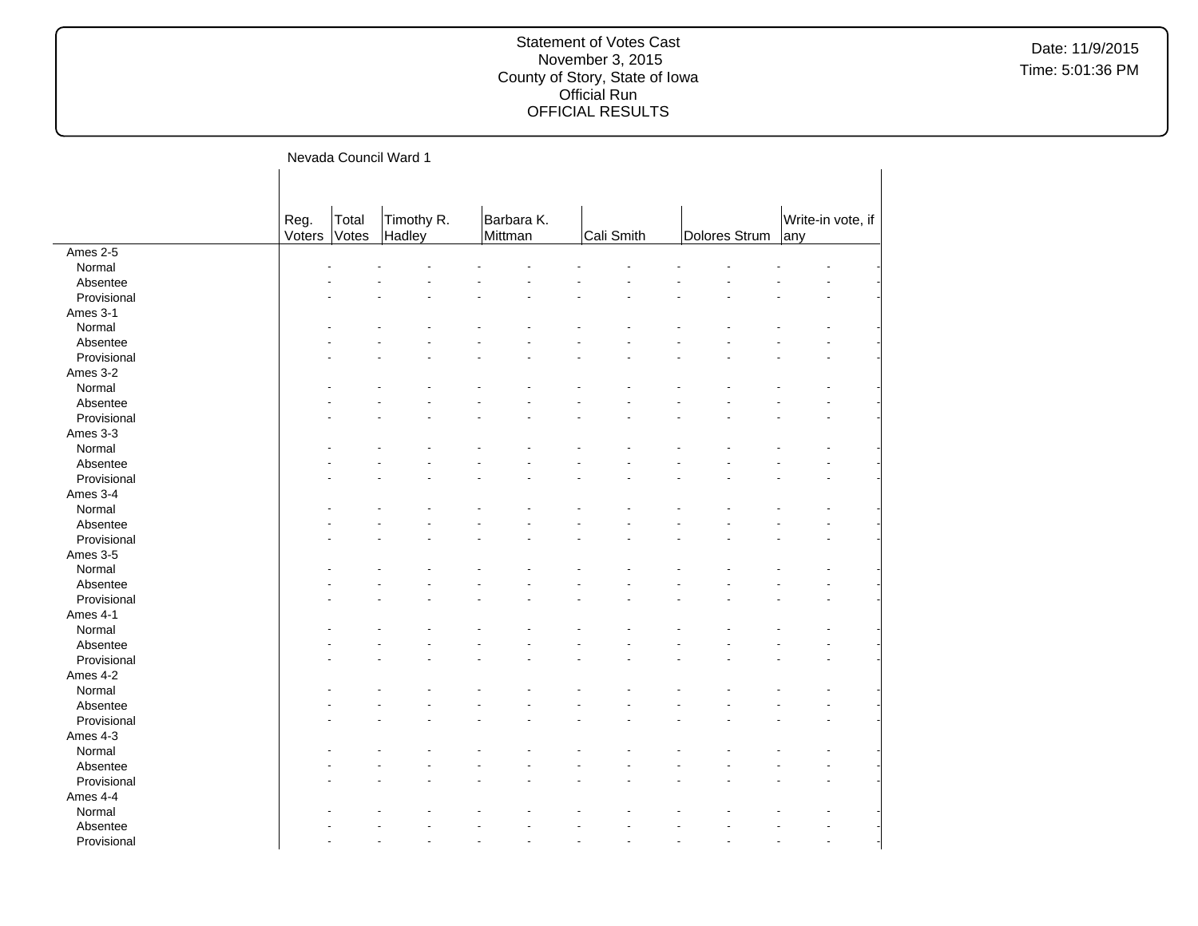|             |                |                | Nevada Council Ward 1 |                       |            |               |                          |
|-------------|----------------|----------------|-----------------------|-----------------------|------------|---------------|--------------------------|
|             | Reg.<br>Voters | Total<br>Votes | Timothy R.<br>Hadley  | Barbara K.<br>Mittman | Cali Smith | Dolores Strum | Write-in vote, if<br>any |
| Ames 2-5    |                |                |                       |                       |            |               |                          |
| Normal      |                |                |                       |                       |            |               |                          |
| Absentee    |                |                |                       |                       |            |               |                          |
| Provisional |                |                |                       |                       |            |               |                          |
| Ames 3-1    |                |                |                       |                       |            |               |                          |
| Normal      |                |                |                       |                       |            |               |                          |
| Absentee    |                |                |                       |                       |            |               |                          |
| Provisional |                |                |                       |                       |            |               |                          |
| Ames 3-2    |                |                |                       |                       |            |               |                          |
| Normal      |                |                |                       |                       |            |               |                          |
| Absentee    |                |                |                       |                       |            |               |                          |
| Provisional |                |                |                       |                       |            |               |                          |
| Ames 3-3    |                |                |                       |                       |            |               |                          |
| Normal      |                |                |                       |                       |            |               |                          |
| Absentee    |                |                |                       |                       |            |               |                          |
| Provisional |                |                |                       |                       |            |               |                          |
| Ames 3-4    |                |                |                       |                       |            |               |                          |
| Normal      |                |                |                       |                       |            |               |                          |
| Absentee    |                |                |                       |                       |            |               |                          |
| Provisional |                |                |                       |                       |            |               |                          |
| Ames 3-5    |                |                |                       |                       |            |               |                          |
| Normal      |                |                |                       |                       |            |               |                          |
| Absentee    |                |                |                       |                       |            |               |                          |
| Provisional |                |                |                       |                       |            |               |                          |
| Ames 4-1    |                |                |                       |                       |            |               |                          |
|             |                |                |                       |                       |            |               |                          |
| Normal      |                |                |                       |                       |            |               |                          |
| Absentee    |                |                |                       |                       |            |               |                          |
| Provisional |                |                |                       |                       |            |               |                          |
| Ames 4-2    |                |                |                       |                       |            |               |                          |
| Normal      |                |                |                       |                       |            |               |                          |
| Absentee    |                |                |                       |                       |            |               |                          |
| Provisional |                |                |                       |                       |            |               |                          |
| Ames 4-3    |                |                |                       |                       |            |               |                          |
| Normal      |                |                |                       |                       |            |               |                          |
| Absentee    |                |                |                       |                       |            |               |                          |
| Provisional |                |                |                       |                       |            |               |                          |
| Ames 4-4    |                |                |                       |                       |            |               |                          |
| Normal      |                |                |                       |                       |            |               |                          |
| Absentee    |                |                |                       |                       |            |               |                          |
| Provisional |                |                |                       | L.                    | ÷<br>÷     |               |                          |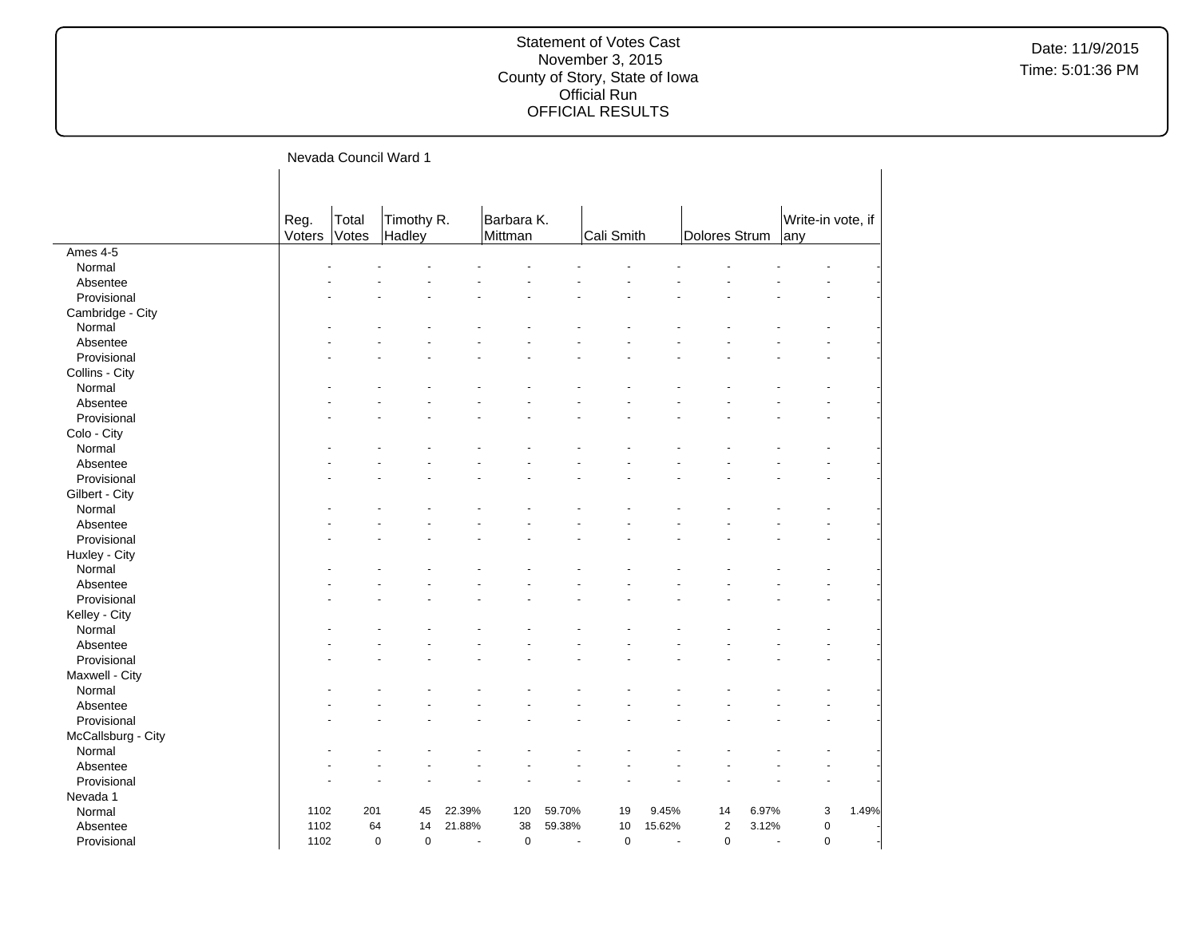|                    |                |                | Nevada Council Ward 1      |                |                       |                |             |                |               |       |                          |       |
|--------------------|----------------|----------------|----------------------------|----------------|-----------------------|----------------|-------------|----------------|---------------|-------|--------------------------|-------|
|                    |                |                |                            |                |                       |                |             |                |               |       |                          |       |
|                    | Reg.<br>Voters | Total<br>Votes | Timothy R.<br>Hadley       |                | Barbara K.<br>Mittman |                | Cali Smith  |                | Dolores Strum |       | Write-in vote, if<br>any |       |
| Ames 4-5           |                |                |                            |                |                       |                |             |                |               |       |                          |       |
| Normal             |                |                |                            |                |                       |                |             |                |               |       |                          |       |
| Absentee           |                |                |                            |                |                       |                |             |                |               |       |                          |       |
| Provisional        |                |                |                            |                |                       |                |             |                |               |       |                          |       |
| Cambridge - City   |                |                |                            |                |                       |                |             |                |               |       |                          |       |
| Normal             |                |                |                            |                |                       |                |             |                |               |       |                          |       |
| Absentee           |                |                |                            |                |                       |                |             |                |               |       |                          |       |
| Provisional        |                |                |                            |                |                       |                |             |                |               |       |                          |       |
| Collins - City     |                |                |                            |                |                       |                |             |                |               |       |                          |       |
| Normal             |                |                |                            |                |                       |                |             |                |               |       |                          |       |
| Absentee           |                |                |                            |                |                       |                |             |                |               |       |                          |       |
| Provisional        |                |                |                            |                |                       |                |             |                |               |       |                          |       |
| Colo - City        |                |                |                            |                |                       |                |             |                |               |       |                          |       |
| Normal             |                |                |                            |                |                       |                |             |                |               |       |                          |       |
| Absentee           |                |                |                            |                |                       |                |             |                |               |       |                          |       |
| Provisional        |                |                |                            |                |                       |                |             |                |               |       |                          |       |
| Gilbert - City     |                |                |                            |                |                       |                |             |                |               |       |                          |       |
| Normal             |                |                |                            |                |                       |                |             |                |               |       |                          |       |
| Absentee           |                |                |                            |                |                       |                |             |                |               |       |                          |       |
| Provisional        |                |                |                            |                |                       |                |             |                |               |       |                          |       |
| Huxley - City      |                |                |                            |                |                       |                |             |                |               |       |                          |       |
| Normal             |                |                |                            |                |                       |                |             |                |               |       |                          |       |
| Absentee           |                |                |                            |                |                       |                |             |                |               |       |                          |       |
| Provisional        |                |                |                            |                |                       |                |             |                |               |       |                          |       |
| Kelley - City      |                |                |                            |                |                       |                |             |                |               |       |                          |       |
| Normal             |                |                |                            |                |                       |                |             |                |               |       |                          |       |
| Absentee           |                |                |                            |                |                       |                |             |                |               |       |                          |       |
| Provisional        |                |                |                            |                |                       |                |             |                |               |       |                          |       |
| Maxwell - City     |                |                |                            |                |                       |                |             |                |               |       |                          |       |
| Normal             |                |                |                            |                |                       |                |             |                |               |       |                          |       |
| Absentee           |                |                |                            |                |                       |                |             |                |               |       |                          |       |
| Provisional        |                |                |                            |                |                       |                |             |                |               |       |                          |       |
| McCallsburg - City |                |                |                            |                |                       |                |             |                |               |       |                          |       |
| Normal             |                |                |                            |                |                       |                |             |                |               |       |                          |       |
| Absentee           |                |                |                            |                |                       |                |             |                |               |       |                          |       |
| Provisional        |                |                |                            |                |                       |                |             |                |               |       |                          |       |
| Nevada 1           |                |                |                            |                |                       |                |             |                |               |       |                          |       |
| Normal             | 1102           | 201            | 45                         | 22.39%         | 120                   | 59.70%         | 19          | 9.45%          | 14            | 6.97% | 3                        | 1.49% |
| Absentee           | 1102           | 64             | 14                         | 21.88%         | 38                    | 59.38%         | 10          | 15.62%         | $\mathbf 2$   | 3.12% | $\mathbf 0$              |       |
| Provisional        | 1102           |                | $\mathbf 0$<br>$\mathbf 0$ | $\overline{a}$ | $\mathbf 0$           | $\overline{a}$ | $\mathbf 0$ | $\overline{a}$ | $\mathbf 0$   | ÷.    | $\mathbf 0$              |       |
|                    |                |                |                            |                |                       |                |             |                |               |       |                          |       |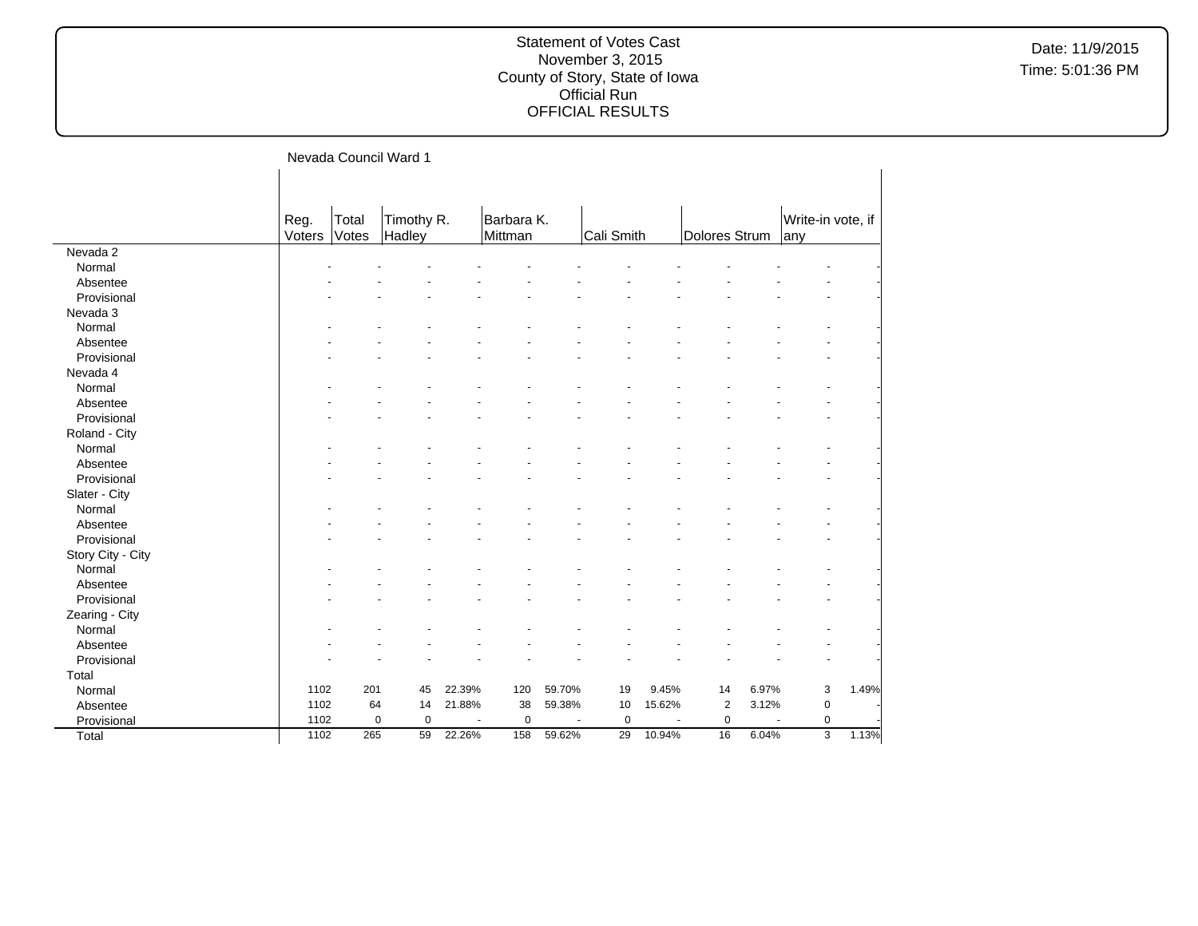|                   |                |                | Nevada Council Ward 1 |        |             |        |             |        |                |       |                   |       |
|-------------------|----------------|----------------|-----------------------|--------|-------------|--------|-------------|--------|----------------|-------|-------------------|-------|
|                   | Reg.<br>Voters | Total<br>Votes | Timothy R.            |        | Barbara K.  |        | Cali Smith  |        | Dolores Strum  |       | Write-in vote, if |       |
| Nevada 2          |                |                | Hadley                |        | Mittman     |        |             |        |                |       | any               |       |
| Normal            |                |                |                       |        |             |        |             |        |                |       |                   |       |
| Absentee          |                |                |                       |        |             |        |             |        |                |       |                   |       |
| Provisional       |                |                |                       |        |             |        |             |        |                |       |                   |       |
|                   |                |                |                       |        |             |        |             |        |                |       |                   |       |
| Nevada 3          |                |                |                       |        |             |        |             |        |                |       |                   |       |
| Normal            |                |                |                       |        |             |        |             |        |                |       |                   |       |
| Absentee          |                |                |                       |        |             |        |             |        |                |       |                   |       |
| Provisional       |                |                |                       |        |             |        |             |        |                |       |                   |       |
| Nevada 4          |                |                |                       |        |             |        |             |        |                |       |                   |       |
| Normal            |                |                |                       |        |             |        |             |        |                |       |                   |       |
| Absentee          |                |                |                       |        |             |        |             |        |                |       |                   |       |
| Provisional       |                |                |                       |        |             |        |             |        |                |       |                   |       |
| Roland - City     |                |                |                       |        |             |        |             |        |                |       |                   |       |
| Normal            |                |                |                       |        |             |        |             |        |                |       |                   |       |
| Absentee          |                |                |                       |        |             |        |             |        |                |       |                   |       |
| Provisional       |                |                |                       |        |             |        |             |        |                |       |                   |       |
| Slater - City     |                |                |                       |        |             |        |             |        |                |       |                   |       |
| Normal            |                |                |                       |        |             |        |             |        |                |       |                   |       |
| Absentee          |                |                |                       |        |             |        |             |        |                |       |                   |       |
| Provisional       |                |                |                       |        |             |        |             |        |                |       |                   |       |
| Story City - City |                |                |                       |        |             |        |             |        |                |       |                   |       |
| Normal            |                |                |                       |        |             |        |             |        |                |       |                   |       |
| Absentee          |                |                |                       |        |             |        |             |        |                |       |                   |       |
| Provisional       |                |                |                       |        |             |        |             |        |                |       |                   |       |
| Zearing - City    |                |                |                       |        |             |        |             |        |                |       |                   |       |
| Normal            |                |                |                       |        |             |        |             |        |                |       |                   |       |
| Absentee          |                |                |                       |        |             |        |             |        |                |       |                   |       |
| Provisional       |                |                |                       |        |             |        |             |        |                |       |                   |       |
| Total             |                |                |                       |        |             |        |             |        |                |       |                   |       |
| Normal            | 1102           | 201            | 45                    | 22.39% | 120         | 59.70% | 19          | 9.45%  | 14             | 6.97% | 3                 | 1.49% |
| Absentee          | 1102           | 64             | 14                    | 21.88% | 38          | 59.38% | 10          | 15.62% | $\overline{2}$ | 3.12% | $\pmb{0}$         |       |
| Provisional       | 1102           |                | $\mathbf 0$<br>0      | ٠.     | $\mathbf 0$ |        | $\mathbf 0$ |        | $\pmb{0}$      |       | $\pmb{0}$         |       |
| Total             | 1102           | 265            | 59                    | 22.26% | 158         | 59.62% | 29          | 10.94% | 16             | 6.04% | 3                 | 1.13% |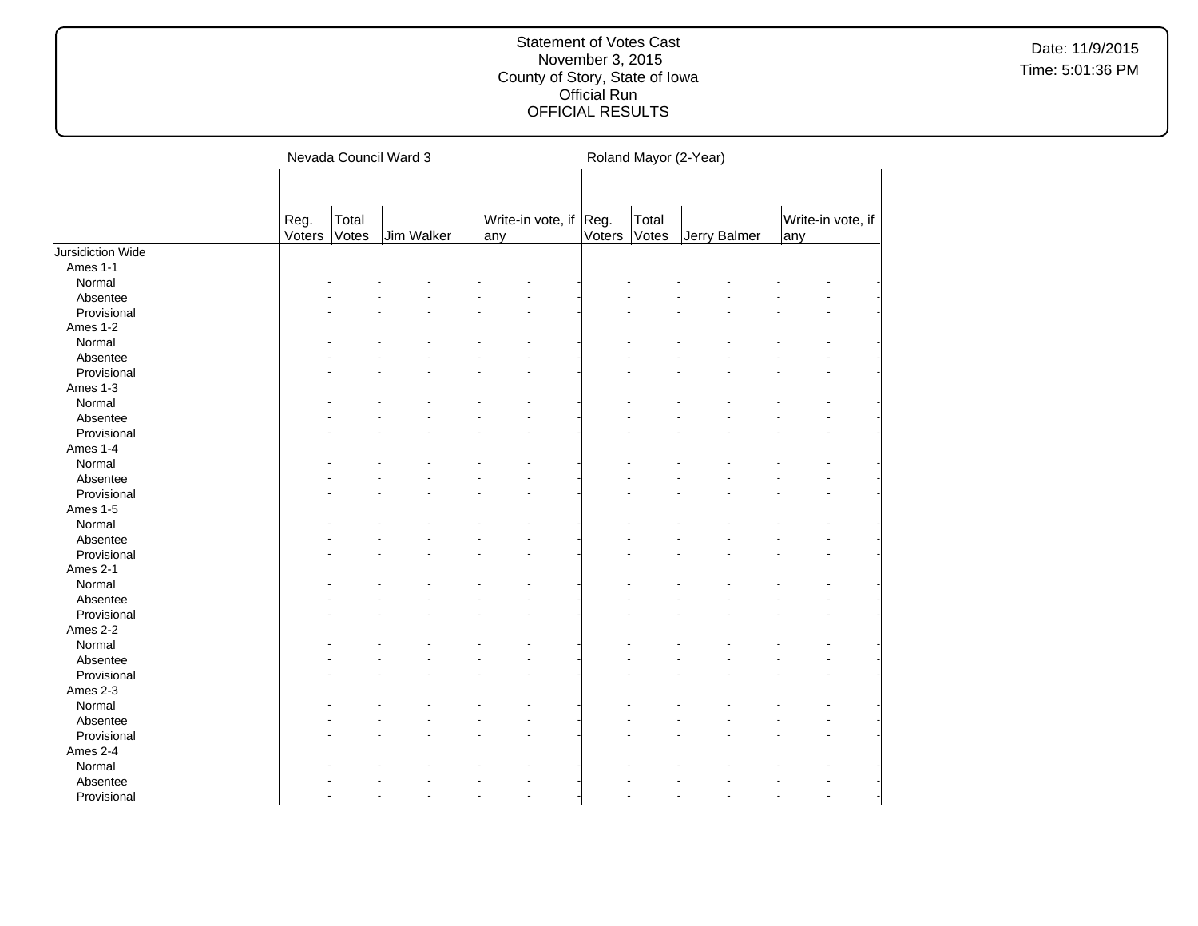|                   | Nevada Council Ward 3 |                |            |  |      |                   | Roland Mayor (2-Year) |                |              |  |     |                   |  |
|-------------------|-----------------------|----------------|------------|--|------|-------------------|-----------------------|----------------|--------------|--|-----|-------------------|--|
|                   | Reg.<br>Voters        | Total<br>Votes | Jim Walker |  | lany | Write-in vote, if | Reg.<br>Voters        | Total<br>Votes | Jerry Balmer |  | any | Write-in vote, if |  |
| Jursidiction Wide |                       |                |            |  |      |                   |                       |                |              |  |     |                   |  |
| Ames 1-1          |                       |                |            |  |      |                   |                       |                |              |  |     |                   |  |
| Normal            |                       |                |            |  |      |                   |                       |                |              |  |     |                   |  |
| Absentee          |                       |                |            |  |      |                   |                       |                |              |  |     |                   |  |
| Provisional       |                       |                |            |  |      |                   |                       |                |              |  |     |                   |  |
| Ames 1-2          |                       |                |            |  |      |                   |                       |                |              |  |     |                   |  |
| Normal            |                       |                |            |  |      |                   |                       |                |              |  |     |                   |  |
| Absentee          |                       |                |            |  |      |                   |                       |                |              |  |     |                   |  |
| Provisional       |                       |                |            |  |      |                   |                       |                |              |  |     |                   |  |
| Ames 1-3          |                       |                |            |  |      |                   |                       |                |              |  |     |                   |  |
| Normal            |                       |                |            |  |      |                   |                       |                |              |  |     |                   |  |
| Absentee          |                       |                |            |  |      |                   |                       |                |              |  |     |                   |  |
| Provisional       |                       |                |            |  |      |                   |                       |                |              |  |     |                   |  |
| Ames 1-4          |                       |                |            |  |      |                   |                       |                |              |  |     |                   |  |
| Normal            |                       |                |            |  |      |                   |                       |                |              |  |     |                   |  |
| Absentee          |                       |                |            |  |      |                   |                       |                |              |  |     |                   |  |
| Provisional       |                       |                |            |  |      |                   |                       |                |              |  |     |                   |  |
| Ames 1-5          |                       |                |            |  |      |                   |                       |                |              |  |     |                   |  |
| Normal            |                       |                |            |  |      |                   |                       |                |              |  |     |                   |  |
| Absentee          |                       |                |            |  |      |                   |                       |                |              |  |     |                   |  |
| Provisional       |                       |                |            |  |      |                   |                       |                |              |  |     |                   |  |
| Ames 2-1          |                       |                |            |  |      |                   |                       |                |              |  |     |                   |  |
| Normal            |                       |                |            |  |      |                   |                       |                |              |  |     |                   |  |
| Absentee          |                       |                |            |  |      |                   |                       |                |              |  |     |                   |  |
| Provisional       |                       |                |            |  |      |                   |                       |                |              |  |     |                   |  |
| Ames 2-2          |                       |                |            |  |      |                   |                       |                |              |  |     |                   |  |
| Normal            |                       |                |            |  |      |                   |                       |                |              |  |     |                   |  |
| Absentee          |                       |                |            |  |      |                   |                       |                |              |  |     |                   |  |
| Provisional       |                       |                |            |  |      |                   |                       |                |              |  |     |                   |  |
| Ames 2-3          |                       |                |            |  |      |                   |                       |                |              |  |     |                   |  |
| Normal            |                       |                |            |  |      |                   |                       |                |              |  |     |                   |  |
| Absentee          |                       |                |            |  |      |                   |                       |                |              |  |     |                   |  |
| Provisional       |                       |                |            |  |      |                   |                       |                |              |  |     |                   |  |
| Ames 2-4          |                       |                |            |  |      |                   |                       |                |              |  |     |                   |  |
| Normal            |                       |                |            |  |      |                   |                       |                |              |  |     |                   |  |
| Absentee          |                       |                |            |  |      |                   |                       |                |              |  |     |                   |  |
| Provisional       |                       |                |            |  |      |                   |                       |                |              |  |     |                   |  |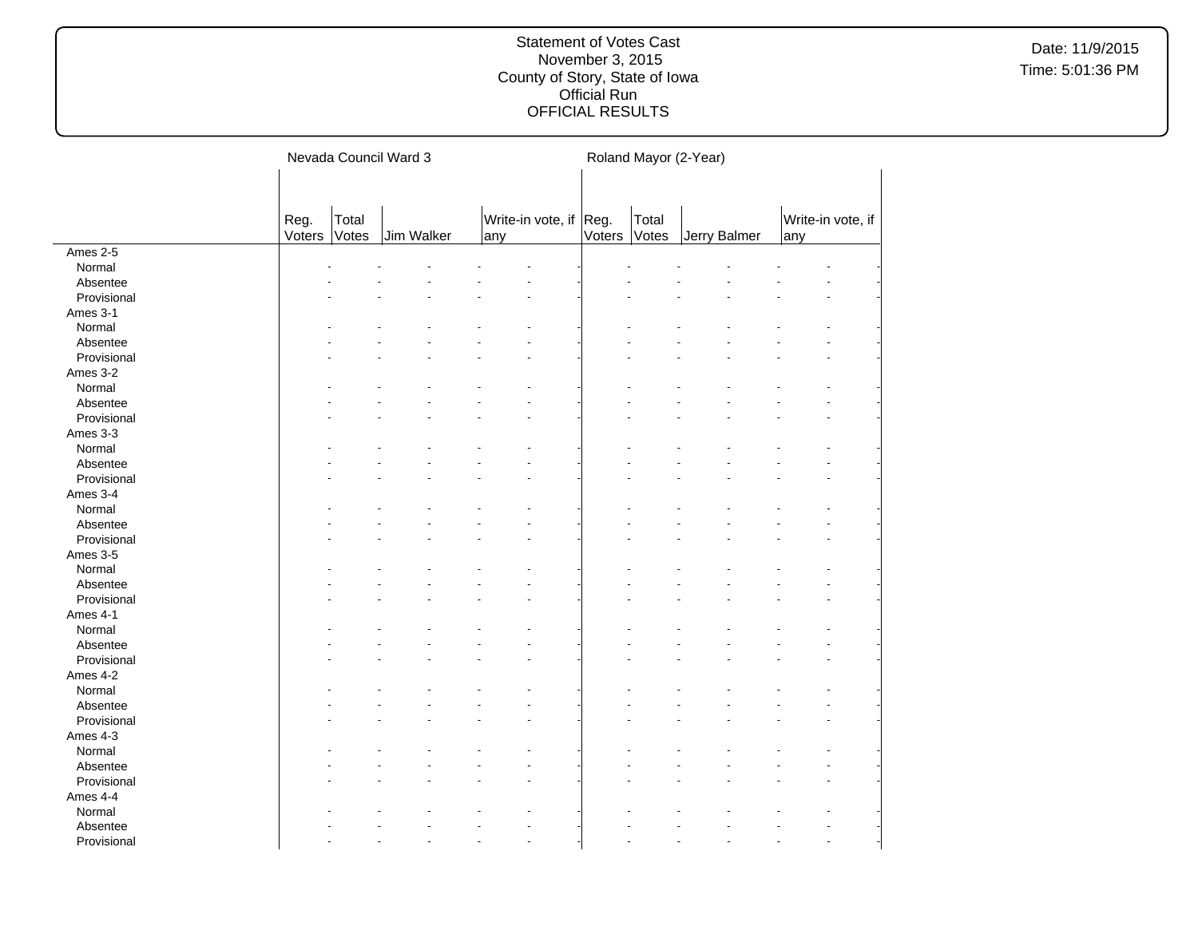|             |                |                | Nevada Council Ward 3 |                               | Roland Mayor (2-Year) |                |              |                          |  |  |  |  |
|-------------|----------------|----------------|-----------------------|-------------------------------|-----------------------|----------------|--------------|--------------------------|--|--|--|--|
|             |                |                |                       |                               |                       |                |              |                          |  |  |  |  |
|             | Reg.<br>Voters | Total<br>Votes | Jim Walker            | Write-in vote, if Reg.<br>any | Voters                | Total<br>Votes | Jerry Balmer | Write-in vote, if<br>any |  |  |  |  |
| Ames 2-5    |                |                |                       |                               |                       |                |              |                          |  |  |  |  |
| Normal      |                |                |                       |                               |                       |                |              |                          |  |  |  |  |
| Absentee    |                |                |                       |                               |                       |                |              |                          |  |  |  |  |
| Provisional |                |                |                       |                               |                       |                |              |                          |  |  |  |  |
| Ames 3-1    |                |                |                       |                               |                       |                |              |                          |  |  |  |  |
| Normal      |                |                |                       |                               |                       |                |              |                          |  |  |  |  |
| Absentee    |                |                |                       |                               |                       |                |              |                          |  |  |  |  |
| Provisional |                |                |                       |                               |                       |                |              |                          |  |  |  |  |
| Ames 3-2    |                |                |                       |                               |                       |                |              |                          |  |  |  |  |
| Normal      |                |                |                       |                               |                       |                |              |                          |  |  |  |  |
| Absentee    |                |                |                       |                               |                       |                |              |                          |  |  |  |  |
| Provisional |                |                |                       |                               |                       |                |              |                          |  |  |  |  |
| Ames 3-3    |                |                |                       |                               |                       |                |              |                          |  |  |  |  |
| Normal      |                |                |                       |                               |                       |                |              |                          |  |  |  |  |
| Absentee    |                |                |                       |                               |                       |                |              |                          |  |  |  |  |
| Provisional |                |                |                       |                               |                       |                |              |                          |  |  |  |  |
| Ames 3-4    |                |                |                       |                               |                       |                |              |                          |  |  |  |  |
| Normal      |                |                |                       |                               |                       |                |              |                          |  |  |  |  |
| Absentee    |                |                |                       |                               |                       |                |              |                          |  |  |  |  |
| Provisional |                |                |                       |                               |                       |                |              |                          |  |  |  |  |
| Ames 3-5    |                |                |                       |                               |                       |                |              |                          |  |  |  |  |
| Normal      |                |                |                       |                               |                       |                |              |                          |  |  |  |  |
| Absentee    |                |                |                       |                               |                       |                |              |                          |  |  |  |  |
| Provisional |                |                |                       |                               |                       |                |              |                          |  |  |  |  |
| Ames 4-1    |                |                |                       |                               |                       |                |              |                          |  |  |  |  |
| Normal      |                |                |                       |                               |                       |                |              |                          |  |  |  |  |
| Absentee    |                |                |                       |                               |                       |                |              |                          |  |  |  |  |
| Provisional |                |                |                       |                               |                       |                |              |                          |  |  |  |  |
| Ames 4-2    |                |                |                       |                               |                       |                |              |                          |  |  |  |  |
| Normal      |                |                |                       |                               |                       |                |              |                          |  |  |  |  |
| Absentee    |                |                |                       |                               |                       |                |              |                          |  |  |  |  |
| Provisional |                |                |                       |                               |                       |                |              |                          |  |  |  |  |
| Ames 4-3    |                |                |                       |                               |                       |                |              |                          |  |  |  |  |
| Normal      |                |                |                       |                               |                       |                |              |                          |  |  |  |  |
| Absentee    |                |                |                       |                               |                       |                |              |                          |  |  |  |  |
| Provisional |                |                |                       |                               |                       |                |              |                          |  |  |  |  |
| Ames 4-4    |                |                |                       |                               |                       |                |              |                          |  |  |  |  |
| Normal      |                |                |                       |                               |                       |                |              |                          |  |  |  |  |
| Absentee    |                |                |                       |                               |                       |                |              |                          |  |  |  |  |
| Provisional |                |                |                       |                               |                       |                |              |                          |  |  |  |  |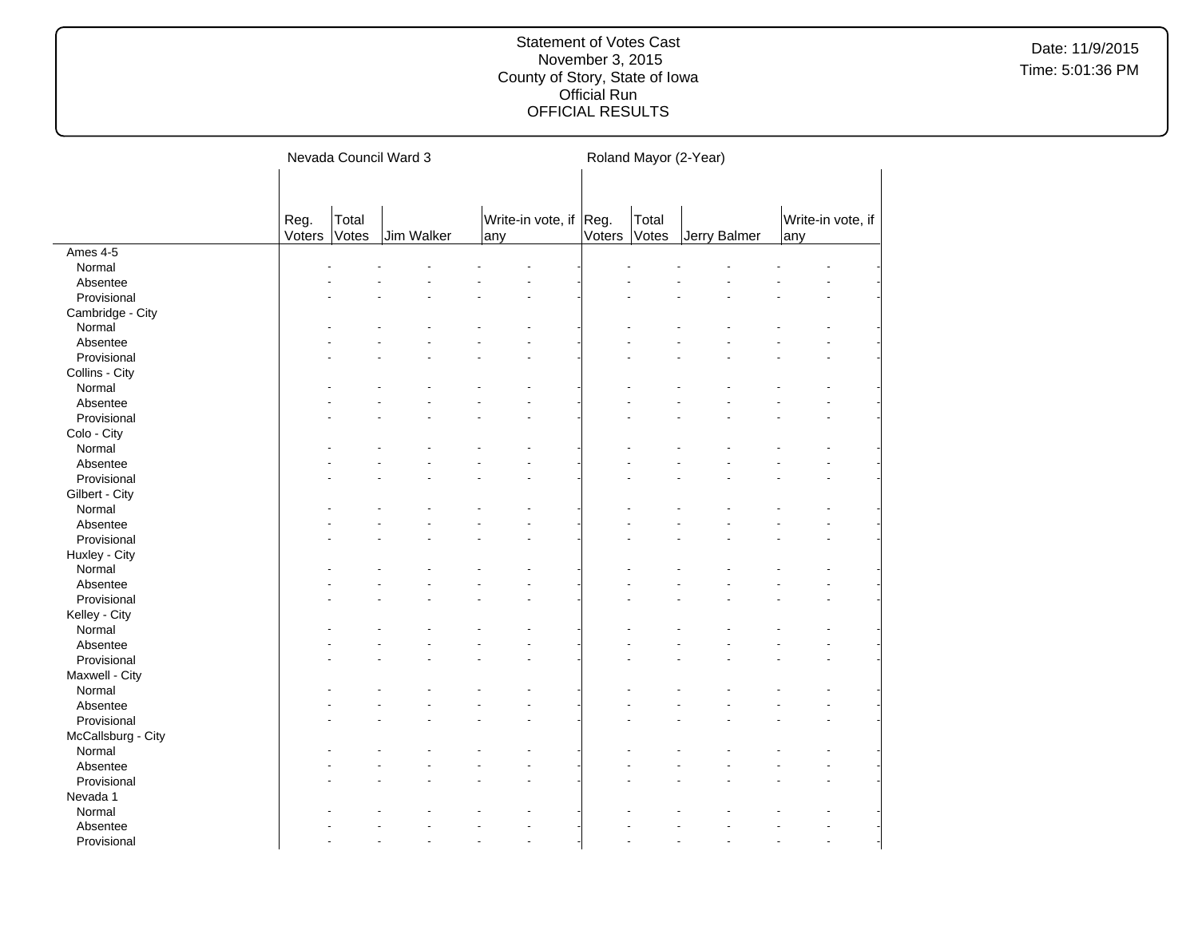|                    | Nevada Council Ward 3 |       |            |  |     |                        |        | Roland Mayor (2-Year) |              |  |     |                   |  |  |
|--------------------|-----------------------|-------|------------|--|-----|------------------------|--------|-----------------------|--------------|--|-----|-------------------|--|--|
|                    | Reg.                  | Total |            |  |     | Write-in vote, if Reg. |        | Total                 |              |  |     | Write-in vote, if |  |  |
|                    | Voters                | Votes | Jim Walker |  | any |                        | Voters | Votes                 | Jerry Balmer |  | any |                   |  |  |
| Ames 4-5           |                       |       |            |  |     |                        |        |                       |              |  |     |                   |  |  |
| Normal             |                       |       |            |  |     |                        |        |                       |              |  |     |                   |  |  |
| Absentee           |                       |       |            |  |     |                        |        |                       |              |  |     |                   |  |  |
| Provisional        |                       |       |            |  |     |                        |        |                       |              |  |     |                   |  |  |
| Cambridge - City   |                       |       |            |  |     |                        |        |                       |              |  |     |                   |  |  |
| Normal             |                       |       |            |  |     |                        |        |                       |              |  |     |                   |  |  |
| Absentee           |                       |       |            |  |     |                        |        |                       |              |  |     |                   |  |  |
| Provisional        |                       |       |            |  |     |                        |        |                       |              |  |     |                   |  |  |
| Collins - City     |                       |       |            |  |     |                        |        |                       |              |  |     |                   |  |  |
| Normal             |                       |       |            |  |     |                        |        |                       |              |  |     |                   |  |  |
| Absentee           |                       |       |            |  |     |                        |        |                       |              |  |     |                   |  |  |
| Provisional        |                       |       |            |  |     |                        |        |                       |              |  |     |                   |  |  |
| Colo - City        |                       |       |            |  |     |                        |        |                       |              |  |     |                   |  |  |
| Normal             |                       |       |            |  |     |                        |        |                       |              |  |     |                   |  |  |
| Absentee           |                       |       |            |  |     |                        |        |                       |              |  |     |                   |  |  |
| Provisional        |                       |       |            |  |     |                        |        |                       |              |  |     |                   |  |  |
| Gilbert - City     |                       |       |            |  |     |                        |        |                       |              |  |     |                   |  |  |
| Normal             |                       |       |            |  |     |                        |        |                       |              |  |     |                   |  |  |
| Absentee           |                       |       |            |  |     |                        |        |                       |              |  |     |                   |  |  |
| Provisional        |                       |       |            |  |     |                        |        |                       |              |  |     |                   |  |  |
| Huxley - City      |                       |       |            |  |     |                        |        |                       |              |  |     |                   |  |  |
| Normal             |                       |       |            |  |     |                        |        |                       |              |  |     |                   |  |  |
| Absentee           |                       |       |            |  |     |                        |        |                       |              |  |     |                   |  |  |
| Provisional        |                       |       |            |  |     |                        |        |                       |              |  |     |                   |  |  |
| Kelley - City      |                       |       |            |  |     |                        |        |                       |              |  |     |                   |  |  |
| Normal             |                       |       |            |  |     |                        |        |                       |              |  |     |                   |  |  |
| Absentee           |                       |       |            |  |     |                        |        |                       |              |  |     |                   |  |  |
| Provisional        |                       |       |            |  |     |                        |        |                       |              |  |     |                   |  |  |
| Maxwell - City     |                       |       |            |  |     |                        |        |                       |              |  |     |                   |  |  |
|                    |                       |       |            |  |     |                        |        |                       |              |  |     |                   |  |  |
| Normal             |                       |       |            |  |     |                        |        |                       |              |  |     |                   |  |  |
| Absentee           |                       |       |            |  |     |                        |        |                       |              |  |     |                   |  |  |
| Provisional        |                       |       |            |  |     |                        |        |                       |              |  |     |                   |  |  |
| McCallsburg - City |                       |       |            |  |     |                        |        |                       |              |  |     |                   |  |  |
| Normal             |                       |       |            |  |     |                        |        |                       |              |  |     |                   |  |  |
| Absentee           |                       |       |            |  |     |                        |        |                       |              |  |     |                   |  |  |
| Provisional        |                       |       |            |  |     |                        |        |                       |              |  |     |                   |  |  |
| Nevada 1           |                       |       |            |  |     |                        |        |                       |              |  |     |                   |  |  |
| Normal             |                       |       |            |  |     |                        |        |                       |              |  |     |                   |  |  |
| Absentee           |                       |       |            |  |     |                        |        |                       |              |  |     |                   |  |  |
| Provisional        |                       |       |            |  |     |                        |        |                       |              |  |     |                   |  |  |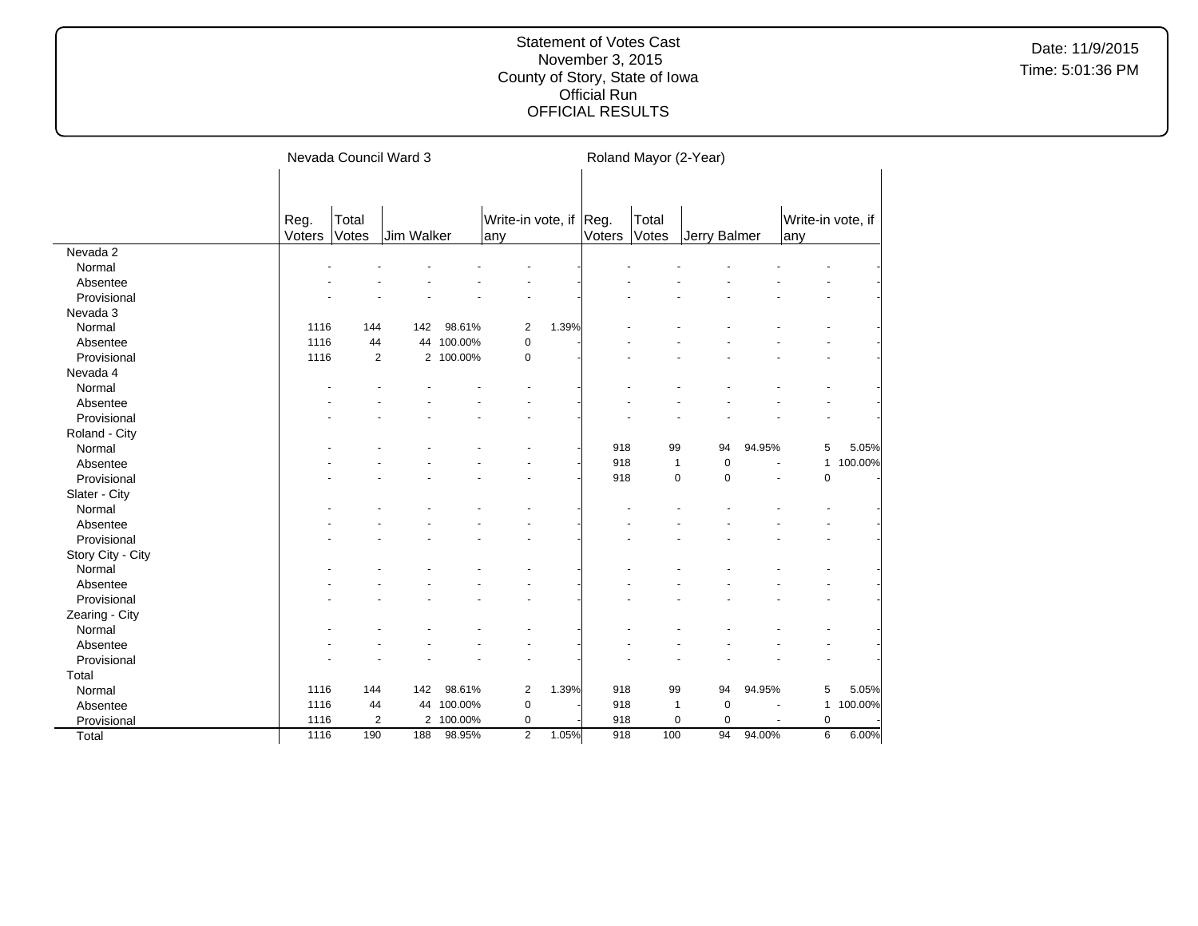|                   |                |                | Nevada Council Ward 3 |            |                               |       | Roland Mayor (2-Year) |                |              |        |                                         |         |  |
|-------------------|----------------|----------------|-----------------------|------------|-------------------------------|-------|-----------------------|----------------|--------------|--------|-----------------------------------------|---------|--|
|                   | Reg.<br>Voters | Total<br>Votes | Jim Walker            |            | Write-in vote, if Reg.<br>any |       | Voters                | Total<br>Votes | Jerry Balmer |        | Write-in vote, if<br>any                |         |  |
| Nevada 2          |                |                |                       |            |                               |       |                       |                |              |        |                                         |         |  |
| Normal            |                |                |                       |            |                               |       |                       |                |              |        |                                         |         |  |
| Absentee          |                |                |                       |            |                               |       |                       |                |              |        |                                         |         |  |
| Provisional       |                |                |                       |            |                               |       |                       |                |              |        |                                         |         |  |
| Nevada 3          |                |                |                       |            |                               |       |                       |                |              |        |                                         |         |  |
| Normal            | 1116           | 144            | 142                   | 98.61%     | $\overline{2}$                | 1.39% |                       |                |              |        |                                         |         |  |
| Absentee          | 1116           | 44             |                       | 44 100.00% | $\mathbf 0$                   |       |                       |                |              |        |                                         |         |  |
| Provisional       | 1116           | $\overline{2}$ |                       | 2 100.00%  | 0                             |       |                       |                |              |        |                                         |         |  |
| Nevada 4          |                |                |                       |            |                               |       |                       |                |              |        |                                         |         |  |
| Normal            |                |                |                       |            |                               |       |                       |                |              |        |                                         |         |  |
| Absentee          |                |                |                       |            |                               |       |                       |                |              |        |                                         |         |  |
| Provisional       |                |                |                       |            |                               |       |                       |                |              |        |                                         |         |  |
| Roland - City     |                |                |                       |            |                               |       |                       |                |              |        |                                         |         |  |
| Normal            |                |                |                       |            |                               |       | 918                   | 99             | 94           | 94.95% | 5                                       | 5.05%   |  |
| Absentee          |                |                |                       |            |                               |       | 918                   | $\mathbf{1}$   | $\mathbf 0$  | ä,     | $\mathbf{1}$                            | 100.00% |  |
| Provisional       |                |                |                       |            |                               |       | 918                   | $\mathbf 0$    | $\mathbf 0$  |        | $\mathbf 0$<br>$\overline{\phantom{a}}$ |         |  |
| Slater - City     |                |                |                       |            |                               |       |                       |                |              |        |                                         |         |  |
| Normal            |                |                |                       |            |                               |       |                       |                |              |        |                                         |         |  |
| Absentee          |                |                |                       |            |                               |       |                       |                |              |        |                                         |         |  |
| Provisional       |                |                |                       |            |                               |       |                       |                |              |        |                                         |         |  |
| Story City - City |                |                |                       |            |                               |       |                       |                |              |        |                                         |         |  |
| Normal            |                |                |                       |            |                               |       |                       |                |              |        |                                         |         |  |
| Absentee          |                |                |                       |            |                               |       |                       |                |              |        |                                         |         |  |
| Provisional       |                |                |                       |            |                               |       |                       |                |              |        |                                         |         |  |
| Zearing - City    |                |                |                       |            |                               |       |                       |                |              |        |                                         |         |  |
| Normal            |                |                |                       |            |                               |       |                       |                |              |        |                                         |         |  |
| Absentee          |                |                |                       |            |                               |       |                       |                |              |        |                                         |         |  |
| Provisional       |                |                |                       |            |                               |       |                       |                |              |        |                                         |         |  |
| Total             |                |                |                       |            |                               |       |                       |                |              |        |                                         |         |  |
| Normal            | 1116           | 144            | 142                   | 98.61%     | $\overline{2}$                | 1.39% | 918                   | 99             | 94           | 94.95% | 5                                       | 5.05%   |  |
| Absentee          | 1116           | 44             | 44                    | 100.00%    | $\mathbf 0$                   |       | 918                   | $\mathbf{1}$   | $\mathbf 0$  |        | $\mathbf{1}$                            | 100.00% |  |
| Provisional       | 1116           | $\overline{2}$ |                       | 2 100.00%  | 0                             |       | 918                   | $\mathbf 0$    | $\mathbf 0$  |        | $\mathbf 0$                             |         |  |
| Total             | 1116           | 190            | 188                   | 98.95%     | 2                             | 1.05% | 918                   | 100            | 94           | 94.00% | 6                                       | 6.00%   |  |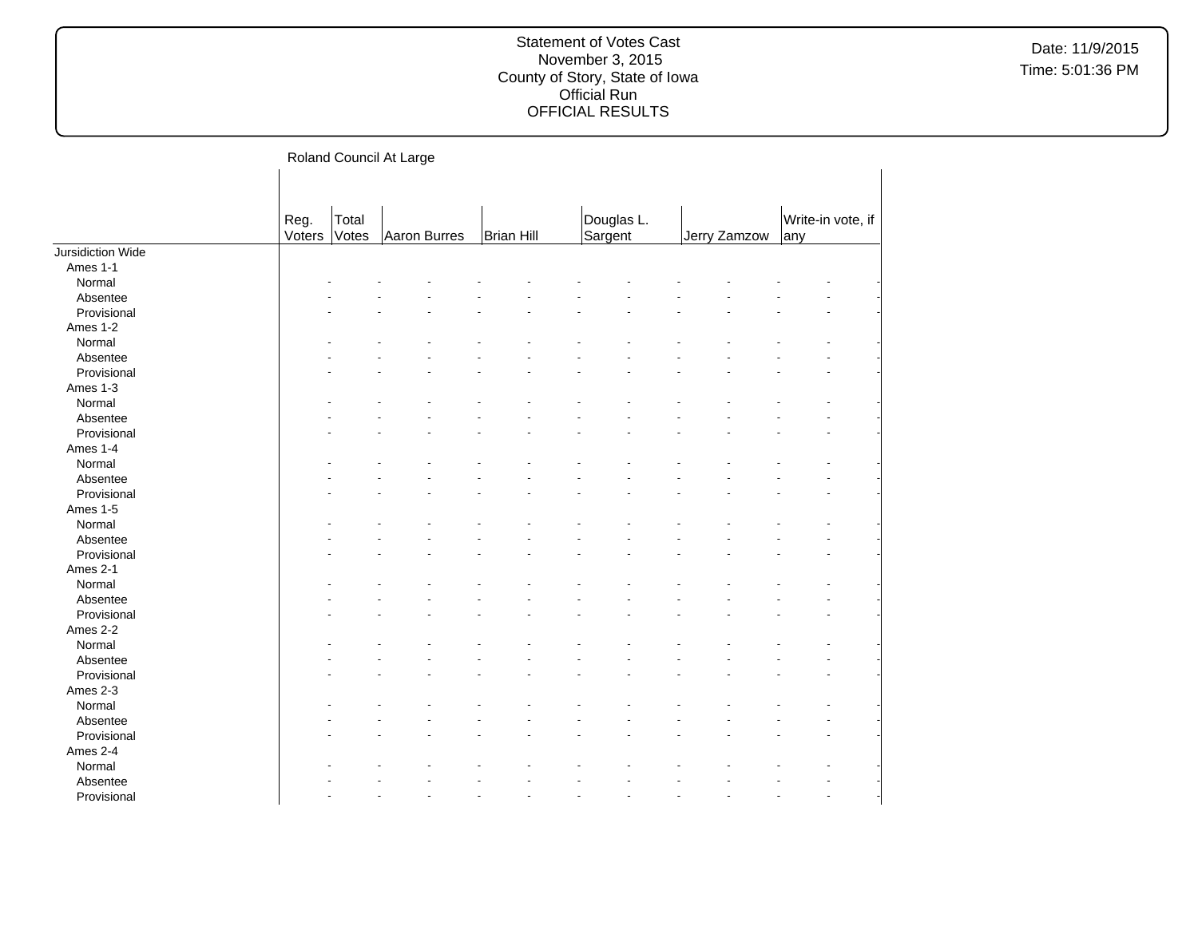Date: 11/9/2015 Time: 5:01:36 PM

Roland Council At Large

|                   |        |       | ັ            |            |            |              |                   |  |
|-------------------|--------|-------|--------------|------------|------------|--------------|-------------------|--|
|                   |        |       |              |            |            |              |                   |  |
|                   |        |       |              |            |            |              |                   |  |
|                   | Reg.   | Total |              |            | Douglas L. |              | Write-in vote, if |  |
|                   | Voters | Votes | Aaron Burres | Brian Hill | Sargent    | Jerry Zamzow | any               |  |
| Jursidiction Wide |        |       |              |            |            |              |                   |  |
| Ames 1-1          |        |       |              |            |            |              |                   |  |
| Normal            |        |       |              |            |            |              |                   |  |
| Absentee          |        |       |              |            |            |              |                   |  |
| Provisional       |        |       |              |            |            |              |                   |  |
| Ames 1-2          |        |       |              |            |            |              |                   |  |
| Normal            |        |       |              |            |            |              |                   |  |
| Absentee          |        |       |              |            |            |              |                   |  |
| Provisional       |        |       |              |            |            |              |                   |  |
| Ames 1-3          |        |       |              |            |            |              |                   |  |
| Normal            |        |       |              |            |            |              |                   |  |
| Absentee          |        |       |              |            |            |              |                   |  |
| Provisional       |        |       |              |            |            |              |                   |  |
| Ames 1-4          |        |       |              |            |            |              |                   |  |
| Normal            |        |       |              |            |            |              |                   |  |
| Absentee          |        |       |              |            |            |              |                   |  |
| Provisional       |        |       |              |            |            |              |                   |  |
| Ames 1-5          |        |       |              |            |            |              |                   |  |
| Normal            |        |       |              |            |            |              |                   |  |
| Absentee          |        |       |              |            |            |              |                   |  |
| Provisional       |        |       |              |            |            |              |                   |  |
| Ames 2-1          |        |       |              |            |            |              |                   |  |
| Normal            |        |       |              |            |            |              |                   |  |
| Absentee          |        |       |              |            |            |              |                   |  |
| Provisional       |        |       |              |            |            |              |                   |  |
| Ames 2-2          |        |       |              |            |            |              |                   |  |
| Normal            |        |       |              |            |            |              |                   |  |
| Absentee          |        |       |              |            |            |              |                   |  |
| Provisional       |        |       |              |            |            |              |                   |  |
| Ames 2-3          |        |       |              |            |            |              |                   |  |
| Normal            |        |       |              |            |            |              |                   |  |
| Absentee          |        |       |              |            |            |              |                   |  |
| Provisional       |        |       |              |            |            |              |                   |  |
| Ames 2-4          |        |       |              |            |            |              |                   |  |
|                   |        |       |              |            |            |              |                   |  |
| Normal            |        |       |              |            |            |              |                   |  |
| Absentee          |        |       |              |            |            |              |                   |  |
| Provisional       |        |       |              |            |            |              |                   |  |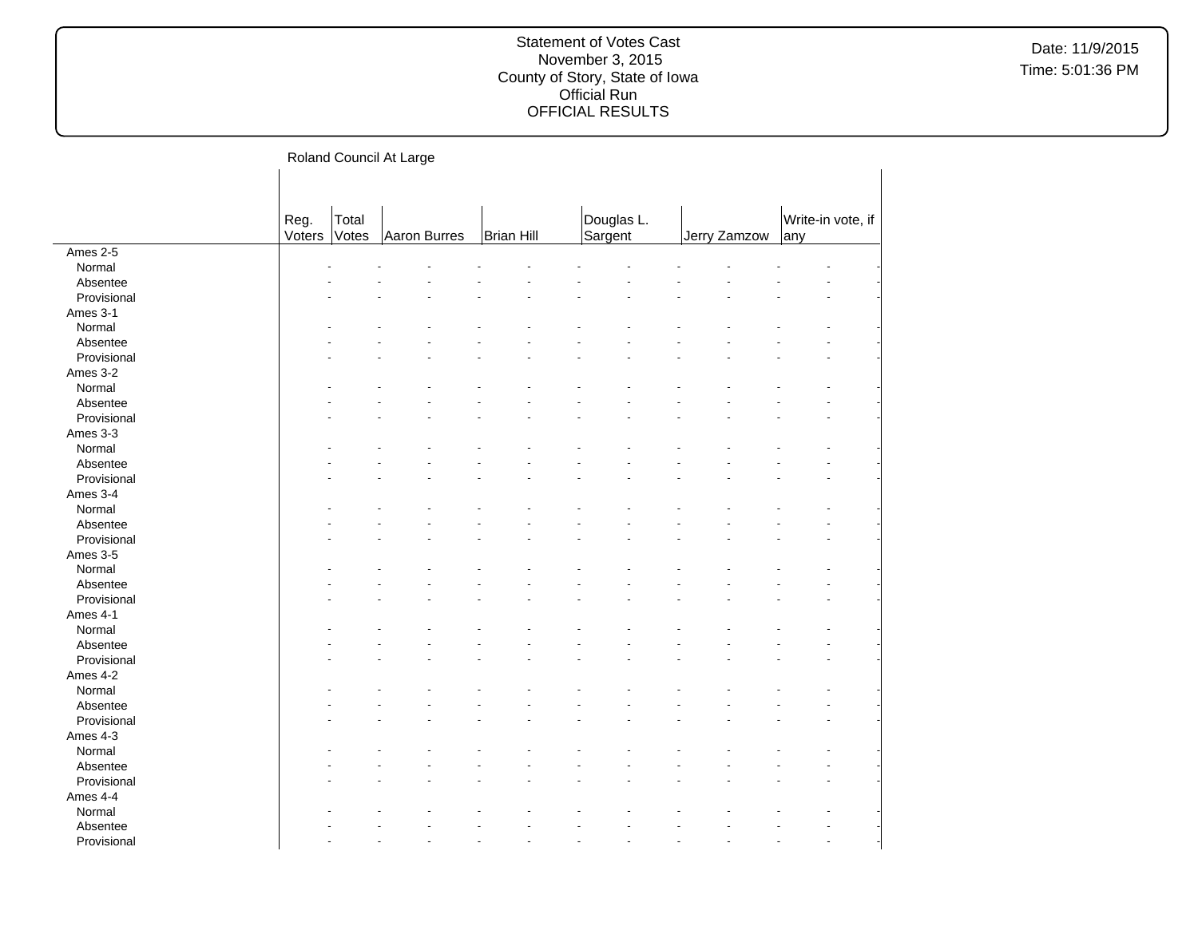Roland Council At Large

|             | Reg.<br>Voters | Total<br>Votes | Aaron Burres | <b>Brian Hill</b> | Douglas L.<br>Sargent | Jerry Zamzow | Write-in vote, if<br>any |  |
|-------------|----------------|----------------|--------------|-------------------|-----------------------|--------------|--------------------------|--|
| Ames 2-5    |                |                |              |                   |                       |              |                          |  |
| Normal      |                |                |              |                   |                       |              |                          |  |
| Absentee    |                |                |              |                   |                       |              |                          |  |
| Provisional |                |                |              |                   |                       |              |                          |  |
| Ames 3-1    |                |                |              |                   |                       |              |                          |  |
| Normal      |                |                |              |                   |                       |              |                          |  |
| Absentee    |                |                |              |                   |                       |              |                          |  |
| Provisional |                |                |              |                   |                       |              |                          |  |
| Ames 3-2    |                |                |              |                   |                       |              |                          |  |
| Normal      |                |                |              |                   |                       |              |                          |  |
| Absentee    |                |                |              |                   |                       |              |                          |  |
| Provisional |                |                |              |                   |                       |              |                          |  |
| Ames 3-3    |                |                |              |                   |                       |              |                          |  |
| Normal      |                |                |              |                   |                       |              |                          |  |
| Absentee    |                |                |              |                   |                       |              |                          |  |
| Provisional |                |                |              |                   |                       |              |                          |  |
| Ames 3-4    |                |                |              |                   |                       |              |                          |  |
| Normal      |                |                |              |                   |                       |              |                          |  |
| Absentee    |                |                |              |                   |                       |              |                          |  |
|             |                |                |              |                   |                       |              |                          |  |
| Provisional |                |                |              |                   |                       |              |                          |  |
| Ames 3-5    |                |                |              |                   |                       |              |                          |  |
| Normal      |                |                |              |                   |                       |              |                          |  |
| Absentee    |                |                |              |                   |                       |              |                          |  |
| Provisional |                |                |              |                   |                       |              |                          |  |
| Ames 4-1    |                |                |              |                   |                       |              |                          |  |
| Normal      |                |                |              |                   |                       |              |                          |  |
| Absentee    |                |                |              |                   |                       |              |                          |  |
| Provisional |                |                |              |                   |                       |              |                          |  |
| Ames 4-2    |                |                |              |                   |                       |              |                          |  |
| Normal      |                |                |              |                   |                       |              |                          |  |
| Absentee    |                |                |              |                   |                       |              |                          |  |
| Provisional |                |                |              |                   |                       |              |                          |  |
| Ames 4-3    |                |                |              |                   |                       |              |                          |  |
| Normal      |                |                |              |                   |                       |              |                          |  |
| Absentee    |                |                |              |                   |                       |              |                          |  |
| Provisional |                |                |              |                   |                       |              |                          |  |
| Ames 4-4    |                |                |              |                   |                       |              |                          |  |
| Normal      |                |                |              |                   |                       |              |                          |  |
| Absentee    |                |                |              |                   |                       |              |                          |  |
| Provisional |                |                |              |                   |                       |              | L.                       |  |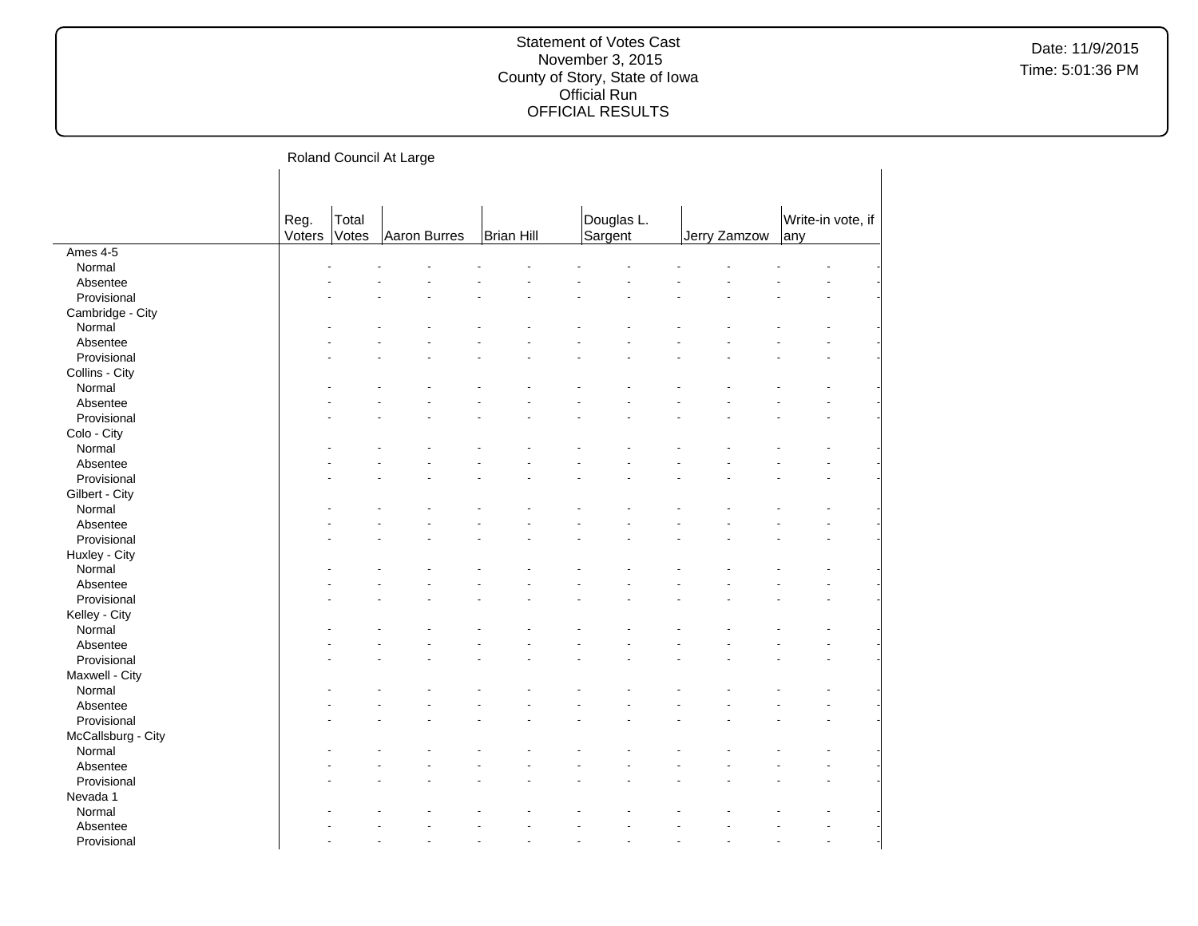Roland Council At Large

|                    | Reg.   | Total |              |            | Douglas L. |              | Write-in vote, if |  |
|--------------------|--------|-------|--------------|------------|------------|--------------|-------------------|--|
|                    | Voters | Votes | Aaron Burres | Brian Hill | Sargent    | Jerry Zamzow | any               |  |
| Ames 4-5           |        |       |              |            |            |              |                   |  |
| Normal             |        |       |              |            |            |              |                   |  |
| Absentee           |        |       |              |            |            |              |                   |  |
| Provisional        |        |       |              |            |            |              |                   |  |
| Cambridge - City   |        |       |              |            |            |              |                   |  |
| Normal             |        |       |              |            |            |              |                   |  |
| Absentee           |        |       |              |            |            |              |                   |  |
| Provisional        |        |       |              |            |            |              |                   |  |
| Collins - City     |        |       |              |            |            |              |                   |  |
| Normal             |        |       |              |            |            |              |                   |  |
| Absentee           |        |       |              |            |            |              |                   |  |
| Provisional        |        |       |              |            |            |              |                   |  |
| Colo - City        |        |       |              |            |            |              |                   |  |
| Normal             |        |       |              |            |            |              |                   |  |
| Absentee           |        |       |              |            |            |              |                   |  |
| Provisional        |        |       |              |            |            |              |                   |  |
| Gilbert - City     |        |       |              |            |            |              |                   |  |
| Normal             |        |       |              |            |            |              |                   |  |
| Absentee           |        |       |              |            |            |              |                   |  |
| Provisional        |        |       |              |            |            |              |                   |  |
| Huxley - City      |        |       |              |            |            |              |                   |  |
| Normal             |        |       |              |            |            |              |                   |  |
| Absentee           |        |       |              |            |            |              |                   |  |
| Provisional        |        |       |              |            |            |              |                   |  |
| Kelley - City      |        |       |              |            |            |              |                   |  |
| Normal             |        |       |              |            |            |              |                   |  |
| Absentee           |        |       |              |            |            |              |                   |  |
| Provisional        |        |       |              |            |            |              |                   |  |
| Maxwell - City     |        |       |              |            |            |              |                   |  |
| Normal             |        |       |              |            |            |              |                   |  |
| Absentee           |        |       |              |            |            |              |                   |  |
| Provisional        |        |       |              |            |            |              |                   |  |
| McCallsburg - City |        |       |              |            |            |              |                   |  |
| Normal             |        |       |              |            |            |              |                   |  |
| Absentee           |        |       |              |            |            |              |                   |  |
| Provisional        |        |       |              |            |            |              |                   |  |
| Nevada 1           |        |       |              |            |            |              |                   |  |
| Normal             |        |       |              |            |            |              |                   |  |
| Absentee           |        |       |              |            |            |              |                   |  |
| Provisional        |        |       |              |            |            |              |                   |  |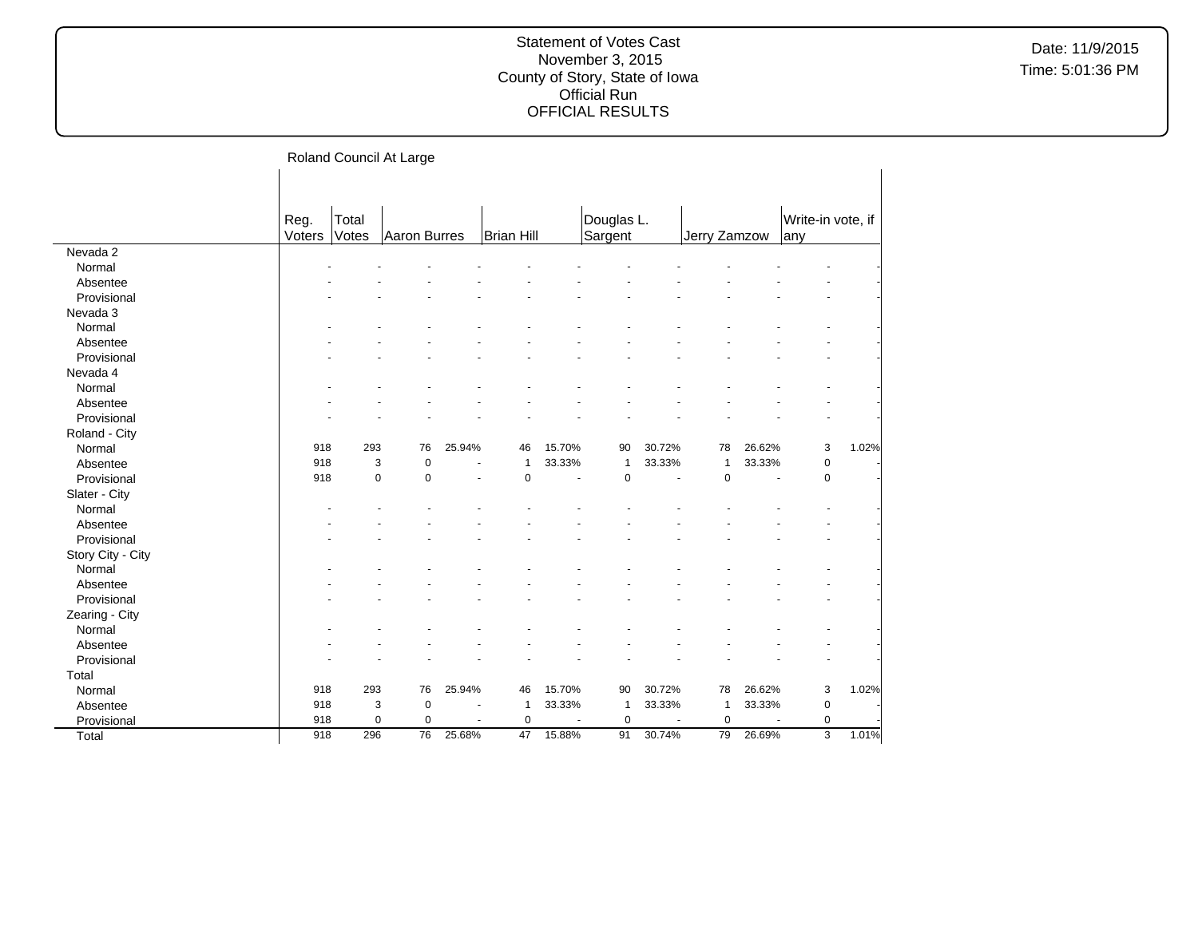|                   |        | ----------  |              |        |              |        |              |        |              |        |                   |       |
|-------------------|--------|-------------|--------------|--------|--------------|--------|--------------|--------|--------------|--------|-------------------|-------|
|                   |        |             |              |        |              |        |              |        |              |        |                   |       |
|                   |        |             |              |        |              |        |              |        |              |        |                   |       |
|                   | Reg.   | Total       |              |        |              |        | Douglas L.   |        |              |        | Write-in vote, if |       |
|                   | Voters | Votes       | Aaron Burres |        | Brian Hill   |        | Sargent      |        | Jerry Zamzow |        | lany              |       |
| Nevada 2          |        |             |              |        |              |        |              |        |              |        |                   |       |
| Normal            |        |             |              |        |              |        |              |        |              |        |                   |       |
| Absentee          |        |             |              |        |              |        |              |        |              |        |                   |       |
| Provisional       |        |             |              |        |              |        |              |        |              |        |                   |       |
| Nevada 3          |        |             |              |        |              |        |              |        |              |        |                   |       |
| Normal            |        |             |              |        |              |        |              |        |              |        |                   |       |
| Absentee          |        |             |              |        |              |        |              |        |              |        |                   |       |
| Provisional       |        |             |              |        |              |        |              |        |              |        |                   |       |
| Nevada 4          |        |             |              |        |              |        |              |        |              |        |                   |       |
| Normal            |        |             |              |        |              |        |              |        |              |        |                   |       |
| Absentee          |        |             |              |        |              |        |              |        |              |        |                   |       |
| Provisional       |        |             |              |        |              |        |              |        |              |        |                   |       |
| Roland - City     |        |             |              |        |              |        |              |        |              |        |                   |       |
| Normal            | 918    | 293         | 76           | 25.94% | 46           | 15.70% | 90           | 30.72% | 78           | 26.62% | 3                 | 1.02% |
| Absentee          | 918    | 3           | $\mathbf 0$  | ä,     | $\mathbf{1}$ | 33.33% | $\mathbf{1}$ | 33.33% | $\mathbf{1}$ | 33.33% | $\pmb{0}$         |       |
| Provisional       | 918    | $\mathbf 0$ | $\mathbf 0$  |        | $\mathbf 0$  | ÷.     | $\mathbf 0$  | $\sim$ | $\mathbf 0$  | ÷,     | $\mathbf 0$       |       |
| Slater - City     |        |             |              |        |              |        |              |        |              |        |                   |       |
| Normal            |        |             |              |        |              |        |              |        |              |        |                   |       |
| Absentee          |        |             |              |        |              |        |              |        |              |        |                   |       |
| Provisional       |        |             |              |        |              |        |              |        |              |        |                   |       |
| Story City - City |        |             |              |        |              |        |              |        |              |        |                   |       |
| Normal            |        |             |              |        |              |        |              |        |              |        |                   |       |
| Absentee          |        |             |              |        |              |        |              |        |              |        |                   |       |
| Provisional       |        |             |              |        |              |        |              |        |              |        |                   |       |
| Zearing - City    |        |             |              |        |              |        |              |        |              |        |                   |       |
| Normal            |        |             |              |        |              |        |              |        |              |        |                   |       |
| Absentee          |        |             |              |        |              |        |              |        |              |        |                   |       |
| Provisional       |        |             |              |        |              |        |              |        |              |        |                   |       |
| Total             |        |             |              |        |              |        |              |        |              |        |                   |       |
| Normal            | 918    | 293         | 76           | 25.94% | 46           | 15.70% | 90           | 30.72% | 78           | 26.62% | 3                 | 1.02% |
| Absentee          | 918    | 3           | $\pmb{0}$    |        | 1            | 33.33% | $\mathbf{1}$ | 33.33% | $\mathbf{1}$ | 33.33% | 0                 |       |
| Provisional       | 918    | $\mathbf 0$ | $\mathbf 0$  | ÷,     | $\mathbf 0$  |        | $\mathbf 0$  |        | $\pmb{0}$    |        | $\pmb{0}$         |       |
| Total             | 918    | 296         | 76           | 25.68% | 47           | 15.88% | 91           | 30.74% | 79           | 26.69% | $\overline{3}$    | 1.01% |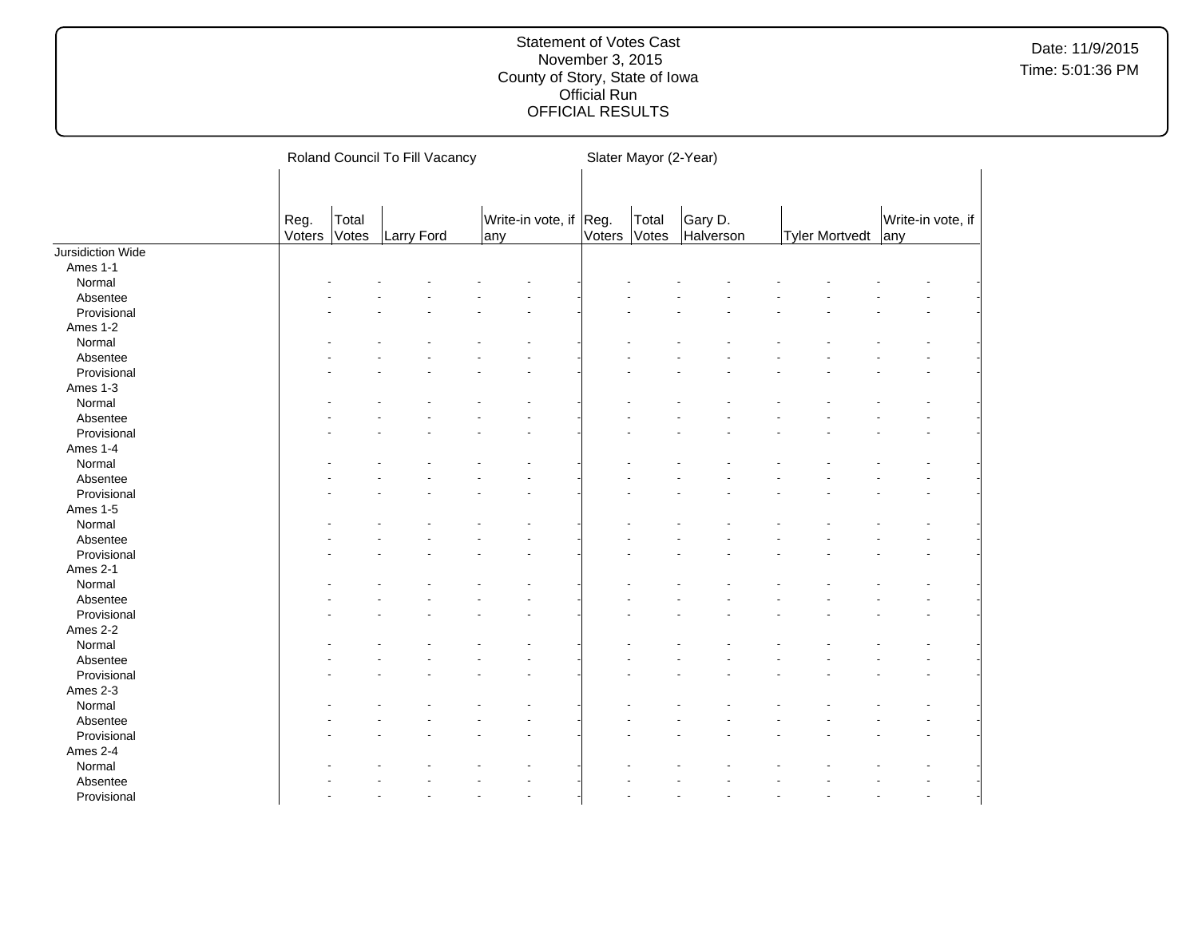|                   |                |                | Roland Council To Fill Vacancy |     |                        |        | Slater Mayor (2-Year) |                      |  |                       |     |                   |
|-------------------|----------------|----------------|--------------------------------|-----|------------------------|--------|-----------------------|----------------------|--|-----------------------|-----|-------------------|
|                   |                |                |                                |     |                        |        |                       |                      |  |                       |     |                   |
|                   | Reg.<br>Voters | Total<br>Votes | Larry Ford                     | any | Write-in vote, if Reg. | Voters | Total<br>Votes        | Gary D.<br>Halverson |  | <b>Tyler Mortvedt</b> | any | Write-in vote, if |
| Jursidiction Wide |                |                |                                |     |                        |        |                       |                      |  |                       |     |                   |
| Ames 1-1          |                |                |                                |     |                        |        |                       |                      |  |                       |     |                   |
| Normal            |                |                |                                |     |                        |        |                       |                      |  |                       |     |                   |
| Absentee          |                |                |                                |     |                        |        |                       |                      |  |                       |     |                   |
| Provisional       |                |                |                                |     |                        |        |                       |                      |  |                       |     |                   |
| Ames 1-2          |                |                |                                |     |                        |        |                       |                      |  |                       |     |                   |
| Normal            |                |                |                                |     |                        |        |                       |                      |  |                       |     |                   |
| Absentee          |                |                |                                |     |                        |        |                       |                      |  |                       |     |                   |
| Provisional       |                |                |                                |     | $\blacksquare$         |        |                       |                      |  |                       |     |                   |
| Ames 1-3          |                |                |                                |     |                        |        |                       |                      |  |                       |     |                   |
| Normal            |                |                |                                |     |                        |        |                       |                      |  |                       |     |                   |
| Absentee          |                |                |                                |     |                        |        |                       |                      |  |                       |     |                   |
| Provisional       |                |                |                                |     |                        |        |                       |                      |  |                       |     |                   |
| Ames 1-4          |                |                |                                |     |                        |        |                       |                      |  |                       |     |                   |
| Normal            |                |                |                                |     |                        |        |                       |                      |  |                       |     |                   |
| Absentee          |                |                |                                |     |                        |        |                       |                      |  |                       |     |                   |
| Provisional       |                |                |                                |     |                        |        |                       |                      |  |                       |     |                   |
| Ames 1-5          |                |                |                                |     |                        |        |                       |                      |  |                       |     |                   |
| Normal            |                |                |                                |     |                        |        |                       |                      |  |                       |     |                   |
| Absentee          |                |                |                                |     |                        |        |                       |                      |  |                       |     |                   |
| Provisional       |                |                |                                |     |                        |        |                       |                      |  |                       |     |                   |
| Ames 2-1          |                |                |                                |     |                        |        |                       |                      |  |                       |     |                   |
| Normal            |                |                |                                |     |                        |        |                       |                      |  |                       |     |                   |
| Absentee          |                |                |                                |     |                        |        |                       |                      |  |                       |     |                   |
| Provisional       |                |                |                                |     |                        |        |                       |                      |  |                       |     |                   |
| Ames 2-2          |                |                |                                |     |                        |        |                       |                      |  |                       |     |                   |
| Normal            |                |                |                                |     |                        |        |                       |                      |  |                       |     |                   |
| Absentee          |                |                |                                |     |                        |        |                       |                      |  |                       |     |                   |
| Provisional       |                |                |                                |     |                        |        |                       |                      |  |                       |     |                   |
|                   |                |                |                                |     |                        |        |                       |                      |  |                       |     |                   |
| Ames 2-3          |                |                |                                |     |                        |        |                       |                      |  |                       |     |                   |
| Normal            |                |                |                                |     |                        |        |                       |                      |  |                       |     |                   |
| Absentee          |                |                |                                |     |                        |        |                       |                      |  |                       |     |                   |
| Provisional       |                |                |                                |     |                        |        |                       |                      |  |                       |     |                   |
| Ames 2-4          |                |                |                                |     |                        |        |                       |                      |  |                       |     |                   |
| Normal            |                |                |                                |     |                        |        |                       |                      |  |                       |     |                   |
| Absentee          |                |                |                                |     |                        |        |                       |                      |  |                       |     |                   |
| Provisional       |                |                |                                |     | ÷.                     |        |                       |                      |  |                       |     |                   |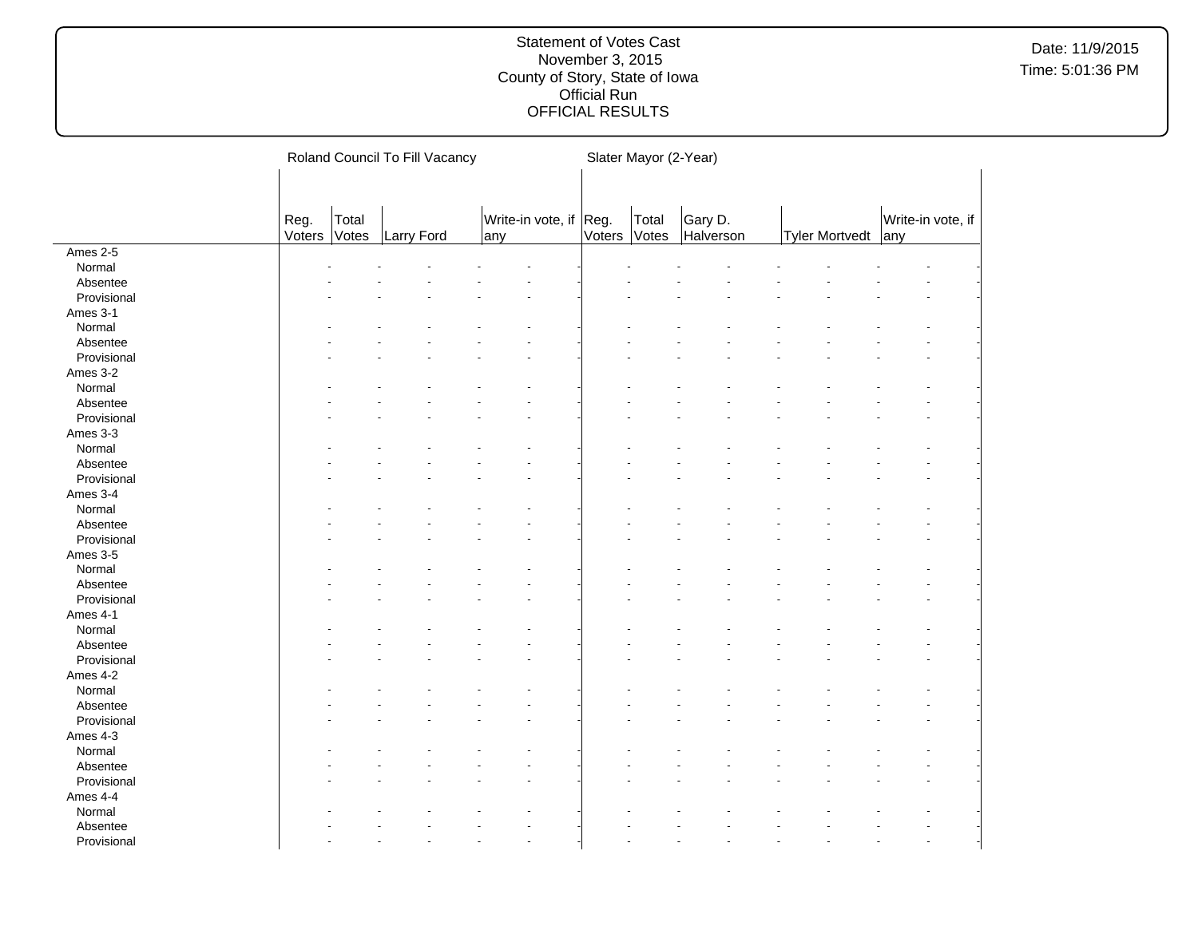|             |        |       | Roland Council To Fill Vacancy |                        |        | Slater Mayor (2-Year) |           |                       |                   |
|-------------|--------|-------|--------------------------------|------------------------|--------|-----------------------|-----------|-----------------------|-------------------|
|             |        |       |                                |                        |        |                       |           |                       |                   |
|             |        |       |                                |                        |        |                       |           |                       |                   |
|             | Reg.   | Total |                                | Write-in vote, if Reg. |        | Total                 | Gary D.   |                       | Write-in vote, if |
|             | Voters | Votes | Larry Ford                     | any                    | Voters | Votes                 | Halverson | <b>Tyler Mortvedt</b> | any               |
| Ames 2-5    |        |       |                                |                        |        |                       |           |                       |                   |
| Normal      |        |       |                                |                        |        |                       |           |                       |                   |
| Absentee    |        |       |                                |                        |        |                       |           |                       |                   |
| Provisional |        |       |                                |                        |        |                       |           |                       |                   |
| Ames 3-1    |        |       |                                |                        |        |                       |           |                       |                   |
| Normal      |        |       |                                |                        |        |                       |           |                       |                   |
| Absentee    |        |       |                                |                        |        |                       |           |                       |                   |
| Provisional |        |       |                                |                        |        |                       |           |                       |                   |
| Ames 3-2    |        |       |                                |                        |        |                       |           |                       |                   |
| Normal      |        |       |                                |                        |        |                       |           |                       |                   |
| Absentee    |        |       |                                |                        |        |                       |           |                       |                   |
| Provisional |        |       |                                |                        |        |                       |           |                       |                   |
| Ames 3-3    |        |       |                                |                        |        |                       |           |                       |                   |
| Normal      |        |       |                                |                        |        |                       |           |                       |                   |
| Absentee    |        |       |                                |                        |        |                       |           |                       |                   |
| Provisional |        |       |                                |                        |        |                       |           |                       |                   |
| Ames 3-4    |        |       |                                |                        |        |                       |           |                       |                   |
| Normal      |        |       |                                |                        |        |                       |           |                       |                   |
| Absentee    |        |       |                                |                        |        |                       |           |                       |                   |
| Provisional |        |       |                                |                        |        |                       |           |                       |                   |
| Ames 3-5    |        |       |                                |                        |        |                       |           |                       |                   |
| Normal      |        |       |                                |                        |        |                       |           |                       |                   |
| Absentee    |        |       |                                |                        |        |                       |           |                       |                   |
| Provisional |        |       |                                |                        |        |                       |           |                       |                   |
| Ames 4-1    |        |       |                                |                        |        |                       |           |                       |                   |
| Normal      |        |       |                                |                        |        |                       |           |                       |                   |
| Absentee    |        |       |                                |                        |        |                       |           |                       |                   |
| Provisional |        |       |                                |                        |        |                       |           |                       |                   |
| Ames 4-2    |        |       |                                |                        |        |                       |           |                       |                   |
| Normal      |        |       |                                |                        |        |                       |           |                       |                   |
| Absentee    |        |       |                                |                        |        |                       |           |                       |                   |
| Provisional |        |       |                                |                        |        |                       |           |                       |                   |
| Ames 4-3    |        |       |                                |                        |        |                       |           |                       |                   |
| Normal      |        |       |                                |                        |        |                       |           |                       |                   |
| Absentee    |        |       |                                |                        |        |                       |           |                       |                   |
| Provisional |        |       |                                |                        |        |                       |           |                       |                   |
| Ames 4-4    |        |       |                                |                        |        |                       |           |                       |                   |
| Normal      |        |       |                                |                        |        |                       |           |                       |                   |
| Absentee    |        |       |                                |                        |        |                       |           |                       |                   |
| Provisional |        |       |                                |                        |        |                       |           |                       |                   |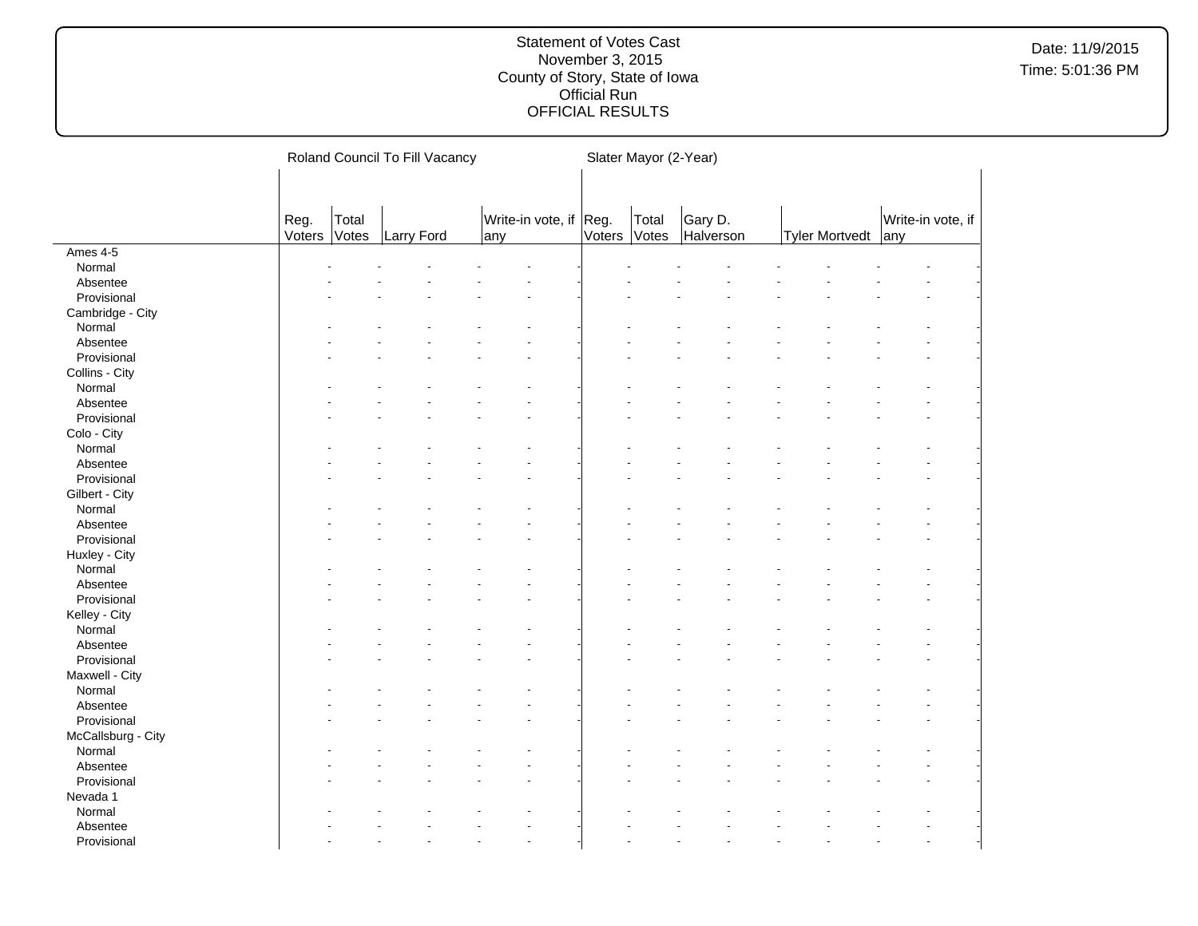|                         |        |       | Roland Council To Fill Vacancy |                        |               | Slater Mayor (2-Year) |           |                       |                   |
|-------------------------|--------|-------|--------------------------------|------------------------|---------------|-----------------------|-----------|-----------------------|-------------------|
|                         |        |       |                                |                        |               |                       |           |                       |                   |
|                         |        |       |                                |                        |               |                       |           |                       |                   |
|                         | Reg.   | Total |                                | Write-in vote, if Reg. |               | Total                 | Gary D.   |                       | Write-in vote, if |
|                         | Voters | Votes | Larry Ford                     | any                    | <b>Voters</b> | Votes                 | Halverson | <b>Tyler Mortvedt</b> | any               |
| Ames 4-5                |        |       |                                |                        |               |                       |           |                       |                   |
| Normal                  |        |       |                                |                        |               |                       |           |                       |                   |
| Absentee                |        |       |                                |                        |               |                       |           |                       |                   |
| Provisional             |        |       |                                |                        |               |                       |           |                       |                   |
| Cambridge - City        |        |       |                                |                        |               |                       |           |                       |                   |
| Normal                  |        |       |                                |                        |               |                       |           |                       |                   |
| Absentee                |        |       |                                |                        |               |                       |           |                       |                   |
| Provisional             |        |       |                                |                        |               |                       |           |                       |                   |
| Collins - City          |        |       |                                |                        |               |                       |           |                       |                   |
| Normal                  |        |       |                                |                        |               |                       |           |                       |                   |
| Absentee                |        |       |                                |                        |               |                       |           |                       |                   |
| Provisional             |        |       |                                |                        |               |                       |           |                       |                   |
| Colo - City             |        |       |                                |                        |               |                       |           |                       |                   |
| Normal                  |        |       |                                |                        |               |                       |           |                       |                   |
| Absentee                |        |       |                                |                        |               |                       |           |                       |                   |
| Provisional             |        |       |                                |                        |               |                       |           |                       |                   |
| Gilbert - City          |        |       |                                |                        |               |                       |           |                       |                   |
| Normal                  |        |       |                                |                        |               |                       |           |                       |                   |
| Absentee                |        |       |                                |                        |               |                       |           |                       |                   |
| Provisional             |        |       |                                |                        |               |                       |           |                       |                   |
| Huxley - City           |        |       |                                |                        |               |                       |           |                       |                   |
| Normal                  |        |       |                                |                        |               |                       |           |                       |                   |
| Absentee                |        |       |                                |                        |               |                       |           |                       |                   |
| Provisional             |        |       |                                |                        |               |                       |           |                       |                   |
|                         |        |       |                                |                        |               |                       |           |                       |                   |
| Kelley - City<br>Normal |        |       |                                |                        |               |                       |           |                       |                   |
|                         |        |       |                                |                        |               |                       |           |                       |                   |
| Absentee                |        |       |                                |                        |               |                       |           |                       |                   |
| Provisional             |        |       |                                |                        |               |                       |           |                       |                   |
| Maxwell - City          |        |       |                                |                        |               |                       |           |                       |                   |
| Normal                  |        |       |                                |                        |               |                       |           |                       |                   |
| Absentee                |        |       |                                |                        |               |                       |           |                       |                   |
| Provisional             |        |       |                                |                        |               |                       |           |                       |                   |
| McCallsburg - City      |        |       |                                |                        |               |                       |           |                       |                   |
| Normal                  |        |       |                                |                        |               |                       |           |                       |                   |
| Absentee                |        |       |                                |                        |               |                       |           |                       |                   |
| Provisional             |        |       |                                |                        |               |                       |           |                       |                   |
| Nevada 1                |        |       |                                |                        |               |                       |           |                       |                   |
| Normal                  |        |       |                                |                        |               |                       |           |                       |                   |
| Absentee                |        |       |                                |                        |               |                       |           |                       |                   |
| Provisional             |        |       |                                |                        |               |                       |           |                       |                   |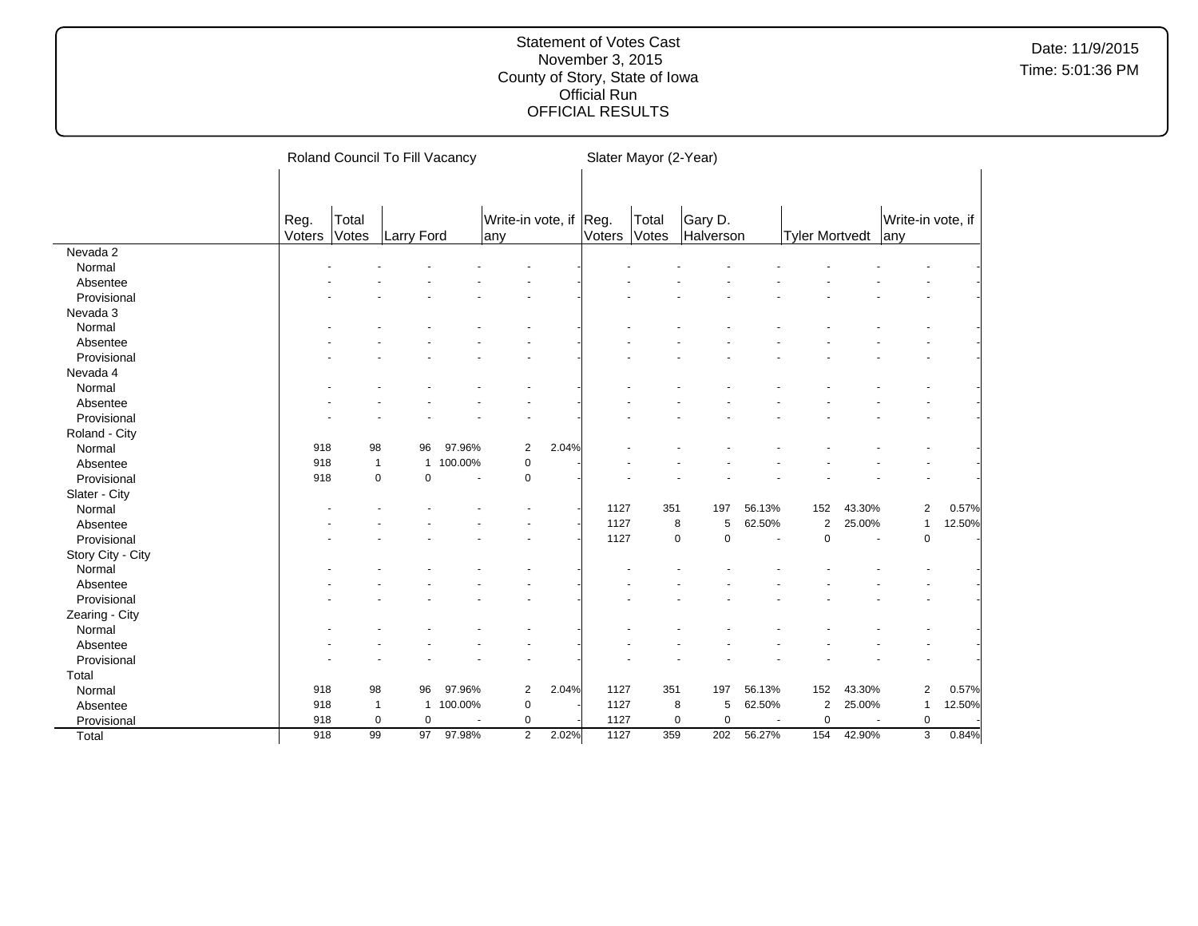|                   |        |              | Roland Council To Fill Vacancy |                |                        |       |        | Slater Mayor (2-Year) |                            |                |                       |                      |                   |        |
|-------------------|--------|--------------|--------------------------------|----------------|------------------------|-------|--------|-----------------------|----------------------------|----------------|-----------------------|----------------------|-------------------|--------|
|                   |        |              |                                |                |                        |       |        |                       |                            |                |                       |                      |                   |        |
|                   |        |              |                                |                |                        |       |        |                       |                            |                |                       |                      |                   |        |
|                   | Reg.   | Total        |                                |                | Write-in vote, if Reg. |       |        | Total                 | Gary D.                    |                |                       |                      | Write-in vote, if |        |
|                   | Voters | Votes        | Larry Ford                     |                | lany                   |       | Voters | Votes                 | Halverson                  |                | <b>Tyler Mortvedt</b> |                      | lany              |        |
| Nevada 2          |        |              |                                |                |                        |       |        |                       |                            |                |                       |                      |                   |        |
| Normal            |        |              |                                |                |                        |       |        |                       |                            |                |                       |                      |                   |        |
| Absentee          |        |              |                                |                |                        |       |        |                       |                            |                |                       |                      |                   |        |
| Provisional       |        |              |                                |                |                        |       |        |                       |                            |                |                       |                      |                   |        |
| Nevada 3          |        |              |                                |                |                        |       |        |                       |                            |                |                       |                      |                   |        |
| Normal            |        |              |                                |                |                        |       |        |                       |                            |                |                       |                      |                   |        |
| Absentee          |        |              |                                |                |                        |       |        |                       |                            |                |                       |                      |                   |        |
| Provisional       |        |              |                                |                |                        |       |        |                       |                            |                |                       |                      |                   |        |
| Nevada 4          |        |              |                                |                |                        |       |        |                       |                            |                |                       |                      |                   |        |
| Normal            |        |              |                                |                |                        |       |        |                       |                            |                |                       |                      |                   |        |
| Absentee          |        |              |                                |                |                        |       |        |                       |                            |                |                       |                      |                   |        |
| Provisional       |        |              |                                |                |                        |       |        |                       |                            |                |                       |                      |                   |        |
| Roland - City     |        |              |                                |                |                        |       |        |                       |                            |                |                       |                      |                   |        |
| Normal            | 918    | 98           | 96                             | 97.96%         | $\overline{2}$         | 2.04% |        |                       |                            |                |                       |                      |                   |        |
| Absentee          | 918    | $\mathbf{1}$ | $\mathbf{1}$                   | 100.00%        | $\mathbf 0$            |       |        |                       |                            |                |                       |                      |                   |        |
| Provisional       | 918    | $\mathbf 0$  | $\mathbf 0$                    | $\blacksquare$ | 0                      |       |        |                       |                            |                |                       |                      |                   |        |
| Slater - City     |        |              |                                |                |                        |       |        |                       |                            |                |                       |                      |                   |        |
| Normal            |        |              |                                |                |                        |       | 1127   | 351                   | 197                        | 56.13%         | 152                   | 43.30%               | $\overline{2}$    | 0.57%  |
| Absentee          |        |              |                                |                |                        |       | 1127   |                       | 8<br>5                     | 62.50%         | $\overline{2}$        | 25.00%               | $\mathbf{1}$      | 12.50% |
| Provisional       |        |              |                                |                |                        |       | 1127   |                       | $\mathbf 0$<br>$\mathbf 0$ | $\blacksquare$ | $\mathbf 0$           | $\ddot{\phantom{1}}$ | $\mathbf 0$       |        |
| Story City - City |        |              |                                |                |                        |       |        |                       |                            |                |                       |                      |                   |        |
| Normal            |        |              |                                |                |                        |       |        |                       |                            |                |                       |                      |                   |        |
| Absentee          |        |              |                                |                |                        |       |        |                       |                            |                |                       |                      |                   |        |
| Provisional       |        |              |                                |                |                        |       |        |                       |                            |                |                       |                      |                   |        |
| Zearing - City    |        |              |                                |                |                        |       |        |                       |                            |                |                       |                      |                   |        |
| Normal            |        |              |                                |                |                        |       |        |                       |                            |                |                       |                      |                   |        |
| Absentee          |        |              |                                |                |                        |       |        |                       |                            |                |                       |                      |                   |        |
| Provisional       |        |              |                                |                |                        |       |        |                       |                            |                |                       |                      |                   |        |
| Total             |        |              |                                |                |                        |       |        |                       |                            |                |                       |                      |                   |        |
| Normal            | 918    | 98           | 96                             | 97.96%         | $\overline{2}$         | 2.04% | 1127   | 351                   | 197                        | 56.13%         | 152                   | 43.30%               | $\overline{2}$    | 0.57%  |
| Absentee          | 918    | $\mathbf{1}$ | $\mathbf{1}$                   | 100.00%        | $\mathbf 0$            |       | 1127   |                       | 8<br>5                     | 62.50%         | $\overline{c}$        | 25.00%               | $\mathbf{1}$      | 12.50% |
| Provisional       | 918    | $\mathbf 0$  | $\mathbf 0$                    |                | 0                      |       | 1127   |                       | $\mathbf 0$<br>$\mathbf 0$ | ÷,             | $\mathbf 0$           |                      | $\mathbf 0$       |        |
| Total             | 918    | 99           | 97                             | 97.98%         | $\overline{2}$         | 2.02% | 1127   | 359                   | 202                        | 56.27%         | 154                   | 42.90%               | 3                 | 0.84%  |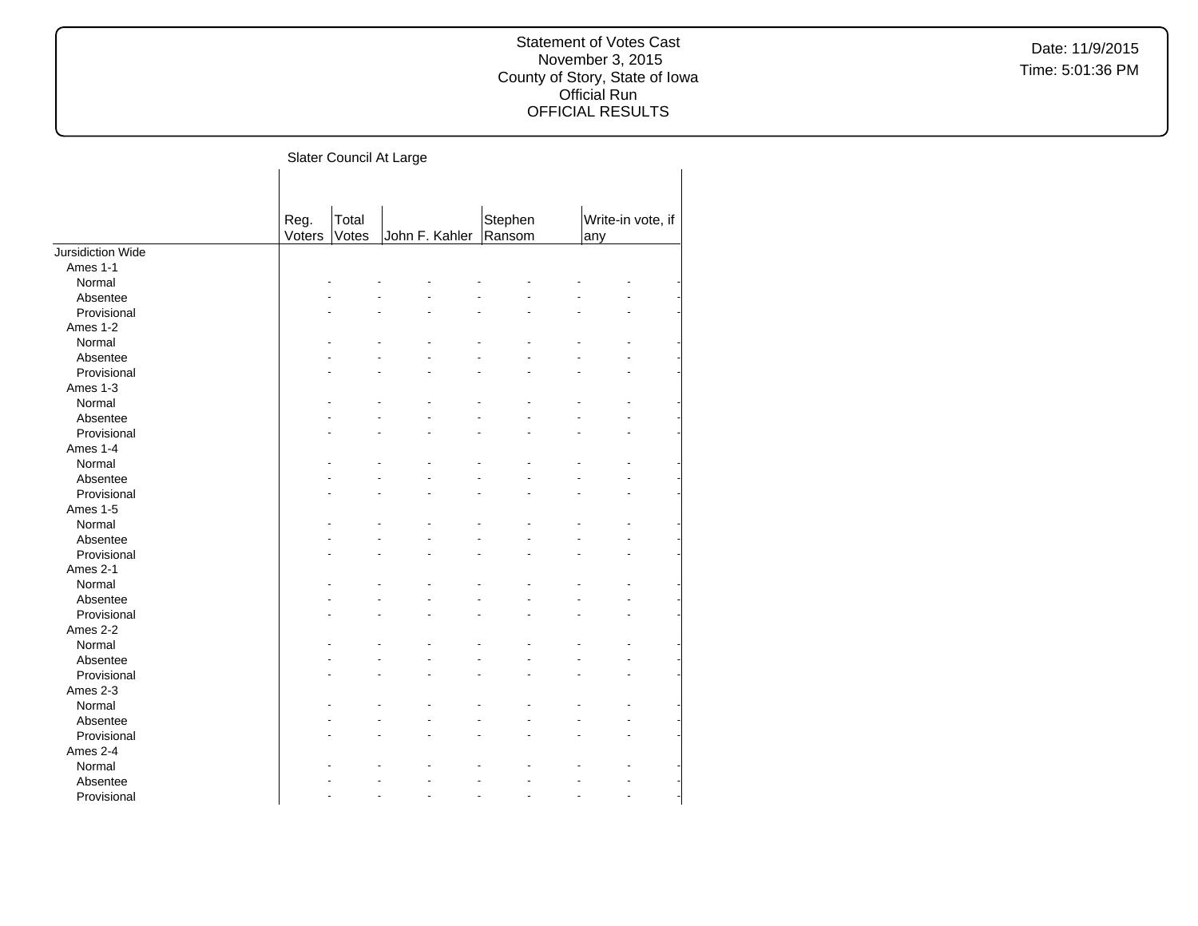Slater Council At Large

|                   | Reg.<br>Voters | Total<br>Votes | John F. Kahler | Stephen<br>Ransom | any | Write-in vote, if |
|-------------------|----------------|----------------|----------------|-------------------|-----|-------------------|
| Jursidiction Wide |                |                |                |                   |     |                   |
| Ames 1-1          |                |                |                |                   |     |                   |
| Normal            |                |                |                |                   |     |                   |
| Absentee          |                |                |                |                   |     |                   |
| Provisional       |                |                |                |                   |     |                   |
| Ames 1-2          |                |                |                |                   |     |                   |
| Normal            |                |                |                |                   |     |                   |
| Absentee          |                |                |                |                   |     |                   |
| Provisional       |                |                |                |                   |     |                   |
| Ames 1-3          |                |                |                |                   |     |                   |
| Normal            |                |                |                |                   |     |                   |
| Absentee          |                |                |                |                   |     |                   |
| Provisional       |                |                |                |                   |     |                   |
| Ames 1-4          |                |                |                |                   |     |                   |
| Normal            |                |                |                |                   |     |                   |
| Absentee          |                |                |                |                   |     |                   |
| Provisional       |                |                |                |                   |     |                   |
| Ames 1-5          |                |                |                |                   |     |                   |
| Normal            |                |                |                |                   |     |                   |
| Absentee          |                |                |                |                   |     |                   |
| Provisional       |                |                |                |                   |     |                   |
| Ames 2-1          |                |                |                |                   |     |                   |
| Normal            |                |                |                |                   |     |                   |
| Absentee          |                |                |                |                   |     |                   |
| Provisional       |                |                |                |                   |     |                   |
| Ames 2-2          |                |                |                |                   |     |                   |
| Normal            |                |                |                |                   |     |                   |
| Absentee          |                |                |                |                   |     |                   |
| Provisional       |                |                |                |                   |     |                   |
| Ames 2-3          |                |                |                |                   |     |                   |
| Normal            |                |                |                |                   |     |                   |
| Absentee          |                |                |                |                   |     |                   |
| Provisional       |                |                |                |                   |     |                   |
| Ames 2-4          |                |                |                |                   |     |                   |
| Normal            |                |                |                |                   |     |                   |
| Absentee          |                |                |                |                   |     |                   |
| Provisional       |                |                |                |                   |     |                   |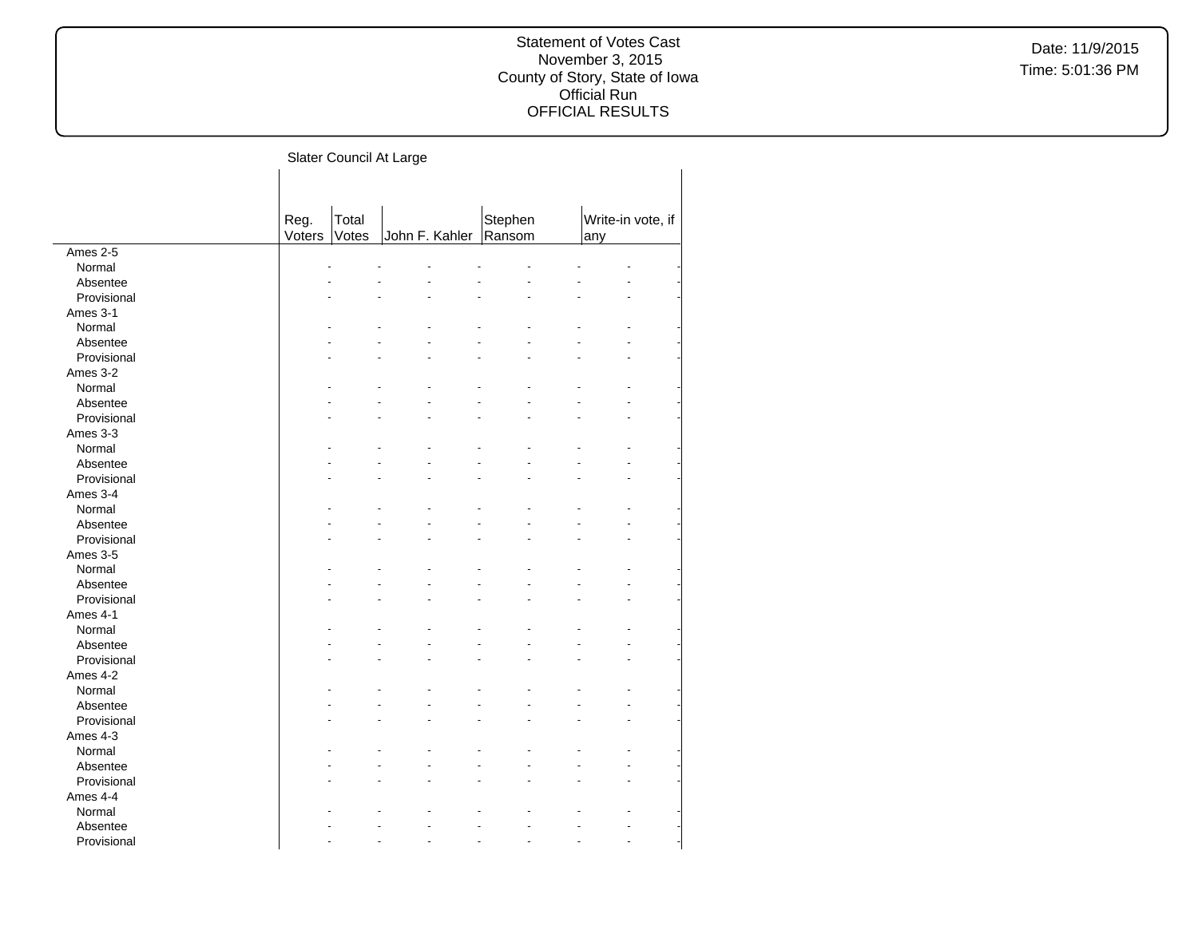Slater Council At Large

|             | Reg.<br>Voters | Total<br>Votes | John F. Kahler | Stephen<br>Ransom | any | Write-in vote, if |  |
|-------------|----------------|----------------|----------------|-------------------|-----|-------------------|--|
| Ames 2-5    |                |                |                |                   |     |                   |  |
| Normal      |                |                |                |                   |     |                   |  |
| Absentee    |                |                |                |                   |     |                   |  |
| Provisional |                |                |                |                   |     |                   |  |
|             |                |                |                |                   |     |                   |  |
| Ames 3-1    |                |                |                |                   |     |                   |  |
| Normal      |                |                |                |                   |     |                   |  |
| Absentee    |                |                |                |                   |     |                   |  |
| Provisional |                |                |                |                   |     |                   |  |
| Ames 3-2    |                |                |                |                   |     |                   |  |
| Normal      |                |                |                |                   |     |                   |  |
| Absentee    |                |                |                |                   |     |                   |  |
| Provisional |                |                |                |                   |     |                   |  |
| Ames 3-3    |                |                |                |                   |     |                   |  |
| Normal      |                |                |                |                   |     |                   |  |
| Absentee    |                |                |                |                   |     |                   |  |
| Provisional |                |                |                |                   |     |                   |  |
| Ames 3-4    |                |                |                |                   |     |                   |  |
| Normal      |                |                |                |                   |     |                   |  |
| Absentee    |                |                |                |                   |     |                   |  |
| Provisional |                |                |                |                   |     |                   |  |
| Ames 3-5    |                |                |                |                   |     |                   |  |
| Normal      |                |                |                |                   |     |                   |  |
| Absentee    |                |                |                |                   |     |                   |  |
| Provisional |                |                |                |                   |     |                   |  |
| Ames 4-1    |                |                |                |                   |     |                   |  |
| Normal      |                |                |                |                   |     |                   |  |
| Absentee    |                |                |                |                   |     |                   |  |
| Provisional |                |                |                |                   |     |                   |  |
| Ames 4-2    |                |                |                |                   |     |                   |  |
| Normal      |                |                |                |                   |     |                   |  |
| Absentee    |                |                |                |                   |     |                   |  |
| Provisional |                |                |                |                   |     |                   |  |
| Ames 4-3    |                |                |                |                   |     |                   |  |
| Normal      |                |                |                |                   |     |                   |  |
| Absentee    |                |                |                |                   |     |                   |  |
| Provisional |                |                |                |                   |     |                   |  |
| Ames 4-4    |                |                |                |                   |     |                   |  |
| Normal      |                |                |                |                   |     |                   |  |
|             |                |                |                |                   |     |                   |  |
| Absentee    |                |                |                |                   |     |                   |  |
| Provisional |                |                |                |                   |     |                   |  |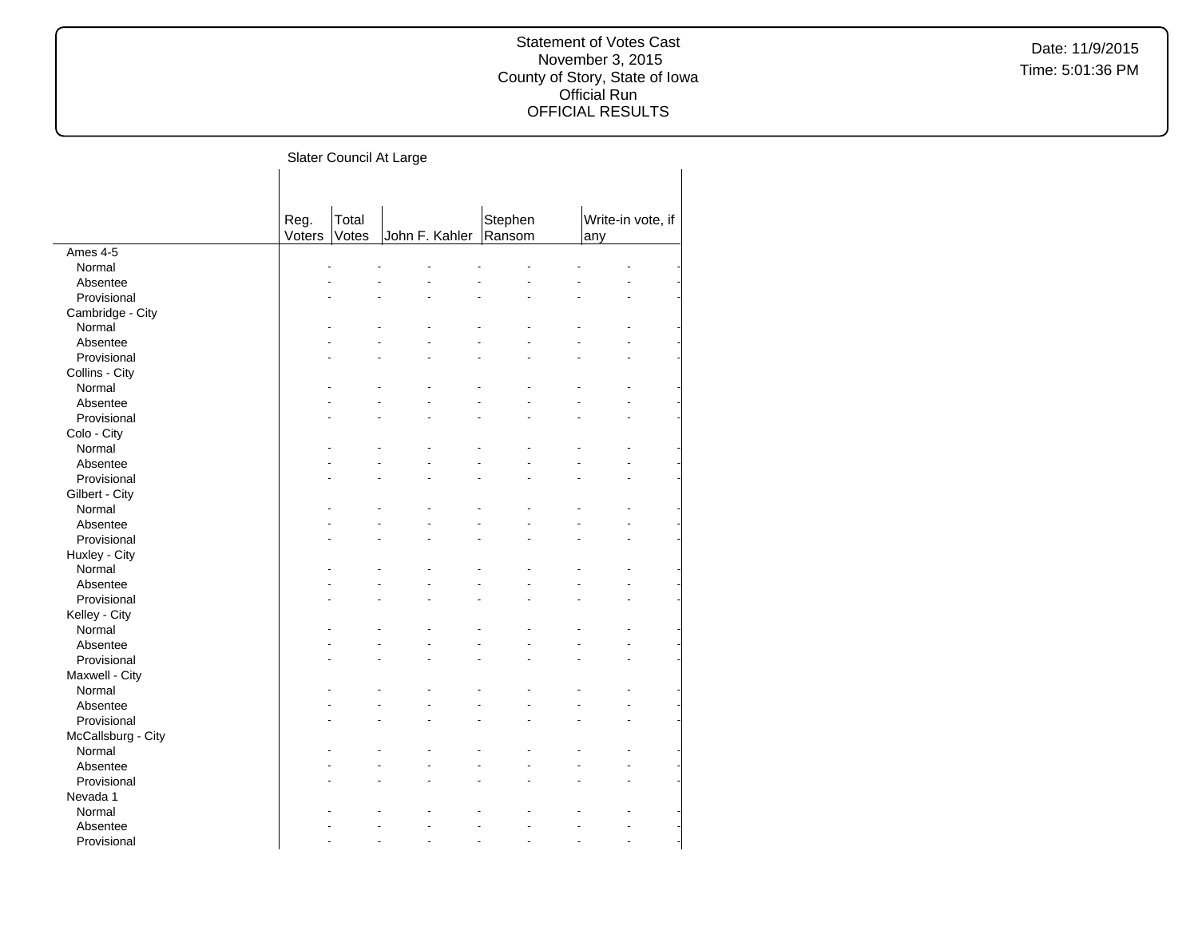Slater Council At Large

|                    | Reg.<br>Voters | Total<br>Votes | John F. Kahler | Stephen<br>Ransom | any | Write-in vote, if |  |
|--------------------|----------------|----------------|----------------|-------------------|-----|-------------------|--|
| Ames 4-5           |                |                |                |                   |     |                   |  |
| Normal             |                |                |                |                   |     |                   |  |
| Absentee           |                |                |                |                   |     |                   |  |
| Provisional        |                |                |                |                   |     |                   |  |
| Cambridge - City   |                |                |                |                   |     |                   |  |
| Normal             |                |                |                |                   |     |                   |  |
| Absentee           |                |                |                |                   |     |                   |  |
| Provisional        |                |                |                |                   |     |                   |  |
| Collins - City     |                |                |                |                   |     |                   |  |
| Normal             |                |                |                |                   |     |                   |  |
| Absentee           |                |                |                |                   |     |                   |  |
| Provisional        |                |                |                |                   |     |                   |  |
| Colo - City        |                |                |                |                   |     |                   |  |
| Normal             |                |                |                |                   |     |                   |  |
| Absentee           |                |                |                |                   |     |                   |  |
| Provisional        |                |                |                |                   |     |                   |  |
|                    |                |                |                |                   |     |                   |  |
| Gilbert - City     |                |                |                |                   |     |                   |  |
| Normal             |                |                |                |                   |     |                   |  |
| Absentee           |                |                |                |                   |     |                   |  |
| Provisional        |                |                |                |                   |     |                   |  |
| Huxley - City      |                |                |                |                   |     |                   |  |
| Normal             |                |                |                |                   |     |                   |  |
| Absentee           |                |                |                |                   |     |                   |  |
| Provisional        |                |                |                |                   |     |                   |  |
| Kelley - City      |                |                |                |                   |     |                   |  |
| Normal             |                |                |                |                   |     |                   |  |
| Absentee           |                |                |                |                   |     |                   |  |
| Provisional        |                |                |                |                   |     |                   |  |
| Maxwell - City     |                |                |                |                   |     |                   |  |
| Normal             |                |                |                |                   |     |                   |  |
| Absentee           |                |                |                |                   |     |                   |  |
| Provisional        |                |                |                |                   |     |                   |  |
| McCallsburg - City |                |                |                |                   |     |                   |  |
| Normal             |                |                |                |                   |     |                   |  |
| Absentee           |                |                |                |                   |     |                   |  |
| Provisional        |                |                |                |                   |     |                   |  |
| Nevada 1           |                |                |                |                   |     |                   |  |
| Normal             |                |                |                |                   |     |                   |  |
| Absentee           |                |                |                |                   |     |                   |  |
| Provisional        |                |                |                |                   |     |                   |  |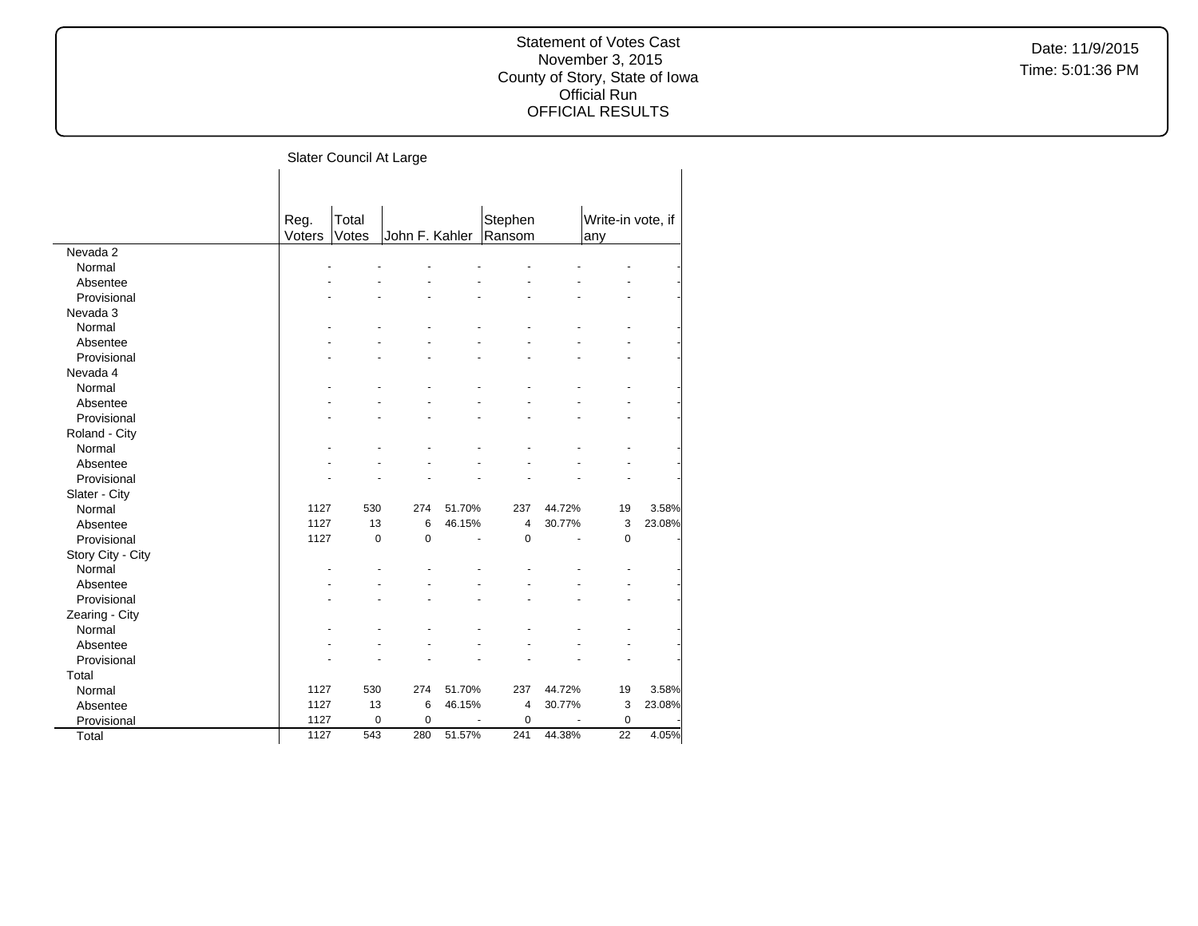Slater Council At Large

|                   | Reg.   | Total       |                |        | Stephen        |        | Write-in vote, if |        |
|-------------------|--------|-------------|----------------|--------|----------------|--------|-------------------|--------|
|                   | Voters | Votes       | John F. Kahler |        | Ransom         |        | any               |        |
| Nevada 2          |        |             |                |        |                |        |                   |        |
| Normal            |        |             |                |        |                |        |                   |        |
| Absentee          |        |             |                |        |                |        |                   |        |
| Provisional       |        |             |                |        |                |        |                   |        |
| Nevada 3          |        |             |                |        |                |        |                   |        |
| Normal            |        |             |                |        |                |        |                   |        |
| Absentee          |        |             |                |        |                |        |                   |        |
| Provisional       |        |             |                |        |                |        |                   |        |
| Nevada 4          |        |             |                |        |                |        |                   |        |
| Normal            |        |             |                |        |                |        |                   |        |
| Absentee          |        |             |                |        |                |        |                   |        |
| Provisional       |        |             |                |        |                |        |                   |        |
| Roland - City     |        |             |                |        |                |        |                   |        |
| Normal            |        |             |                |        |                |        |                   |        |
| Absentee          |        |             |                |        |                |        |                   |        |
| Provisional       |        |             |                |        |                |        |                   |        |
| Slater - City     |        |             |                |        |                |        |                   |        |
| Normal            | 1127   | 530         | 274            | 51.70% | 237            | 44.72% | 19                | 3.58%  |
| Absentee          | 1127   | 13          | 6              | 46.15% | $\overline{4}$ | 30.77% | 3                 | 23.08% |
| Provisional       | 1127   | $\mathbf 0$ | $\Omega$       | ä,     | $\mathbf 0$    | ä,     | 0                 |        |
| Story City - City |        |             |                |        |                |        |                   |        |
| Normal            |        |             |                |        |                |        |                   |        |
| Absentee          |        |             |                |        |                |        |                   |        |
| Provisional       |        |             |                |        |                |        |                   |        |
| Zearing - City    |        |             |                |        |                |        |                   |        |
| Normal            |        |             |                |        |                |        |                   |        |
| Absentee          |        |             |                |        |                |        |                   |        |
| Provisional       |        |             |                |        |                |        |                   |        |
| Total             |        |             |                |        |                |        |                   |        |
| Normal            | 1127   | 530         | 274            | 51.70% | 237            | 44.72% | 19                | 3.58%  |
| Absentee          | 1127   | 13          | 6              | 46.15% | $\overline{4}$ | 30.77% | 3                 | 23.08% |
| Provisional       | 1127   | $\mathbf 0$ | $\mathbf 0$    |        | $\mathbf 0$    |        | $\mathbf 0$       |        |
| Total             | 1127   | 543         | 280            | 51.57% | 241            | 44.38% | 22                | 4.05%  |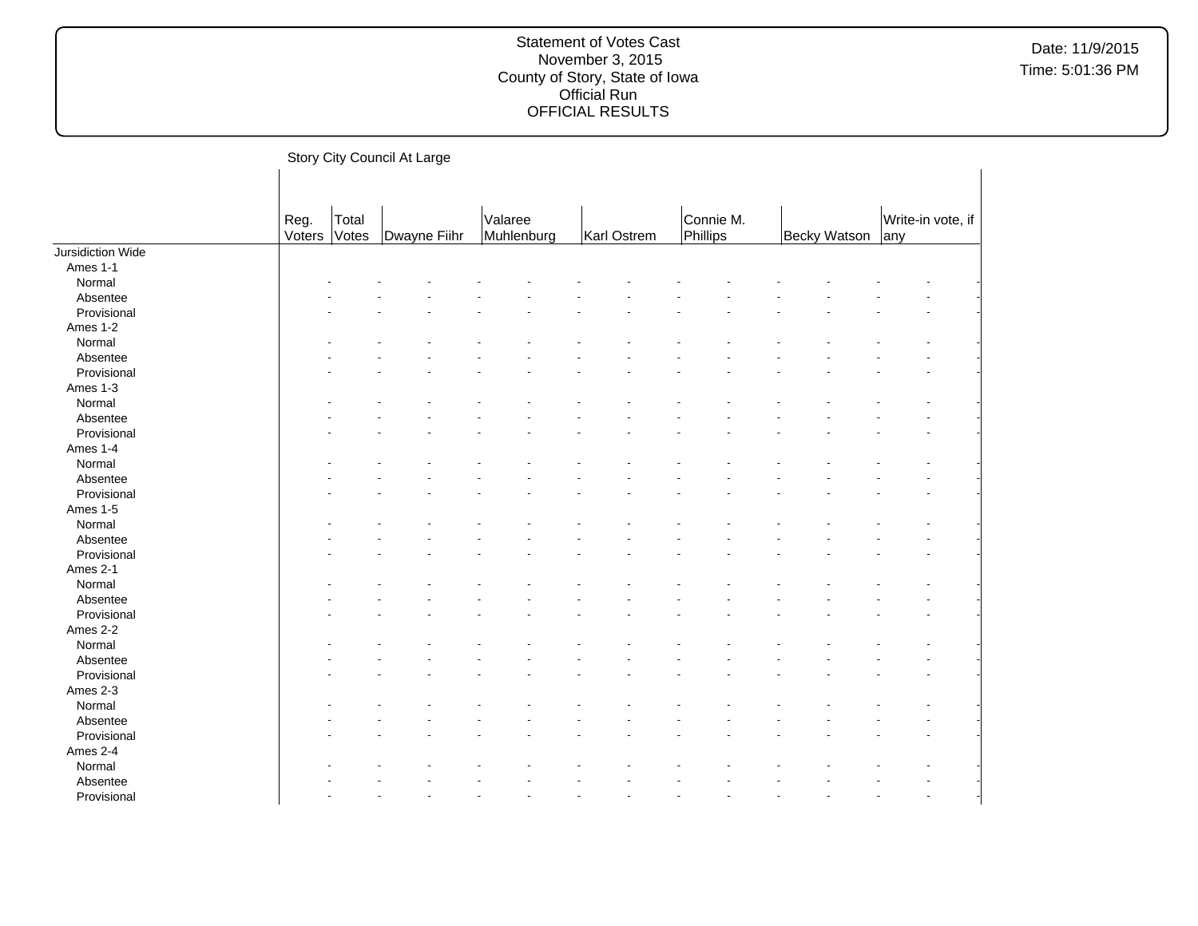Story City Council At Large Reg. Voters Total<br>Votes Dwayne Fiihr Valaree<br>Muhlenburg Karl Ostrem Connie M.<br>Phillips Phillips | Becky Watson | any Write-in vote, if Jursidiction Wide Ames 1-1  $\textsf{Normal}$  . The set of the set of the set of the set of the set of the set of the set of the set of the set of the set of the set of the set of the set of the set of the set of the set of the set of the set of the set of t Absentee - - - - - - - - - - - - - - Provisional and the second contract of the second contract of the second contract of the second contract of the second contract of the second contract of the second contract of the second contract of the second contract of Ames 1-2  $\textsf{Normal}$  . The set of the set of the set of the set of the set of the set of the set of the set of the set of the set of the set of the set of the set of the set of the set of the set of the set of the set of the set of t Absentee and the second contract of the second contract of the second contract of the second contract of the second contract of the second contract of the second contract of the second contract of the second contract of th Provisional and the second contract of the second contract of the second contract of the second contract of the second contract of the second contract of the second contract of the second contract of the second contract of Ames 1-3  $\textsf{Normal}$  . The set of the set of the set of the set of the set of the set of the set of the set of the set of the set of the set of the set of the set of the set of the set of the set of the set of the set of the set of t Absentee and the second contract of the second contract of the second contract of the second contract of the second contract of the second contract of the second contract of the second contract of the second contract of th Provisional and the second contract of the second contract of the second contract of the second contract of the second contract of the second contract of the second contract of the second contract of the second contract of Ames 1-4  $\textsf{Normal}$  . The set of the set of the set of the set of the set of the set of the set of the set of the set of the set of the set of the set of the set of the set of the set of the set of the set of the set of the set of t Absentee - - - - - - - - - - - - - - Provisional and the second contract of the second contract of the second contract of the second contract of the second contract of the second contract of the second contract of the second contract of the second contract of Ames 1-5  $\textsf{Normal}$  . The set of the set of the set of the set of the set of the set of the set of the set of the set of the set of the set of the set of the set of the set of the set of the set of the set of the set of the set of t Absentee and the second contract of the second contract of the second contract of the second contract of the second contract of the second contract of the second contract of the second contract of the second contract of th Provisional and the second contract of the second contract of the second contract of the second contract of the second contract of the second contract of the second contract of the second contract of the second contract of Ames 2-1  $\textsf{Normal}$  . The set of the set of the set of the set of the set of the set of the set of the set of the set of the set of the set of the set of the set of the set of the set of the set of the set of the set of the set of t Absentee and the second contract of the second contract of the second contract of the second contract of the second contract of the second contract of the second contract of the second contract of the second contract of th Provisional and the second contract of the second contract of the second contract of the second contract of the second contract of the second contract of the second contract of the second contract of the second contract of Ames 2-2  $\textsf{Normal}$  . The set of the set of the set of the set of the set of the set of the set of the set of the set of the set of the set of the set of the set of the set of the set of the set of the set of the set of the set of t Absentee - - - - - - - - - - - - - - Provisional and the second contract of the second contract of the second contract of the second contract of the second contract of the second contract of the second contract of the second contract of the second contract of Ames 2-3<br>Normal  $\textsf{Normal}$  . The set of the set of the set of the set of the set of the set of the set of the set of the set of the set of the set of the set of the set of the set of the set of the set of the set of the set of the set of t Absentee and the second contract of the second contract of the second contract of the second contract of the second contract of the second contract of the second contract of the second contract of the second contract of th Provisional and the second contract of the second contract of the second contract of the second contract of the second contract of the second contract of the second contract of the second contract of the second contract of Ames 2-4  $\textsf{Normal}$  . The set of the set of the set of the set of the set of the set of the set of the set of the set of the set of the set of the set of the set of the set of the set of the set of the set of the set of the set of t Absentee and the second contract of the second contract of the second contract of the second contract of the second contract of the second contract of the second contract of the second contract of the second contract of th Provisional and the second contract of the second contract of the second contract of the second contract of the second contract of the second contract of the second contract of the second contract of the second contract of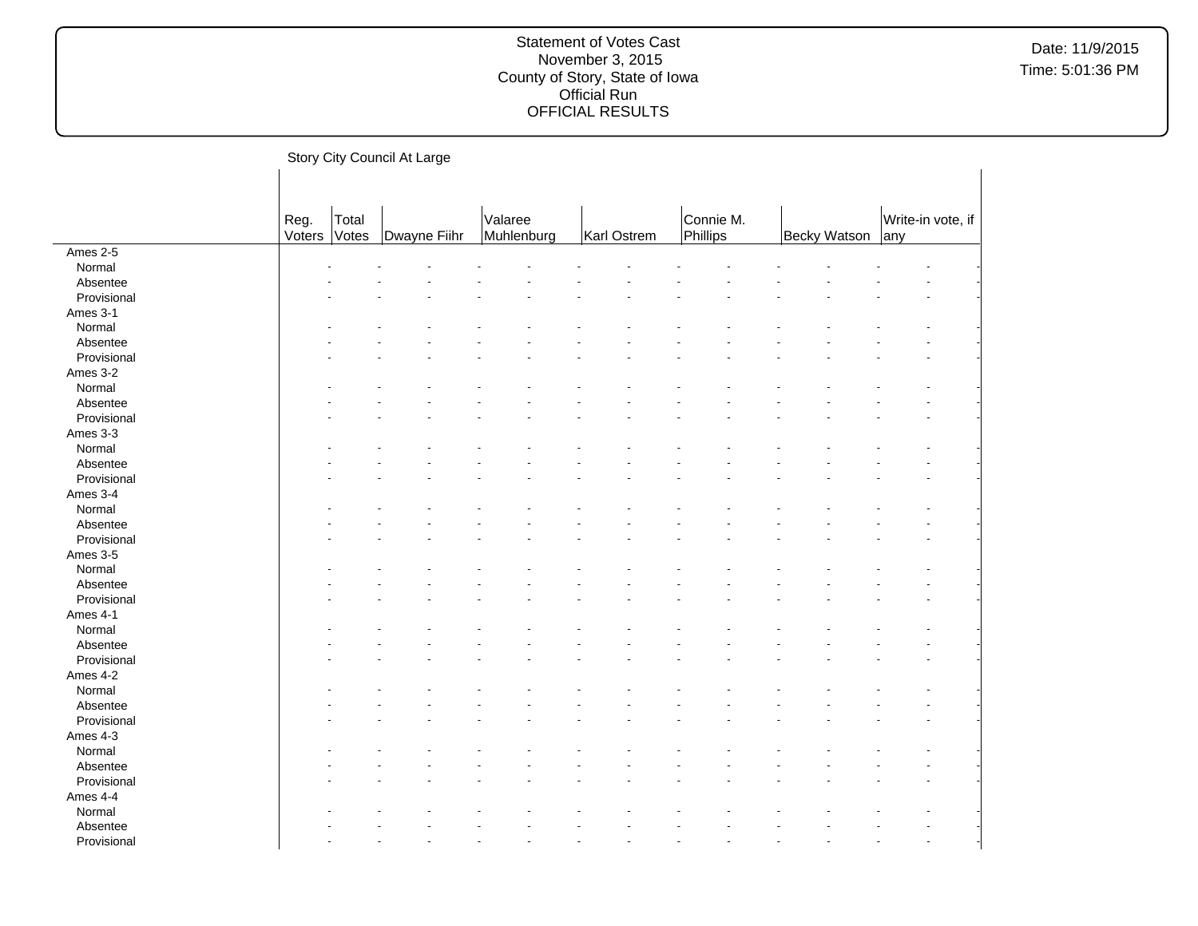Story City Council At Large Reg. Voters Total<br>Votes Dwayne Fiihr Valaree<br>Muhlenburg Karl Ostrem Connie M.<br>Phillips Phillips | Becky Watson | any Write-in vote, if Ames 2-5  $\textsf{Normal}$  . The set of the set of the set of the set of the set of the set of the set of the set of the set of the set of the set of the set of the set of the set of the set of the set of the set of the set of the set of t Absentee and the second contract of the second contract of the second contract of the second contract of the second contract of the second contract of the second contract of the second contract of the second contract of th Provisional and the second contract of the second contract of the second contract of the second contract of the second contract of the second contract of the second contract of the second contract of the second contract of Ames 3-1  $\textsf{Normal}$  . The set of the set of the set of the set of the set of the set of the set of the set of the set of the set of the set of the set of the set of the set of the set of the set of the set of the set of the set of t Absentee - - - - - - - - - - - - - - Provisional and the second contract of the second contract of the second contract of the second contract of the second contract of the second contract of the second contract of the second contract of the second contract of Ames 3-2  $\textsf{Normal}$  . The set of the set of the set of the set of the set of the set of the set of the set of the set of the set of the set of the set of the set of the set of the set of the set of the set of the set of the set of t Absentee and the second contract of the second contract of the second contract of the second contract of the second contract of the second contract of the second contract of the second contract of the second contract of th Provisional and the second contract of the second contract of the second contract of the second contract of the second contract of the second contract of the second contract of the second contract of the second contract of Ames 3-3  $\textsf{Normal}$  . The set of the set of the set of the set of the set of the set of the set of the set of the set of the set of the set of the set of the set of the set of the set of the set of the set of the set of the set of t Absentee and the second contract of the second contract of the second contract of the second contract of the second contract of the second contract of the second contract of the second contract of the second contract of th Provisional and the second contract of the second contract of the second contract of the second contract of the second contract of the second contract of the second contract of the second contract of the second contract of Ames 3-4  $\textsf{Normal}$  . The set of the set of the set of the set of the set of the set of the set of the set of the set of the set of the set of the set of the set of the set of the set of the set of the set of the set of the set of t Absentee - - - - - - - - - - - - - - Provisional and the second contract of the second contract of the second contract of the second contract of the second contract of the second contract of the second contract of the second contract of the second contract of Ames 3-5  $\textsf{Normal}$  . The set of the set of the set of the set of the set of the set of the set of the set of the set of the set of the set of the set of the set of the set of the set of the set of the set of the set of the set of t Absentee and the second contract of the second contract of the second contract of the second contract of the second contract of the second contract of the second contract of the second contract of the second contract of th Provisional and the second contract of the second contract of the second contract of the second contract of the second contract of the second contract of the second contract of the second contract of the second contract of Ames 4-1  $\textsf{Normal}$  . The set of the set of the set of the set of the set of the set of the set of the set of the set of the set of the set of the set of the set of the set of the set of the set of the set of the set of the set of t Absentee and the second contract of the second contract of the second contract of the second contract of the second contract of the second contract of the second contract of the second contract of the second contract of th Provisional and the second contract of the second contract of the second contract of the second contract of the second contract of the second contract of the second contract of the second contract of the second contract of Ames 4-2  $\textsf{Normal}$  . The set of the set of the set of the set of the set of the set of the set of the set of the set of the set of the set of the set of the set of the set of the set of the set of the set of the set of the set of t Absentee - - - - - - - - - - - - - - Provisional and the second contract of the second contract of the second contract of the second contract of the second contract of the second contract of the second contract of the second contract of the second contract of Ames 4-3<br>Normal  $\textsf{Normal}$  . The set of the set of the set of the set of the set of the set of the set of the set of the set of the set of the set of the set of the set of the set of the set of the set of the set of the set of the set of t Absentee and the second contract of the second contract of the second contract of the second contract of the second contract of the second contract of the second contract of the second contract of the second contract of th Provisional and the second contract of the second contract of the second contract of the second contract of the second contract of the second contract of the second contract of the second contract of the second contract of Ames 4-4  $\textsf{Normal}$  . The set of the set of the set of the set of the set of the set of the set of the set of the set of the set of the set of the set of the set of the set of the set of the set of the set of the set of the set of t Absentee and the second contract of the second contract of the second contract of the second contract of the second contract of the second contract of the second contract of the second contract of the second contract of th Provisional and the second contract of the second contract of the second contract of the second contract of the second contract of the second contract of the second contract of the second contract of the second contract of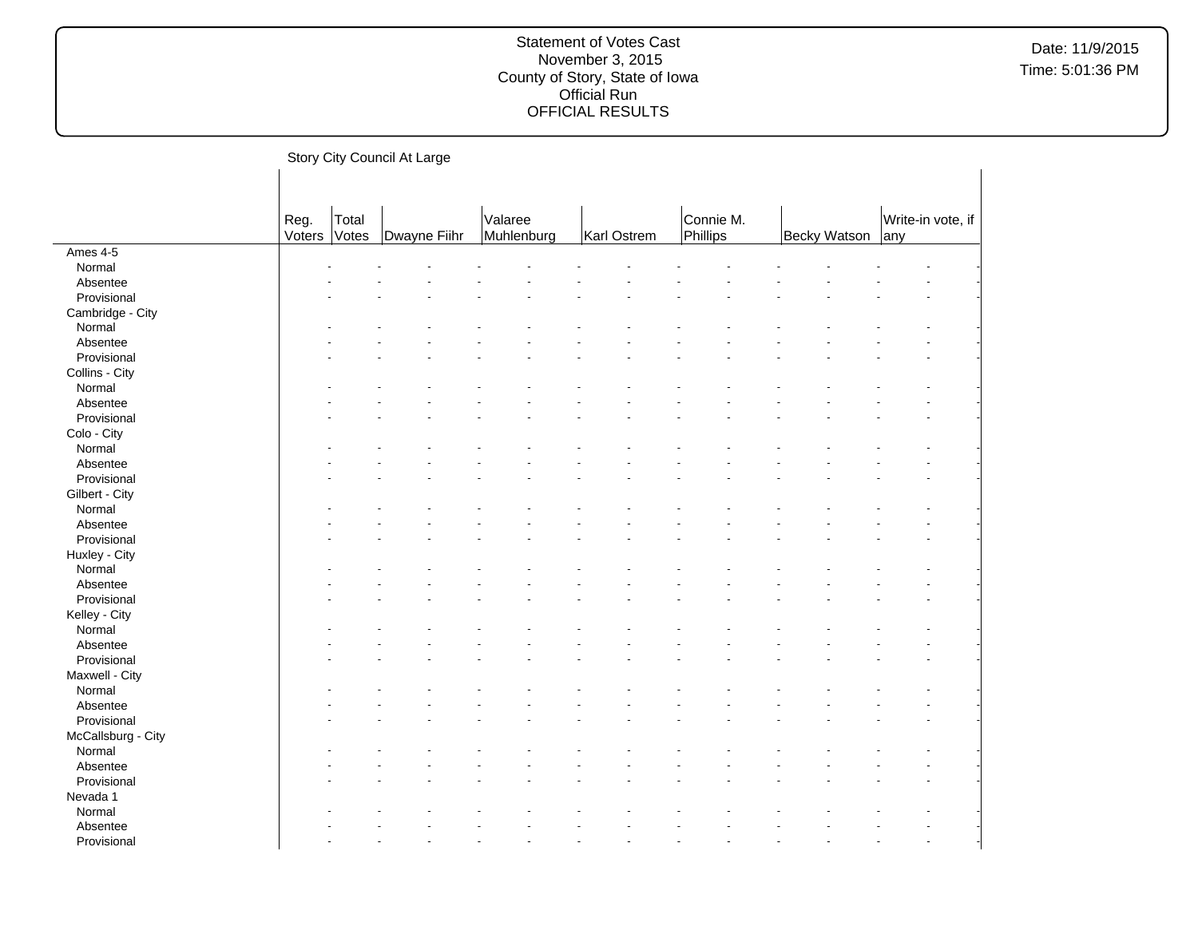Story City Council At Large Reg. Voters Total<br>Votes Dwayne Fiihr Valaree<br>Muhlenburg Karl Ostrem Connie M.<br>Phillips Phillips | Becky Watson | any Write-in vote, if Ames 4-5  $\textsf{Normal}$  . The set of the set of the set of the set of the set of the set of the set of the set of the set of the set of the set of the set of the set of the set of the set of the set of the set of the set of the set of t Absentee and the second contract of the second contract of the second contract of the second contract of the second contract of the second contract of the second contract of the second contract of the second contract of th Provisional and the second contract of the second contract of the second contract of the second contract of the second contract of the second contract of the second contract of the second contract of the second contract of Cambridge - City  $\textsf{Normal}$  . The set of the set of the set of the set of the set of the set of the set of the set of the set of the set of the set of the set of the set of the set of the set of the set of the set of the set of the set of t Absentee - - - - - - - - - - - - - - Provisional and the second contract of the second contract of the second contract of the second contract of the second contract of the second contract of the second contract of the second contract of the second contract of Collins - City  $\textsf{Normal}$  . The set of the set of the set of the set of the set of the set of the set of the set of the set of the set of the set of the set of the set of the set of the set of the set of the set of the set of the set of t Absentee and the second contract of the second contract of the second contract of the second contract of the second contract of the second contract of the second contract of the second contract of the second contract of th Provisional and the second contract of the second contract of the second contract of the second contract of the second contract of the second contract of the second contract of the second contract of the second contract of Colo - City  $\textsf{Normal}$  . The set of the set of the set of the set of the set of the set of the set of the set of the set of the set of the set of the set of the set of the set of the set of the set of the set of the set of the set of t Absentee and the second contract of the second contract of the second contract of the second contract of the second contract of the second contract of the second contract of the second contract of the second contract of th Provisional and the second contract of the second contract of the second contract of the second contract of the second contract of the second contract of the second contract of the second contract of the second contract of Gilbert - City  $\textsf{Normal}$  . The set of the set of the set of the set of the set of the set of the set of the set of the set of the set of the set of the set of the set of the set of the set of the set of the set of the set of the set of t Absentee - - - - - - - - - - - - - - Provisional and the second contract of the second contract of the second contract of the second contract of the second contract of the second contract of the second contract of the second contract of the second contract of Huxley - City<br>Normal  $\textsf{Normal}$  . The set of the set of the set of the set of the set of the set of the set of the set of the set of the set of the set of the set of the set of the set of the set of the set of the set of the set of the set of t Absentee and the second contract of the second contract of the second contract of the second contract of the second contract of the second contract of the second contract of the second contract of the second contract of th Provisional and the second contract of the second contract of the second contract of the second contract of the second contract of the second contract of the second contract of the second contract of the second contract of Kelley - City  $\textsf{Normal}$  . The set of the set of the set of the set of the set of the set of the set of the set of the set of the set of the set of the set of the set of the set of the set of the set of the set of the set of the set of t Absentee and the second contract of the second contract of the second contract of the second contract of the second contract of the second contract of the second contract of the second contract of the second contract of th Provisional and the second contract of the second contract of the second contract of the second contract of the second contract of the second contract of the second contract of the second contract of the second contract of Maxwell - City  $\textsf{Normal}$  . The set of the set of the set of the set of the set of the set of the set of the set of the set of the set of the set of the set of the set of the set of the set of the set of the set of the set of the set of t Absentee - - - - - - - - - - - - - - Provisional and the second contract of the second contract of the second contract of the second contract of the second contract of the second contract of the second contract of the second contract of the second contract of McCallsburg - City<br>Normal  $\textsf{Normal}$  . The set of the set of the set of the set of the set of the set of the set of the set of the set of the set of the set of the set of the set of the set of the set of the set of the set of the set of the set of t Absentee and the second contract of the second contract of the second contract of the second contract of the second contract of the second contract of the second contract of the second contract of the second contract of th Provisional and the second contract of the second contract of the second contract of the second contract of the second contract of the second contract of the second contract of the second contract of the second contract of Nevada 1  $\textsf{Normal}$  . The set of the set of the set of the set of the set of the set of the set of the set of the set of the set of the set of the set of the set of the set of the set of the set of the set of the set of the set of t Absentee and the second contract of the second contract of the second contract of the second contract of the second contract of the second contract of the second contract of the second contract of the second contract of th Provisional and the second contract of the second contract of the second contract of the second contract of the second contract of the second contract of the second contract of the second contract of the second contract of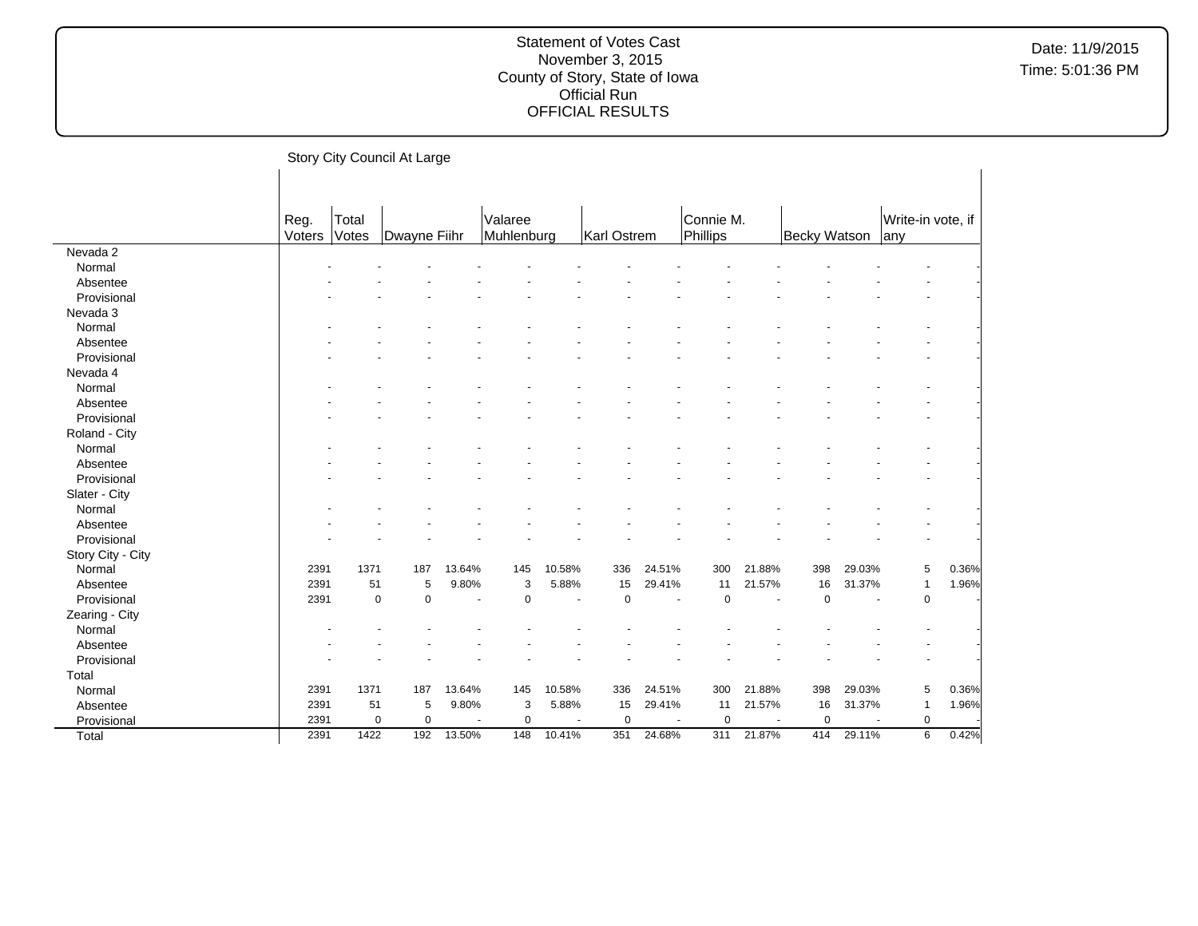|                   |        |             | Story City Council At Large |                |             |                |             |        |             |                |              |        |                   |       |
|-------------------|--------|-------------|-----------------------------|----------------|-------------|----------------|-------------|--------|-------------|----------------|--------------|--------|-------------------|-------|
|                   |        |             |                             |                |             |                |             |        |             |                |              |        |                   |       |
|                   |        |             |                             |                |             |                |             |        |             |                |              |        |                   |       |
|                   | Reg.   | Total       |                             |                | Valaree     |                |             |        | Connie M.   |                |              |        | Write-in vote, if |       |
|                   | Voters | Votes       | Dwayne Fiihr                |                | Muhlenburg  |                | Karl Ostrem |        | Phillips    |                | Becky Watson |        | lany              |       |
| Nevada 2          |        |             |                             |                |             |                |             |        |             |                |              |        |                   |       |
| Normal            |        |             |                             |                |             |                |             |        |             |                |              |        |                   |       |
| Absentee          |        |             |                             |                |             |                |             |        |             |                |              |        |                   |       |
| Provisional       |        |             |                             |                |             |                |             |        |             |                |              |        |                   |       |
| Nevada 3          |        |             |                             |                |             |                |             |        |             |                |              |        |                   |       |
| Normal            |        |             |                             |                |             |                |             |        |             |                |              |        |                   |       |
| Absentee          |        |             |                             |                |             |                |             |        |             |                |              |        |                   |       |
| Provisional       |        |             |                             |                |             |                |             |        |             |                |              |        |                   |       |
| Nevada 4          |        |             |                             |                |             |                |             |        |             |                |              |        |                   |       |
| Normal            |        |             |                             |                |             |                |             |        |             |                |              |        |                   |       |
| Absentee          |        |             |                             |                |             |                |             |        |             |                |              |        |                   |       |
| Provisional       |        |             |                             |                |             |                |             |        |             |                |              |        |                   |       |
| Roland - City     |        |             |                             |                |             |                |             |        |             |                |              |        |                   |       |
| Normal            |        |             |                             |                |             |                |             |        |             |                |              |        |                   |       |
| Absentee          |        |             |                             |                |             |                |             |        |             |                |              |        |                   |       |
| Provisional       |        |             |                             |                |             |                |             |        |             |                |              |        |                   |       |
| Slater - City     |        |             |                             |                |             |                |             |        |             |                |              |        |                   |       |
| Normal            |        |             |                             |                |             |                |             |        |             |                |              |        |                   |       |
| Absentee          |        |             |                             |                |             |                |             |        |             |                |              |        |                   |       |
| Provisional       |        |             |                             |                |             |                |             |        |             |                |              |        |                   |       |
| Story City - City |        |             |                             |                |             |                |             |        |             |                |              |        |                   |       |
| Normal            | 2391   | 1371        | 187                         | 13.64%         | 145         | 10.58%         | 336         | 24.51% | 300         | 21.88%         | 398          | 29.03% | 5                 | 0.36% |
| Absentee          | 2391   | 51          | 5                           | 9.80%          | 3           | 5.88%          | 15          | 29.41% | 11          | 21.57%         | 16           | 31.37% | $\overline{1}$    | 1.96% |
| Provisional       | 2391   | $\mathbf 0$ | $\mathbf 0$                 | $\blacksquare$ | $\mathbf 0$ | $\blacksquare$ | $\mathbf 0$ | $\sim$ | $\mathbf 0$ | $\blacksquare$ | $\mathbf 0$  | $\sim$ | $\mathbf 0$       |       |
| Zearing - City    |        |             |                             |                |             |                |             |        |             |                |              |        |                   |       |
| Normal            |        |             |                             |                |             |                |             |        |             |                |              |        |                   |       |
| Absentee          |        |             |                             |                |             |                |             |        |             |                |              |        |                   |       |
| Provisional       |        |             |                             |                |             |                |             |        |             |                |              |        |                   |       |
| Total             |        |             |                             |                |             |                |             |        |             |                |              |        |                   |       |
| Normal            | 2391   | 1371        | 187                         | 13.64%         | 145         | 10.58%         | 336         | 24.51% | 300         | 21.88%         | 398          | 29.03% | 5                 | 0.36% |
| Absentee          | 2391   | 51          | 5                           | 9.80%          | 3           | 5.88%          | 15          | 29.41% | 11          | 21.57%         | 16           | 31.37% | -1                | 1.96% |
| Provisional       | 2391   | $\mathbf 0$ | $\mathbf 0$                 |                | $\mathbf 0$ |                | $\mathbf 0$ |        | $\mathbf 0$ |                | $\mathbf 0$  |        | 0                 |       |
| Total             | 2391   | 1422        | 192                         | 13.50%         | 148         | 10.41%         | 351         | 24.68% | 311         | 21.87%         | 414          | 29.11% | 6                 | 0.42% |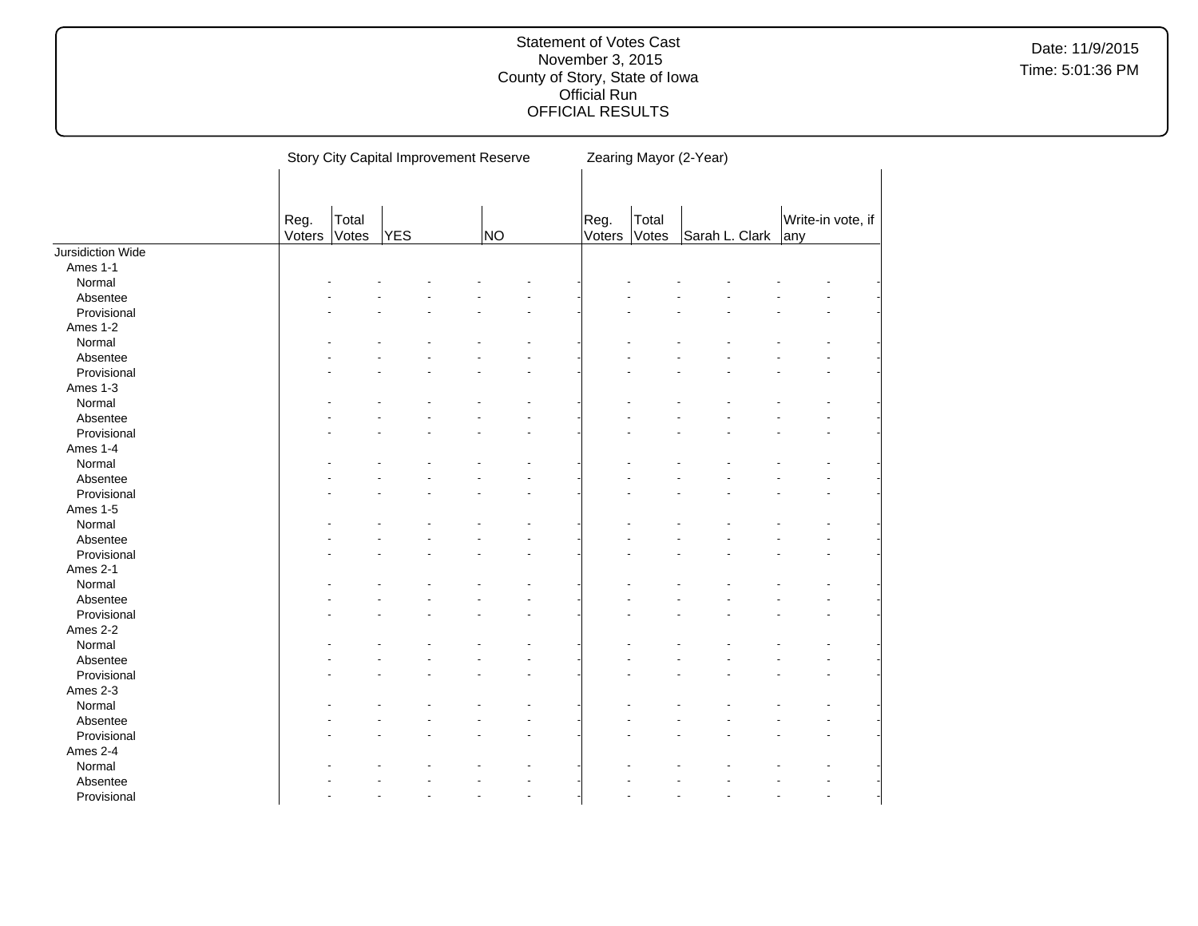|                   |                |                | <b>Story City Capital Improvement Reserve</b> |    |                |                | Zearing Mayor (2-Year) |                |     |                   |
|-------------------|----------------|----------------|-----------------------------------------------|----|----------------|----------------|------------------------|----------------|-----|-------------------|
|                   | Reg.<br>Voters | Total<br>Votes | <b>YES</b>                                    | NO | Reg.<br>Voters | Total<br>Votes |                        | Sarah L. Clark | any | Write-in vote, if |
| Jursidiction Wide |                |                |                                               |    |                |                |                        |                |     |                   |
| Ames 1-1          |                |                |                                               |    |                |                |                        |                |     |                   |
| Normal            |                |                |                                               |    |                |                |                        |                |     |                   |
| Absentee          |                |                |                                               |    |                |                |                        |                |     |                   |
| Provisional       |                |                |                                               |    |                |                |                        |                |     |                   |
| Ames 1-2          |                |                |                                               |    |                |                |                        |                |     |                   |
| Normal            |                |                |                                               |    |                |                |                        |                |     |                   |
| Absentee          |                |                |                                               |    |                |                |                        |                |     |                   |
| Provisional       |                |                |                                               |    |                |                |                        |                |     |                   |
| Ames 1-3          |                |                |                                               |    |                |                |                        |                |     |                   |
| Normal            |                |                |                                               |    |                |                |                        |                |     |                   |
| Absentee          |                |                |                                               |    |                |                |                        |                |     |                   |
| Provisional       |                |                |                                               |    |                |                |                        |                |     |                   |
| Ames 1-4          |                |                |                                               |    |                |                |                        |                |     |                   |
| Normal            |                |                |                                               |    |                |                |                        |                |     |                   |
| Absentee          |                |                |                                               |    |                |                |                        |                |     |                   |
| Provisional       |                |                |                                               |    |                |                |                        |                |     |                   |
| Ames 1-5          |                |                |                                               |    |                |                |                        |                |     |                   |
| Normal            |                |                |                                               |    |                |                |                        |                |     |                   |
| Absentee          |                |                |                                               |    |                |                |                        |                |     |                   |
| Provisional       |                |                |                                               |    |                |                |                        |                |     |                   |
| Ames 2-1          |                |                |                                               |    |                |                |                        |                |     |                   |
| Normal            |                |                |                                               |    |                |                |                        |                |     |                   |
|                   |                |                |                                               |    |                |                |                        |                |     |                   |
| Absentee          |                |                |                                               |    |                |                |                        |                |     |                   |
| Provisional       |                |                |                                               |    |                |                |                        |                |     |                   |
| Ames 2-2          |                |                |                                               |    |                |                |                        |                |     |                   |
| Normal            |                |                |                                               |    |                |                |                        |                |     |                   |
| Absentee          |                |                |                                               |    |                |                |                        |                |     |                   |
| Provisional       |                |                |                                               |    |                |                |                        |                |     |                   |
| Ames 2-3          |                |                |                                               |    |                |                |                        |                |     |                   |
| Normal            |                |                |                                               |    |                |                |                        |                |     |                   |
| Absentee          |                |                |                                               |    |                |                |                        |                |     |                   |
| Provisional       |                |                |                                               |    |                |                |                        |                |     |                   |
| Ames 2-4          |                |                |                                               |    |                |                |                        |                |     |                   |
| Normal            |                |                |                                               |    |                |                |                        |                |     |                   |
| Absentee          |                |                |                                               |    |                |                |                        |                |     |                   |
| Provisional       |                |                |                                               | ä, |                |                |                        |                |     |                   |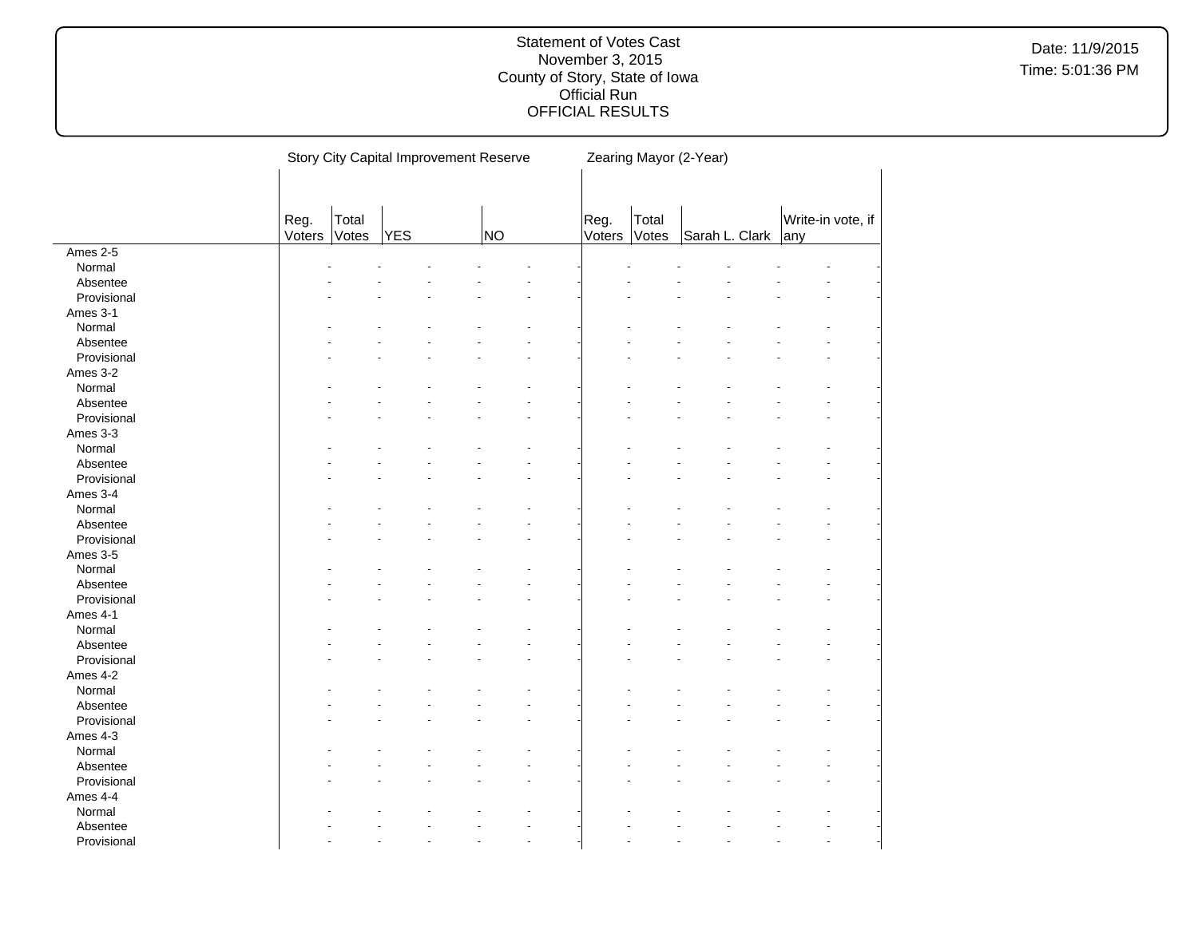|             |        |       |     | Story City Capital Improvement Reserve |        |       | Zearing Mayor (2-Year) |     |                   |
|-------------|--------|-------|-----|----------------------------------------|--------|-------|------------------------|-----|-------------------|
|             |        |       |     |                                        |        |       |                        |     |                   |
|             |        |       |     |                                        |        |       |                        |     |                   |
|             | Reg.   | Total |     |                                        | Reg.   | Total |                        |     | Write-in vote, if |
|             | Voters | Votes | YES | NO                                     | Voters | Votes | Sarah L. Clark         | any |                   |
| Ames 2-5    |        |       |     |                                        |        |       |                        |     |                   |
| Normal      |        |       |     |                                        |        |       |                        |     |                   |
| Absentee    |        |       |     |                                        |        |       |                        |     |                   |
| Provisional |        |       |     |                                        |        |       |                        |     |                   |
| Ames 3-1    |        |       |     |                                        |        |       |                        |     |                   |
| Normal      |        |       |     |                                        |        |       |                        |     |                   |
| Absentee    |        |       |     |                                        |        |       |                        |     |                   |
| Provisional |        |       |     |                                        |        |       |                        |     |                   |
| Ames 3-2    |        |       |     |                                        |        |       |                        |     |                   |
| Normal      |        |       |     |                                        |        |       |                        |     |                   |
| Absentee    |        |       |     |                                        |        |       |                        |     |                   |
| Provisional |        |       |     |                                        |        |       |                        |     |                   |
| Ames 3-3    |        |       |     |                                        |        |       |                        |     |                   |
| Normal      |        |       |     |                                        |        |       |                        |     |                   |
| Absentee    |        |       |     |                                        |        |       |                        |     |                   |
| Provisional |        |       |     |                                        |        |       |                        |     |                   |
| Ames 3-4    |        |       |     |                                        |        |       |                        |     |                   |
| Normal      |        |       |     |                                        |        |       |                        |     |                   |
| Absentee    |        |       |     |                                        |        |       |                        |     |                   |
| Provisional |        |       |     |                                        |        |       |                        |     |                   |
| Ames 3-5    |        |       |     |                                        |        |       |                        |     |                   |
| Normal      |        |       |     |                                        |        |       |                        |     |                   |
| Absentee    |        |       |     |                                        |        |       |                        |     |                   |
| Provisional |        |       |     |                                        |        |       |                        |     |                   |
| Ames 4-1    |        |       |     |                                        |        |       |                        |     |                   |
| Normal      |        |       |     |                                        |        |       |                        |     |                   |
| Absentee    |        |       |     |                                        |        |       |                        |     |                   |
| Provisional |        |       |     |                                        |        |       |                        |     |                   |
| Ames 4-2    |        |       |     |                                        |        |       |                        |     |                   |
| Normal      |        |       |     |                                        |        |       |                        |     |                   |
| Absentee    |        |       |     |                                        |        |       |                        |     |                   |
| Provisional |        |       |     |                                        |        |       |                        |     |                   |
| Ames 4-3    |        |       |     |                                        |        |       |                        |     |                   |
| Normal      |        |       |     |                                        |        |       |                        |     |                   |
| Absentee    |        |       |     |                                        |        |       |                        |     |                   |
| Provisional |        |       |     |                                        |        |       |                        |     |                   |
| Ames 4-4    |        |       |     |                                        |        |       |                        |     |                   |
| Normal      |        |       |     |                                        |        |       |                        |     |                   |
| Absentee    |        |       |     |                                        |        |       |                        |     |                   |
| Provisional |        |       |     |                                        |        |       |                        |     |                   |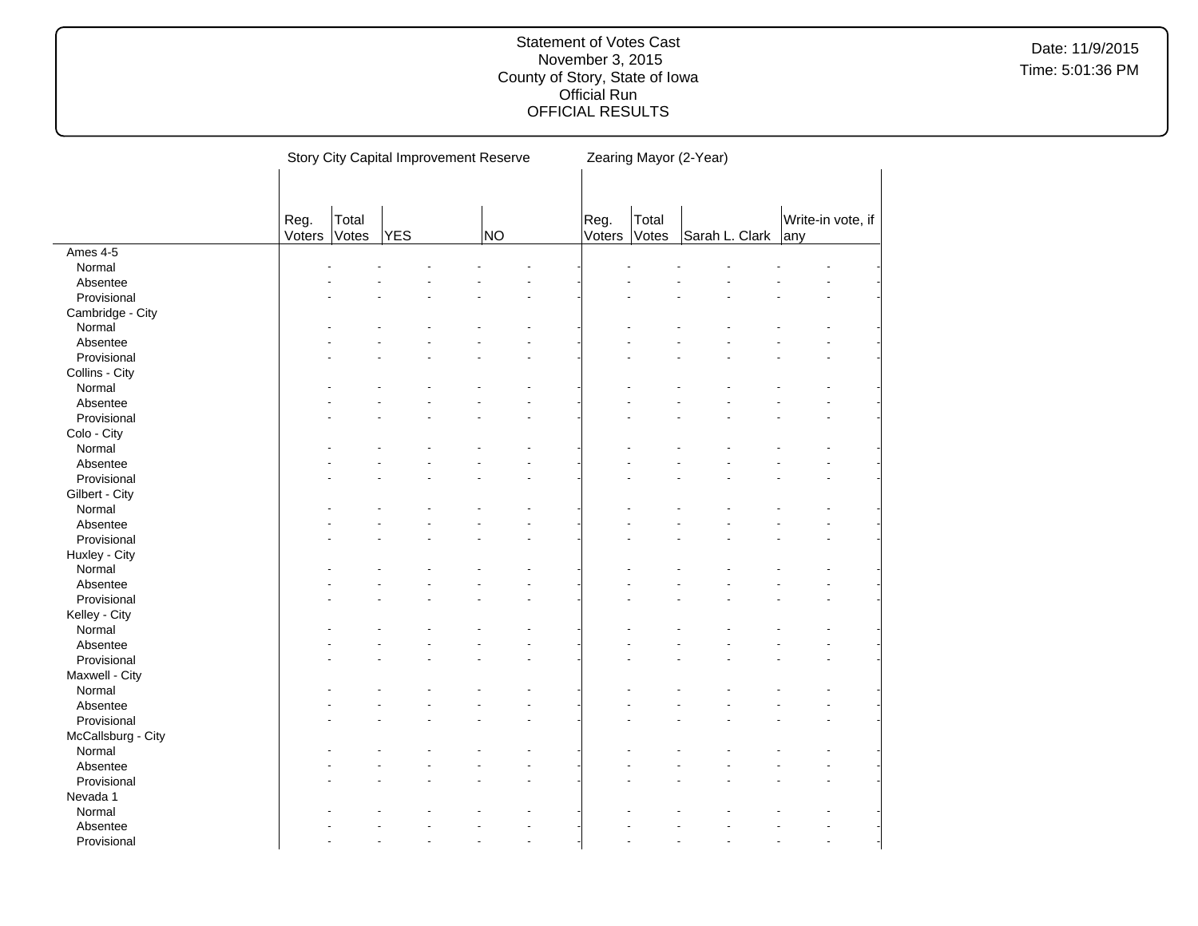|                    |        |       |     | Story City Capital Improvement Reserve |        |       | Zearing Mayor (2-Year) |     |                   |
|--------------------|--------|-------|-----|----------------------------------------|--------|-------|------------------------|-----|-------------------|
|                    |        |       |     |                                        |        |       |                        |     |                   |
|                    |        |       |     |                                        |        |       |                        |     |                   |
|                    | Reg.   | Total |     |                                        | Reg.   | Total |                        |     | Write-in vote, if |
|                    | Voters | Votes | YES | NO                                     | Voters | Votes | Sarah L. Clark         | any |                   |
| Ames 4-5           |        |       |     |                                        |        |       |                        |     |                   |
| Normal             |        |       |     |                                        |        |       |                        |     |                   |
| Absentee           |        |       |     |                                        |        |       |                        |     |                   |
| Provisional        |        |       |     |                                        |        |       |                        |     |                   |
| Cambridge - City   |        |       |     |                                        |        |       |                        |     |                   |
| Normal             |        |       |     |                                        |        |       |                        |     |                   |
| Absentee           |        |       |     |                                        |        |       |                        |     |                   |
| Provisional        |        |       |     |                                        |        |       |                        |     |                   |
| Collins - City     |        |       |     |                                        |        |       |                        |     |                   |
| Normal             |        |       |     |                                        |        |       |                        |     |                   |
| Absentee           |        |       |     |                                        |        |       |                        |     |                   |
| Provisional        |        |       |     |                                        |        |       |                        |     |                   |
| Colo - City        |        |       |     |                                        |        |       |                        |     |                   |
| Normal             |        |       |     |                                        |        |       |                        |     |                   |
| Absentee           |        |       |     |                                        |        |       |                        |     |                   |
| Provisional        |        |       |     |                                        |        |       |                        |     |                   |
| Gilbert - City     |        |       |     |                                        |        |       |                        |     |                   |
| Normal             |        |       |     |                                        |        |       |                        |     |                   |
| Absentee           |        |       |     |                                        |        |       |                        |     |                   |
| Provisional        |        |       |     |                                        |        |       |                        |     |                   |
| Huxley - City      |        |       |     |                                        |        |       |                        |     |                   |
| Normal             |        |       |     |                                        |        |       |                        |     |                   |
| Absentee           |        |       |     |                                        |        |       |                        |     |                   |
| Provisional        |        |       |     |                                        |        |       |                        |     |                   |
| Kelley - City      |        |       |     |                                        |        |       |                        |     |                   |
| Normal             |        |       |     |                                        |        |       |                        |     |                   |
| Absentee           |        |       |     |                                        |        |       |                        |     |                   |
| Provisional        |        |       |     |                                        |        |       |                        |     |                   |
| Maxwell - City     |        |       |     |                                        |        |       |                        |     |                   |
| Normal             |        |       |     |                                        |        |       |                        |     |                   |
| Absentee           |        |       |     |                                        |        |       |                        |     |                   |
| Provisional        |        |       |     |                                        |        |       |                        |     |                   |
| McCallsburg - City |        |       |     |                                        |        |       |                        |     |                   |
| Normal             |        |       |     |                                        |        |       |                        |     |                   |
| Absentee           |        |       |     |                                        |        |       |                        |     |                   |
| Provisional        |        |       |     |                                        |        |       |                        |     |                   |
| Nevada 1           |        |       |     |                                        |        |       |                        |     |                   |
| Normal             |        |       |     |                                        |        |       |                        |     |                   |
| Absentee           |        |       |     |                                        |        |       |                        |     |                   |
| Provisional        |        |       |     |                                        |        |       |                        |     |                   |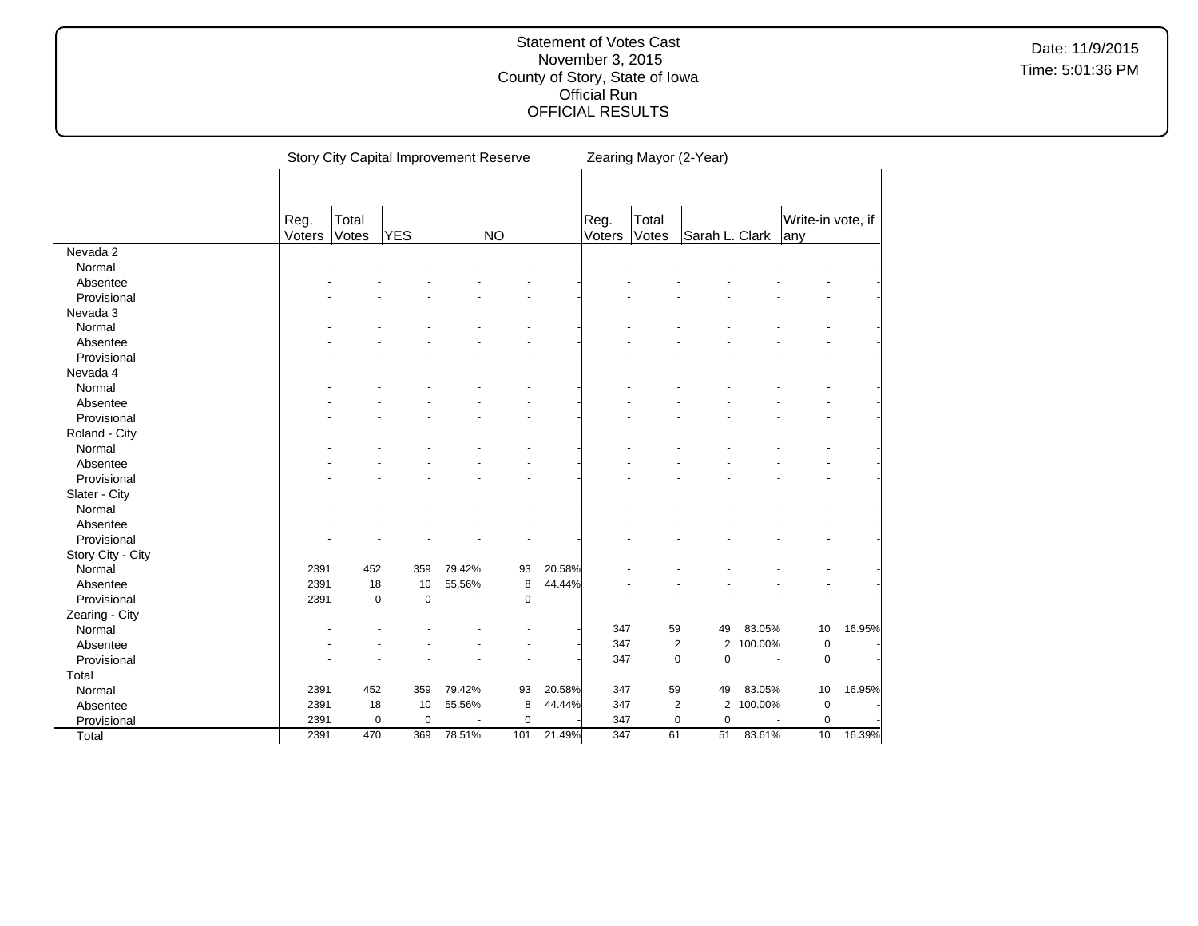|                   | Story City Capital Improvement Reserve |       |             |                          |           |        | Zearing Mayor (2-Year) |       |                                  |           |                   |        |  |
|-------------------|----------------------------------------|-------|-------------|--------------------------|-----------|--------|------------------------|-------|----------------------------------|-----------|-------------------|--------|--|
|                   | Reg.                                   | Total |             |                          |           |        | Reg.                   | Total |                                  |           | Write-in vote, if |        |  |
|                   | Voters                                 | Votes | <b>YES</b>  |                          | NO        |        | Voters                 | Votes | Sarah L. Clark                   |           | any               |        |  |
| Nevada 2          |                                        |       |             |                          |           |        |                        |       |                                  |           |                   |        |  |
| Normal            |                                        |       |             |                          |           |        |                        |       |                                  |           |                   |        |  |
| Absentee          |                                        |       |             |                          |           |        |                        |       |                                  |           |                   |        |  |
| Provisional       |                                        |       |             |                          |           |        |                        |       |                                  |           |                   |        |  |
| Nevada 3          |                                        |       |             |                          |           |        |                        |       |                                  |           |                   |        |  |
| Normal            |                                        |       |             |                          |           |        |                        |       |                                  |           |                   |        |  |
| Absentee          |                                        |       |             |                          |           |        |                        |       |                                  |           |                   |        |  |
| Provisional       |                                        |       |             |                          |           |        |                        |       |                                  |           |                   |        |  |
| Nevada 4          |                                        |       |             |                          |           |        |                        |       |                                  |           |                   |        |  |
| Normal            |                                        |       |             |                          |           |        |                        |       |                                  |           |                   |        |  |
| Absentee          |                                        |       |             |                          |           |        |                        |       |                                  |           |                   |        |  |
| Provisional       |                                        |       |             |                          |           |        |                        |       |                                  |           |                   |        |  |
| Roland - City     |                                        |       |             |                          |           |        |                        |       |                                  |           |                   |        |  |
| Normal            |                                        |       |             |                          |           |        |                        |       |                                  |           |                   |        |  |
| Absentee          |                                        |       |             |                          |           |        |                        |       |                                  |           |                   |        |  |
| Provisional       |                                        |       |             |                          |           |        |                        |       |                                  |           |                   |        |  |
| Slater - City     |                                        |       |             |                          |           |        |                        |       |                                  |           |                   |        |  |
| Normal            |                                        |       |             |                          |           |        |                        |       |                                  |           |                   |        |  |
| Absentee          |                                        |       |             |                          |           |        |                        |       |                                  |           |                   |        |  |
| Provisional       |                                        |       |             |                          |           |        |                        |       |                                  |           |                   |        |  |
| Story City - City |                                        |       |             |                          |           |        |                        |       |                                  |           |                   |        |  |
| Normal            | 2391                                   | 452   | 359         | 79.42%                   | 93        | 20.58% |                        |       |                                  |           |                   |        |  |
| Absentee          | 2391                                   | 18    | 10          | 55.56%                   | 8         | 44.44% |                        |       |                                  |           |                   |        |  |
| Provisional       | 2391                                   | 0     | $\mathbf 0$ | $\blacksquare$           | $\pmb{0}$ |        |                        |       |                                  |           |                   |        |  |
| Zearing - City    |                                        |       |             |                          |           |        |                        |       |                                  |           |                   |        |  |
| Normal            |                                        |       |             |                          |           |        | 347                    | 59    | 49                               | 83.05%    | 10                | 16.95% |  |
| Absentee          |                                        |       |             |                          |           |        | 347                    |       | $\overline{c}$                   | 2 100.00% | 0                 |        |  |
| Provisional       |                                        |       |             |                          |           |        | 347                    |       | $\pmb{0}$<br>$\pmb{0}$           | $\sim$    | 0                 |        |  |
| Total             |                                        |       |             |                          |           |        |                        |       |                                  |           |                   |        |  |
| Normal            | 2391                                   | 452   | 359         | 79.42%                   | 93        | 20.58% | 347                    | 59    | 49                               | 83.05%    | 10                | 16.95% |  |
| Absentee          | 2391                                   | 18    | 10          | 55.56%                   | 8         | 44.44% | 347                    |       | $\overline{c}$<br>$\overline{2}$ | 100.00%   | $\mathbf 0$       |        |  |
| Provisional       | 2391                                   | 0     | $\mathbf 0$ | $\overline{\phantom{a}}$ | $\pmb{0}$ |        | 347                    |       | $\pmb{0}$<br>$\pmb{0}$           |           | $\mathbf 0$       |        |  |
| Total             | 2391                                   | 470   | 369         | 78.51%                   | 101       | 21.49% | 347                    | 61    | 51                               | 83.61%    | 10                | 16.39% |  |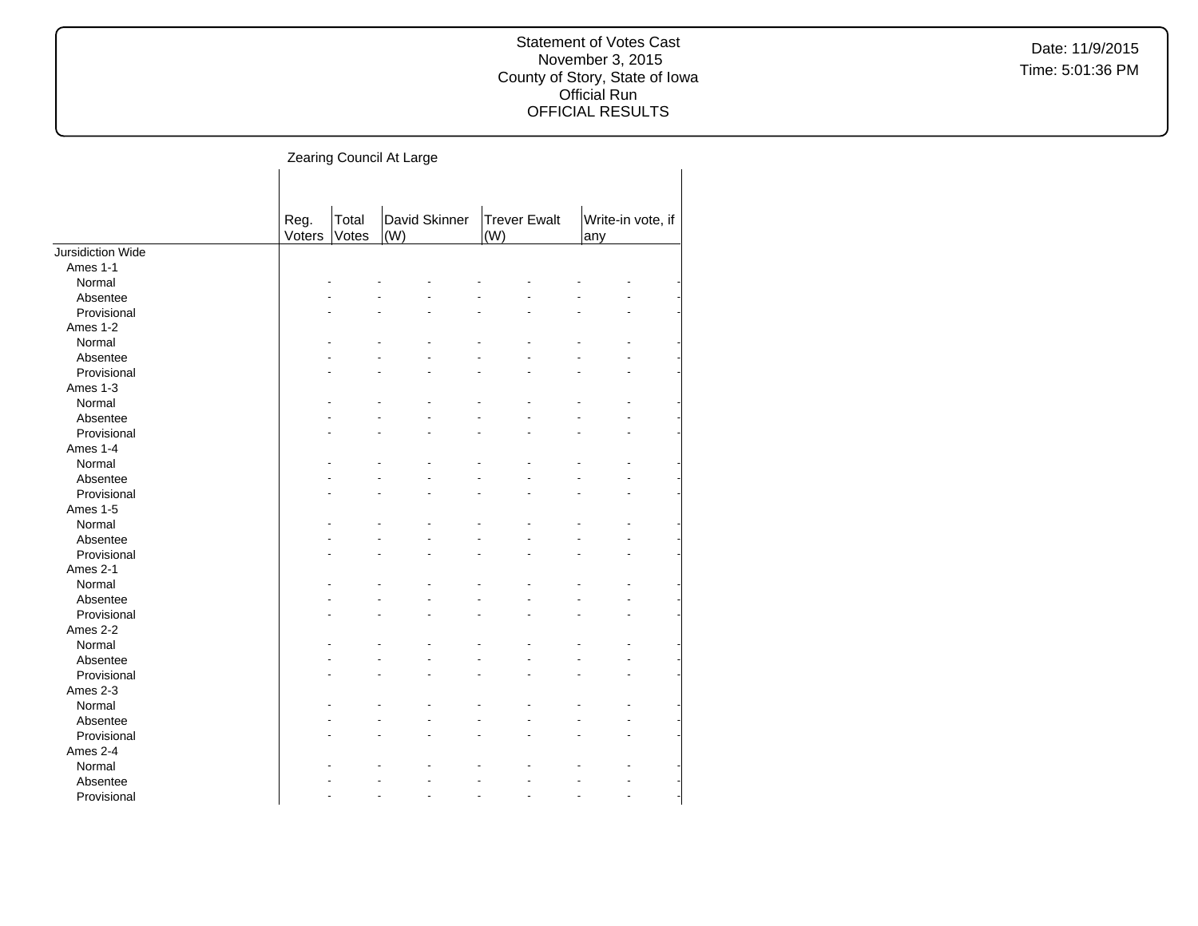#### Statement of Votes Cast November 3, 2015 County of Story, State of Iowa Official Run OFFICIAL RESULTS

|                   | Reg.<br>Voters | Total<br>Votes | David Skinner<br>(W) | <b>Trever Ewalt</b><br>(W) | Write-in vote, if<br>any |
|-------------------|----------------|----------------|----------------------|----------------------------|--------------------------|
| Jursidiction Wide |                |                |                      |                            |                          |
| Ames 1-1          |                |                |                      |                            |                          |
| Normal            |                |                |                      |                            |                          |
| Absentee          |                |                |                      |                            |                          |
| Provisional       |                |                |                      |                            |                          |
| Ames 1-2          |                |                |                      |                            |                          |
| Normal            |                |                |                      |                            |                          |
| Absentee          |                |                |                      |                            |                          |
| Provisional       |                |                |                      |                            |                          |
| Ames 1-3          |                |                |                      |                            |                          |
| Normal            |                |                |                      |                            |                          |
| Absentee          |                |                |                      |                            |                          |
| Provisional       |                |                |                      |                            |                          |
| Ames 1-4          |                |                |                      |                            |                          |
| Normal            |                |                |                      |                            |                          |
| Absentee          |                |                |                      |                            |                          |
| Provisional       |                |                |                      |                            |                          |
| Ames 1-5          |                |                |                      |                            |                          |
| Normal            |                |                |                      |                            |                          |
| Absentee          |                |                |                      |                            |                          |
| Provisional       |                |                |                      |                            |                          |
| Ames 2-1          |                |                |                      |                            |                          |
| Normal            |                |                |                      |                            |                          |
| Absentee          |                |                |                      |                            |                          |
| Provisional       |                |                |                      |                            |                          |
| Ames 2-2          |                |                |                      |                            |                          |
| Normal            |                |                |                      |                            |                          |
| Absentee          |                |                |                      |                            |                          |
| Provisional       |                |                |                      |                            |                          |
| Ames 2-3          |                |                |                      |                            |                          |
| Normal            |                |                |                      |                            |                          |
| Absentee          |                |                |                      |                            |                          |
| Provisional       |                |                |                      |                            |                          |
| Ames 2-4          |                |                |                      |                            |                          |
| Normal            |                |                |                      |                            |                          |
| Absentee          |                |                |                      |                            |                          |
| Provisional       |                |                |                      |                            |                          |
|                   |                |                |                      |                            |                          |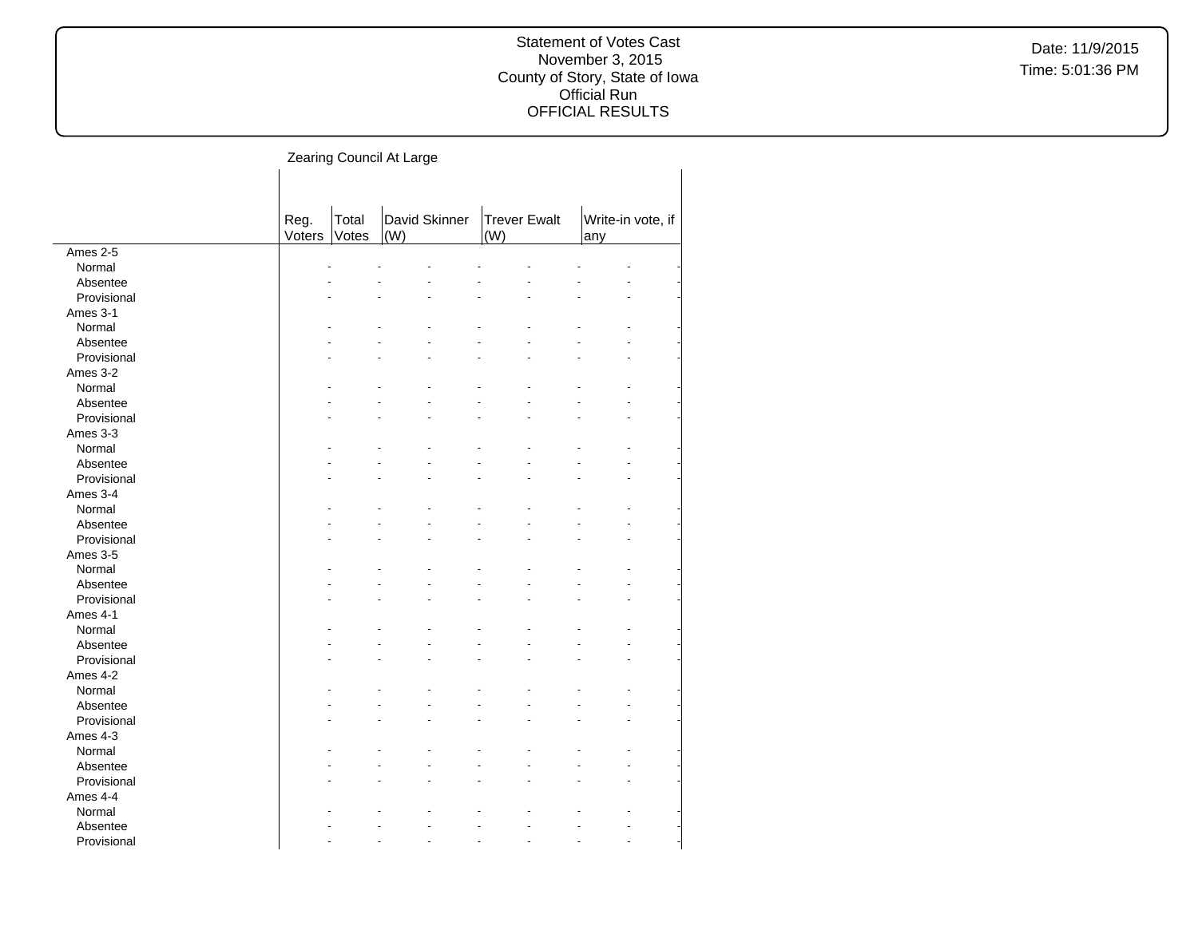#### Statement of Votes Cast November 3, 2015 County of Story, State of Iowa Official Run OFFICIAL RESULTS

|             | Reg.<br>Voters | Total<br>Votes | David Skinner<br>(W) | <b>Trever Ewalt</b><br>(W) | Write-in vote, if<br>any |  |
|-------------|----------------|----------------|----------------------|----------------------------|--------------------------|--|
| Ames $2-5$  |                |                |                      |                            |                          |  |
| Normal      |                |                |                      |                            |                          |  |
| Absentee    |                |                |                      |                            |                          |  |
| Provisional |                |                |                      |                            |                          |  |
| Ames 3-1    |                |                |                      |                            |                          |  |
| Normal      |                |                |                      |                            |                          |  |
| Absentee    |                |                |                      |                            |                          |  |
| Provisional |                |                |                      |                            |                          |  |
| Ames 3-2    |                |                |                      |                            |                          |  |
| Normal      |                |                |                      |                            |                          |  |
| Absentee    |                |                |                      |                            |                          |  |
| Provisional |                |                |                      |                            |                          |  |
| Ames 3-3    |                |                |                      |                            |                          |  |
| Normal      |                |                |                      |                            |                          |  |
| Absentee    |                |                |                      |                            |                          |  |
| Provisional |                |                |                      |                            |                          |  |
| Ames 3-4    |                |                |                      |                            |                          |  |
| Normal      |                |                |                      |                            |                          |  |
| Absentee    |                |                |                      |                            |                          |  |
| Provisional |                |                |                      |                            |                          |  |
| Ames 3-5    |                |                |                      |                            |                          |  |
| Normal      |                |                |                      |                            |                          |  |
| Absentee    |                |                |                      |                            |                          |  |
| Provisional |                |                |                      |                            |                          |  |
| Ames 4-1    |                |                |                      |                            |                          |  |
| Normal      |                |                |                      |                            |                          |  |
| Absentee    |                |                |                      |                            |                          |  |
| Provisional |                |                |                      |                            |                          |  |
| Ames 4-2    |                |                |                      |                            |                          |  |
| Normal      |                |                |                      |                            |                          |  |
| Absentee    |                |                |                      |                            |                          |  |
| Provisional |                |                |                      |                            |                          |  |
| Ames 4-3    |                |                |                      |                            |                          |  |
| Normal      |                |                |                      |                            |                          |  |
| Absentee    |                |                |                      |                            |                          |  |
| Provisional |                |                |                      |                            |                          |  |
| Ames 4-4    |                |                |                      |                            |                          |  |
| Normal      |                |                |                      |                            |                          |  |
| Absentee    |                |                |                      |                            |                          |  |
| Provisional |                |                |                      |                            |                          |  |
|             |                |                |                      |                            |                          |  |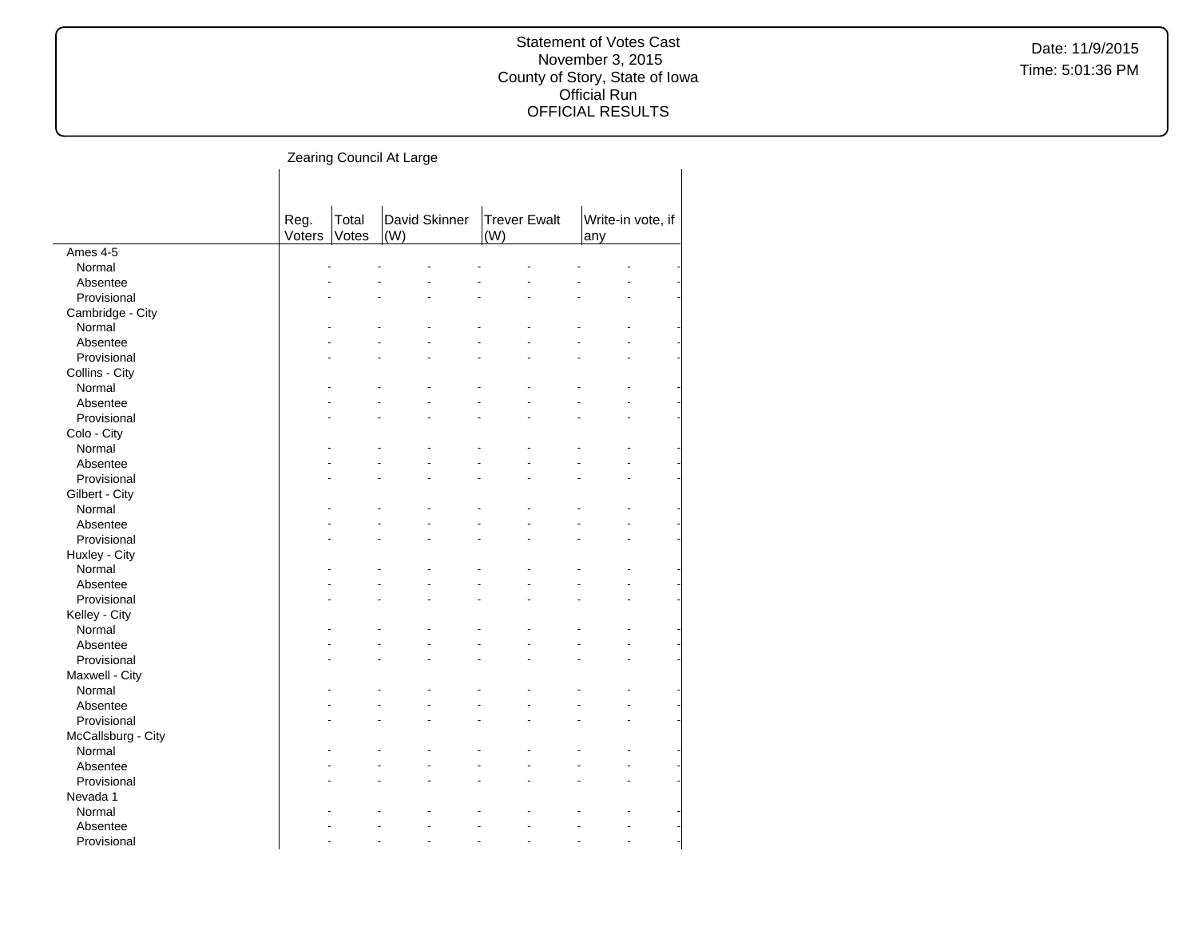#### Statement of Votes Cast November 3, 2015 County of Story, State of Iowa Official Run OFFICIAL RESULTS

|                    | Reg.   | Total | David Skinner | <b>Trever Ewalt</b><br>(W) | Write-in vote, if |  |
|--------------------|--------|-------|---------------|----------------------------|-------------------|--|
|                    | Voters | Votes | (W)           |                            | any               |  |
| Ames 4-5           |        |       |               |                            |                   |  |
| Normal             |        |       |               |                            |                   |  |
| Absentee           |        |       |               |                            |                   |  |
| Provisional        |        |       |               |                            |                   |  |
| Cambridge - City   |        |       |               |                            |                   |  |
| Normal             |        |       |               |                            |                   |  |
| Absentee           |        |       |               |                            |                   |  |
| Provisional        |        |       |               |                            |                   |  |
| Collins - City     |        |       |               |                            |                   |  |
| Normal             |        |       |               |                            |                   |  |
| Absentee           |        |       |               |                            |                   |  |
| Provisional        |        |       |               |                            |                   |  |
| Colo - City        |        |       |               |                            |                   |  |
| Normal             |        |       |               |                            |                   |  |
| Absentee           |        |       |               |                            |                   |  |
| Provisional        |        |       |               |                            |                   |  |
| Gilbert - City     |        |       |               |                            |                   |  |
| Normal             |        |       |               |                            |                   |  |
| Absentee           |        |       |               |                            |                   |  |
| Provisional        |        |       |               |                            |                   |  |
| Huxley - City      |        |       |               |                            |                   |  |
| Normal             |        |       |               |                            |                   |  |
| Absentee           |        |       |               |                            |                   |  |
| Provisional        |        |       |               |                            |                   |  |
| Kelley - City      |        |       |               |                            |                   |  |
| Normal             |        |       |               |                            |                   |  |
| Absentee           |        |       |               |                            |                   |  |
| Provisional        |        |       |               |                            |                   |  |
| Maxwell - City     |        |       |               |                            |                   |  |
| Normal             |        |       |               |                            |                   |  |
|                    |        |       |               |                            |                   |  |
| Absentee           |        |       |               |                            |                   |  |
| Provisional        |        |       |               |                            |                   |  |
| McCallsburg - City |        |       |               |                            |                   |  |
| Normal             |        |       |               |                            |                   |  |
| Absentee           |        |       |               |                            |                   |  |
| Provisional        |        |       |               |                            |                   |  |
| Nevada 1           |        |       |               |                            |                   |  |
| Normal             |        |       |               |                            |                   |  |
| Absentee           |        |       |               |                            |                   |  |
| Provisional        |        |       |               |                            |                   |  |